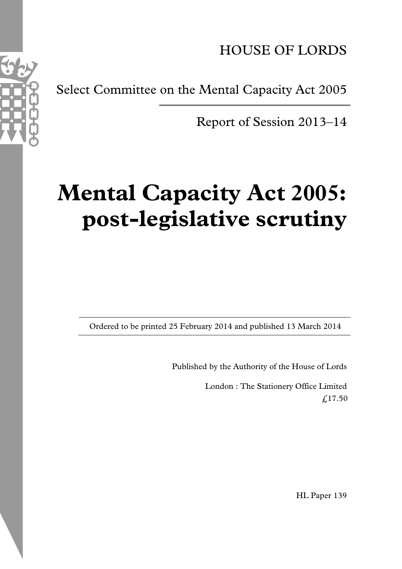

Select Committee on the Mental Capacity Act 2005

Report of Session 2013–14

# **Mental Capacity Act 2005: post-legislative scrutiny**

Ordered to be printed 25 February 2014 and published 13 March 2014

Published by the Authority of the House of Lords

London : The Stationery Office Limited £17.50

HL Paper 139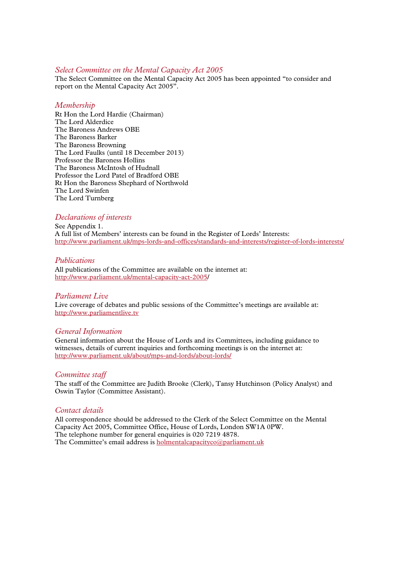#### *Select Committee on the Mental Capacity Act 2005*

The Select Committee on the Mental Capacity Act 2005 has been appointed "to consider and report on the Mental Capacity Act 2005".

#### *Membership*

Rt Hon the Lord Hardie (Chairman) The Lord Alderdice The Baroness Andrews OBE The Baroness Barker The Baroness Browning The Lord Faulks (until 18 December 2013) Professor the Baroness Hollins The Baroness McIntosh of Hudnall Professor the Lord Patel of Bradford OBE Rt Hon the Baroness Shephard of Northwold The Lord Swinfen The Lord Turnberg

# *Declarations of interests*

See Appendix 1. A full list of Members' interests can be found in the Register of Lords' Interests: http://www.parliament.uk/mps-lords-and-offices/standards-and-interests/register-of-lords-interests/

#### *Publications*

All publications of the Committee are available on the internet at: http://www.parliament.uk/mental-capacity-act-2005/

#### *Parliament Live*

Live coverage of debates and public sessions of the Committee's meetings are available at: http://www.parliamentlive.tv

#### *General Information*

General information about the House of Lords and its Committees, including guidance to witnesses, details of current inquiries and forthcoming meetings is on the internet at: http://www.parliament.uk/about/mps-and-lords/about-lords/

#### *Committee staff*

The staff of the Committee are Judith Brooke (Clerk), Tansy Hutchinson (Policy Analyst) and Oswin Taylor (Committee Assistant).

#### *Contact details*

All correspondence should be addressed to the Clerk of the Select Committee on the Mental Capacity Act 2005, Committee Office, House of Lords, London SW1A 0PW. The telephone number for general enquiries is 020 7219 4878. The Committee's email address is holmentalcapacityco@parliament.uk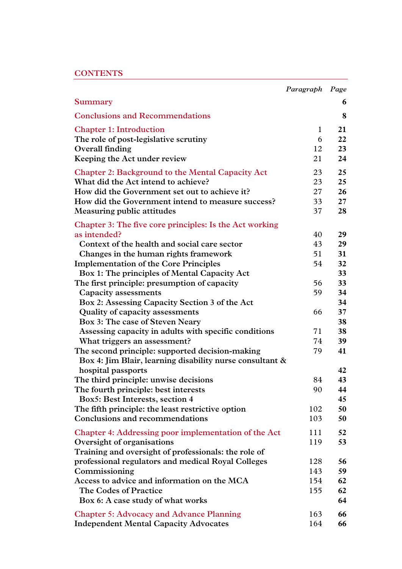# **CONTENTS**

|                                                                                                                                                                                                                                                                  | Paragraph                  | Page                           |
|------------------------------------------------------------------------------------------------------------------------------------------------------------------------------------------------------------------------------------------------------------------|----------------------------|--------------------------------|
| Summary                                                                                                                                                                                                                                                          |                            | 6                              |
| <b>Conclusions and Recommendations</b>                                                                                                                                                                                                                           |                            | 8                              |
| <b>Chapter 1: Introduction</b><br>The role of post-legislative scrutiny<br>Overall finding<br>Keeping the Act under review                                                                                                                                       | 1<br>6<br>12<br>21         | 21<br>22<br>23<br>24           |
| <b>Chapter 2: Background to the Mental Capacity Act</b><br>What did the Act intend to achieve?<br>How did the Government set out to achieve it?<br>How did the Government intend to measure success?<br>Measuring public attitudes                               | 23<br>23<br>27<br>33<br>37 | 25<br>25<br>26<br>$27\,$<br>28 |
| Chapter 3: The five core principles: Is the Act working<br>as intended?<br>Context of the health and social care sector<br>Changes in the human rights framework<br><b>Implementation of the Core Principles</b><br>Box 1: The principles of Mental Capacity Act | 40<br>43<br>51<br>54       | 29<br>29<br>31<br>32<br>33     |
| The first principle: presumption of capacity<br>Capacity assessments<br>Box 2: Assessing Capacity Section 3 of the Act<br>Quality of capacity assessments<br>Box 3: The case of Steven Neary                                                                     | 56<br>59<br>66             | 33<br>34<br>34<br>37<br>38     |
| Assessing capacity in adults with specific conditions<br>What triggers an assessment?<br>The second principle: supported decision-making<br>Box 4: Jim Blair, learning disability nurse consultant &<br>hospital passports                                       | 71<br>74<br>79             | 38<br>39<br>41<br>42           |
| The third principle: unwise decisions<br>The fourth principle: best interests<br>Box5: Best Interests, section 4<br>The fifth principle: the least restrictive option<br><b>Conclusions and recommendations</b>                                                  | 84<br>90<br>102<br>103     | 43<br>44<br>45<br>50<br>50     |
| Chapter 4: Addressing poor implementation of the Act<br>Oversight of organisations<br>Training and oversight of professionals: the role of<br>professional regulators and medical Royal Colleges                                                                 | 111<br>119<br>128          | 52<br>53<br>56                 |
| Commissioning<br>Access to advice and information on the MCA<br>The Codes of Practice<br>Box 6: A case study of what works                                                                                                                                       | 143<br>154<br>155          | 59<br>62<br>62<br>64           |
| <b>Chapter 5: Advocacy and Advance Planning</b><br><b>Independent Mental Capacity Advocates</b>                                                                                                                                                                  | 163<br>164                 | 66<br>66                       |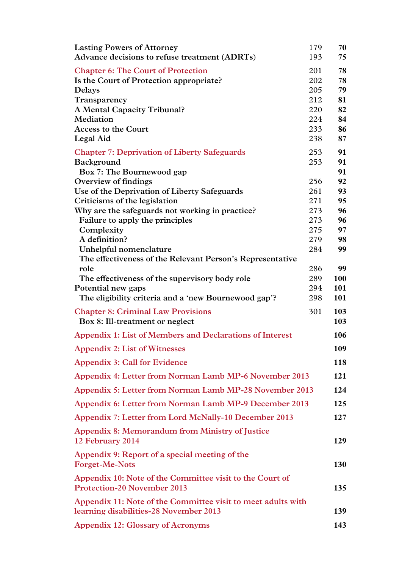| <b>Lasting Powers of Attorney</b>                                                                      | 179        | 70         |
|--------------------------------------------------------------------------------------------------------|------------|------------|
| Advance decisions to refuse treatment (ADRTs)                                                          | 193        | 75         |
| <b>Chapter 6: The Court of Protection</b>                                                              | 201        | 78         |
| Is the Court of Protection appropriate?                                                                | 202        | 78         |
| Delays                                                                                                 | 205        | 79         |
| Transparency                                                                                           | 212        | 81         |
| A Mental Capacity Tribunal?                                                                            | 220        | 82         |
| Mediation                                                                                              | 224        | 84         |
| <b>Access to the Court</b>                                                                             | 233        | 86         |
| Legal Aid                                                                                              | 238        | 87         |
| <b>Chapter 7: Deprivation of Liberty Safeguards</b>                                                    | 253        | 91         |
| Background                                                                                             | 253        | 91         |
| Box 7: The Bournewood gap                                                                              |            | 91         |
| Overview of findings                                                                                   | 256        | 92         |
| Use of the Deprivation of Liberty Safeguards                                                           | 261        | 93         |
| Criticisms of the legislation                                                                          | 271        | 95         |
| Why are the safeguards not working in practice?                                                        | 273        | 96         |
| Failure to apply the principles                                                                        | 273        | 96         |
| Complexity<br>A definition?                                                                            | 275<br>279 | 97<br>98   |
| Unhelpful nomenclature                                                                                 | 284        | 99         |
| The effectiveness of the Relevant Person's Representative                                              |            |            |
| role                                                                                                   | 286        | 99         |
| The effectiveness of the supervisory body role                                                         | 289        | 100        |
| Potential new gaps                                                                                     | 294        | 101        |
| The eligibility criteria and a 'new Bournewood gap'?                                                   | 298        | 101        |
| <b>Chapter 8: Criminal Law Provisions</b><br>Box 8: Ill-treatment or neglect                           | 301        | 103<br>103 |
| Appendix 1: List of Members and Declarations of Interest                                               |            | 106        |
| <b>Appendix 2: List of Witnesses</b>                                                                   |            | 109        |
| <b>Appendix 3: Call for Evidence</b>                                                                   |            | 118        |
| Appendix 4: Letter from Norman Lamb MP-6 November 2013                                                 |            | 121        |
| Appendix 5: Letter from Norman Lamb MP-28 November 2013                                                |            | 124        |
| Appendix 6: Letter from Norman Lamb MP-9 December 2013                                                 |            | 125        |
| Appendix 7: Letter from Lord McNally-10 December 2013                                                  |            | 127        |
| Appendix 8: Memorandum from Ministry of Justice<br>12 February 2014                                    |            | 129        |
| Appendix 9: Report of a special meeting of the<br><b>Forget-Me-Nots</b>                                |            | 130        |
| Appendix 10: Note of the Committee visit to the Court of<br><b>Protection-20 November 2013</b>         |            | 135        |
| Appendix 11: Note of the Committee visit to meet adults with<br>learning disabilities-28 November 2013 |            | 139        |
| <b>Appendix 12: Glossary of Acronyms</b>                                                               |            | 143        |
|                                                                                                        |            |            |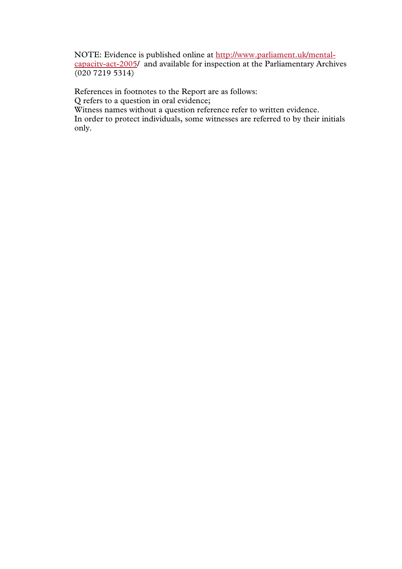NOTE: Evidence is published online at http://www.parliament.uk/mentalcapacity-act-2005/ and available for inspection at the Parliamentary Archives (020 7219 5314)

References in footnotes to the Report are as follows:

Q refers to a question in oral evidence;

Witness names without a question reference refer to written evidence.

In order to protect individuals, some witnesses are referred to by their initials only.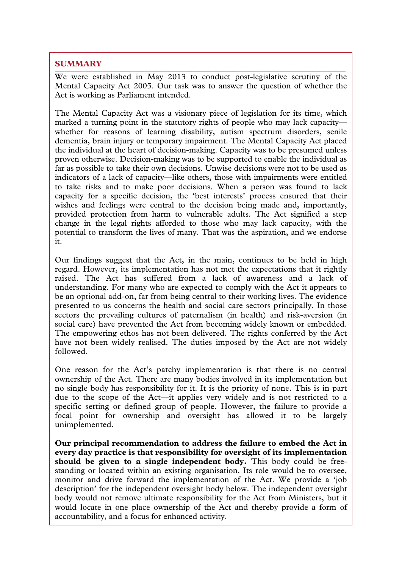# **SUMMARY**

We were established in May 2013 to conduct post-legislative scrutiny of the Mental Capacity Act 2005. Our task was to answer the question of whether the Act is working as Parliament intended.

The Mental Capacity Act was a visionary piece of legislation for its time, which marked a turning point in the statutory rights of people who may lack capacity whether for reasons of learning disability, autism spectrum disorders, senile dementia, brain injury or temporary impairment. The Mental Capacity Act placed the individual at the heart of decision-making. Capacity was to be presumed unless proven otherwise. Decision-making was to be supported to enable the individual as far as possible to take their own decisions. Unwise decisions were not to be used as indicators of a lack of capacity—like others, those with impairments were entitled to take risks and to make poor decisions. When a person was found to lack capacity for a specific decision, the 'best interests' process ensured that their wishes and feelings were central to the decision being made and, importantly, provided protection from harm to vulnerable adults. The Act signified a step change in the legal rights afforded to those who may lack capacity, with the potential to transform the lives of many. That was the aspiration, and we endorse it.

Our findings suggest that the Act, in the main, continues to be held in high regard. However, its implementation has not met the expectations that it rightly raised. The Act has suffered from a lack of awareness and a lack of understanding. For many who are expected to comply with the Act it appears to be an optional add-on, far from being central to their working lives. The evidence presented to us concerns the health and social care sectors principally. In those sectors the prevailing cultures of paternalism (in health) and risk-aversion (in social care) have prevented the Act from becoming widely known or embedded. The empowering ethos has not been delivered. The rights conferred by the Act have not been widely realised. The duties imposed by the Act are not widely followed.

One reason for the Act's patchy implementation is that there is no central ownership of the Act. There are many bodies involved in its implementation but no single body has responsibility for it. It is the priority of none. This is in part due to the scope of the Act—it applies very widely and is not restricted to a specific setting or defined group of people. However, the failure to provide a focal point for ownership and oversight has allowed it to be largely unimplemented.

**Our principal recommendation to address the failure to embed the Act in every day practice is that responsibility for oversight of its implementation should be given to a single independent body.** This body could be freestanding or located within an existing organisation. Its role would be to oversee, monitor and drive forward the implementation of the Act. We provide a 'job description' for the independent oversight body below. The independent oversight body would not remove ultimate responsibility for the Act from Ministers, but it would locate in one place ownership of the Act and thereby provide a form of accountability, and a focus for enhanced activity.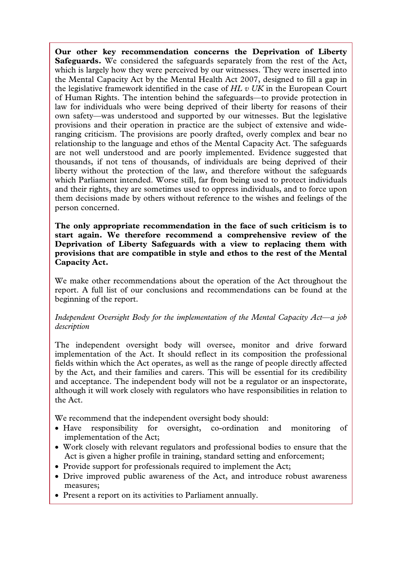**Our other key recommendation concerns the Deprivation of Liberty Safeguards.** We considered the safeguards separately from the rest of the Act, which is largely how they were perceived by our witnesses. They were inserted into the Mental Capacity Act by the Mental Health Act 2007, designed to fill a gap in the legislative framework identified in the case of *HL v UK* in the European Court of Human Rights. The intention behind the safeguards—to provide protection in law for individuals who were being deprived of their liberty for reasons of their own safety—was understood and supported by our witnesses. But the legislative provisions and their operation in practice are the subject of extensive and wideranging criticism. The provisions are poorly drafted, overly complex and bear no relationship to the language and ethos of the Mental Capacity Act. The safeguards are not well understood and are poorly implemented. Evidence suggested that thousands, if not tens of thousands, of individuals are being deprived of their liberty without the protection of the law, and therefore without the safeguards which Parliament intended. Worse still, far from being used to protect individuals and their rights, they are sometimes used to oppress individuals, and to force upon them decisions made by others without reference to the wishes and feelings of the person concerned.

**The only appropriate recommendation in the face of such criticism is to start again. We therefore recommend a comprehensive review of the Deprivation of Liberty Safeguards with a view to replacing them with provisions that are compatible in style and ethos to the rest of the Mental Capacity Act.** 

We make other recommendations about the operation of the Act throughout the report. A full list of our conclusions and recommendations can be found at the beginning of the report.

# *Independent Oversight Body for the implementation of the Mental Capacity Act—a job description*

The independent oversight body will oversee, monitor and drive forward implementation of the Act. It should reflect in its composition the professional fields within which the Act operates, as well as the range of people directly affected by the Act, and their families and carers. This will be essential for its credibility and acceptance. The independent body will not be a regulator or an inspectorate, although it will work closely with regulators who have responsibilities in relation to the Act.

We recommend that the independent oversight body should:

- Have responsibility for oversight, co-ordination and monitoring of implementation of the Act;
- Work closely with relevant regulators and professional bodies to ensure that the Act is given a higher profile in training, standard setting and enforcement;
- Provide support for professionals required to implement the Act;
- Drive improved public awareness of the Act, and introduce robust awareness measures;
- Present a report on its activities to Parliament annually.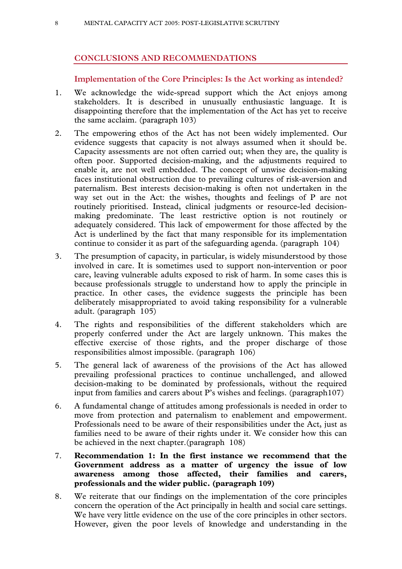# **CONCLUSIONS AND RECOMMENDATIONS**

### **Implementation of the Core Principles: Is the Act working as intended?**

- 1. We acknowledge the wide-spread support which the Act enjoys among stakeholders. It is described in unusually enthusiastic language. It is disappointing therefore that the implementation of the Act has yet to receive the same acclaim. (paragraph 103)
- 2. The empowering ethos of the Act has not been widely implemented. Our evidence suggests that capacity is not always assumed when it should be. Capacity assessments are not often carried out; when they are, the quality is often poor. Supported decision-making, and the adjustments required to enable it, are not well embedded. The concept of unwise decision-making faces institutional obstruction due to prevailing cultures of risk-aversion and paternalism. Best interests decision-making is often not undertaken in the way set out in the Act: the wishes, thoughts and feelings of P are not routinely prioritised. Instead, clinical judgments or resource-led decisionmaking predominate. The least restrictive option is not routinely or adequately considered. This lack of empowerment for those affected by the Act is underlined by the fact that many responsible for its implementation continue to consider it as part of the safeguarding agenda. (paragraph 104)
- 3. The presumption of capacity, in particular, is widely misunderstood by those involved in care. It is sometimes used to support non-intervention or poor care, leaving vulnerable adults exposed to risk of harm. In some cases this is because professionals struggle to understand how to apply the principle in practice. In other cases, the evidence suggests the principle has been deliberately misappropriated to avoid taking responsibility for a vulnerable adult. (paragraph 105)
- 4. The rights and responsibilities of the different stakeholders which are properly conferred under the Act are largely unknown. This makes the effective exercise of those rights, and the proper discharge of those responsibilities almost impossible. (paragraph 106)
- 5. The general lack of awareness of the provisions of the Act has allowed prevailing professional practices to continue unchallenged, and allowed decision-making to be dominated by professionals, without the required input from families and carers about P's wishes and feelings. (paragraph107)
- 6. A fundamental change of attitudes among professionals is needed in order to move from protection and paternalism to enablement and empowerment. Professionals need to be aware of their responsibilities under the Act, just as families need to be aware of their rights under it. We consider how this can be achieved in the next chapter.(paragraph 108)
- 7. **Recommendation 1: In the first instance we recommend that the Government address as a matter of urgency the issue of low awareness among those affected, their families and carers, professionals and the wider public. (paragraph 109)**
- 8. We reiterate that our findings on the implementation of the core principles concern the operation of the Act principally in health and social care settings. We have very little evidence on the use of the core principles in other sectors. However, given the poor levels of knowledge and understanding in the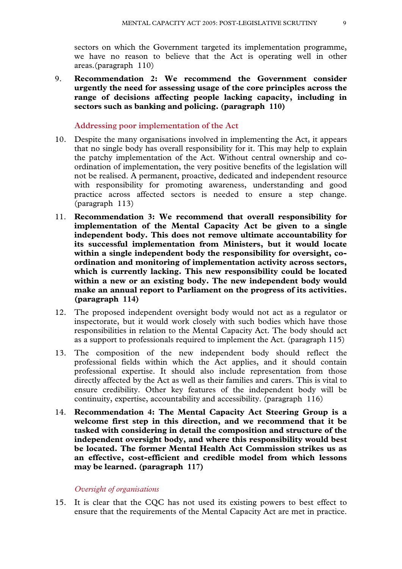sectors on which the Government targeted its implementation programme, we have no reason to believe that the Act is operating well in other areas.(paragraph 110)

9. **Recommendation 2: We recommend the Government consider urgently the need for assessing usage of the core principles across the range of decisions affecting people lacking capacity, including in sectors such as banking and policing. (paragraph 110)**

**Addressing poor implementation of the Act** 

- 10. Despite the many organisations involved in implementing the Act, it appears that no single body has overall responsibility for it. This may help to explain the patchy implementation of the Act. Without central ownership and coordination of implementation, the very positive benefits of the legislation will not be realised. A permanent, proactive, dedicated and independent resource with responsibility for promoting awareness, understanding and good practice across affected sectors is needed to ensure a step change. (paragraph 113)
- 11. **Recommendation 3: We recommend that overall responsibility for implementation of the Mental Capacity Act be given to a single independent body. This does not remove ultimate accountability for its successful implementation from Ministers, but it would locate within a single independent body the responsibility for oversight, coordination and monitoring of implementation activity across sectors, which is currently lacking. This new responsibility could be located within a new or an existing body. The new independent body would make an annual report to Parliament on the progress of its activities. (paragraph 114)**
- 12. The proposed independent oversight body would not act as a regulator or inspectorate, but it would work closely with such bodies which have those responsibilities in relation to the Mental Capacity Act. The body should act as a support to professionals required to implement the Act. (paragraph 115)
- 13. The composition of the new independent body should reflect the professional fields within which the Act applies, and it should contain professional expertise. It should also include representation from those directly affected by the Act as well as their families and carers. This is vital to ensure credibility. Other key features of the independent body will be continuity, expertise, accountability and accessibility. (paragraph 116)
- 14. **Recommendation 4: The Mental Capacity Act Steering Group is a welcome first step in this direction, and we recommend that it be tasked with considering in detail the composition and structure of the independent oversight body, and where this responsibility would best be located. The former Mental Health Act Commission strikes us as an effective, cost-efficient and credible model from which lessons may be learned. (paragraph 117)**

#### *Oversight of organisations*

15. It is clear that the CQC has not used its existing powers to best effect to ensure that the requirements of the Mental Capacity Act are met in practice.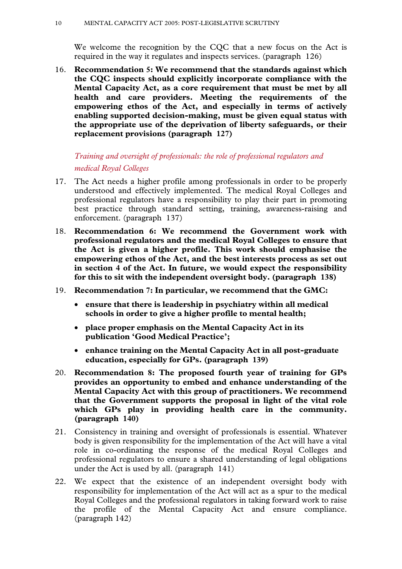We welcome the recognition by the CQC that a new focus on the Act is required in the way it regulates and inspects services. (paragraph 126)

16. **Recommendation 5: We recommend that the standards against which the CQC inspects should explicitly incorporate compliance with the Mental Capacity Act, as a core requirement that must be met by all health and care providers. Meeting the requirements of the empowering ethos of the Act, and especially in terms of actively enabling supported decision-making, must be given equal status with the appropriate use of the deprivation of liberty safeguards, or their replacement provisions (paragraph 127)**

*Training and oversight of professionals: the role of professional regulators and medical Royal Colleges* 

- 17. The Act needs a higher profile among professionals in order to be properly understood and effectively implemented. The medical Royal Colleges and professional regulators have a responsibility to play their part in promoting best practice through standard setting, training, awareness-raising and enforcement. (paragraph 137)
- 18. **Recommendation 6: We recommend the Government work with professional regulators and the medical Royal Colleges to ensure that the Act is given a higher profile. This work should emphasise the empowering ethos of the Act, and the best interests process as set out in section 4 of the Act. In future, we would expect the responsibility for this to sit with the independent oversight body. (paragraph 138)**
- 19. **Recommendation 7: In particular, we recommend that the GMC:** 
	- **ensure that there is leadership in psychiatry within all medical schools in order to give a higher profile to mental health;**
	- **place proper emphasis on the Mental Capacity Act in its publication 'Good Medical Practice';**
	- **enhance training on the Mental Capacity Act in all post-graduate education, especially for GPs. (paragraph 139)**
- 20. **Recommendation 8: The proposed fourth year of training for GPs provides an opportunity to embed and enhance understanding of the Mental Capacity Act with this group of practitioners. We recommend that the Government supports the proposal in light of the vital role which GPs play in providing health care in the community. (paragraph 140)**
- 21. Consistency in training and oversight of professionals is essential. Whatever body is given responsibility for the implementation of the Act will have a vital role in co-ordinating the response of the medical Royal Colleges and professional regulators to ensure a shared understanding of legal obligations under the Act is used by all. (paragraph 141)
- 22. We expect that the existence of an independent oversight body with responsibility for implementation of the Act will act as a spur to the medical Royal Colleges and the professional regulators in taking forward work to raise the profile of the Mental Capacity Act and ensure compliance. (paragraph 142)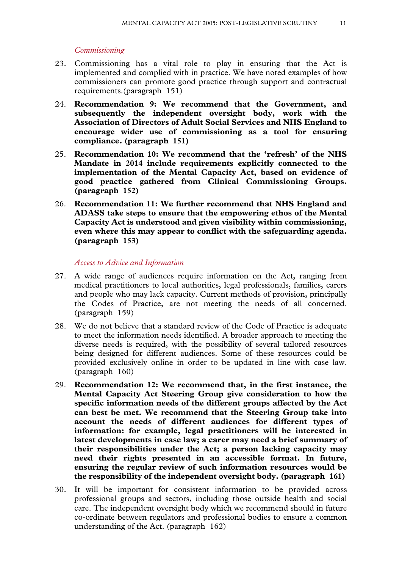### *Commissioning*

- 23. Commissioning has a vital role to play in ensuring that the Act is implemented and complied with in practice. We have noted examples of how commissioners can promote good practice through support and contractual requirements.(paragraph 151)
- 24. **Recommendation 9: We recommend that the Government, and subsequently the independent oversight body, work with the Association of Directors of Adult Social Services and NHS England to encourage wider use of commissioning as a tool for ensuring compliance. (paragraph 151)**
- 25. **Recommendation 10: We recommend that the 'refresh' of the NHS Mandate in 2014 include requirements explicitly connected to the implementation of the Mental Capacity Act, based on evidence of good practice gathered from Clinical Commissioning Groups. (paragraph 152)**
- 26. **Recommendation 11: We further recommend that NHS England and ADASS take steps to ensure that the empowering ethos of the Mental Capacity Act is understood and given visibility within commissioning, even where this may appear to conflict with the safeguarding agenda. (paragraph 153)**

# *Access to Advice and Information*

- 27. A wide range of audiences require information on the Act, ranging from medical practitioners to local authorities, legal professionals, families, carers and people who may lack capacity. Current methods of provision, principally the Codes of Practice, are not meeting the needs of all concerned. (paragraph 159)
- 28. We do not believe that a standard review of the Code of Practice is adequate to meet the information needs identified. A broader approach to meeting the diverse needs is required, with the possibility of several tailored resources being designed for different audiences. Some of these resources could be provided exclusively online in order to be updated in line with case law. (paragraph 160)
- 29. **Recommendation 12: We recommend that, in the first instance, the Mental Capacity Act Steering Group give consideration to how the specific information needs of the different groups affected by the Act can best be met. We recommend that the Steering Group take into account the needs of different audiences for different types of information: for example, legal practitioners will be interested in latest developments in case law; a carer may need a brief summary of their responsibilities under the Act; a person lacking capacity may need their rights presented in an accessible format. In future, ensuring the regular review of such information resources would be the responsibility of the independent oversight body. (paragraph 161)**
- 30. It will be important for consistent information to be provided across professional groups and sectors, including those outside health and social care. The independent oversight body which we recommend should in future co-ordinate between regulators and professional bodies to ensure a common understanding of the Act. (paragraph 162)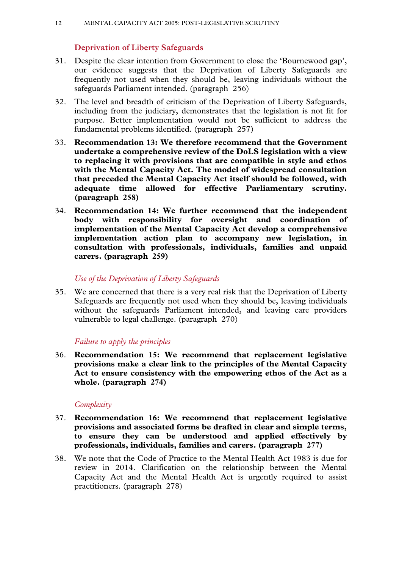# **Deprivation of Liberty Safeguards**

- 31. Despite the clear intention from Government to close the 'Bournewood gap', our evidence suggests that the Deprivation of Liberty Safeguards are frequently not used when they should be, leaving individuals without the safeguards Parliament intended. (paragraph 256)
- 32. The level and breadth of criticism of the Deprivation of Liberty Safeguards, including from the judiciary, demonstrates that the legislation is not fit for purpose. Better implementation would not be sufficient to address the fundamental problems identified. (paragraph 257)
- 33. **Recommendation 13: We therefore recommend that the Government undertake a comprehensive review of the DoLS legislation with a view to replacing it with provisions that are compatible in style and ethos with the Mental Capacity Act. The model of widespread consultation that preceded the Mental Capacity Act itself should be followed, with adequate time allowed for effective Parliamentary scrutiny. (paragraph 258)**
- 34. **Recommendation 14: We further recommend that the independent body with responsibility for oversight and coordination of implementation of the Mental Capacity Act develop a comprehensive implementation action plan to accompany new legislation, in consultation with professionals, individuals, families and unpaid carers. (paragraph 259)**

# *Use of the Deprivation of Liberty Safeguards*

35. We are concerned that there is a very real risk that the Deprivation of Liberty Safeguards are frequently not used when they should be, leaving individuals without the safeguards Parliament intended, and leaving care providers vulnerable to legal challenge. (paragraph 270)

#### *Failure to apply the principles*

36. **Recommendation 15: We recommend that replacement legislative provisions make a clear link to the principles of the Mental Capacity Act to ensure consistency with the empowering ethos of the Act as a whole. (paragraph 274)**

### *Complexity*

- 37. **Recommendation 16: We recommend that replacement legislative provisions and associated forms be drafted in clear and simple terms, to ensure they can be understood and applied effectively by professionals, individuals, families and carers. (paragraph 277)**
- 38. We note that the Code of Practice to the Mental Health Act 1983 is due for review in 2014. Clarification on the relationship between the Mental Capacity Act and the Mental Health Act is urgently required to assist practitioners. (paragraph 278)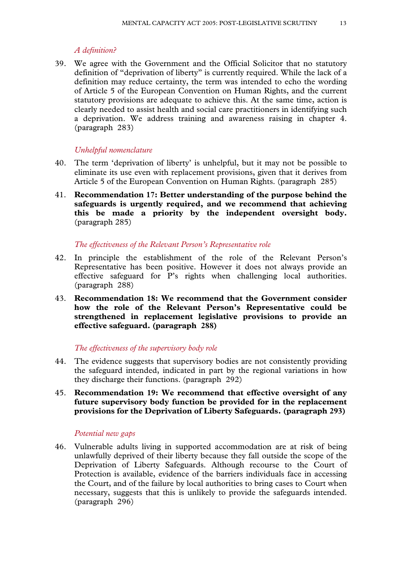# *A definition?*

39. We agree with the Government and the Official Solicitor that no statutory definition of "deprivation of liberty" is currently required. While the lack of a definition may reduce certainty, the term was intended to echo the wording of Article 5 of the European Convention on Human Rights, and the current statutory provisions are adequate to achieve this. At the same time, action is clearly needed to assist health and social care practitioners in identifying such a deprivation. We address training and awareness raising in chapter 4. (paragraph 283)

# *Unhelpful nomenclature*

- 40. The term 'deprivation of liberty' is unhelpful, but it may not be possible to eliminate its use even with replacement provisions, given that it derives from Article 5 of the European Convention on Human Rights. (paragraph 285)
- 41. **Recommendation 17: Better understanding of the purpose behind the safeguards is urgently required, and we recommend that achieving this be made a priority by the independent oversight body.**  (paragraph 285)

# *The effectiveness of the Relevant Person's Representative role*

- 42. In principle the establishment of the role of the Relevant Person's Representative has been positive. However it does not always provide an effective safeguard for P's rights when challenging local authorities. (paragraph 288)
- 43. **Recommendation 18: We recommend that the Government consider how the role of the Relevant Person's Representative could be strengthened in replacement legislative provisions to provide an effective safeguard. (paragraph 288)**

# *The effectiveness of the supervisory body role*

- 44. The evidence suggests that supervisory bodies are not consistently providing the safeguard intended, indicated in part by the regional variations in how they discharge their functions. (paragraph 292)
- 45. **Recommendation 19: We recommend that effective oversight of any future supervisory body function be provided for in the replacement provisions for the Deprivation of Liberty Safeguards. (paragraph 293)**

# *Potential new gaps*

46. Vulnerable adults living in supported accommodation are at risk of being unlawfully deprived of their liberty because they fall outside the scope of the Deprivation of Liberty Safeguards. Although recourse to the Court of Protection is available, evidence of the barriers individuals face in accessing the Court, and of the failure by local authorities to bring cases to Court when necessary, suggests that this is unlikely to provide the safeguards intended. (paragraph 296)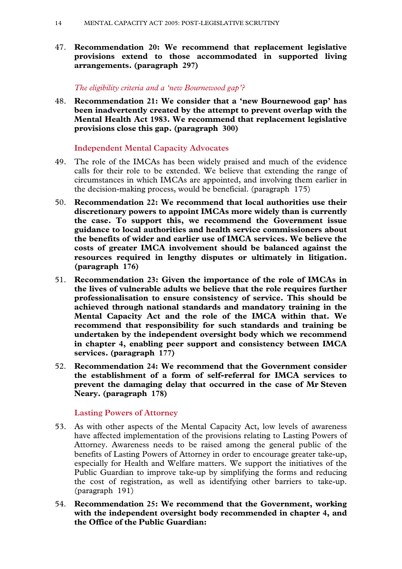47. **Recommendation 20: We recommend that replacement legislative provisions extend to those accommodated in supported living arrangements. (paragraph 297)**

### *The eligibility criteria and a 'new Bournewood gap'?*

48. **Recommendation 21: We consider that a 'new Bournewood gap' has been inadvertently created by the attempt to prevent overlap with the Mental Health Act 1983. We recommend that replacement legislative provisions close this gap. (paragraph 300)**

# **Independent Mental Capacity Advocates**

- 49. The role of the IMCAs has been widely praised and much of the evidence calls for their role to be extended. We believe that extending the range of circumstances in which IMCAs are appointed, and involving them earlier in the decision-making process, would be beneficial. (paragraph 175)
- 50. **Recommendation 22: We recommend that local authorities use their discretionary powers to appoint IMCAs more widely than is currently the case. To support this, we recommend the Government issue guidance to local authorities and health service commissioners about the benefits of wider and earlier use of IMCA services. We believe the costs of greater IMCA involvement should be balanced against the resources required in lengthy disputes or ultimately in litigation. (paragraph 176)**
- 51. **Recommendation 23: Given the importance of the role of IMCAs in the lives of vulnerable adults we believe that the role requires further professionalisation to ensure consistency of service. This should be achieved through national standards and mandatory training in the Mental Capacity Act and the role of the IMCA within that. We recommend that responsibility for such standards and training be undertaken by the independent oversight body which we recommend in chapter 4, enabling peer support and consistency between IMCA services. (paragraph 177)**
- 52. **Recommendation 24: We recommend that the Government consider the establishment of a form of self-referral for IMCA services to prevent the damaging delay that occurred in the case of Mr Steven Neary. (paragraph 178)**

# **Lasting Powers of Attorney**

- 53. As with other aspects of the Mental Capacity Act, low levels of awareness have affected implementation of the provisions relating to Lasting Powers of Attorney. Awareness needs to be raised among the general public of the benefits of Lasting Powers of Attorney in order to encourage greater take-up, especially for Health and Welfare matters. We support the initiatives of the Public Guardian to improve take-up by simplifying the forms and reducing the cost of registration, as well as identifying other barriers to take-up. (paragraph 191)
- 54. **Recommendation 25: We recommend that the Government, working with the independent oversight body recommended in chapter 4, and the Office of the Public Guardian:**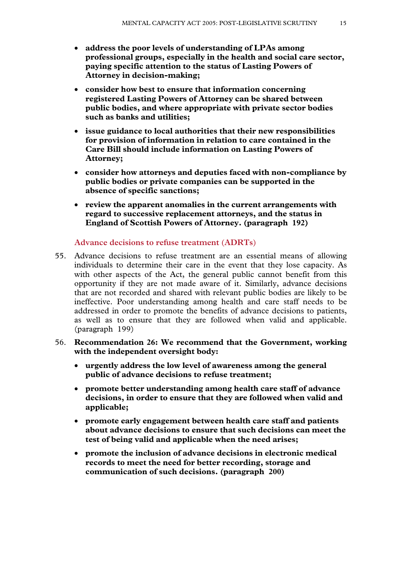- **address the poor levels of understanding of LPAs among professional groups, especially in the health and social care sector, paying specific attention to the status of Lasting Powers of Attorney in decision-making;**
- **consider how best to ensure that information concerning registered Lasting Powers of Attorney can be shared between public bodies, and where appropriate with private sector bodies such as banks and utilities;**
- **issue guidance to local authorities that their new responsibilities for provision of information in relation to care contained in the Care Bill should include information on Lasting Powers of Attorney;**
- **consider how attorneys and deputies faced with non-compliance by public bodies or private companies can be supported in the absence of specific sanctions;**
- **review the apparent anomalies in the current arrangements with regard to successive replacement attorneys, and the status in England of Scottish Powers of Attorney. (paragraph 192)**

#### **Advance decisions to refuse treatment (ADRTs)**

- 55. Advance decisions to refuse treatment are an essential means of allowing individuals to determine their care in the event that they lose capacity. As with other aspects of the Act, the general public cannot benefit from this opportunity if they are not made aware of it. Similarly, advance decisions that are not recorded and shared with relevant public bodies are likely to be ineffective. Poor understanding among health and care staff needs to be addressed in order to promote the benefits of advance decisions to patients, as well as to ensure that they are followed when valid and applicable. (paragraph 199)
- 56. **Recommendation 26: We recommend that the Government, working with the independent oversight body:** 
	- **urgently address the low level of awareness among the general public of advance decisions to refuse treatment;**
	- **promote better understanding among health care staff of advance decisions, in order to ensure that they are followed when valid and applicable;**
	- **promote early engagement between health care staff and patients about advance decisions to ensure that such decisions can meet the test of being valid and applicable when the need arises;**
	- **promote the inclusion of advance decisions in electronic medical records to meet the need for better recording, storage and communication of such decisions. (paragraph 200)**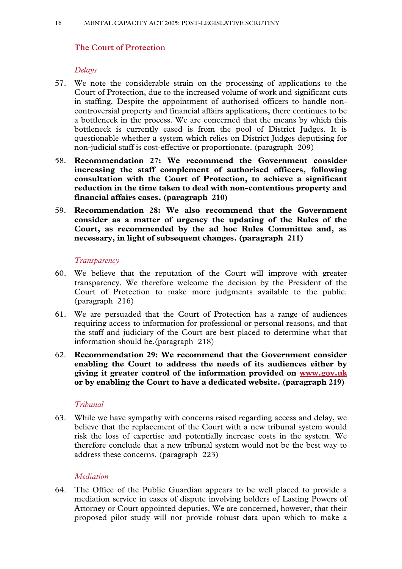# **The Court of Protection**

# *Delays*

- 57. We note the considerable strain on the processing of applications to the Court of Protection, due to the increased volume of work and significant cuts in staffing. Despite the appointment of authorised officers to handle noncontroversial property and financial affairs applications, there continues to be a bottleneck in the process. We are concerned that the means by which this bottleneck is currently eased is from the pool of District Judges. It is questionable whether a system which relies on District Judges deputising for non-judicial staff is cost-effective or proportionate. (paragraph 209)
- 58. **Recommendation 27: We recommend the Government consider increasing the staff complement of authorised officers, following consultation with the Court of Protection, to achieve a significant reduction in the time taken to deal with non-contentious property and financial affairs cases. (paragraph 210)**
- 59. **Recommendation 28: We also recommend that the Government consider as a matter of urgency the updating of the Rules of the Court, as recommended by the ad hoc Rules Committee and, as necessary, in light of subsequent changes. (paragraph 211)**

# *Transparency*

- 60. We believe that the reputation of the Court will improve with greater transparency. We therefore welcome the decision by the President of the Court of Protection to make more judgments available to the public. (paragraph 216)
- 61. We are persuaded that the Court of Protection has a range of audiences requiring access to information for professional or personal reasons, and that the staff and judiciary of the Court are best placed to determine what that information should be.(paragraph 218)
- 62. **Recommendation 29: We recommend that the Government consider enabling the Court to address the needs of its audiences either by giving it greater control of the information provided on www.gov.uk or by enabling the Court to have a dedicated website. (paragraph 219)**

# *Tribunal*

63. While we have sympathy with concerns raised regarding access and delay, we believe that the replacement of the Court with a new tribunal system would risk the loss of expertise and potentially increase costs in the system. We therefore conclude that a new tribunal system would not be the best way to address these concerns. (paragraph 223)

# *Mediation*

64. The Office of the Public Guardian appears to be well placed to provide a mediation service in cases of dispute involving holders of Lasting Powers of Attorney or Court appointed deputies. We are concerned, however, that their proposed pilot study will not provide robust data upon which to make a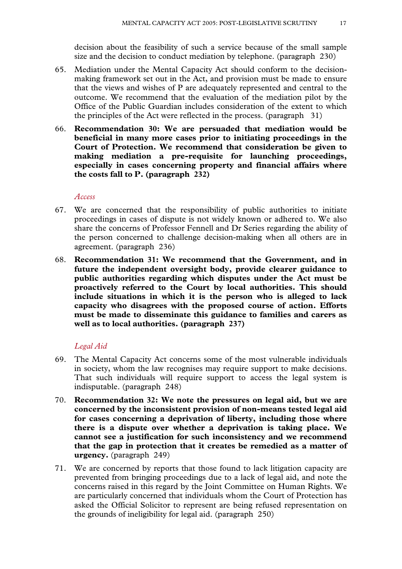decision about the feasibility of such a service because of the small sample size and the decision to conduct mediation by telephone. (paragraph 230)

- 65. Mediation under the Mental Capacity Act should conform to the decisionmaking framework set out in the Act, and provision must be made to ensure that the views and wishes of P are adequately represented and central to the outcome. We recommend that the evaluation of the mediation pilot by the Office of the Public Guardian includes consideration of the extent to which the principles of the Act were reflected in the process. (paragraph 31)
- 66. **Recommendation 30: We are persuaded that mediation would be beneficial in many more cases prior to initiating proceedings in the Court of Protection. We recommend that consideration be given to making mediation a pre-requisite for launching proceedings, especially in cases concerning property and financial affairs where the costs fall to P. (paragraph 232)**

*Access* 

- 67. We are concerned that the responsibility of public authorities to initiate proceedings in cases of dispute is not widely known or adhered to. We also share the concerns of Professor Fennell and Dr Series regarding the ability of the person concerned to challenge decision-making when all others are in agreement. (paragraph 236)
- 68. **Recommendation 31: We recommend that the Government, and in future the independent oversight body, provide clearer guidance to public authorities regarding which disputes under the Act must be proactively referred to the Court by local authorities. This should include situations in which it is the person who is alleged to lack capacity who disagrees with the proposed course of action. Efforts must be made to disseminate this guidance to families and carers as well as to local authorities. (paragraph 237)**

#### *Legal Aid*

- 69. The Mental Capacity Act concerns some of the most vulnerable individuals in society, whom the law recognises may require support to make decisions. That such individuals will require support to access the legal system is indisputable. (paragraph 248)
- 70. **Recommendation 32: We note the pressures on legal aid, but we are concerned by the inconsistent provision of non-means tested legal aid for cases concerning a deprivation of liberty, including those where there is a dispute over whether a deprivation is taking place. We cannot see a justification for such inconsistency and we recommend that the gap in protection that it creates be remedied as a matter of urgency.** (paragraph 249)
- 71. We are concerned by reports that those found to lack litigation capacity are prevented from bringing proceedings due to a lack of legal aid, and note the concerns raised in this regard by the Joint Committee on Human Rights. We are particularly concerned that individuals whom the Court of Protection has asked the Official Solicitor to represent are being refused representation on the grounds of ineligibility for legal aid. (paragraph 250)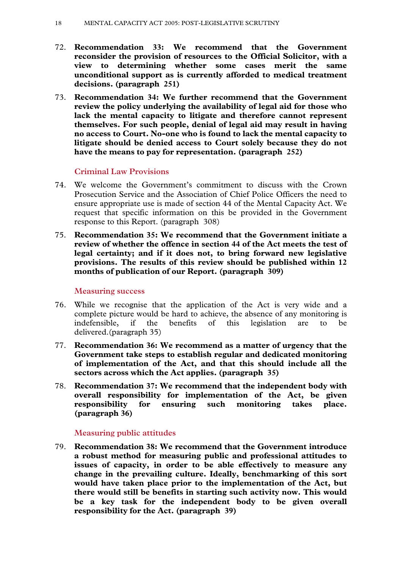- 72. **Recommendation 33: We recommend that the Government reconsider the provision of resources to the Official Solicitor, with a view to determining whether some cases merit the same unconditional support as is currently afforded to medical treatment decisions. (paragraph 251)**
- 73. **Recommendation 34: We further recommend that the Government review the policy underlying the availability of legal aid for those who lack the mental capacity to litigate and therefore cannot represent themselves. For such people, denial of legal aid may result in having no access to Court. No-one who is found to lack the mental capacity to litigate should be denied access to Court solely because they do not have the means to pay for representation. (paragraph 252)**

# **Criminal Law Provisions**

- 74. We welcome the Government's commitment to discuss with the Crown Prosecution Service and the Association of Chief Police Officers the need to ensure appropriate use is made of section 44 of the Mental Capacity Act. We request that specific information on this be provided in the Government response to this Report. (paragraph 308)
- 75. **Recommendation 35: We recommend that the Government initiate a review of whether the offence in section 44 of the Act meets the test of legal certainty; and if it does not, to bring forward new legislative provisions. The results of this review should be published within 12 months of publication of our Report. (paragraph 309)**

#### **Measuring success**

- 76. While we recognise that the application of the Act is very wide and a complete picture would be hard to achieve, the absence of any monitoring is indefensible, if the benefits of this legislation are to be delivered.(paragraph 35)
- 77. **Recommendation 36: We recommend as a matter of urgency that the Government take steps to establish regular and dedicated monitoring of implementation of the Act, and that this should include all the sectors across which the Act applies. (paragraph 35)**
- 78. **Recommendation 37: We recommend that the independent body with overall responsibility for implementation of the Act, be given responsibility for ensuring such monitoring takes place. (paragraph 36)**

# **Measuring public attitudes**

79. **Recommendation 38: We recommend that the Government introduce a robust method for measuring public and professional attitudes to issues of capacity, in order to be able effectively to measure any change in the prevailing culture. Ideally, benchmarking of this sort would have taken place prior to the implementation of the Act, but there would still be benefits in starting such activity now. This would be a key task for the independent body to be given overall responsibility for the Act. (paragraph 39)**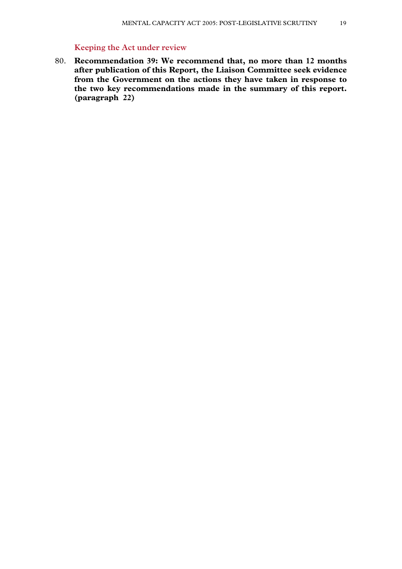#### **Keeping the Act under review**

80. **Recommendation 39: We recommend that, no more than 12 months after publication of this Report, the Liaison Committee seek evidence from the Government on the actions they have taken in response to the two key recommendations made in the summary of this report. (paragraph 22)**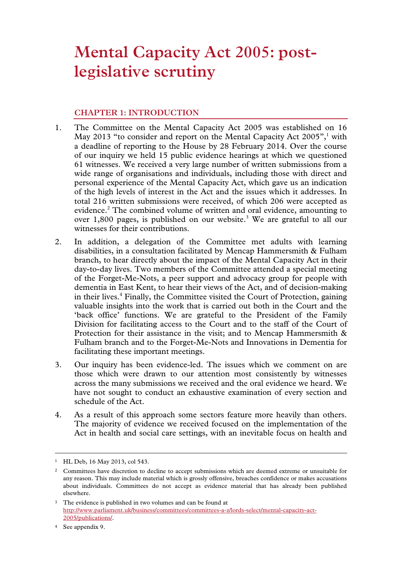# **Mental Capacity Act 2005: postlegislative scrutiny**

# **CHAPTER 1: INTRODUCTION**

- 1. The Committee on the Mental Capacity Act 2005 was established on 16 May 2013 "to consider and report on the Mental Capacity Act  $2005$ ", with a deadline of reporting to the House by 28 February 2014. Over the course of our inquiry we held 15 public evidence hearings at which we questioned 61 witnesses. We received a very large number of written submissions from a wide range of organisations and individuals, including those with direct and personal experience of the Mental Capacity Act, which gave us an indication of the high levels of interest in the Act and the issues which it addresses. In total 216 written submissions were received, of which 206 were accepted as evidence.<sup>2</sup> The combined volume of written and oral evidence, amounting to over  $1,800$  pages, is published on our website.<sup>3</sup> We are grateful to all our witnesses for their contributions.
- 2. In addition, a delegation of the Committee met adults with learning disabilities, in a consultation facilitated by Mencap Hammersmith & Fulham branch, to hear directly about the impact of the Mental Capacity Act in their day-to-day lives. Two members of the Committee attended a special meeting of the Forget-Me-Nots, a peer support and advocacy group for people with dementia in East Kent, to hear their views of the Act, and of decision-making in their lives.<sup>4</sup> Finally, the Committee visited the Court of Protection, gaining valuable insights into the work that is carried out both in the Court and the 'back office' functions. We are grateful to the President of the Family Division for facilitating access to the Court and to the staff of the Court of Protection for their assistance in the visit; and to Mencap Hammersmith & Fulham branch and to the Forget-Me-Nots and Innovations in Dementia for facilitating these important meetings.
- 3. Our inquiry has been evidence-led. The issues which we comment on are those which were drawn to our attention most consistently by witnesses across the many submissions we received and the oral evidence we heard. We have not sought to conduct an exhaustive examination of every section and schedule of the Act.
- 4. As a result of this approach some sectors feature more heavily than others. The majority of evidence we received focused on the implementation of the Act in health and social care settings, with an inevitable focus on health and

 <sup>1</sup> HL Deb, 16 May 2013, col 543.

<sup>2</sup> Committees have discretion to decline to accept submissions which are deemed extreme or unsuitable for any reason. This may include material which is grossly offensive, breaches confidence or makes accusations about individuals. Committees do not accept as evidence material that has already been published elsewhere.

<sup>&</sup>lt;sup>3</sup> The evidence is published in two volumes and can be found at http://www.parliament.uk/business/committees/committees-a-z/lords-select/mental-capacity-act-2005/publications/.

<sup>4</sup> See appendix 9.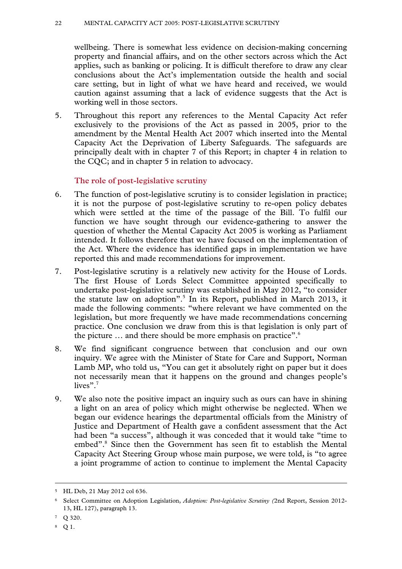#### 22 MENTAL CAPACITY ACT 2005: POST-LEGISLATIVE SCRUTINY

wellbeing. There is somewhat less evidence on decision-making concerning property and financial affairs, and on the other sectors across which the Act applies, such as banking or policing. It is difficult therefore to draw any clear conclusions about the Act's implementation outside the health and social care setting, but in light of what we have heard and received, we would caution against assuming that a lack of evidence suggests that the Act is working well in those sectors.

5. Throughout this report any references to the Mental Capacity Act refer exclusively to the provisions of the Act as passed in 2005, prior to the amendment by the Mental Health Act 2007 which inserted into the Mental Capacity Act the Deprivation of Liberty Safeguards. The safeguards are principally dealt with in chapter 7 of this Report; in chapter 4 in relation to the CQC; and in chapter 5 in relation to advocacy.

# **The role of post-legislative scrutiny**

- 6. The function of post-legislative scrutiny is to consider legislation in practice; it is not the purpose of post-legislative scrutiny to re-open policy debates which were settled at the time of the passage of the Bill. To fulfil our function we have sought through our evidence-gathering to answer the question of whether the Mental Capacity Act 2005 is working as Parliament intended. It follows therefore that we have focused on the implementation of the Act. Where the evidence has identified gaps in implementation we have reported this and made recommendations for improvement.
- 7. Post-legislative scrutiny is a relatively new activity for the House of Lords. The first House of Lords Select Committee appointed specifically to undertake post-legislative scrutiny was established in May 2012, "to consider the statute law on adoption".<sup>5</sup> In its Report, published in March 2013, it made the following comments: "where relevant we have commented on the legislation, but more frequently we have made recommendations concerning practice. One conclusion we draw from this is that legislation is only part of the picture ... and there should be more emphasis on practice".<sup>6</sup>
- 8. We find significant congruence between that conclusion and our own inquiry. We agree with the Minister of State for Care and Support, Norman Lamb MP, who told us, "You can get it absolutely right on paper but it does not necessarily mean that it happens on the ground and changes people's lives".<sup>7</sup>
- 9. We also note the positive impact an inquiry such as ours can have in shining a light on an area of policy which might otherwise be neglected. When we began our evidence hearings the departmental officials from the Ministry of Justice and Department of Health gave a confident assessment that the Act had been "a success", although it was conceded that it would take "time to embed".<sup>8</sup> Since then the Government has seen fit to establish the Mental Capacity Act Steering Group whose main purpose, we were told, is "to agree a joint programme of action to continue to implement the Mental Capacity

 <sup>5</sup> HL Deb, 21 May 2012 col 636.

<sup>6</sup> Select Committee on Adoption Legislation, *Adoption: Post-legislative Scrutiny (*2nd Report, Session 2012- 13, HL 127), paragraph 13.

<sup>7</sup> Q 320.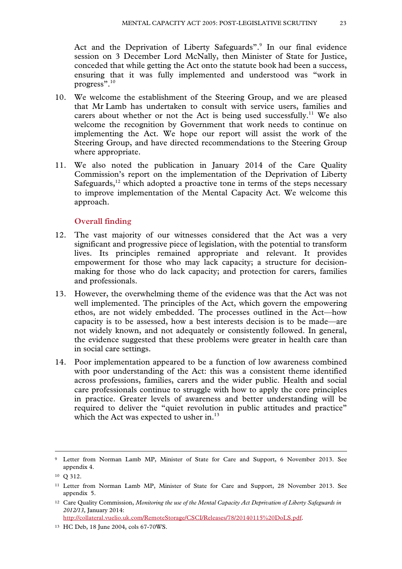Act and the Deprivation of Liberty Safeguards".<sup>9</sup> In our final evidence session on 3 December Lord McNally, then Minister of State for Justice, conceded that while getting the Act onto the statute book had been a success, ensuring that it was fully implemented and understood was "work in progress".10

- 10. We welcome the establishment of the Steering Group, and we are pleased that Mr Lamb has undertaken to consult with service users, families and carers about whether or not the Act is being used successfully.<sup>11</sup> We also welcome the recognition by Government that work needs to continue on implementing the Act. We hope our report will assist the work of the Steering Group, and have directed recommendations to the Steering Group where appropriate.
- 11. We also noted the publication in January 2014 of the Care Quality Commission's report on the implementation of the Deprivation of Liberty Safeguards, $12$  which adopted a proactive tone in terms of the steps necessary to improve implementation of the Mental Capacity Act. We welcome this approach.

# **Overall finding**

- 12. The vast majority of our witnesses considered that the Act was a very significant and progressive piece of legislation, with the potential to transform lives. Its principles remained appropriate and relevant. It provides empowerment for those who may lack capacity; a structure for decisionmaking for those who do lack capacity; and protection for carers, families and professionals.
- 13. However, the overwhelming theme of the evidence was that the Act was not well implemented. The principles of the Act, which govern the empowering ethos, are not widely embedded. The processes outlined in the Act—how capacity is to be assessed, how a best interests decision is to be made—are not widely known, and not adequately or consistently followed. In general, the evidence suggested that these problems were greater in health care than in social care settings.
- 14. Poor implementation appeared to be a function of low awareness combined with poor understanding of the Act: this was a consistent theme identified across professions, families, carers and the wider public. Health and social care professionals continue to struggle with how to apply the core principles in practice. Greater levels of awareness and better understanding will be required to deliver the "quiet revolution in public attitudes and practice" which the Act was expected to usher in.<sup>13</sup>

http://collateral.vuelio.uk.com/RemoteStorage/CSCI/Releases/78/20140115%20DoLS.pdf.

 <sup>9</sup> Letter from Norman Lamb MP, Minister of State for Care and Support, 6 November 2013. See appendix 4.

<sup>10</sup> Q 312.

<sup>11</sup> Letter from Norman Lamb MP, Minister of State for Care and Support, 28 November 2013. See appendix 5.

<sup>12</sup> Care Quality Commission, *Monitoring the use of the Mental Capacity Act Deprivation of Liberty Safeguards in 2012/13,* January 2014:

<sup>13</sup> HC Deb, 18 June 2004, cols 67-70WS.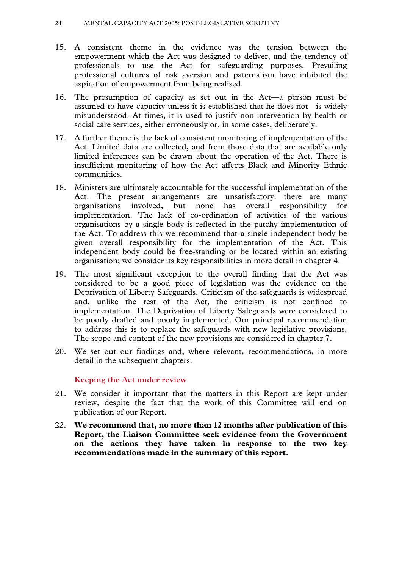- 15. A consistent theme in the evidence was the tension between the empowerment which the Act was designed to deliver, and the tendency of professionals to use the Act for safeguarding purposes. Prevailing professional cultures of risk aversion and paternalism have inhibited the aspiration of empowerment from being realised.
- 16. The presumption of capacity as set out in the Act—a person must be assumed to have capacity unless it is established that he does not—is widely misunderstood. At times, it is used to justify non-intervention by health or social care services, either erroneously or, in some cases, deliberately.
- 17. A further theme is the lack of consistent monitoring of implementation of the Act. Limited data are collected, and from those data that are available only limited inferences can be drawn about the operation of the Act. There is insufficient monitoring of how the Act affects Black and Minority Ethnic communities.
- 18. Ministers are ultimately accountable for the successful implementation of the Act. The present arrangements are unsatisfactory: there are many organisations involved, but none has overall responsibility for implementation. The lack of co-ordination of activities of the various organisations by a single body is reflected in the patchy implementation of the Act. To address this we recommend that a single independent body be given overall responsibility for the implementation of the Act. This independent body could be free-standing or be located within an existing organisation; we consider its key responsibilities in more detail in chapter 4.
- 19. The most significant exception to the overall finding that the Act was considered to be a good piece of legislation was the evidence on the Deprivation of Liberty Safeguards. Criticism of the safeguards is widespread and, unlike the rest of the Act, the criticism is not confined to implementation. The Deprivation of Liberty Safeguards were considered to be poorly drafted and poorly implemented. Our principal recommendation to address this is to replace the safeguards with new legislative provisions. The scope and content of the new provisions are considered in chapter 7.
- 20. We set out our findings and, where relevant, recommendations, in more detail in the subsequent chapters.

# **Keeping the Act under review**

- 21. We consider it important that the matters in this Report are kept under review, despite the fact that the work of this Committee will end on publication of our Report.
- 22. **We recommend that, no more than 12 months after publication of this Report, the Liaison Committee seek evidence from the Government on the actions they have taken in response to the two key recommendations made in the summary of this report.**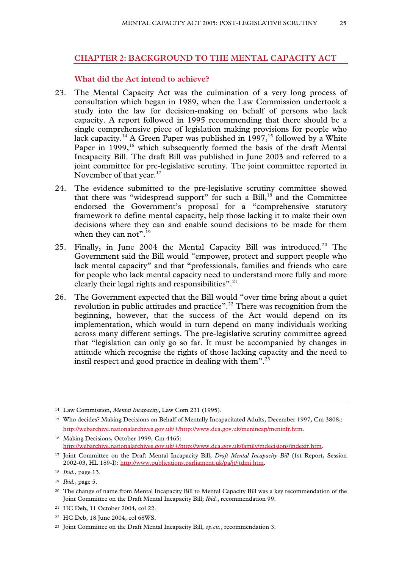#### **CHAPTER 2: BACKGROUND TO THE MENTAL CAPACITY ACT**

#### **What did the Act intend to achieve?**

- 23. The Mental Capacity Act was the culmination of a very long process of consultation which began in 1989, when the Law Commission undertook a study into the law for decision-making on behalf of persons who lack capacity. A report followed in 1995 recommending that there should be a single comprehensive piece of legislation making provisions for people who lack capacity.<sup>14</sup> A Green Paper was published in 1997,<sup>15</sup> followed by a White Paper in  $1999$ ,<sup>16</sup> which subsequently formed the basis of the draft Mental Incapacity Bill. The draft Bill was published in June 2003 and referred to a joint committee for pre-legislative scrutiny. The joint committee reported in November of that year.<sup>17</sup>
- 24. The evidence submitted to the pre-legislative scrutiny committee showed that there was "widespread support" for such a  $Bill<sub>18</sub>$  and the Committee endorsed the Government's proposal for a "comprehensive statutory framework to define mental capacity, help those lacking it to make their own decisions where they can and enable sound decisions to be made for them when they can not". $19$
- 25. Finally, in June 2004 the Mental Capacity Bill was introduced.<sup>20</sup> The Government said the Bill would "empower, protect and support people who lack mental capacity" and that "professionals, families and friends who care for people who lack mental capacity need to understand more fully and more clearly their legal rights and responsibilities".<sup>21</sup>
- 26. The Government expected that the Bill would "over time bring about a quiet revolution in public attitudes and practice".<sup>22</sup> There was recognition from the beginning, however, that the success of the Act would depend on its implementation, which would in turn depend on many individuals working across many different settings. The pre-legislative scrutiny committee agreed that "legislation can only go so far. It must be accompanied by changes in attitude which recognise the rights of those lacking capacity and the need to instil respect and good practice in dealing with them".<sup>23</sup>

21 HC Deb, 11 October 2004, col 22.

 <sup>14</sup> Law Commission, *Mental Incapacity*, Law Com 231 (1995).

<sup>15</sup> Who decides? Making Decisions on Behalf of Mentally Incapacitated Adults, December 1997, Cm 3808,: http://webarchive.nationalarchives.gov.uk/+/http://www.dca.gov.uk/menincap/meninfr.htm.

<sup>16</sup> Making Decisions, October 1999, Cm 4465: http://webarchive.nationalarchives.gov.uk/+/http://www.dca.gov.uk/family/mdecisions/indexfr.htm.

<sup>17</sup> Joint Committee on the Draft Mental Incapacity Bill, *Draft Mental Incapacity Bill* (1st Report, Session 2002-03, HL 189-I): http://www.publications.parliament.uk/pa/jt/jtdmi.htm.

<sup>18</sup> *Ibid.*, page 13.

<sup>19</sup> *Ibid.*, page 5.

<sup>&</sup>lt;sup>20</sup> The change of name from Mental Incapacity Bill to Mental Capacity Bill was a key recommendation of the Joint Committee on the Draft Mental Incapacity Bill; *Ibid.*, recommendation 99.

<sup>22</sup> HC Deb, 18 June 2004, col 68WS.

<sup>23</sup> Joint Committee on the Draft Mental Incapacity Bill, *op.cit*., recommendation 3.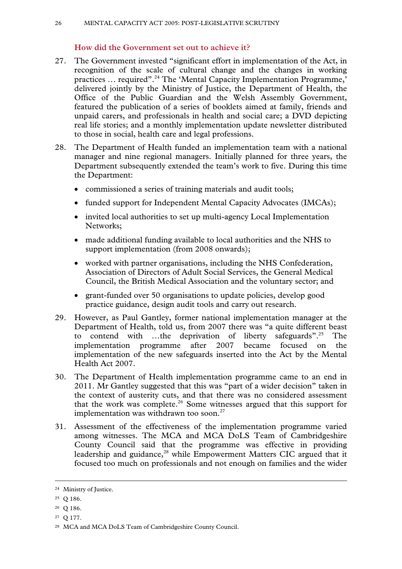# **How did the Government set out to achieve it?**

- 27. The Government invested "significant effort in implementation of the Act, in recognition of the scale of cultural change and the changes in working practices … required".24 The 'Mental Capacity Implementation Programme,' delivered jointly by the Ministry of Justice, the Department of Health, the Office of the Public Guardian and the Welsh Assembly Government, featured the publication of a series of booklets aimed at family, friends and unpaid carers, and professionals in health and social care; a DVD depicting real life stories; and a monthly implementation update newsletter distributed to those in social, health care and legal professions.
- 28. The Department of Health funded an implementation team with a national manager and nine regional managers. Initially planned for three years, the Department subsequently extended the team's work to five. During this time the Department:
	- commissioned a series of training materials and audit tools;
	- funded support for Independent Mental Capacity Advocates (IMCAs);
	- invited local authorities to set up multi-agency Local Implementation Networks;
	- made additional funding available to local authorities and the NHS to support implementation (from 2008 onwards);
	- worked with partner organisations, including the NHS Confederation, Association of Directors of Adult Social Services, the General Medical Council, the British Medical Association and the voluntary sector; and
	- grant-funded over 50 organisations to update policies, develop good practice guidance, design audit tools and carry out research.
- 29. However, as Paul Gantley, former national implementation manager at the Department of Health, told us, from 2007 there was "a quite different beast to contend with ...the deprivation of liberty safeguards".<sup>25</sup> The implementation programme after 2007 became focused on the implementation of the new safeguards inserted into the Act by the Mental Health Act 2007.
- 30. The Department of Health implementation programme came to an end in 2011. Mr Gantley suggested that this was "part of a wider decision" taken in the context of austerity cuts, and that there was no considered assessment that the work was complete.26 Some witnesses argued that this support for implementation was withdrawn too soon. $27$
- 31. Assessment of the effectiveness of the implementation programme varied among witnesses. The MCA and MCA DoLS Team of Cambridgeshire County Council said that the programme was effective in providing leadership and guidance,<sup>28</sup> while Empowerment Matters CIC argued that it focused too much on professionals and not enough on families and the wider

 <sup>24</sup> Ministry of Justice.

<sup>25</sup> Q 186.

<sup>26</sup> Q 186.

<sup>27</sup> Q 177.

<sup>28</sup> MCA and MCA DoLS Team of Cambridgeshire County Council.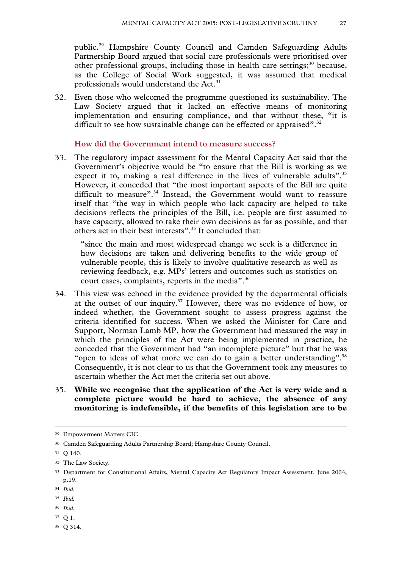public.29 Hampshire County Council and Camden Safeguarding Adults Partnership Board argued that social care professionals were prioritised over other professional groups, including those in health care settings; $30$  because, as the College of Social Work suggested, it was assumed that medical professionals would understand the Act.<sup>31</sup>

32. Even those who welcomed the programme questioned its sustainability. The Law Society argued that it lacked an effective means of monitoring implementation and ensuring compliance, and that without these, "it is difficult to see how sustainable change can be effected or appraised".<sup>32</sup>

#### **How did the Government intend to measure success?**

33. The regulatory impact assessment for the Mental Capacity Act said that the Government's objective would be "to ensure that the Bill is working as we expect it to, making a real difference in the lives of vulnerable adults".<sup>33</sup> However, it conceded that "the most important aspects of the Bill are quite difficult to measure".<sup>34</sup> Instead, the Government would want to reassure itself that "the way in which people who lack capacity are helped to take decisions reflects the principles of the Bill, i.e. people are first assumed to have capacity, allowed to take their own decisions as far as possible, and that others act in their best interests".35 It concluded that:

"since the main and most widespread change we seek is a difference in how decisions are taken and delivering benefits to the wide group of vulnerable people, this is likely to involve qualitative research as well as reviewing feedback, e.g. MPs' letters and outcomes such as statistics on court cases, complaints, reports in the media".<sup>36</sup>

- 34. This view was echoed in the evidence provided by the departmental officials at the outset of our inquiry.37 However, there was no evidence of how, or indeed whether, the Government sought to assess progress against the criteria identified for success. When we asked the Minister for Care and Support, Norman Lamb MP, how the Government had measured the way in which the principles of the Act were being implemented in practice, he conceded that the Government had "an incomplete picture" but that he was "open to ideas of what more we can do to gain a better understanding".<sup>38</sup> Consequently, it is not clear to us that the Government took any measures to ascertain whether the Act met the criteria set out above.
- 35. **While we recognise that the application of the Act is very wide and a complete picture would be hard to achieve, the absence of any monitoring is indefensible, if the benefits of this legislation are to be**

- <sup>35</sup> *Ibid.*
- <sup>36</sup> *Ibid.*
- 37 Q 1.
- 38 Q 314.

 <sup>29</sup> Empowerment Matters CIC.

<sup>30</sup> Camden Safeguarding Adults Partnership Board; Hampshire County Council.

<sup>31</sup> Q 140.

<sup>32</sup> The Law Society.

<sup>33</sup> Department for Constitutional Affairs, Mental Capacity Act Regulatory Impact Assessment*.* June 2004, p.19.

<sup>34</sup> *Ibid.*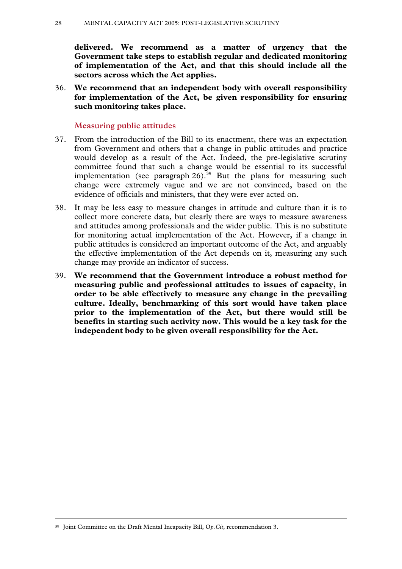**delivered. We recommend as a matter of urgency that the Government take steps to establish regular and dedicated monitoring of implementation of the Act, and that this should include all the sectors across which the Act applies.**

36. **We recommend that an independent body with overall responsibility for implementation of the Act, be given responsibility for ensuring such monitoring takes place.** 

**Measuring public attitudes** 

- 37. From the introduction of the Bill to its enactment, there was an expectation from Government and others that a change in public attitudes and practice would develop as a result of the Act. Indeed, the pre-legislative scrutiny committee found that such a change would be essential to its successful implementation (see paragraph  $26$ ).<sup>39</sup> But the plans for measuring such change were extremely vague and we are not convinced, based on the evidence of officials and ministers, that they were ever acted on.
- 38. It may be less easy to measure changes in attitude and culture than it is to collect more concrete data, but clearly there are ways to measure awareness and attitudes among professionals and the wider public. This is no substitute for monitoring actual implementation of the Act. However, if a change in public attitudes is considered an important outcome of the Act, and arguably the effective implementation of the Act depends on it, measuring any such change may provide an indicator of success.
- 39. **We recommend that the Government introduce a robust method for measuring public and professional attitudes to issues of capacity, in order to be able effectively to measure any change in the prevailing culture. Ideally, benchmarking of this sort would have taken place prior to the implementation of the Act, but there would still be benefits in starting such activity now. This would be a key task for the independent body to be given overall responsibility for the Act.**

 <sup>39</sup> Joint Committee on the Draft Mental Incapacity Bill, O*p.Cit*, recommendation 3.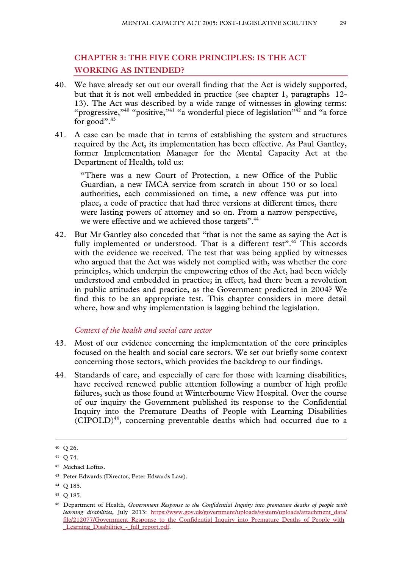**CHAPTER 3: THE FIVE CORE PRINCIPLES: IS THE ACT WORKING AS INTENDED?** 

- 40. We have already set out our overall finding that the Act is widely supported, but that it is not well embedded in practice (see chapter 1, paragraphs 12- 13). The Act was described by a wide range of witnesses in glowing terms: "progressive,"<sup>40</sup> "positive,"<sup>41</sup> "a wonderful piece of legislation"<sup>42</sup> and "a force" for good". $43$
- 41. A case can be made that in terms of establishing the system and structures required by the Act, its implementation has been effective. As Paul Gantley, former Implementation Manager for the Mental Capacity Act at the Department of Health, told us:

"There was a new Court of Protection, a new Office of the Public Guardian, a new IMCA service from scratch in about 150 or so local authorities, each commissioned on time, a new offence was put into place, a code of practice that had three versions at different times, there were lasting powers of attorney and so on. From a narrow perspective, we were effective and we achieved those targets".<sup>44</sup>

42. But Mr Gantley also conceded that "that is not the same as saying the Act is fully implemented or understood. That is a different test".<sup>45</sup> This accords with the evidence we received. The test that was being applied by witnesses who argued that the Act was widely not complied with, was whether the core principles, which underpin the empowering ethos of the Act, had been widely understood and embedded in practice; in effect, had there been a revolution in public attitudes and practice, as the Government predicted in 2004? We find this to be an appropriate test. This chapter considers in more detail where, how and why implementation is lagging behind the legislation.

#### *Context of the health and social care sector*

- 43. Most of our evidence concerning the implementation of the core principles focused on the health and social care sectors. We set out briefly some context concerning those sectors, which provides the backdrop to our findings.
- 44. Standards of care, and especially of care for those with learning disabilities, have received renewed public attention following a number of high profile failures, such as those found at Winterbourne View Hospital. Over the course of our inquiry the Government published its response to the Confidential Inquiry into the Premature Deaths of People with Learning Disabilities (CIPOLD)46, concerning preventable deaths which had occurred due to a

 <sup>40</sup> Q 26.

<sup>41</sup> Q 74.

<sup>42</sup> Michael Loftus.

<sup>43</sup> Peter Edwards (Director, Peter Edwards Law).

<sup>44</sup> Q 185.

<sup>45</sup> Q 185.

<sup>46</sup> Department of Health, *Government Response to the Confidential Inquiry into premature deaths of people with learning disabilities*, July 2013: https://www.gov.uk/government/uploads/system/uploads/attachment\_data/ file/212077/Government Response to the Confidential Inquiry into Premature Deaths of People with Learning Disabilities - full report.pdf.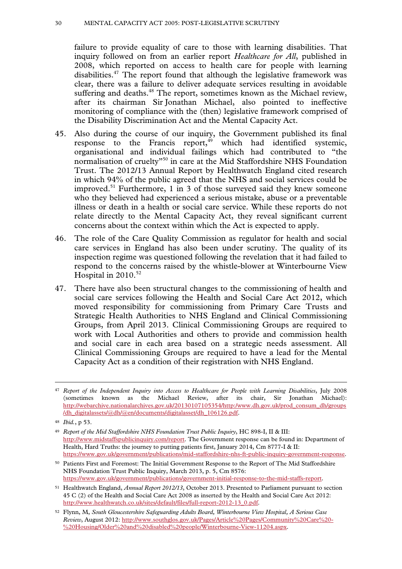#### 30 MENTAL CAPACITY ACT 2005: POST-LEGISLATIVE SCRUTINY

failure to provide equality of care to those with learning disabilities. That inquiry followed on from an earlier report *Healthcare for All*, published in 2008, which reported on access to health care for people with learning disabilities.<sup>47</sup> The report found that although the legislative framework was clear, there was a failure to deliver adequate services resulting in avoidable suffering and deaths.<sup>48</sup> The report, sometimes known as the Michael review, after its chairman Sir Jonathan Michael, also pointed to ineffective monitoring of compliance with the (then) legislative framework comprised of the Disability Discrimination Act and the Mental Capacity Act.

- 45. Also during the course of our inquiry, the Government published its final response to the Francis report, $49$  which had identified systemic, organisational and individual failings which had contributed to "the normalisation of cruelty"50 in care at the Mid Staffordshire NHS Foundation Trust. The 2012/13 Annual Report by Healthwatch England cited research in which 94% of the public agreed that the NHS and social services could be improved.51 Furthermore, 1 in 3 of those surveyed said they knew someone who they believed had experienced a serious mistake, abuse or a preventable illness or death in a health or social care service. While these reports do not relate directly to the Mental Capacity Act, they reveal significant current concerns about the context within which the Act is expected to apply.
- 46. The role of the Care Quality Commission as regulator for health and social care services in England has also been under scrutiny. The quality of its inspection regime was questioned following the revelation that it had failed to respond to the concerns raised by the whistle-blower at Winterbourne View Hospital in  $2010^{52}$
- 47. There have also been structural changes to the commissioning of health and social care services following the Health and Social Care Act 2012, which moved responsibility for commissioning from Primary Care Trusts and Strategic Health Authorities to NHS England and Clinical Commissioning Groups, from April 2013. Clinical Commissioning Groups are required to work with Local Authorities and others to provide and commission health and social care in each area based on a strategic needs assessment. All Clinical Commissioning Groups are required to have a lead for the Mental Capacity Act as a condition of their registration with NHS England.

 <sup>47</sup> *Report of the Independent Inquiry into Access to Healthcare for People with Learning Disabilities*, July 2008 (sometimes known as the Michael Review, after its chair, Sir Jonathan Michael): http://webarchive.nationalarchives.gov.uk/20130107105354/http:/www.dh.gov.uk/prod\_consum\_dh/groups /dh\_digitalassets/@dh/@en/documents/digitalasset/dh\_106126.pdf.

<sup>48</sup> *Ibid.*, p 53.

<sup>49</sup> *Report of the Mid Staffordshire NHS Foundation Trust Public Inquiry*, HC 898-I, II & III: http://www.midstaffspublicinquiry.com/report. The Government response can be found in: Department of Health, Hard Truths: the journey to putting patients first, January 2014, Cm 8777-I & II: https://www.gov.uk/government/publications/mid-staffordshire-nhs-ft-public-inquiry-government-response.

<sup>50</sup> Patients First and Foremost: The Initial Government Response to the Report of The Mid Staffordshire NHS Foundation Trust Public Inquiry, March 2013, p. 5, Cm 8576: https://www.gov.uk/government/publications/government-initial-response-to-the-mid-staffs-report.

<sup>51</sup> Healthwatch England, *Annual Report 2012/13*, October 2013. Presented to Parliament pursuant to section 45 C (2) of the Health and Social Care Act 2008 as inserted by the Health and Social Care Act 2012: http://www.healthwatch.co.uk/sites/default/files/full-report-2012-13\_0.pdf.

<sup>52</sup> Flynn, M, *South Gloucestershire Safeguarding Adults Board, Winterbourne View Hospital, A Serious Case Review*, August 2012: http://www.southglos.gov.uk/Pages/Article%20Pages/Community%20Care%20- %20Housing/Older%20and%20disabled%20people/Winterbourne-View-11204.aspx.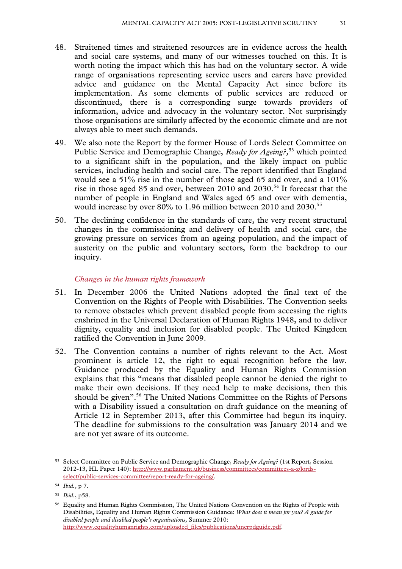- 48. Straitened times and straitened resources are in evidence across the health and social care systems, and many of our witnesses touched on this. It is worth noting the impact which this has had on the voluntary sector. A wide range of organisations representing service users and carers have provided advice and guidance on the Mental Capacity Act since before its implementation. As some elements of public services are reduced or discontinued, there is a corresponding surge towards providers of information, advice and advocacy in the voluntary sector. Not surprisingly those organisations are similarly affected by the economic climate and are not always able to meet such demands.
- 49. We also note the Report by the former House of Lords Select Committee on Public Service and Demographic Change, *Ready for Ageing?,*53 which pointed to a significant shift in the population, and the likely impact on public services, including health and social care. The report identified that England would see a 51% rise in the number of those aged 65 and over, and a 101% rise in those aged 85 and over, between 2010 and 2030.54 It forecast that the number of people in England and Wales aged 65 and over with dementia, would increase by over 80% to 1.96 million between 2010 and 2030.<sup>55</sup>
- 50. The declining confidence in the standards of care, the very recent structural changes in the commissioning and delivery of health and social care, the growing pressure on services from an ageing population, and the impact of austerity on the public and voluntary sectors, form the backdrop to our inquiry.

# *Changes in the human rights framework*

- 51. In December 2006 the United Nations adopted the final text of the Convention on the Rights of People with Disabilities. The Convention seeks to remove obstacles which prevent disabled people from accessing the rights enshrined in the Universal Declaration of Human Rights 1948, and to deliver dignity, equality and inclusion for disabled people. The United Kingdom ratified the Convention in June 2009.
- 52. The Convention contains a number of rights relevant to the Act. Most prominent is article 12, the right to equal recognition before the law. Guidance produced by the Equality and Human Rights Commission explains that this "means that disabled people cannot be denied the right to make their own decisions. If they need help to make decisions, then this should be given".56 The United Nations Committee on the Rights of Persons with a Disability issued a consultation on draft guidance on the meaning of Article 12 in September 2013, after this Committee had begun its inquiry. The deadline for submissions to the consultation was January 2014 and we are not yet aware of its outcome.

 <sup>53</sup> Select Committee on Public Service and Demographic Change, *Ready for Ageing?* (1st Report, Session 2012-13, HL Paper 140): http://www.parliament.uk/business/committees/committees-a-z/lordsselect/public-services-committee/report-ready-for-ageing/.

<sup>54</sup> *Ibid.*, p 7.

<sup>55</sup> *Ibid.*, p58.

<sup>56</sup> Equality and Human Rights Commission, The United Nations Convention on the Rights of People with Disabilities, Equality and Human Rights Commission Guidance: *What does it mean for you? A guide for disabled people and disabled people's organisations*, Summer 2010: http://www.equalityhumanrights.com/uploaded\_files/publications/uncrpdguide.pdf.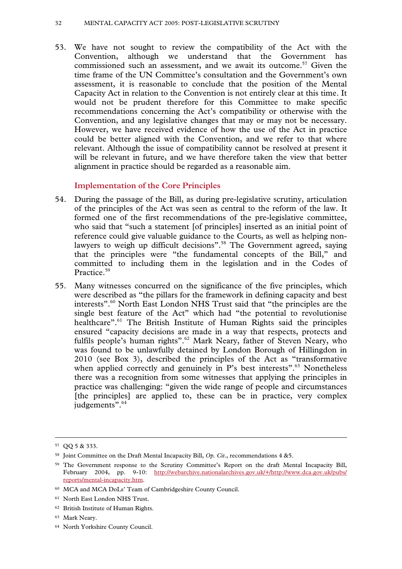53. We have not sought to review the compatibility of the Act with the Convention, although we understand that the Government has commissioned such an assessment, and we await its outcome.<sup>57</sup> Given the time frame of the UN Committee's consultation and the Government's own assessment, it is reasonable to conclude that the position of the Mental Capacity Act in relation to the Convention is not entirely clear at this time. It would not be prudent therefore for this Committee to make specific recommendations concerning the Act's compatibility or otherwise with the Convention, and any legislative changes that may or may not be necessary. However, we have received evidence of how the use of the Act in practice could be better aligned with the Convention, and we refer to that where relevant. Although the issue of compatibility cannot be resolved at present it will be relevant in future, and we have therefore taken the view that better alignment in practice should be regarded as a reasonable aim.

# **Implementation of the Core Principles**

- 54. During the passage of the Bill, as during pre-legislative scrutiny, articulation of the principles of the Act was seen as central to the reform of the law. It formed one of the first recommendations of the pre-legislative committee, who said that "such a statement [of principles] inserted as an initial point of reference could give valuable guidance to the Courts, as well as helping nonlawyers to weigh up difficult decisions".<sup>58</sup> The Government agreed, saying that the principles were "the fundamental concepts of the Bill," and committed to including them in the legislation and in the Codes of Practice.<sup>59</sup>
- 55. Many witnesses concurred on the significance of the five principles, which were described as "the pillars for the framework in defining capacity and best interests".60 North East London NHS Trust said that "the principles are the single best feature of the Act" which had "the potential to revolutionise healthcare".<sup>61</sup> The British Institute of Human Rights said the principles ensured "capacity decisions are made in a way that respects, protects and fulfils people's human rights".<sup>62</sup> Mark Neary, father of Steven Neary, who was found to be unlawfully detained by London Borough of Hillingdon in 2010 (see Box 3), described the principles of the Act as "transformative when applied correctly and genuinely in P's best interests".<sup>63</sup> Nonetheless there was a recognition from some witnesses that applying the principles in practice was challenging: "given the wide range of people and circumstances [the principles] are applied to, these can be in practice, very complex judgements".<sup>64</sup>

 <sup>57</sup> QQ 5 & 333.

<sup>58</sup> Joint Committee on the Draft Mental Incapacity Bill, *Op. Cit*., recommendations 4 &5.

<sup>59</sup> The Government response to the Scrutiny Committee's Report on the draft Mental Incapacity Bill, February 2004, pp. 9-10: http://webarchive.nationalarchives.gov.uk/+/http://www.dca.gov.uk/pubs/ reports/mental-incapacity.htm.

<sup>60</sup> MCA and MCA DoLs' Team of Cambridgeshire County Council.

<sup>61</sup> North East London NHS Trust.

<sup>62</sup> British Institute of Human Rights.

<sup>63</sup> Mark Neary.

<sup>64</sup> North Yorkshire County Council.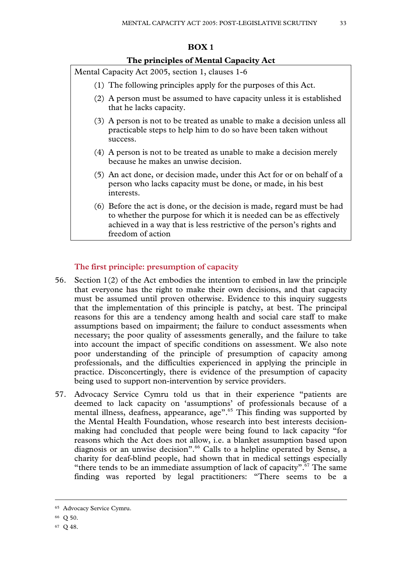

# **The first principle: presumption of capacity**

- 56. Section 1(2) of the Act embodies the intention to embed in law the principle that everyone has the right to make their own decisions, and that capacity must be assumed until proven otherwise. Evidence to this inquiry suggests that the implementation of this principle is patchy, at best. The principal reasons for this are a tendency among health and social care staff to make assumptions based on impairment; the failure to conduct assessments when necessary; the poor quality of assessments generally, and the failure to take into account the impact of specific conditions on assessment. We also note poor understanding of the principle of presumption of capacity among professionals, and the difficulties experienced in applying the principle in practice. Disconcertingly, there is evidence of the presumption of capacity being used to support non-intervention by service providers.
- 57. Advocacy Service Cymru told us that in their experience "patients are deemed to lack capacity on 'assumptions' of professionals because of a mental illness, deafness, appearance, age".<sup>65</sup> This finding was supported by the Mental Health Foundation, whose research into best interests decisionmaking had concluded that people were being found to lack capacity "for reasons which the Act does not allow, i.e. a blanket assumption based upon diagnosis or an unwise decision".<sup>66</sup> Calls to a helpline operated by Sense, a charity for deaf-blind people, had shown that in medical settings especially "there tends to be an immediate assumption of lack of capacity".<sup>67</sup> The same finding was reported by legal practitioners: "There seems to be a

 <sup>65</sup> Advocacy Service Cymru.

<sup>66</sup> Q 50.

<sup>67</sup> Q 48.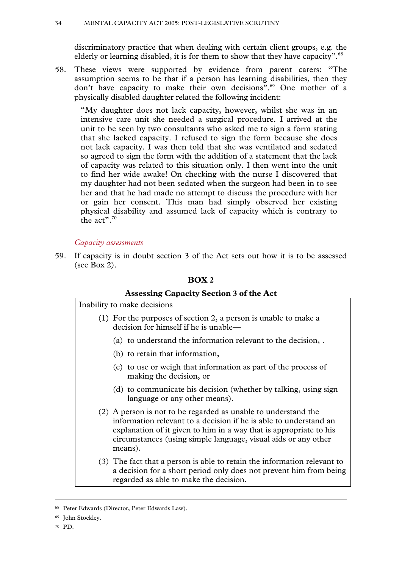discriminatory practice that when dealing with certain client groups, e.g. the elderly or learning disabled, it is for them to show that they have capacity".<sup>68</sup>

58. These views were supported by evidence from parent carers: "The assumption seems to be that if a person has learning disabilities, then they don't have capacity to make their own decisions".<sup>69</sup> One mother of a physically disabled daughter related the following incident:

"My daughter does not lack capacity, however, whilst she was in an intensive care unit she needed a surgical procedure. I arrived at the unit to be seen by two consultants who asked me to sign a form stating that she lacked capacity. I refused to sign the form because she does not lack capacity. I was then told that she was ventilated and sedated so agreed to sign the form with the addition of a statement that the lack of capacity was related to this situation only. I then went into the unit to find her wide awake! On checking with the nurse I discovered that my daughter had not been sedated when the surgeon had been in to see her and that he had made no attempt to discuss the procedure with her or gain her consent. This man had simply observed her existing physical disability and assumed lack of capacity which is contrary to the act".<sup>70</sup>

# *Capacity assessments*

59. If capacity is in doubt section 3 of the Act sets out how it is to be assessed (see Box 2).

**BOX 2** 

| <b>Assessing Capacity Section 3 of the Act</b>                                                                                                                                                                                                                                         |
|----------------------------------------------------------------------------------------------------------------------------------------------------------------------------------------------------------------------------------------------------------------------------------------|
| Inability to make decisions                                                                                                                                                                                                                                                            |
| $(1)$ For the purposes of section 2, a person is unable to make a<br>decision for himself if he is unable—                                                                                                                                                                             |
| (a) to understand the information relevant to the decision,.                                                                                                                                                                                                                           |
| (b) to retain that information,                                                                                                                                                                                                                                                        |
| (c) to use or weigh that information as part of the process of<br>making the decision, or                                                                                                                                                                                              |
| (d) to communicate his decision (whether by talking, using sign<br>language or any other means).                                                                                                                                                                                       |
| (2) A person is not to be regarded as unable to understand the<br>information relevant to a decision if he is able to understand an<br>explanation of it given to him in a way that is appropriate to his<br>circumstances (using simple language, visual aids or any other<br>means). |
| (3) The fact that a person is able to retain the information relevant to<br>a decision for a short period only does not prevent him from being<br>regarded as able to make the decision.                                                                                               |

 <sup>68</sup> Peter Edwards (Director, Peter Edwards Law).

<sup>69</sup> John Stockley.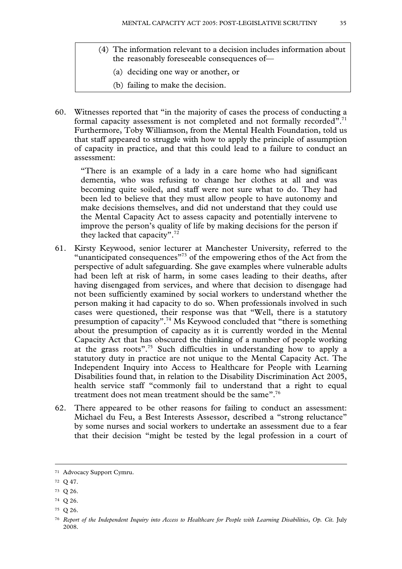- (4) The information relevant to a decision includes information about the reasonably foreseeable consequences of—
	- (a) deciding one way or another, or
	- (b) failing to make the decision.
- 60. Witnesses reported that "in the majority of cases the process of conducting a formal capacity assessment is not completed and not formally recorded".<sup>71</sup> Furthermore, Toby Williamson, from the Mental Health Foundation, told us that staff appeared to struggle with how to apply the principle of assumption of capacity in practice, and that this could lead to a failure to conduct an assessment:

"There is an example of a lady in a care home who had significant dementia, who was refusing to change her clothes at all and was becoming quite soiled, and staff were not sure what to do. They had been led to believe that they must allow people to have autonomy and make decisions themselves, and did not understand that they could use the Mental Capacity Act to assess capacity and potentially intervene to improve the person's quality of life by making decisions for the person if they lacked that capacity".<sup>72</sup>

- 61. Kirsty Keywood, senior lecturer at Manchester University, referred to the "unanticipated consequences"<sup>73</sup> of the empowering ethos of the Act from the perspective of adult safeguarding. She gave examples where vulnerable adults had been left at risk of harm, in some cases leading to their deaths, after having disengaged from services, and where that decision to disengage had not been sufficiently examined by social workers to understand whether the person making it had capacity to do so. When professionals involved in such cases were questioned, their response was that "Well, there is a statutory presumption of capacity".74 Ms Keywood concluded that "there is something about the presumption of capacity as it is currently worded in the Mental Capacity Act that has obscured the thinking of a number of people working at the grass roots".75 Such difficulties in understanding how to apply a statutory duty in practice are not unique to the Mental Capacity Act. The Independent Inquiry into Access to Healthcare for People with Learning Disabilities found that, in relation to the Disability Discrimination Act 2005, health service staff "commonly fail to understand that a right to equal treatment does not mean treatment should be the same".<sup>76</sup>
- 62. There appeared to be other reasons for failing to conduct an assessment: Michael du Feu, a Best Interests Assessor, described a "strong reluctance" by some nurses and social workers to undertake an assessment due to a fear that their decision "might be tested by the legal profession in a court of

 <sup>71</sup> Advocacy Support Cymru.

<sup>72</sup> Q 47.

<sup>73</sup> Q 26.

<sup>74</sup> Q 26.

<sup>75</sup> Q 26.

<sup>76</sup> *Report of the Independent Inquiry into Access to Healthcare for People with Learning Disabilities*, *Op. Cit.* July 2008.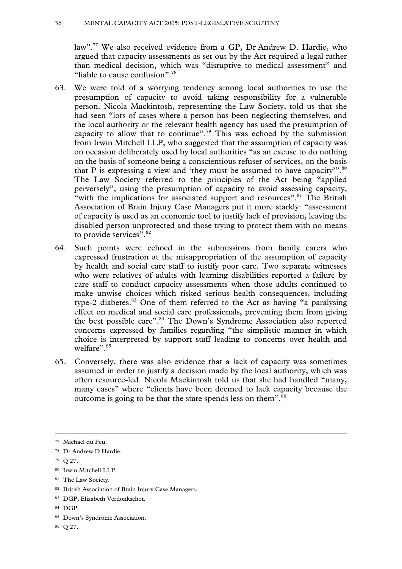law".<sup>77</sup> We also received evidence from a GP, Dr Andrew D. Hardie, who argued that capacity assessments as set out by the Act required a legal rather than medical decision, which was "disruptive to medical assessment" and "liable to cause confusion".<sup>78</sup>

- 63. We were told of a worrying tendency among local authorities to use the presumption of capacity to avoid taking responsibility for a vulnerable person. Nicola Mackintosh, representing the Law Society, told us that she had seen "lots of cases where a person has been neglecting themselves, and the local authority or the relevant health agency has used the presumption of capacity to allow that to continue".<sup>79</sup> This was echoed by the submission from Irwin Mitchell LLP, who suggested that the assumption of capacity was on occasion deliberately used by local authorities "as an excuse to do nothing on the basis of someone being a conscientious refuser of services, on the basis that P is expressing a view and 'they must be assumed to have capacity"<sup>.80</sup> The Law Society referred to the principles of the Act being "applied perversely", using the presumption of capacity to avoid assessing capacity, "with the implications for associated support and resources".<sup>81</sup> The British Association of Brain Injury Case Managers put it more starkly: "assessment of capacity is used as an economic tool to justify lack of provision, leaving the disabled person unprotected and those trying to protect them with no means to provide services".<sup>82</sup>
- 64. Such points were echoed in the submissions from family carers who expressed frustration at the misappropriation of the assumption of capacity by health and social care staff to justify poor care. Two separate witnesses who were relatives of adults with learning disabilities reported a failure by care staff to conduct capacity assessments when those adults continued to make unwise choices which risked serious health consequences, including type-2 diabetes. $83$  One of them referred to the Act as having "a paralysing effect on medical and social care professionals, preventing them from giving the best possible care".<sup>84</sup> The Down's Syndrome Association also reported concerns expressed by families regarding "the simplistic manner in which choice is interpreted by support staff leading to concerns over health and welfare".<sup>85</sup>
- 65. Conversely, there was also evidence that a lack of capacity was sometimes assumed in order to justify a decision made by the local authority, which was often resource-led. Nicola Mackintosh told us that she had handled "many, many cases" where "clients have been deemed to lack capacity because the outcome is going to be that the state spends less on them".86

79 Q 27.

- 82 British Association of Brain Injury Case Managers.
- 83 DGP; Elizabeth Verdonkschot.
- 84 DGP.
- 85 Down's Syndrome Association.
- 86 Q 27.

 <sup>77</sup> Michael du Feu.

<sup>78</sup> Dr Andrew D Hardie.

<sup>80</sup> Irwin Mitchell LLP.

<sup>81</sup> The Law Society.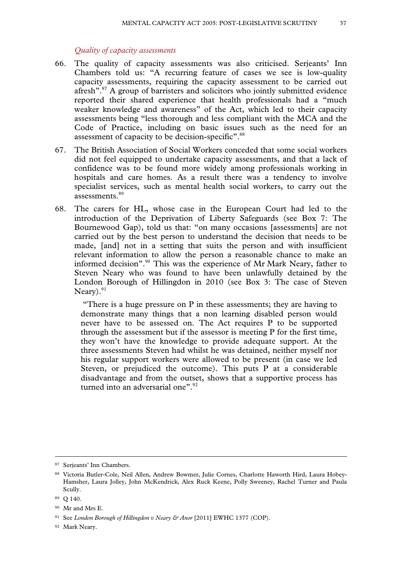### *Quality of capacity assessments*

- 66. The quality of capacity assessments was also criticised. Serjeants' Inn Chambers told us: "A recurring feature of cases we see is low-quality capacity assessments, requiring the capacity assessment to be carried out afresh".<sup>87</sup> A group of barristers and solicitors who jointly submitted evidence reported their shared experience that health professionals had a "much weaker knowledge and awareness" of the Act, which led to their capacity assessments being "less thorough and less compliant with the MCA and the Code of Practice, including on basic issues such as the need for an assessment of capacity to be decision-specific".<sup>88</sup>
- 67. The British Association of Social Workers conceded that some social workers did not feel equipped to undertake capacity assessments, and that a lack of confidence was to be found more widely among professionals working in hospitals and care homes. As a result there was a tendency to involve specialist services, such as mental health social workers, to carry out the assessments.<sup>89</sup>
- 68. The carers for HL, whose case in the European Court had led to the introduction of the Deprivation of Liberty Safeguards (see Box 7: The Bournewood Gap), told us that: "on many occasions [assessments] are not carried out by the best person to understand the decision that needs to be made, [and] not in a setting that suits the person and with insufficient relevant information to allow the person a reasonable chance to make an informed decision".<sup>90</sup> This was the experience of Mr Mark Neary, father to Steven Neary who was found to have been unlawfully detained by the London Borough of Hillingdon in 2010 (see Box 3: The case of Steven Neary). $91$

"There is a huge pressure on  $P$  in these assessments; they are having to demonstrate many things that a non learning disabled person would never have to be assessed on. The Act requires P to be supported through the assessment but if the assessor is meeting P for the first time, they won't have the knowledge to provide adequate support. At the three assessments Steven had whilst he was detained, neither myself nor his regular support workers were allowed to be present (in case we led Steven, or prejudiced the outcome). This puts P at a considerable disadvantage and from the outset, shows that a supportive process has turned into an adversarial one".<sup>92</sup>

 <sup>87</sup> Serjeants' Inn Chambers.

<sup>88</sup> Victoria Butler-Cole, Neil Allen, Andrew Bowmer, Julie Cornes, Charlotte Haworth Hird, Laura Hobey-Hamsher, Laura Jolley, John McKendrick, Alex Ruck Keene, Polly Sweeney, Rachel Turner and Paula Scully.

<sup>89</sup> Q 140.

<sup>90</sup> Mr and Mrs E.

<sup>91</sup> See *London Borough of Hillingdon v Neary & Anor* [2011] EWHC 1377 (COP).

<sup>92</sup> Mark Neary.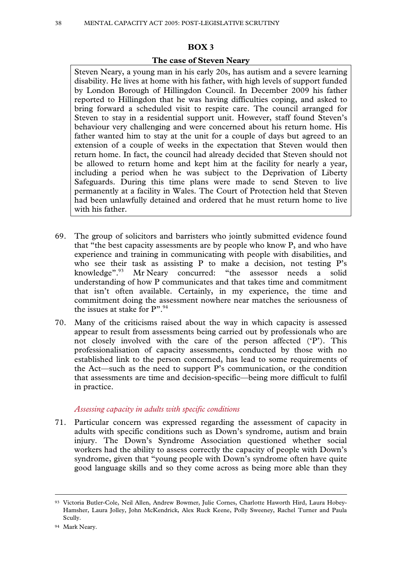# **BOX 3**

# **The case of Steven Neary**

Steven Neary, a young man in his early 20s, has autism and a severe learning disability. He lives at home with his father, with high levels of support funded by London Borough of Hillingdon Council. In December 2009 his father reported to Hillingdon that he was having difficulties coping, and asked to bring forward a scheduled visit to respite care. The council arranged for Steven to stay in a residential support unit. However, staff found Steven's behaviour very challenging and were concerned about his return home. His father wanted him to stay at the unit for a couple of days but agreed to an extension of a couple of weeks in the expectation that Steven would then return home. In fact, the council had already decided that Steven should not be allowed to return home and kept him at the facility for nearly a year, including a period when he was subject to the Deprivation of Liberty Safeguards. During this time plans were made to send Steven to live permanently at a facility in Wales. The Court of Protection held that Steven had been unlawfully detained and ordered that he must return home to live with his father.

- 69. The group of solicitors and barristers who jointly submitted evidence found that "the best capacity assessments are by people who know P, and who have experience and training in communicating with people with disabilities, and who see their task as assisting P to make a decision, not testing  $P$ 's knowledge".93 Mr Neary concurred: "the assessor needs a solid understanding of how P communicates and that takes time and commitment that isn't often available. Certainly, in my experience, the time and commitment doing the assessment nowhere near matches the seriousness of the issues at stake for  $P^{v, 94}$
- 70. Many of the criticisms raised about the way in which capacity is assessed appear to result from assessments being carried out by professionals who are not closely involved with the care of the person affected ('P'). This professionalisation of capacity assessments, conducted by those with no established link to the person concerned, has lead to some requirements of the Act—such as the need to support P's communication, or the condition that assessments are time and decision-specific—being more difficult to fulfil in practice.

# *Assessing capacity in adults with specific conditions*

71. Particular concern was expressed regarding the assessment of capacity in adults with specific conditions such as Down's syndrome, autism and brain injury. The Down's Syndrome Association questioned whether social workers had the ability to assess correctly the capacity of people with Down's syndrome, given that "young people with Down's syndrome often have quite good language skills and so they come across as being more able than they

94 Mark Neary.

 <sup>93</sup> Victoria Butler-Cole, Neil Allen, Andrew Bowmer, Julie Cornes, Charlotte Haworth Hird, Laura Hobey-Hamsher, Laura Jolley, John McKendrick, Alex Ruck Keene, Polly Sweeney, Rachel Turner and Paula Scully.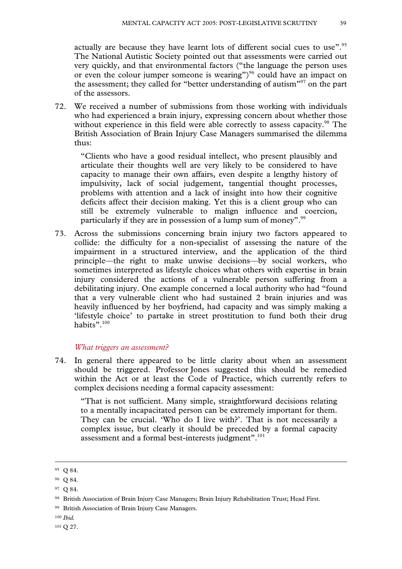actually are because they have learnt lots of different social cues to use".<sup>95</sup> The National Autistic Society pointed out that assessments were carried out very quickly, and that environmental factors ("the language the person uses or even the colour jumper someone is wearing" $)$ <sup>96</sup> could have an impact on the assessment; they called for "better understanding of autism"97 on the part of the assessors.

72. We received a number of submissions from those working with individuals who had experienced a brain injury, expressing concern about whether those without experience in this field were able correctly to assess capacity.<sup>98</sup> The British Association of Brain Injury Case Managers summarised the dilemma thus:

"Clients who have a good residual intellect, who present plausibly and articulate their thoughts well are very likely to be considered to have capacity to manage their own affairs, even despite a lengthy history of impulsivity, lack of social judgement, tangential thought processes, problems with attention and a lack of insight into how their cognitive deficits affect their decision making. Yet this is a client group who can still be extremely vulnerable to malign influence and coercion, particularly if they are in possession of a lump sum of money".<sup>99</sup>

73. Across the submissions concerning brain injury two factors appeared to collide: the difficulty for a non-specialist of assessing the nature of the impairment in a structured interview, and the application of the third principle—the right to make unwise decisions—by social workers, who sometimes interpreted as lifestyle choices what others with expertise in brain injury considered the actions of a vulnerable person suffering from a debilitating injury. One example concerned a local authority who had "found that a very vulnerable client who had sustained 2 brain injuries and was heavily influenced by her boyfriend, had capacity and was simply making a 'lifestyle choice' to partake in street prostitution to fund both their drug habits".<sup>100</sup>

#### *What triggers an assessment?*

74. In general there appeared to be little clarity about when an assessment should be triggered. Professor Jones suggested this should be remedied within the Act or at least the Code of Practice, which currently refers to complex decisions needing a formal capacity assessment:

"That is not sufficient. Many simple, straightforward decisions relating to a mentally incapacitated person can be extremely important for them. They can be crucial. 'Who do I live with?'. That is not necessarily a complex issue, but clearly it should be preceded by a formal capacity assessment and a formal best-interests judgment".<sup>101</sup>

- <sup>100</sup> *Ibid.*
- 101 Q 27.

 <sup>95</sup> Q 84.

<sup>96</sup> Q 84.

<sup>97</sup> Q 84.

<sup>98</sup> British Association of Brain Injury Case Managers; Brain Injury Rehabilitation Trust; Head First.

<sup>99</sup> British Association of Brain Injury Case Managers.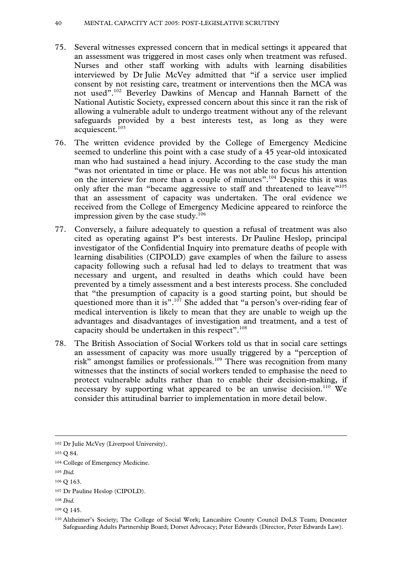#### 40 MENTAL CAPACITY ACT 2005: POST-LEGISLATIVE SCRUTINY

- 75. Several witnesses expressed concern that in medical settings it appeared that an assessment was triggered in most cases only when treatment was refused. Nurses and other staff working with adults with learning disabilities interviewed by Dr Julie McVey admitted that "if a service user implied consent by not resisting care, treatment or interventions then the MCA was not used".102 Beverley Dawkins of Mencap and Hannah Barnett of the National Autistic Society, expressed concern about this since it ran the risk of allowing a vulnerable adult to undergo treatment without any of the relevant safeguards provided by a best interests test, as long as they were acquiescent.<sup>103</sup>
- 76. The written evidence provided by the College of Emergency Medicine seemed to underline this point with a case study of a 45 year-old intoxicated man who had sustained a head injury. According to the case study the man "was not orientated in time or place. He was not able to focus his attention on the interview for more than a couple of minutes".104 Despite this it was only after the man "became aggressive to staff and threatened to leave"<sup>105</sup> that an assessment of capacity was undertaken. The oral evidence we received from the College of Emergency Medicine appeared to reinforce the impression given by the case study. $106$
- 77. Conversely, a failure adequately to question a refusal of treatment was also cited as operating against P's best interests. Dr Pauline Heslop, principal investigator of the Confidential Inquiry into premature deaths of people with learning disabilities (CIPOLD) gave examples of when the failure to assess capacity following such a refusal had led to delays to treatment that was necessary and urgent, and resulted in deaths which could have been prevented by a timely assessment and a best interests process. She concluded that "the presumption of capacity is a good starting point, but should be questioned more than it is".<sup>107</sup> She added that "a person's over-riding fear of medical intervention is likely to mean that they are unable to weigh up the advantages and disadvantages of investigation and treatment, and a test of capacity should be undertaken in this respect".<sup>108</sup>
- 78. The British Association of Social Workers told us that in social care settings an assessment of capacity was more usually triggered by a "perception of risk" amongst families or professionals.109 There was recognition from many witnesses that the instincts of social workers tended to emphasise the need to protect vulnerable adults rather than to enable their decision-making, if necessary by supporting what appeared to be an unwise decision.<sup>110</sup> We consider this attitudinal barrier to implementation in more detail below.

<sup>&</sup>lt;sup>102</sup> Dr Julie McVey (Liverpool University).

<sup>103</sup> Q 84.

<sup>104</sup> College of Emergency Medicine.

<sup>105</sup> *Ibid.*

<sup>106</sup> Q 163.

<sup>107</sup> Dr Pauline Heslop (CIPOLD).

<sup>108</sup> *Ibid.*

<sup>109</sup> Q 145.

<sup>110</sup> Alzheimer's Society; The College of Social Work; Lancashire County Council DoLS Team; Doncaster Safeguarding Adults Partnership Board; Dorset Advocacy; Peter Edwards (Director, Peter Edwards Law).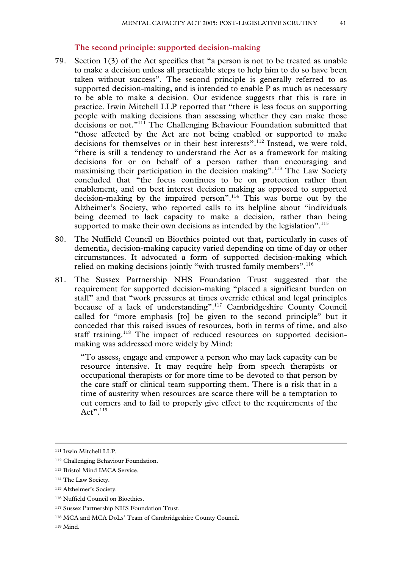### **The second principle: supported decision-making**

- 79. Section 1(3) of the Act specifies that "a person is not to be treated as unable to make a decision unless all practicable steps to help him to do so have been taken without success". The second principle is generally referred to as supported decision-making, and is intended to enable P as much as necessary to be able to make a decision. Our evidence suggests that this is rare in practice. Irwin Mitchell LLP reported that "there is less focus on supporting people with making decisions than assessing whether they can make those decisions or not."111 The Challenging Behaviour Foundation submitted that "those affected by the Act are not being enabled or supported to make decisions for themselves or in their best interests".<sup>112</sup> Instead, we were told, "there is still a tendency to understand the Act as a framework for making decisions for or on behalf of a person rather than encouraging and maximising their participation in the decision making".<sup>113</sup> The Law Society concluded that "the focus continues to be on protection rather than enablement, and on best interest decision making as opposed to supported decision-making by the impaired person".<sup>114</sup> This was borne out by the Alzheimer's Society, who reported calls to its helpline about "individuals being deemed to lack capacity to make a decision, rather than being supported to make their own decisions as intended by the legislation".<sup>115</sup>
- 80. The Nuffield Council on Bioethics pointed out that, particularly in cases of dementia, decision-making capacity varied depending on time of day or other circumstances. It advocated a form of supported decision-making which relied on making decisions jointly "with trusted family members".<sup>116</sup>
- 81. The Sussex Partnership NHS Foundation Trust suggested that the requirement for supported decision-making "placed a significant burden on staff" and that "work pressures at times override ethical and legal principles because of a lack of understanding".117 Cambridgeshire County Council called for "more emphasis [to] be given to the second principle" but it conceded that this raised issues of resources, both in terms of time, and also staff training.<sup>118</sup> The impact of reduced resources on supported decisionmaking was addressed more widely by Mind:

"To assess, engage and empower a person who may lack capacity can be resource intensive. It may require help from speech therapists or occupational therapists or for more time to be devoted to that person by the care staff or clinical team supporting them. There is a risk that in a time of austerity when resources are scarce there will be a temptation to cut corners and to fail to properly give effect to the requirements of the Act".<sup>119</sup>

119 Mind.

 <sup>111</sup> Irwin Mitchell LLP.

<sup>112</sup> Challenging Behaviour Foundation.

<sup>113</sup> Bristol Mind IMCA Service.

<sup>114</sup> The Law Society.

<sup>115</sup> Alzheimer's Society.

<sup>116</sup> Nuffield Council on Bioethics.

<sup>117</sup> Sussex Partnership NHS Foundation Trust.

<sup>118</sup> MCA and MCA DoLs' Team of Cambridgeshire County Council.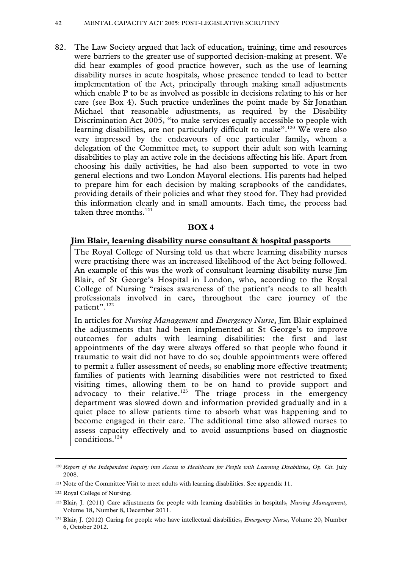82. The Law Society argued that lack of education, training, time and resources were barriers to the greater use of supported decision-making at present. We did hear examples of good practice however, such as the use of learning disability nurses in acute hospitals, whose presence tended to lead to better implementation of the Act, principally through making small adjustments which enable P to be as involved as possible in decisions relating to his or her care (see Box 4). Such practice underlines the point made by Sir Jonathan Michael that reasonable adjustments, as required by the Disability Discrimination Act 2005, "to make services equally accessible to people with learning disabilities, are not particularly difficult to make".<sup>120</sup> We were also very impressed by the endeavours of one particular family, whom a delegation of the Committee met, to support their adult son with learning disabilities to play an active role in the decisions affecting his life. Apart from choosing his daily activities, he had also been supported to vote in two general elections and two London Mayoral elections. His parents had helped to prepare him for each decision by making scrapbooks of the candidates, providing details of their policies and what they stood for. They had provided this information clearly and in small amounts. Each time, the process had taken three months.<sup>121</sup>

# **BOX 4**

### **Jim Blair, learning disability nurse consultant & hospital passports**

The Royal College of Nursing told us that where learning disability nurses were practising there was an increased likelihood of the Act being followed. An example of this was the work of consultant learning disability nurse Jim Blair, of St George's Hospital in London, who, according to the Royal College of Nursing "raises awareness of the patient's needs to all health professionals involved in care, throughout the care journey of the patient".<sup>122</sup>

In articles for *Nursing Management* and *Emergency Nurse*, Jim Blair explained the adjustments that had been implemented at St George's to improve outcomes for adults with learning disabilities: the first and last appointments of the day were always offered so that people who found it traumatic to wait did not have to do so; double appointments were offered to permit a fuller assessment of needs, so enabling more effective treatment; families of patients with learning disabilities were not restricted to fixed visiting times, allowing them to be on hand to provide support and advocacy to their relative.<sup>123</sup> The triage process in the emergency department was slowed down and information provided gradually and in a quiet place to allow patients time to absorb what was happening and to become engaged in their care. The additional time also allowed nurses to assess capacity effectively and to avoid assumptions based on diagnostic conditions.<sup>124</sup>

 <sup>120</sup> *Report of the Independent Inquiry into Access to Healthcare for People with Learning Disabilities*, *Op. Cit.* July 2008.

<sup>121</sup> Note of the Committee Visit to meet adults with learning disabilities. See appendix 11.

<sup>122</sup> Royal College of Nursing.

<sup>123</sup> Blair, J. (2011) Care adjustments for people with learning disabilities in hospitals, *Nursing Management*, Volume 18, Number 8, December 2011.

<sup>124</sup> Blair, J. (2012) Caring for people who have intellectual disabilities, *Emergency Nurse*, Volume 20, Number 6, October 2012.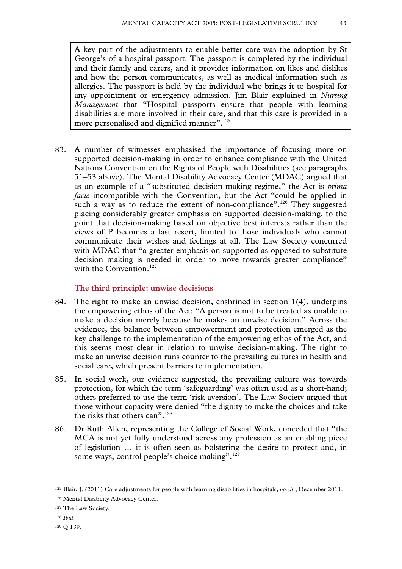A key part of the adjustments to enable better care was the adoption by St George's of a hospital passport. The passport is completed by the individual and their family and carers, and it provides information on likes and dislikes and how the person communicates, as well as medical information such as allergies. The passport is held by the individual who brings it to hospital for any appointment or emergency admission. Jim Blair explained in *Nursing Management* that "Hospital passports ensure that people with learning disabilities are more involved in their care, and that this care is provided in a more personalised and dignified manner".<sup>125</sup>

83. A number of witnesses emphasised the importance of focusing more on supported decision-making in order to enhance compliance with the United Nations Convention on the Rights of People with Disabilities (see paragraphs 51–53 above). The Mental Disability Advocacy Center (MDAC) argued that as an example of a "substituted decision-making regime," the Act is *prima facie* incompatible with the Convention, but the Act "could be applied in such a way as to reduce the extent of non-compliance".<sup>126</sup> They suggested placing considerably greater emphasis on supported decision-making, to the point that decision-making based on objective best interests rather than the views of P becomes a last resort, limited to those individuals who cannot communicate their wishes and feelings at all. The Law Society concurred with MDAC that "a greater emphasis on supported as opposed to substitute decision making is needed in order to move towards greater compliance" with the Convention. $127$ 

# **The third principle: unwise decisions**

- 84. The right to make an unwise decision, enshrined in section 1(4), underpins the empowering ethos of the Act: "A person is not to be treated as unable to make a decision merely because he makes an unwise decision." Across the evidence, the balance between empowerment and protection emerged as the key challenge to the implementation of the empowering ethos of the Act, and this seems most clear in relation to unwise decision-making. The right to make an unwise decision runs counter to the prevailing cultures in health and social care, which present barriers to implementation.
- 85. In social work, our evidence suggested, the prevailing culture was towards protection, for which the term 'safeguarding' was often used as a short-hand; others preferred to use the term 'risk-aversion'. The Law Society argued that those without capacity were denied "the dignity to make the choices and take the risks that others can". $128$
- 86. Dr Ruth Allen, representing the College of Social Work, conceded that "the MCA is not yet fully understood across any profession as an enabling piece of legislation … it is often seen as bolstering the desire to protect and, in some ways, control people's choice making".<sup>129</sup>

 <sup>125</sup> Blair, J. (2011) Care adjustments for people with learning disabilities in hospitals, *op.cit.*, December 2011.

<sup>126</sup> Mental Disability Advocacy Center.

<sup>127</sup> The Law Society.

<sup>128</sup> *Ibid*.

<sup>129</sup> Q 139.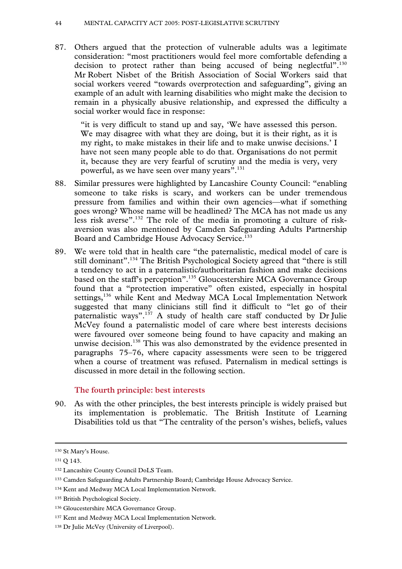#### 44 MENTAL CAPACITY ACT 2005: POST-LEGISLATIVE SCRUTINY

87. Others argued that the protection of vulnerable adults was a legitimate consideration: "most practitioners would feel more comfortable defending a decision to protect rather than being accused of being neglectful".<sup>130</sup> Mr Robert Nisbet of the British Association of Social Workers said that social workers veered "towards overprotection and safeguarding", giving an example of an adult with learning disabilities who might make the decision to remain in a physically abusive relationship, and expressed the difficulty a social worker would face in response:

"it is very difficult to stand up and say, 'We have assessed this person. We may disagree with what they are doing, but it is their right, as it is my right, to make mistakes in their life and to make unwise decisions.' I have not seen many people able to do that. Organisations do not permit it, because they are very fearful of scrutiny and the media is very, very powerful, as we have seen over many years".<sup>131</sup>

- 88. Similar pressures were highlighted by Lancashire County Council: "enabling someone to take risks is scary, and workers can be under tremendous pressure from families and within their own agencies—what if something goes wrong? Whose name will be headlined? The MCA has not made us any less risk averse".132 The role of the media in promoting a culture of riskaversion was also mentioned by Camden Safeguarding Adults Partnership Board and Cambridge House Advocacy Service.<sup>133</sup>
- 89. We were told that in health care "the paternalistic, medical model of care is still dominant".134 The British Psychological Society agreed that "there is still a tendency to act in a paternalistic/authoritarian fashion and make decisions based on the staff's perception".<sup>135</sup> Gloucestershire MCA Governance Group found that a "protection imperative" often existed, especially in hospital settings,<sup>136</sup> while Kent and Medway MCA Local Implementation Network suggested that many clinicians still find it difficult to "let go of their paternalistic ways".137 A study of health care staff conducted by Dr Julie McVey found a paternalistic model of care where best interests decisions were favoured over someone being found to have capacity and making an unwise decision.<sup>138</sup> This was also demonstrated by the evidence presented in paragraphs 75–76, where capacity assessments were seen to be triggered when a course of treatment was refused. Paternalism in medical settings is discussed in more detail in the following section.

# **The fourth principle: best interests**

90. As with the other principles, the best interests principle is widely praised but its implementation is problematic. The British Institute of Learning Disabilities told us that "The centrality of the person's wishes, beliefs, values

 <sup>130</sup> St Mary's House.

<sup>131</sup> Q 143.

<sup>132</sup> Lancashire County Council DoLS Team.

<sup>133</sup> Camden Safeguarding Adults Partnership Board; Cambridge House Advocacy Service.

<sup>134</sup> Kent and Medway MCA Local Implementation Network.

<sup>135</sup> British Psychological Society.

<sup>136</sup> Gloucestershire MCA Governance Group.

<sup>137</sup> Kent and Medway MCA Local Implementation Network.

<sup>138</sup> Dr Julie McVey (University of Liverpool).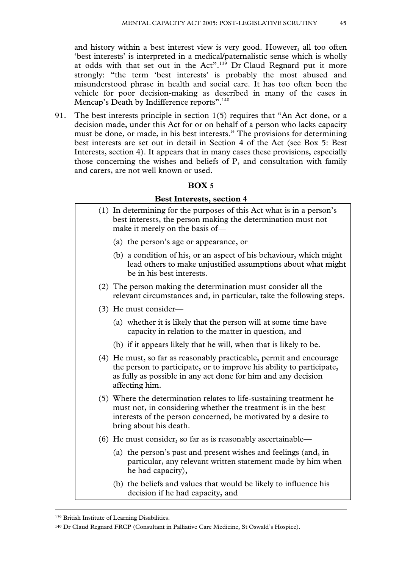and history within a best interest view is very good. However, all too often 'best interests' is interpreted in a medical/paternalistic sense which is wholly at odds with that set out in the Act".<sup>139</sup> Dr Claud Regnard put it more strongly: "the term 'best interests' is probably the most abused and misunderstood phrase in health and social care. It has too often been the vehicle for poor decision-making as described in many of the cases in Mencap's Death by Indifference reports".<sup>140</sup>

91. The best interests principle in section 1(5) requires that "An Act done, or a decision made, under this Act for or on behalf of a person who lacks capacity must be done, or made, in his best interests." The provisions for determining best interests are set out in detail in Section 4 of the Act (see Box 5: Best Interests, section 4). It appears that in many cases these provisions, especially those concerning the wishes and beliefs of P, and consultation with family and carers, are not well known or used.

### **BOX 5**

### **Best Interests, section 4**

|  | (1) In determining for the purposes of this Act what is in a person's<br>best interests, the person making the determination must not<br>make it merely on the basis of-                                                         |
|--|----------------------------------------------------------------------------------------------------------------------------------------------------------------------------------------------------------------------------------|
|  | (a) the person's age or appearance, or                                                                                                                                                                                           |
|  | (b) a condition of his, or an aspect of his behaviour, which might<br>lead others to make unjustified assumptions about what might<br>be in his best interests.                                                                  |
|  | (2) The person making the determination must consider all the<br>relevant circumstances and, in particular, take the following steps.                                                                                            |
|  | $(3)$ He must consider—                                                                                                                                                                                                          |
|  | (a) whether it is likely that the person will at some time have<br>capacity in relation to the matter in question, and                                                                                                           |
|  | (b) if it appears likely that he will, when that is likely to be.                                                                                                                                                                |
|  | (4) He must, so far as reasonably practicable, permit and encourage<br>the person to participate, or to improve his ability to participate,<br>as fully as possible in any act done for him and any decision<br>affecting him.   |
|  | (5) Where the determination relates to life-sustaining treatment he<br>must not, in considering whether the treatment is in the best<br>interests of the person concerned, be motivated by a desire to<br>bring about his death. |
|  | $(6)$ He must consider, so far as is reasonably ascertainable—                                                                                                                                                                   |
|  | (a) the person's past and present wishes and feelings (and, in<br>particular, any relevant written statement made by him when<br>he had capacity),                                                                               |
|  | (b) the beliefs and values that would be likely to influence his<br>decision if he had capacity, and                                                                                                                             |

 <sup>139</sup> British Institute of Learning Disabilities.

<sup>140</sup> Dr Claud Regnard FRCP (Consultant in Palliative Care Medicine, St Oswald's Hospice).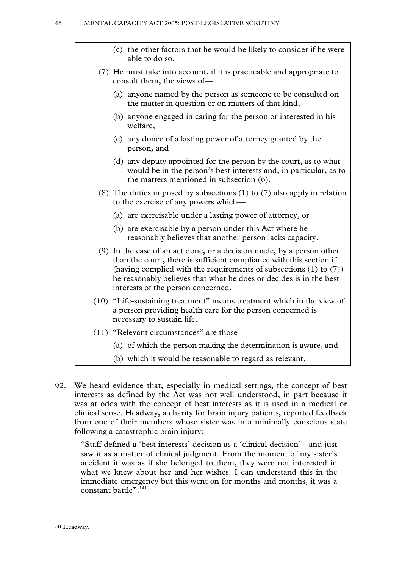| able to do so.                                          |                                                                                                                                                                                                                                                                                                                                                                                                                                                                                                                                                                                                                                                                                                                                                                                                                                                                                                                                                                                                                                                                                                                                                                                                                                                                                                                                                                                                                                                         |
|---------------------------------------------------------|---------------------------------------------------------------------------------------------------------------------------------------------------------------------------------------------------------------------------------------------------------------------------------------------------------------------------------------------------------------------------------------------------------------------------------------------------------------------------------------------------------------------------------------------------------------------------------------------------------------------------------------------------------------------------------------------------------------------------------------------------------------------------------------------------------------------------------------------------------------------------------------------------------------------------------------------------------------------------------------------------------------------------------------------------------------------------------------------------------------------------------------------------------------------------------------------------------------------------------------------------------------------------------------------------------------------------------------------------------------------------------------------------------------------------------------------------------|
|                                                         |                                                                                                                                                                                                                                                                                                                                                                                                                                                                                                                                                                                                                                                                                                                                                                                                                                                                                                                                                                                                                                                                                                                                                                                                                                                                                                                                                                                                                                                         |
| the matter in question or on matters of that kind,      |                                                                                                                                                                                                                                                                                                                                                                                                                                                                                                                                                                                                                                                                                                                                                                                                                                                                                                                                                                                                                                                                                                                                                                                                                                                                                                                                                                                                                                                         |
| welfare,                                                |                                                                                                                                                                                                                                                                                                                                                                                                                                                                                                                                                                                                                                                                                                                                                                                                                                                                                                                                                                                                                                                                                                                                                                                                                                                                                                                                                                                                                                                         |
| person, and                                             |                                                                                                                                                                                                                                                                                                                                                                                                                                                                                                                                                                                                                                                                                                                                                                                                                                                                                                                                                                                                                                                                                                                                                                                                                                                                                                                                                                                                                                                         |
| the matters mentioned in subsection (6).                |                                                                                                                                                                                                                                                                                                                                                                                                                                                                                                                                                                                                                                                                                                                                                                                                                                                                                                                                                                                                                                                                                                                                                                                                                                                                                                                                                                                                                                                         |
|                                                         |                                                                                                                                                                                                                                                                                                                                                                                                                                                                                                                                                                                                                                                                                                                                                                                                                                                                                                                                                                                                                                                                                                                                                                                                                                                                                                                                                                                                                                                         |
|                                                         |                                                                                                                                                                                                                                                                                                                                                                                                                                                                                                                                                                                                                                                                                                                                                                                                                                                                                                                                                                                                                                                                                                                                                                                                                                                                                                                                                                                                                                                         |
| reasonably believes that another person lacks capacity. |                                                                                                                                                                                                                                                                                                                                                                                                                                                                                                                                                                                                                                                                                                                                                                                                                                                                                                                                                                                                                                                                                                                                                                                                                                                                                                                                                                                                                                                         |
|                                                         |                                                                                                                                                                                                                                                                                                                                                                                                                                                                                                                                                                                                                                                                                                                                                                                                                                                                                                                                                                                                                                                                                                                                                                                                                                                                                                                                                                                                                                                         |
|                                                         |                                                                                                                                                                                                                                                                                                                                                                                                                                                                                                                                                                                                                                                                                                                                                                                                                                                                                                                                                                                                                                                                                                                                                                                                                                                                                                                                                                                                                                                         |
|                                                         |                                                                                                                                                                                                                                                                                                                                                                                                                                                                                                                                                                                                                                                                                                                                                                                                                                                                                                                                                                                                                                                                                                                                                                                                                                                                                                                                                                                                                                                         |
|                                                         |                                                                                                                                                                                                                                                                                                                                                                                                                                                                                                                                                                                                                                                                                                                                                                                                                                                                                                                                                                                                                                                                                                                                                                                                                                                                                                                                                                                                                                                         |
|                                                         |                                                                                                                                                                                                                                                                                                                                                                                                                                                                                                                                                                                                                                                                                                                                                                                                                                                                                                                                                                                                                                                                                                                                                                                                                                                                                                                                                                                                                                                         |
|                                                         | (c) the other factors that he would be likely to consider if he were<br>(7) He must take into account, if it is practicable and appropriate to<br>consult them, the views of-<br>(a) anyone named by the person as someone to be consulted on<br>(b) anyone engaged in caring for the person or interested in his<br>(c) any donee of a lasting power of attorney granted by the<br>(d) any deputy appointed for the person by the court, as to what<br>would be in the person's best interests and, in particular, as to<br>(8) The duties imposed by subsections $(1)$ to $(7)$ also apply in relation<br>to the exercise of any powers which—<br>(a) are exercisable under a lasting power of attorney, or<br>(b) are exercisable by a person under this Act where he<br>(9) In the case of an act done, or a decision made, by a person other<br>than the court, there is sufficient compliance with this section if<br>(having complied with the requirements of subsections (1) to (7))<br>he reasonably believes that what he does or decides is in the best<br>interests of the person concerned.<br>(10) "Life-sustaining treatment" means treatment which in the view of<br>a person providing health care for the person concerned is<br>necessary to sustain life.<br>(11) "Relevant circumstances" are those—<br>(a) of which the person making the determination is aware, and<br>(b) which it would be reasonable to regard as relevant. |

92. We heard evidence that, especially in medical settings, the concept of best interests as defined by the Act was not well understood, in part because it was at odds with the concept of best interests as it is used in a medical or clinical sense. Headway, a charity for brain injury patients, reported feedback from one of their members whose sister was in a minimally conscious state following a catastrophic brain injury:

"Staff defined a 'best interests' decision as a 'clinical decision'—and just saw it as a matter of clinical judgment. From the moment of my sister's accident it was as if she belonged to them, they were not interested in what we knew about her and her wishes. I can understand this in the immediate emergency but this went on for months and months, it was a constant battle".<sup>141</sup>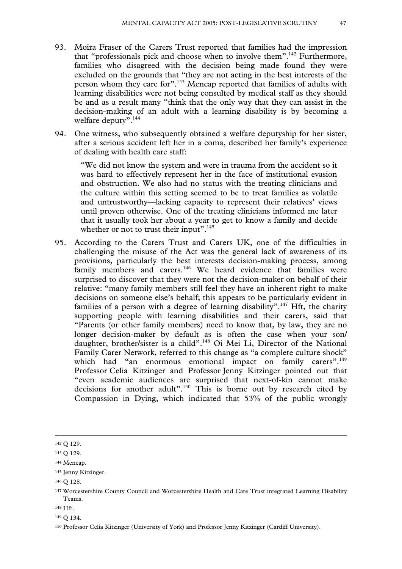- 93. Moira Fraser of the Carers Trust reported that families had the impression that "professionals pick and choose when to involve them".<sup>142</sup> Furthermore, families who disagreed with the decision being made found they were excluded on the grounds that "they are not acting in the best interests of the person whom they care for".<sup>143</sup> Mencap reported that families of adults with learning disabilities were not being consulted by medical staff as they should be and as a result many "think that the only way that they can assist in the decision-making of an adult with a learning disability is by becoming a welfare deputy".<sup>144</sup>
- 94. One witness, who subsequently obtained a welfare deputyship for her sister, after a serious accident left her in a coma, described her family's experience of dealing with health care staff:

"We did not know the system and were in trauma from the accident so it was hard to effectively represent her in the face of institutional evasion and obstruction. We also had no status with the treating clinicians and the culture within this setting seemed to be to treat families as volatile and untrustworthy—lacking capacity to represent their relatives' views until proven otherwise. One of the treating clinicians informed me later that it usually took her about a year to get to know a family and decide whether or not to trust their input".<sup>145</sup>

95. According to the Carers Trust and Carers UK, one of the difficulties in challenging the misuse of the Act was the general lack of awareness of its provisions, particularly the best interests decision-making process, among family members and carers.<sup>146</sup> We heard evidence that families were surprised to discover that they were not the decision-maker on behalf of their relative: "many family members still feel they have an inherent right to make decisions on someone else's behalf; this appears to be particularly evident in families of a person with a degree of learning disability".<sup>147</sup> Hft, the charity supporting people with learning disabilities and their carers, said that "Parents (or other family members) need to know that, by law, they are no longer decision-maker by default as is often the case when your son/ daughter, brother/sister is a child".148 Oi Mei Li, Director of the National Family Carer Network, referred to this change as "a complete culture shock" which had "an enormous emotional impact on family carers".<sup>149</sup> Professor Celia Kitzinger and Professor Jenny Kitzinger pointed out that "even academic audiences are surprised that next-of-kin cannot make decisions for another adult".<sup>150</sup> This is borne out by research cited by Compassion in Dying, which indicated that 53% of the public wrongly

 <sup>142</sup> Q 129.

<sup>143</sup> Q 129.

<sup>144</sup> Mencap.

<sup>&</sup>lt;sup>145</sup> Jenny Kitzinger.

<sup>146</sup> Q 128.

<sup>147</sup> Worcestershire County Council and Worcestershire Health and Care Trust integrated Learning Disability Teams.

<sup>148</sup> Hft.

<sup>149</sup> Q 134.

<sup>150</sup> Professor Celia Kitzinger (University of York) and Professor Jenny Kitzinger (Cardiff University).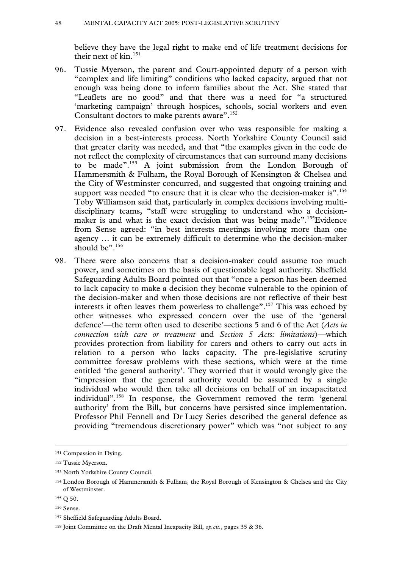believe they have the legal right to make end of life treatment decisions for their next of kin.<sup>151</sup>

- 96. Tussie Myerson, the parent and Court-appointed deputy of a person with "complex and life limiting" conditions who lacked capacity, argued that not enough was being done to inform families about the Act. She stated that "Leaflets are no good" and that there was a need for "a structured 'marketing campaign' through hospices, schools, social workers and even Consultant doctors to make parents aware".<sup>152</sup>
- 97. Evidence also revealed confusion over who was responsible for making a decision in a best-interests process. North Yorkshire County Council said that greater clarity was needed, and that "the examples given in the code do not reflect the complexity of circumstances that can surround many decisions to be made".153 A joint submission from the London Borough of Hammersmith & Fulham, the Royal Borough of Kensington & Chelsea and the City of Westminster concurred, and suggested that ongoing training and support was needed "to ensure that it is clear who the decision-maker is".<sup>154</sup> Toby Williamson said that, particularly in complex decisions involving multidisciplinary teams, "staff were struggling to understand who a decisionmaker is and what is the exact decision that was being made".<sup>155</sup>Evidence from Sense agreed: "in best interests meetings involving more than one agency … it can be extremely difficult to determine who the decision-maker should be".<sup>156</sup>
- 98. There were also concerns that a decision-maker could assume too much power, and sometimes on the basis of questionable legal authority. Sheffield Safeguarding Adults Board pointed out that "once a person has been deemed to lack capacity to make a decision they become vulnerable to the opinion of the decision-maker and when those decisions are not reflective of their best interests it often leaves them powerless to challenge".<sup>157</sup> This was echoed by other witnesses who expressed concern over the use of the 'general defence'—the term often used to describe sections 5 and 6 of the Act (*Acts in connection with care or treatment* and *Section 5 Acts: limitations*)—which provides protection from liability for carers and others to carry out acts in relation to a person who lacks capacity. The pre-legislative scrutiny committee foresaw problems with these sections, which were at the time entitled 'the general authority'. They worried that it would wrongly give the "impression that the general authority would be assumed by a single individual who would then take all decisions on behalf of an incapacitated individual".<sup>158</sup> In response, the Government removed the term 'general authority' from the Bill, but concerns have persisted since implementation. Professor Phil Fennell and Dr Lucy Series described the general defence as providing "tremendous discretionary power" which was "not subject to any

 <sup>151</sup> Compassion in Dying.

<sup>152</sup> Tussie Myerson.

<sup>153</sup> North Yorkshire County Council.

<sup>154</sup> London Borough of Hammersmith & Fulham, the Royal Borough of Kensington & Chelsea and the City of Westminster.

<sup>155</sup> Q 50.

<sup>156</sup> Sense.

<sup>157</sup> Sheffield Safeguarding Adults Board.

<sup>158</sup> Joint Committee on the Draft Mental Incapacity Bill, *op.cit*., pages 35 & 36.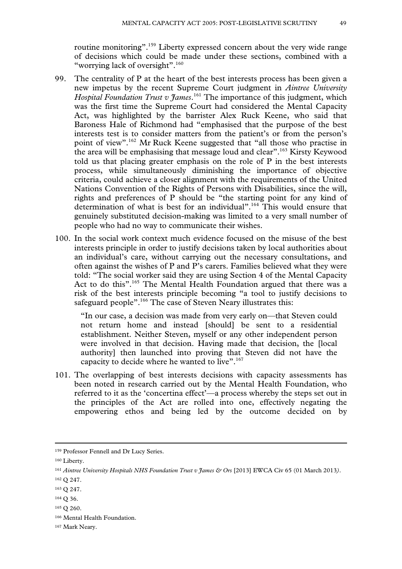routine monitoring".<sup>159</sup> Liberty expressed concern about the very wide range of decisions which could be made under these sections, combined with a "worrying lack of oversight".<sup>160</sup>

- 99. The centrality of P at the heart of the best interests process has been given a new impetus by the recent Supreme Court judgment in *Aintree University Hospital Foundation Trust v James*. 161 The importance of this judgment, which was the first time the Supreme Court had considered the Mental Capacity Act, was highlighted by the barrister Alex Ruck Keene, who said that Baroness Hale of Richmond had "emphasised that the purpose of the best interests test is to consider matters from the patient's or from the person's point of view".162 Mr Ruck Keene suggested that "all those who practise in the area will be emphasising that message loud and clear".<sup>163</sup> Kirsty Keywood told us that placing greater emphasis on the role of P in the best interests process, while simultaneously diminishing the importance of objective criteria, could achieve a closer alignment with the requirements of the United Nations Convention of the Rights of Persons with Disabilities, since the will, rights and preferences of P should be "the starting point for any kind of determination of what is best for an individual".<sup>164</sup> This would ensure that genuinely substituted decision-making was limited to a very small number of people who had no way to communicate their wishes.
- 100. In the social work context much evidence focused on the misuse of the best interests principle in order to justify decisions taken by local authorities about an individual's care, without carrying out the necessary consultations, and often against the wishes of P and P's carers. Families believed what they were told: "The social worker said they are using Section 4 of the Mental Capacity Act to do this".<sup>165</sup> The Mental Health Foundation argued that there was a risk of the best interests principle becoming "a tool to justify decisions to safeguard people".<sup>166</sup> The case of Steven Neary illustrates this:

"In our case, a decision was made from very early on—that Steven could not return home and instead [should] be sent to a residential establishment. Neither Steven, myself or any other independent person were involved in that decision. Having made that decision, the [local authority] then launched into proving that Steven did not have the capacity to decide where he wanted to live".<sup>167</sup>

101. The overlapping of best interests decisions with capacity assessments has been noted in research carried out by the Mental Health Foundation, who referred to it as the 'concertina effect'—a process whereby the steps set out in the principles of the Act are rolled into one, effectively negating the empowering ethos and being led by the outcome decided on by

 <sup>159</sup> Professor Fennell and Dr Lucy Series.

<sup>160</sup> Liberty.

<sup>161</sup> *Aintree University Hospitals NHS Foundation Trust v James & Ors* [2013] EWCA Civ 65 (01 March 2013*).* 

<sup>162</sup> Q 247.

<sup>163</sup> Q 247.

<sup>164</sup> Q 36.

<sup>165</sup> Q 260.

<sup>166</sup> Mental Health Foundation.

<sup>167</sup> Mark Neary.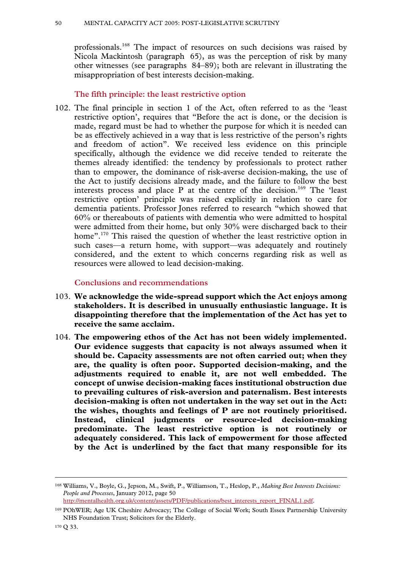professionals.168 The impact of resources on such decisions was raised by Nicola Mackintosh (paragraph 65), as was the perception of risk by many other witnesses (see paragraphs 84–89); both are relevant in illustrating the misappropriation of best interests decision-making.

# **The fifth principle: the least restrictive option**

102. The final principle in section 1 of the Act, often referred to as the 'least restrictive option', requires that "Before the act is done, or the decision is made, regard must be had to whether the purpose for which it is needed can be as effectively achieved in a way that is less restrictive of the person's rights and freedom of action". We received less evidence on this principle specifically, although the evidence we did receive tended to reiterate the themes already identified: the tendency by professionals to protect rather than to empower, the dominance of risk-averse decision-making, the use of the Act to justify decisions already made, and the failure to follow the best interests process and place P at the centre of the decision.<sup>169</sup> The 'least restrictive option' principle was raised explicitly in relation to care for dementia patients. Professor Jones referred to research "which showed that 60% or thereabouts of patients with dementia who were admitted to hospital were admitted from their home, but only 30% were discharged back to their home".<sup>170</sup> This raised the question of whether the least restrictive option in such cases—a return home, with support—was adequately and routinely considered, and the extent to which concerns regarding risk as well as resources were allowed to lead decision-making.

# **Conclusions and recommendations**

- 103. **We acknowledge the wide-spread support which the Act enjoys among stakeholders. It is described in unusually enthusiastic language. It is disappointing therefore that the implementation of the Act has yet to receive the same acclaim.**
- 104. **The empowering ethos of the Act has not been widely implemented. Our evidence suggests that capacity is not always assumed when it should be. Capacity assessments are not often carried out; when they are, the quality is often poor. Supported decision-making, and the adjustments required to enable it, are not well embedded. The concept of unwise decision-making faces institutional obstruction due to prevailing cultures of risk-aversion and paternalism. Best interests decision-making is often not undertaken in the way set out in the Act: the wishes, thoughts and feelings of P are not routinely prioritised. Instead, clinical judgments or resource-led decision-making predominate. The least restrictive option is not routinely or adequately considered. This lack of empowerment for those affected by the Act is underlined by the fact that many responsible for its**

 <sup>168</sup> Williams, V., Boyle, G., Jepson, M., Swift, P., Williamson, T., Heslop, P., *Making Best Interests Decisions: People and Processes*, January 2012, page 50

http://mentalhealth.org.uk/content/assets/PDF/publications/best\_interests\_report\_FINAL1.pdf.

<sup>169</sup> POhWER; Age UK Cheshire Advocacy; The College of Social Work; South Essex Partnership University NHS Foundation Trust; Solicitors for the Elderly.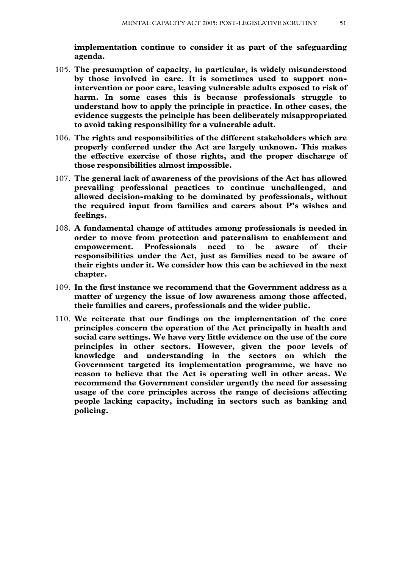**implementation continue to consider it as part of the safeguarding agenda.** 

- 105. **The presumption of capacity, in particular, is widely misunderstood by those involved in care. It is sometimes used to support nonintervention or poor care, leaving vulnerable adults exposed to risk of harm. In some cases this is because professionals struggle to understand how to apply the principle in practice. In other cases, the evidence suggests the principle has been deliberately misappropriated to avoid taking responsibility for a vulnerable adult.**
- 106. **The rights and responsibilities of the different stakeholders which are properly conferred under the Act are largely unknown. This makes the effective exercise of those rights, and the proper discharge of those responsibilities almost impossible.**
- 107. **The general lack of awareness of the provisions of the Act has allowed prevailing professional practices to continue unchallenged, and allowed decision-making to be dominated by professionals, without the required input from families and carers about P's wishes and feelings.**
- 108. **A fundamental change of attitudes among professionals is needed in order to move from protection and paternalism to enablement and empowerment. Professionals need to be aware of their responsibilities under the Act, just as families need to be aware of their rights under it. We consider how this can be achieved in the next chapter.**
- 109. **In the first instance we recommend that the Government address as a matter of urgency the issue of low awareness among those affected, their families and carers, professionals and the wider public.**
- 110. **We reiterate that our findings on the implementation of the core principles concern the operation of the Act principally in health and social care settings. We have very little evidence on the use of the core principles in other sectors. However, given the poor levels of knowledge and understanding in the sectors on which the Government targeted its implementation programme, we have no reason to believe that the Act is operating well in other areas. We recommend the Government consider urgently the need for assessing usage of the core principles across the range of decisions affecting people lacking capacity, including in sectors such as banking and policing.**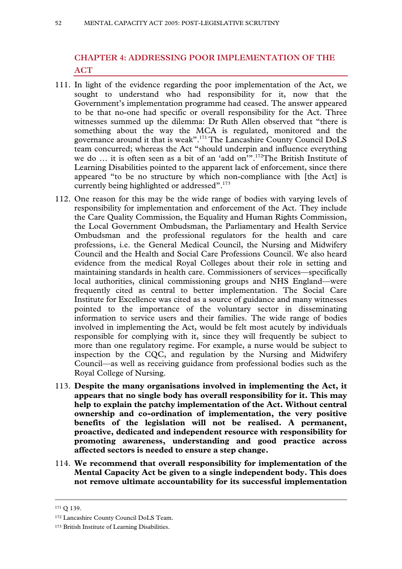# **CHAPTER 4: ADDRESSING POOR IMPLEMENTATION OF THE ACT**

- 111. In light of the evidence regarding the poor implementation of the Act, we sought to understand who had responsibility for it, now that the Government's implementation programme had ceased. The answer appeared to be that no-one had specific or overall responsibility for the Act. Three witnesses summed up the dilemma: Dr Ruth Allen observed that "there is something about the way the MCA is regulated, monitored and the governance around it that is weak".171 The Lancashire County Council DoLS team concurred; whereas the Act "should underpin and influence everything we do ... it is often seen as a bit of an 'add on'".<sup>172</sup>The British Institute of Learning Disabilities pointed to the apparent lack of enforcement, since there appeared "to be no structure by which non-compliance with [the Act] is currently being highlighted or addressed".<sup>173</sup>
- 112. One reason for this may be the wide range of bodies with varying levels of responsibility for implementation and enforcement of the Act. They include the Care Quality Commission, the Equality and Human Rights Commission, the Local Government Ombudsman, the Parliamentary and Health Service Ombudsman and the professional regulators for the health and care professions, i.e. the General Medical Council, the Nursing and Midwifery Council and the Health and Social Care Professions Council. We also heard evidence from the medical Royal Colleges about their role in setting and maintaining standards in health care. Commissioners of services—specifically local authorities, clinical commissioning groups and NHS England—were frequently cited as central to better implementation. The Social Care Institute for Excellence was cited as a source of guidance and many witnesses pointed to the importance of the voluntary sector in disseminating information to service users and their families. The wide range of bodies involved in implementing the Act, would be felt most acutely by individuals responsible for complying with it, since they will frequently be subject to more than one regulatory regime. For example, a nurse would be subject to inspection by the CQC, and regulation by the Nursing and Midwifery Council—as well as receiving guidance from professional bodies such as the Royal College of Nursing.
- 113. **Despite the many organisations involved in implementing the Act, it appears that no single body has overall responsibility for it. This may help to explain the patchy implementation of the Act. Without central ownership and co-ordination of implementation, the very positive benefits of the legislation will not be realised. A permanent, proactive, dedicated and independent resource with responsibility for promoting awareness, understanding and good practice across affected sectors is needed to ensure a step change.**
- 114. **We recommend that overall responsibility for implementation of the Mental Capacity Act be given to a single independent body. This does not remove ultimate accountability for its successful implementation**

 <sup>171</sup> Q 139.

<sup>172</sup> Lancashire County Council DoLS Team.

<sup>173</sup> British Institute of Learning Disabilities.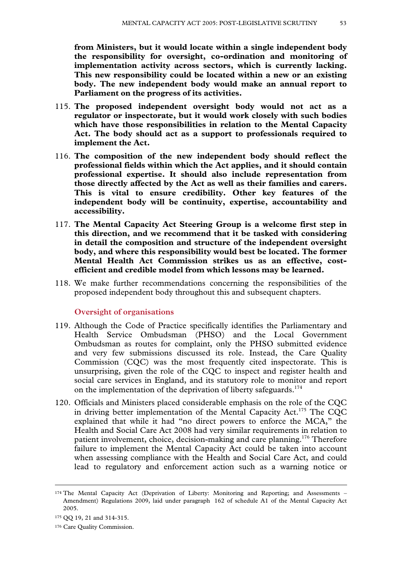**from Ministers, but it would locate within a single independent body the responsibility for oversight, co-ordination and monitoring of implementation activity across sectors, which is currently lacking. This new responsibility could be located within a new or an existing body. The new independent body would make an annual report to Parliament on the progress of its activities.** 

- 115. **The proposed independent oversight body would not act as a regulator or inspectorate, but it would work closely with such bodies which have those responsibilities in relation to the Mental Capacity Act. The body should act as a support to professionals required to implement the Act.**
- 116. **The composition of the new independent body should reflect the professional fields within which the Act applies, and it should contain professional expertise. It should also include representation from those directly affected by the Act as well as their families and carers. This is vital to ensure credibility. Other key features of the independent body will be continuity, expertise, accountability and accessibility.**
- 117. **The Mental Capacity Act Steering Group is a welcome first step in this direction, and we recommend that it be tasked with considering in detail the composition and structure of the independent oversight body, and where this responsibility would best be located. The former Mental Health Act Commission strikes us as an effective, costefficient and credible model from which lessons may be learned.**
- 118. We make further recommendations concerning the responsibilities of the proposed independent body throughout this and subsequent chapters.

# **Oversight of organisations**

- 119. Although the Code of Practice specifically identifies the Parliamentary and Health Service Ombudsman (PHSO) and the Local Government Ombudsman as routes for complaint, only the PHSO submitted evidence and very few submissions discussed its role. Instead, the Care Quality Commission (CQC) was the most frequently cited inspectorate. This is unsurprising, given the role of the CQC to inspect and register health and social care services in England, and its statutory role to monitor and report on the implementation of the deprivation of liberty safeguards.<sup>174</sup>
- 120. Officials and Ministers placed considerable emphasis on the role of the CQC in driving better implementation of the Mental Capacity Act.<sup>175</sup> The CQC explained that while it had "no direct powers to enforce the MCA," the Health and Social Care Act 2008 had very similar requirements in relation to patient involvement, choice, decision-making and care planning.176 Therefore failure to implement the Mental Capacity Act could be taken into account when assessing compliance with the Health and Social Care Act, and could lead to regulatory and enforcement action such as a warning notice or

 <sup>174</sup> The Mental Capacity Act (Deprivation of Liberty: Monitoring and Reporting; and Assessments – Amendment) Regulations 2009, laid under paragraph 162 of schedule A1 of the Mental Capacity Act 2005.

<sup>175</sup> QQ 19, 21 and 314-315.

<sup>176</sup> Care Quality Commission.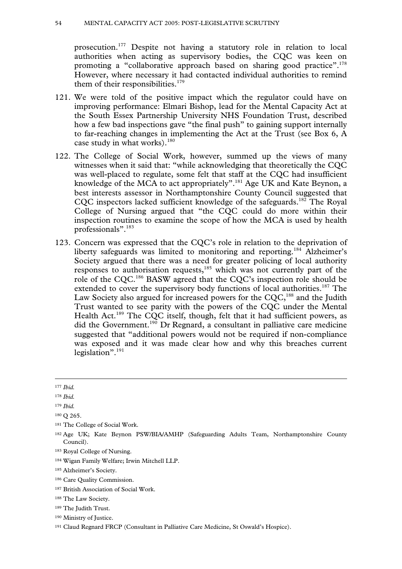#### 54 MENTAL CAPACITY ACT 2005: POST-LEGISLATIVE SCRUTINY

prosecution.177 Despite not having a statutory role in relation to local authorities when acting as supervisory bodies, the CQC was keen on promoting a "collaborative approach based on sharing good practice".<sup>178</sup> However, where necessary it had contacted individual authorities to remind them of their responsibilities.<sup>179</sup>

- 121. We were told of the positive impact which the regulator could have on improving performance: Elmari Bishop, lead for the Mental Capacity Act at the South Essex Partnership University NHS Foundation Trust, described how a few bad inspections gave "the final push" to gaining support internally to far-reaching changes in implementing the Act at the Trust (see Box 6, A case study in what works). $180$
- 122. The College of Social Work, however, summed up the views of many witnesses when it said that: "while acknowledging that theoretically the CQC was well-placed to regulate, some felt that staff at the CQC had insufficient knowledge of the MCA to act appropriately".181 Age UK and Kate Beynon, a best interests assessor in Northamptonshire County Council suggested that CQC inspectors lacked sufficient knowledge of the safeguards.<sup>182</sup> The Royal College of Nursing argued that "the CQC could do more within their inspection routines to examine the scope of how the MCA is used by health professionals".<sup>183</sup>
- 123. Concern was expressed that the CQC's role in relation to the deprivation of liberty safeguards was limited to monitoring and reporting.<sup>184</sup> Alzheimer's Society argued that there was a need for greater policing of local authority responses to authorisation requests, $185$  which was not currently part of the role of the CQC.186 BASW agreed that the CQC's inspection role should be extended to cover the supervisory body functions of local authorities.<sup>187</sup> The Law Society also argued for increased powers for the  $CQC<sub>188</sub>$  and the Judith Trust wanted to see parity with the powers of the CQC under the Mental Health Act.<sup>189</sup> The CQC itself, though, felt that it had sufficient powers, as did the Government.<sup>190</sup> Dr Regnard, a consultant in palliative care medicine suggested that "additional powers would not be required if non-compliance was exposed and it was made clear how and why this breaches current legislation".<sup>191</sup>

 <sup>177</sup> *Ibid.*

<sup>178</sup> *Ibid.*

<sup>179</sup> *Ibid.* 

<sup>&</sup>lt;sup>180</sup> O 265.

<sup>181</sup> The College of Social Work.

<sup>182</sup> Age UK; Kate Beynon PSW/BIA/AMHP (Safeguarding Adults Team, Northamptonshire County Council).

<sup>183</sup> Royal College of Nursing.

<sup>184</sup> Wigan Family Welfare; Irwin Mitchell LLP.

<sup>185</sup> Alzheimer's Society.

<sup>186</sup> Care Quality Commission.

<sup>187</sup> British Association of Social Work.

<sup>188</sup> The Law Society.

<sup>189</sup> The Judith Trust.

<sup>190</sup> Ministry of Justice.

<sup>191</sup> Claud Regnard FRCP (Consultant in Palliative Care Medicine, St Oswald's Hospice).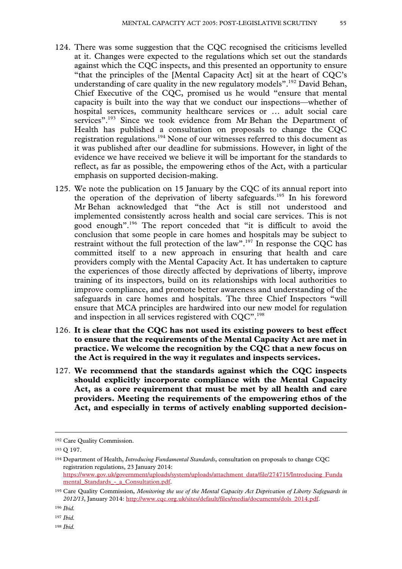- 124. There was some suggestion that the CQC recognised the criticisms levelled at it. Changes were expected to the regulations which set out the standards against which the CQC inspects, and this presented an opportunity to ensure "that the principles of the [Mental Capacity Act] sit at the heart of CQC's understanding of care quality in the new regulatory models".<sup>192</sup> David Behan, Chief Executive of the CQC, promised us he would "ensure that mental capacity is built into the way that we conduct our inspections—whether of hospital services, community healthcare services or … adult social care services".<sup>193</sup> Since we took evidence from Mr Behan the Department of Health has published a consultation on proposals to change the CQC registration regulations.194 None of our witnesses referred to this document as it was published after our deadline for submissions. However, in light of the evidence we have received we believe it will be important for the standards to reflect, as far as possible, the empowering ethos of the Act, with a particular emphasis on supported decision-making.
- 125. We note the publication on 15 January by the CQC of its annual report into the operation of the deprivation of liberty safeguards.195 In his foreword Mr Behan acknowledged that "the Act is still not understood and implemented consistently across health and social care services. This is not good enough".196 The report conceded that "it is difficult to avoid the conclusion that some people in care homes and hospitals may be subject to restraint without the full protection of the law".<sup>197</sup> In response the CQC has committed itself to a new approach in ensuring that health and care providers comply with the Mental Capacity Act. It has undertaken to capture the experiences of those directly affected by deprivations of liberty, improve training of its inspectors, build on its relationships with local authorities to improve compliance, and promote better awareness and understanding of the safeguards in care homes and hospitals. The three Chief Inspectors "will ensure that MCA principles are hardwired into our new model for regulation and inspection in all services registered with CQC".<sup>198</sup>
- 126. **It is clear that the CQC has not used its existing powers to best effect to ensure that the requirements of the Mental Capacity Act are met in practice. We welcome the recognition by the CQC that a new focus on the Act is required in the way it regulates and inspects services.**
- 127. **We recommend that the standards against which the CQC inspects should explicitly incorporate compliance with the Mental Capacity Act, as a core requirement that must be met by all health and care providers. Meeting the requirements of the empowering ethos of the Act, and especially in terms of actively enabling supported decision-**

 <sup>192</sup> Care Quality Commission.

<sup>193</sup> Q 197.

<sup>194</sup> Department of Health, *Introducing Fundamental Standards*, consultation on proposals to change CQC registration regulations, 23 January 2014: https://www.gov.uk/government/uploads/system/uploads/attachment\_data/file/274715/Introducing\_Funda mental Standards - a Consultation.pdf.

<sup>195</sup> Care Quality Commission, *Monitoring the use of the Mental Capacity Act Deprivation of Liberty Safeguards in 2012/13*, January 2014: http://www.cqc.org.uk/sites/default/files/media/documents/dols\_2014.pdf.

<sup>196</sup> *Ibid.*

<sup>197</sup> *Ibid.*

<sup>198</sup> *Ibid.*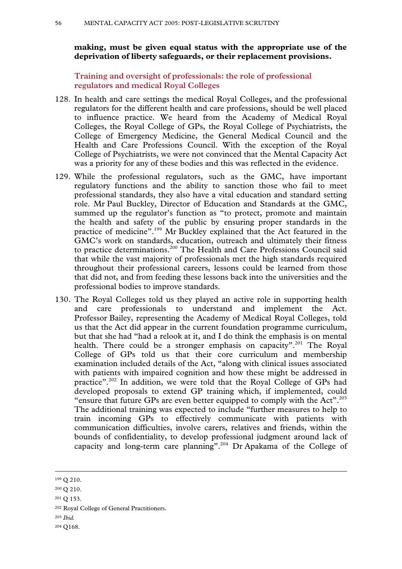**making, must be given equal status with the appropriate use of the deprivation of liberty safeguards, or their replacement provisions.** 

**Training and oversight of professionals: the role of professional regulators and medical Royal Colleges** 

- 128. In health and care settings the medical Royal Colleges, and the professional regulators for the different health and care professions, should be well placed to influence practice. We heard from the Academy of Medical Royal Colleges, the Royal College of GPs, the Royal College of Psychiatrists, the College of Emergency Medicine, the General Medical Council and the Health and Care Professions Council. With the exception of the Royal College of Psychiatrists, we were not convinced that the Mental Capacity Act was a priority for any of these bodies and this was reflected in the evidence.
- 129. While the professional regulators, such as the GMC, have important regulatory functions and the ability to sanction those who fail to meet professional standards, they also have a vital education and standard setting role. Mr Paul Buckley, Director of Education and Standards at the GMC, summed up the regulator's function as "to protect, promote and maintain the health and safety of the public by ensuring proper standards in the practice of medicine".199 Mr Buckley explained that the Act featured in the GMC's work on standards, education, outreach and ultimately their fitness to practice determinations.<sup>200</sup> The Health and Care Professions Council said that while the vast majority of professionals met the high standards required throughout their professional careers, lessons could be learned from those that did not, and from feeding these lessons back into the universities and the professional bodies to improve standards.
- 130. The Royal Colleges told us they played an active role in supporting health and care professionals to understand and implement the Act. Professor Bailey, representing the Academy of Medical Royal Colleges, told us that the Act did appear in the current foundation programme curriculum, but that she had "had a relook at it, and I do think the emphasis is on mental health. There could be a stronger emphasis on capacity".<sup>201</sup> The Royal College of GPs told us that their core curriculum and membership examination included details of the Act, "along with clinical issues associated with patients with impaired cognition and how these might be addressed in practice".202 In addition, we were told that the Royal College of GPs had developed proposals to extend GP training which, if implemented, could "ensure that future GPs are even better equipped to comply with the Act".<sup>203</sup> The additional training was expected to include "further measures to help to train incoming GPs to effectively communicate with patients with communication difficulties, involve carers, relatives and friends, within the bounds of confidentiality, to develop professional judgment around lack of capacity and long-term care planning".204 Dr Apakama of the College of

201 Q 153.

204 Q168.

 <sup>199</sup> Q 210.

<sup>200</sup> Q 210.

<sup>202</sup> Royal College of General Practitioners.

<sup>203</sup> *Ibid.*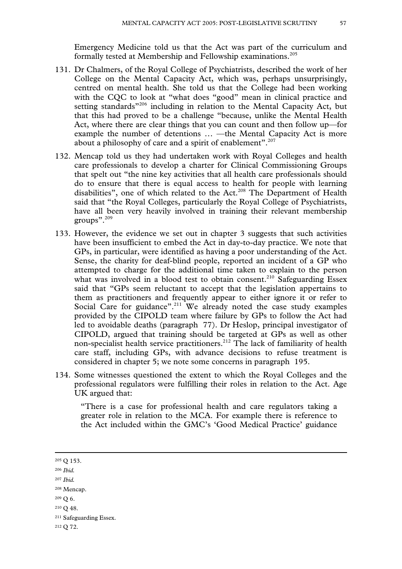Emergency Medicine told us that the Act was part of the curriculum and formally tested at Membership and Fellowship examinations.<sup>205</sup>

- 131. Dr Chalmers, of the Royal College of Psychiatrists, described the work of her College on the Mental Capacity Act, which was, perhaps unsurprisingly, centred on mental health. She told us that the College had been working with the CQC to look at "what does "good" mean in clinical practice and setting standards"<sup>206</sup> including in relation to the Mental Capacity Act, but that this had proved to be a challenge "because, unlike the Mental Health Act, where there are clear things that you can count and then follow up—for example the number of detentions … —the Mental Capacity Act is more about a philosophy of care and a spirit of enablement".<sup>207</sup>
- 132. Mencap told us they had undertaken work with Royal Colleges and health care professionals to develop a charter for Clinical Commissioning Groups that spelt out "the nine key activities that all health care professionals should do to ensure that there is equal access to health for people with learning disabilities", one of which related to the Act.<sup>208</sup> The Department of Health said that "the Royal Colleges, particularly the Royal College of Psychiatrists, have all been very heavily involved in training their relevant membership groups". $209$
- 133. However, the evidence we set out in chapter 3 suggests that such activities have been insufficient to embed the Act in day-to-day practice. We note that GPs, in particular, were identified as having a poor understanding of the Act. Sense, the charity for deaf-blind people, reported an incident of a GP who attempted to charge for the additional time taken to explain to the person what was involved in a blood test to obtain consent.<sup>210</sup> Safeguarding Essex said that "GPs seem reluctant to accept that the legislation appertains to them as practitioners and frequently appear to either ignore it or refer to Social Care for guidance".<sup>211</sup> We already noted the case study examples provided by the CIPOLD team where failure by GPs to follow the Act had led to avoidable deaths (paragraph 77). Dr Heslop, principal investigator of CIPOLD, argued that training should be targeted at GPs as well as other non-specialist health service practitioners.<sup>212</sup> The lack of familiarity of health care staff, including GPs, with advance decisions to refuse treatment is considered in chapter 5; we note some concerns in paragraph 195.
- 134. Some witnesses questioned the extent to which the Royal Colleges and the professional regulators were fulfilling their roles in relation to the Act. Age UK argued that:

"There is a case for professional health and care regulators taking a greater role in relation to the MCA. For example there is reference to the Act included within the GMC's 'Good Medical Practice' guidance

- <sup>206</sup> *Ibid.*
- <sup>207</sup> *Ibid.*

210 Q 48.

212 Q 72.

 <sup>205</sup> Q 153.

<sup>208</sup> Mencap.

<sup>209</sup> Q 6.

<sup>211</sup> Safeguarding Essex.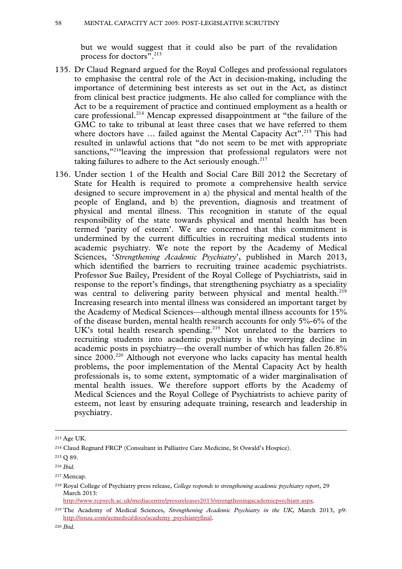but we would suggest that it could also be part of the revalidation process for doctors".213

- 135. Dr Claud Regnard argued for the Royal Colleges and professional regulators to emphasise the central role of the Act in decision-making, including the importance of determining best interests as set out in the Act, as distinct from clinical best practice judgments. He also called for compliance with the Act to be a requirement of practice and continued employment as a health or care professional.214 Mencap expressed disappointment at "the failure of the GMC to take to tribunal at least three cases that we have referred to them where doctors have  $\ldots$  failed against the Mental Capacity Act".<sup>215</sup> This had resulted in unlawful actions that "do not seem to be met with appropriate sanctions,"<sup>216</sup>leaving the impression that professional regulators were not taking failures to adhere to the Act seriously enough. $217$
- 136. Under section 1 of the Health and Social Care Bill 2012 the Secretary of State for Health is required to promote a comprehensive health service designed to secure improvement in a) the physical and mental health of the people of England, and b) the prevention, diagnosis and treatment of physical and mental illness. This recognition in statute of the equal responsibility of the state towards physical and mental health has been termed 'parity of esteem'. We are concerned that this commitment is undermined by the current difficulties in recruiting medical students into academic psychiatry. We note the report by the Academy of Medical Sciences, '*Strengthening Academic Psychiatry*', published in March 2013, which identified the barriers to recruiting trainee academic psychiatrists. Professor Sue Bailey, President of the Royal College of Psychiatrists, said in response to the report's findings, that strengthening psychiatry as a speciality was central to delivering parity between physical and mental health. $218$ Increasing research into mental illness was considered an important target by the Academy of Medical Sciences—although mental illness accounts for 15% of the disease burden, mental health research accounts for only 5%-6% of the UK's total health research spending.<sup>219</sup> Not unrelated to the barriers to recruiting students into academic psychiatry is the worrying decline in academic posts in psychiatry—the overall number of which has fallen 26.8% since 2000.<sup>220</sup> Although not everyone who lacks capacity has mental health problems, the poor implementation of the Mental Capacity Act by health professionals is, to some extent, symptomatic of a wider marginalisation of mental health issues. We therefore support efforts by the Academy of Medical Sciences and the Royal College of Psychiatrists to achieve parity of esteem, not least by ensuring adequate training, research and leadership in psychiatry.

http://www.rcpsych.ac.uk/mediacentre/pressreleases2013/strengtheningacademicpsychiatr.aspx.

 <sup>213</sup> Age UK.

<sup>214</sup> Claud Regnard FRCP (Consultant in Palliative Care Medicine, St Oswald's Hospice).

<sup>215</sup> Q 89.

<sup>216</sup> *Ibid.*

<sup>217</sup> Mencap.

<sup>218</sup> Royal College of Psychiatry press release, *College responds to strengthening academic psychiatry report*, 29 March 2013:

<sup>219</sup> The Academy of Medical Sciences, *Strengthening Academic Psychiatry in the UK*, March 2013, p9: http://issuu.com/acmedsci/docs/academy\_psychiatryfinal.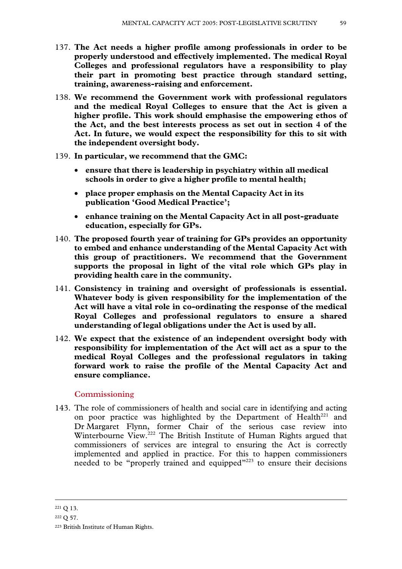- 137. **The Act needs a higher profile among professionals in order to be properly understood and effectively implemented. The medical Royal Colleges and professional regulators have a responsibility to play their part in promoting best practice through standard setting, training, awareness-raising and enforcement.**
- 138. **We recommend the Government work with professional regulators and the medical Royal Colleges to ensure that the Act is given a higher profile. This work should emphasise the empowering ethos of the Act, and the best interests process as set out in section 4 of the Act. In future, we would expect the responsibility for this to sit with the independent oversight body.**
- 139. **In particular, we recommend that the GMC:** 
	- **ensure that there is leadership in psychiatry within all medical schools in order to give a higher profile to mental health;**
	- **place proper emphasis on the Mental Capacity Act in its publication 'Good Medical Practice';**
	- **enhance training on the Mental Capacity Act in all post-graduate education, especially for GPs.**
- 140. **The proposed fourth year of training for GPs provides an opportunity to embed and enhance understanding of the Mental Capacity Act with this group of practitioners. We recommend that the Government supports the proposal in light of the vital role which GPs play in providing health care in the community.**
- 141. **Consistency in training and oversight of professionals is essential. Whatever body is given responsibility for the implementation of the Act will have a vital role in co-ordinating the response of the medical Royal Colleges and professional regulators to ensure a shared understanding of legal obligations under the Act is used by all.**
- 142. **We expect that the existence of an independent oversight body with responsibility for implementation of the Act will act as a spur to the medical Royal Colleges and the professional regulators in taking forward work to raise the profile of the Mental Capacity Act and ensure compliance.**

### **Commissioning**

143. The role of commissioners of health and social care in identifying and acting on poor practice was highlighted by the Department of Health<sup>221</sup> and Dr Margaret Flynn, former Chair of the serious case review into Winterbourne View.<sup>222</sup> The British Institute of Human Rights argued that commissioners of services are integral to ensuring the Act is correctly implemented and applied in practice. For this to happen commissioners needed to be "properly trained and equipped"<sup>223</sup> to ensure their decisions

 <sup>221</sup> Q 13.

<sup>222</sup> Q 57.

<sup>223</sup> British Institute of Human Rights.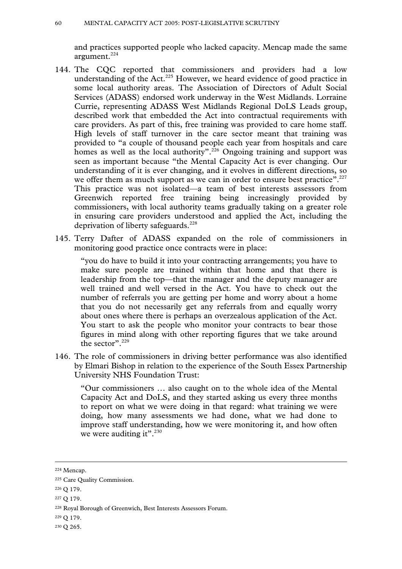and practices supported people who lacked capacity. Mencap made the same argument.<sup>224</sup>

- 144. The CQC reported that commissioners and providers had a low understanding of the Act. $225$  However, we heard evidence of good practice in some local authority areas. The Association of Directors of Adult Social Services (ADASS) endorsed work underway in the West Midlands. Lorraine Currie, representing ADASS West Midlands Regional DoLS Leads group, described work that embedded the Act into contractual requirements with care providers. As part of this, free training was provided to care home staff. High levels of staff turnover in the care sector meant that training was provided to "a couple of thousand people each year from hospitals and care homes as well as the local authority".<sup>226</sup> Ongoing training and support was seen as important because "the Mental Capacity Act is ever changing. Our understanding of it is ever changing, and it evolves in different directions, so we offer them as much support as we can in order to ensure best practice".<sup>227</sup> This practice was not isolated—a team of best interests assessors from Greenwich reported free training being increasingly provided by commissioners, with local authority teams gradually taking on a greater role in ensuring care providers understood and applied the Act, including the deprivation of liberty safeguards.<sup>228</sup>
- 145. Terry Dafter of ADASS expanded on the role of commissioners in monitoring good practice once contracts were in place:

"you do have to build it into your contracting arrangements; you have to make sure people are trained within that home and that there is leadership from the top—that the manager and the deputy manager are well trained and well versed in the Act. You have to check out the number of referrals you are getting per home and worry about a home that you do not necessarily get any referrals from and equally worry about ones where there is perhaps an overzealous application of the Act. You start to ask the people who monitor your contracts to bear those figures in mind along with other reporting figures that we take around the sector".<sup>229</sup>

146. The role of commissioners in driving better performance was also identified by Elmari Bishop in relation to the experience of the South Essex Partnership University NHS Foundation Trust:

"Our commissioners … also caught on to the whole idea of the Mental Capacity Act and DoLS, and they started asking us every three months to report on what we were doing in that regard: what training we were doing, how many assessments we had done, what we had done to improve staff understanding, how we were monitoring it, and how often we were auditing it".<sup>230</sup>

 <sup>224</sup> Mencap.

<sup>225</sup> Care Quality Commission.

<sup>226</sup> Q 179.

<sup>227</sup> Q 179.

<sup>228</sup> Royal Borough of Greenwich, Best Interests Assessors Forum.

<sup>229</sup> Q 179.

<sup>230</sup> Q 265.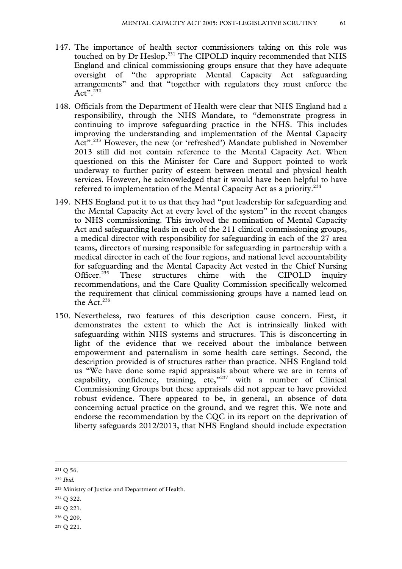- 147. The importance of health sector commissioners taking on this role was touched on by Dr Heslop.<sup>231</sup> The CIPOLD inquiry recommended that NHS England and clinical commissioning groups ensure that they have adequate oversight of "the appropriate Mental Capacity Act safeguarding arrangements" and that "together with regulators they must enforce the Act". $232$
- 148. Officials from the Department of Health were clear that NHS England had a responsibility, through the NHS Mandate, to "demonstrate progress in continuing to improve safeguarding practice in the NHS. This includes improving the understanding and implementation of the Mental Capacity Act"<sup>233</sup> However, the new (or 'refreshed') Mandate published in November 2013 still did not contain reference to the Mental Capacity Act. When questioned on this the Minister for Care and Support pointed to work underway to further parity of esteem between mental and physical health services. However, he acknowledged that it would have been helpful to have referred to implementation of the Mental Capacity Act as a priority.234
- 149. NHS England put it to us that they had "put leadership for safeguarding and the Mental Capacity Act at every level of the system" in the recent changes to NHS commissioning. This involved the nomination of Mental Capacity Act and safeguarding leads in each of the 211 clinical commissioning groups, a medical director with responsibility for safeguarding in each of the 27 area teams, directors of nursing responsible for safeguarding in partnership with a medical director in each of the four regions, and national level accountability for safeguarding and the Mental Capacity Act vested in the Chief Nursing Officer.<sup>235</sup> These structures chime with the CIPOLD inquiry recommendations, and the Care Quality Commission specifically welcomed the requirement that clinical commissioning groups have a named lead on the Act.<sup>236</sup>
- 150. Nevertheless, two features of this description cause concern. First, it demonstrates the extent to which the Act is intrinsically linked with safeguarding within NHS systems and structures. This is disconcerting in light of the evidence that we received about the imbalance between empowerment and paternalism in some health care settings. Second, the description provided is of structures rather than practice. NHS England told us "We have done some rapid appraisals about where we are in terms of capability, confidence, training, etc, $^{237}$  with a number of Clinical Commissioning Groups but these appraisals did not appear to have provided robust evidence. There appeared to be, in general, an absence of data concerning actual practice on the ground, and we regret this. We note and endorse the recommendation by the CQC in its report on the deprivation of liberty safeguards 2012/2013, that NHS England should include expectation

<sup>232</sup> *Ibid.*

- 234 Q 322.
- 235 Q 221.
- 236 Q 209.
- 237 Q 221.

 <sup>231</sup> Q 56.

<sup>233</sup> Ministry of Justice and Department of Health.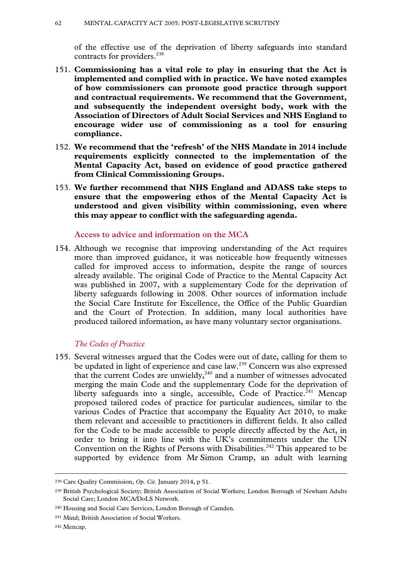of the effective use of the deprivation of liberty safeguards into standard contracts for providers.<sup>238</sup>

- 151. **Commissioning has a vital role to play in ensuring that the Act is implemented and complied with in practice. We have noted examples of how commissioners can promote good practice through support and contractual requirements. We recommend that the Government, and subsequently the independent oversight body, work with the Association of Directors of Adult Social Services and NHS England to encourage wider use of commissioning as a tool for ensuring compliance.**
- 152. **We recommend that the 'refresh' of the NHS Mandate in 2014 include requirements explicitly connected to the implementation of the Mental Capacity Act, based on evidence of good practice gathered from Clinical Commissioning Groups.**
- 153. **We further recommend that NHS England and ADASS take steps to ensure that the empowering ethos of the Mental Capacity Act is understood and given visibility within commissioning, even where this may appear to conflict with the safeguarding agenda.**

#### **Access to advice and information on the MCA**

154. Although we recognise that improving understanding of the Act requires more than improved guidance, it was noticeable how frequently witnesses called for improved access to information, despite the range of sources already available. The original Code of Practice to the Mental Capacity Act was published in 2007, with a supplementary Code for the deprivation of liberty safeguards following in 2008. Other sources of information include the Social Care Institute for Excellence, the Office of the Public Guardian and the Court of Protection. In addition, many local authorities have produced tailored information, as have many voluntary sector organisations.

### *The Codes of Practice*

155. Several witnesses argued that the Codes were out of date, calling for them to be updated in light of experience and case law.239 Concern was also expressed that the current Codes are unwieldy, $240$  and a number of witnesses advocated merging the main Code and the supplementary Code for the deprivation of liberty safeguards into a single, accessible, Code of Practice.<sup>241</sup> Mencap proposed tailored codes of practice for particular audiences, similar to the various Codes of Practice that accompany the Equality Act 2010, to make them relevant and accessible to practitioners in different fields. It also called for the Code to be made accessible to people directly affected by the Act, in order to bring it into line with the UK's commitments under the UN Convention on the Rights of Persons with Disabilities.<sup>242</sup> This appeared to be supported by evidence from Mr Simon Cramp, an adult with learning

 <sup>238</sup> Care Quality Commission, *Op. Cit.* January 2014, p 51.

<sup>239</sup> British Psychological Society; British Association of Social Workers; London Borough of Newham Adults Social Care; London MCA/DoLS Network.

<sup>240</sup> Housing and Social Care Services, London Borough of Camden.

<sup>241</sup> Mind; British Association of Social Workers.

<sup>242</sup> Mencap.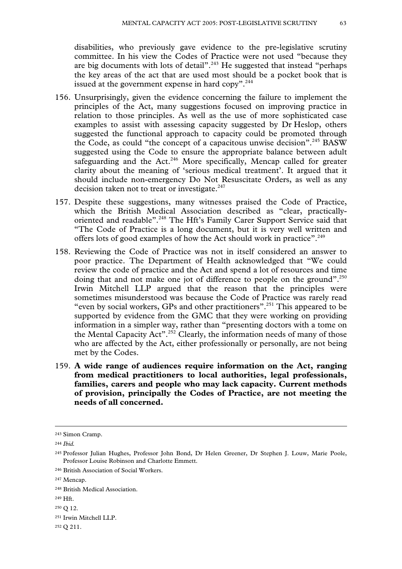disabilities, who previously gave evidence to the pre-legislative scrutiny committee. In his view the Codes of Practice were not used "because they are big documents with lots of detail".<sup>243</sup> He suggested that instead "perhaps" the key areas of the act that are used most should be a pocket book that is issued at the government expense in hard copy".<sup>244</sup>

- 156. Unsurprisingly, given the evidence concerning the failure to implement the principles of the Act, many suggestions focused on improving practice in relation to those principles. As well as the use of more sophisticated case examples to assist with assessing capacity suggested by Dr Heslop, others suggested the functional approach to capacity could be promoted through the Code, as could "the concept of a capacitous unwise decision".<sup>245</sup> BASW suggested using the Code to ensure the appropriate balance between adult safeguarding and the Act.<sup>246</sup> More specifically, Mencap called for greater clarity about the meaning of 'serious medical treatment'. It argued that it should include non-emergency Do Not Resuscitate Orders, as well as any decision taken not to treat or investigate. $247$
- 157. Despite these suggestions, many witnesses praised the Code of Practice, which the British Medical Association described as "clear, practicallyoriented and readable".<sup>248</sup> The Hft's Family Carer Support Service said that "The Code of Practice is a long document, but it is very well written and offers lots of good examples of how the Act should work in practice".<sup>249</sup>
- 158. Reviewing the Code of Practice was not in itself considered an answer to poor practice. The Department of Health acknowledged that "We could review the code of practice and the Act and spend a lot of resources and time doing that and not make one jot of difference to people on the ground".<sup>250</sup> Irwin Mitchell LLP argued that the reason that the principles were sometimes misunderstood was because the Code of Practice was rarely read "even by social workers, GPs and other practitioners".<sup>251</sup> This appeared to be supported by evidence from the GMC that they were working on providing information in a simpler way, rather than "presenting doctors with a tome on the Mental Capacity Act".<sup>252</sup> Clearly, the information needs of many of those who are affected by the Act, either professionally or personally, are not being met by the Codes.
- 159. **A wide range of audiences require information on the Act, ranging from medical practitioners to local authorities, legal professionals, families, carers and people who may lack capacity. Current methods of provision, principally the Codes of Practice, are not meeting the needs of all concerned.**

250 Q 12.

252 Q 211.

 <sup>243</sup> Simon Cramp.

<sup>244</sup> *Ibid.*

<sup>245</sup> Professor Julian Hughes, Professor John Bond, Dr Helen Greener, Dr Stephen J. Louw, Marie Poole, Professor Louise Robinson and Charlotte Emmett.

<sup>246</sup> British Association of Social Workers.

<sup>247</sup> Mencap.

<sup>248</sup> British Medical Association.

<sup>249</sup> Hft.

<sup>251</sup> Irwin Mitchell LLP.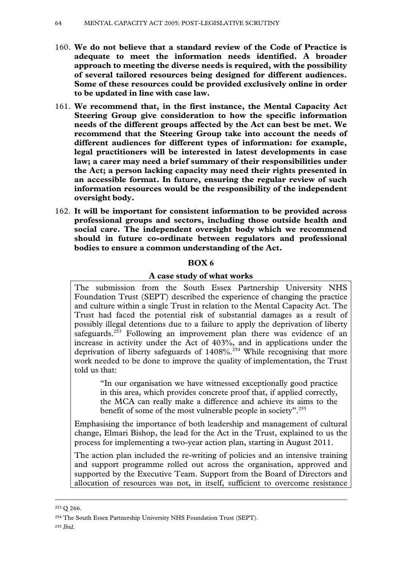- 160. **We do not believe that a standard review of the Code of Practice is adequate to meet the information needs identified. A broader approach to meeting the diverse needs is required, with the possibility of several tailored resources being designed for different audiences. Some of these resources could be provided exclusively online in order to be updated in line with case law.**
- 161. **We recommend that, in the first instance, the Mental Capacity Act Steering Group give consideration to how the specific information needs of the different groups affected by the Act can best be met. We recommend that the Steering Group take into account the needs of different audiences for different types of information: for example, legal practitioners will be interested in latest developments in case law; a carer may need a brief summary of their responsibilities under the Act; a person lacking capacity may need their rights presented in an accessible format. In future, ensuring the regular review of such information resources would be the responsibility of the independent oversight body.**
- 162. **It will be important for consistent information to be provided across professional groups and sectors, including those outside health and social care. The independent oversight body which we recommend should in future co-ordinate between regulators and professional bodies to ensure a common understanding of the Act.**

# **BOX 6**

# **A case study of what works**

The submission from the South Essex Partnership University NHS Foundation Trust (SEPT) described the experience of changing the practice and culture within a single Trust in relation to the Mental Capacity Act. The Trust had faced the potential risk of substantial damages as a result of possibly illegal detentions due to a failure to apply the deprivation of liberty safeguards.<sup>253</sup> Following an improvement plan there was evidence of an increase in activity under the Act of 403%, and in applications under the deprivation of liberty safeguards of  $1408\%$ <sup>254</sup> While recognising that more work needed to be done to improve the quality of implementation, the Trust told us that:

"In our organisation we have witnessed exceptionally good practice in this area, which provides concrete proof that, if applied correctly, the MCA can really make a difference and achieve its aims to the benefit of some of the most vulnerable people in society".<sup>255</sup>

Emphasising the importance of both leadership and management of cultural change, Elmari Bishop, the lead for the Act in the Trust, explained to us the process for implementing a two-year action plan, starting in August 2011.

The action plan included the re-writing of policies and an intensive training and support programme rolled out across the organisation, approved and supported by the Executive Team. Support from the Board of Directors and allocation of resources was not, in itself, sufficient to overcome resistance

 <sup>253</sup> Q 266.

<sup>254</sup> The South Essex Partnership University NHS Foundation Trust (SEPT).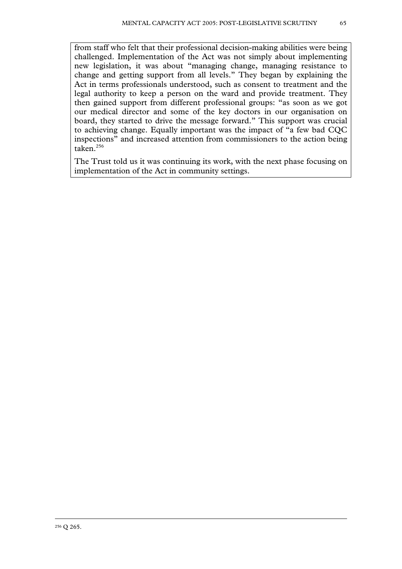from staff who felt that their professional decision-making abilities were being challenged. Implementation of the Act was not simply about implementing new legislation, it was about "managing change, managing resistance to change and getting support from all levels." They began by explaining the Act in terms professionals understood, such as consent to treatment and the legal authority to keep a person on the ward and provide treatment. They then gained support from different professional groups: "as soon as we got our medical director and some of the key doctors in our organisation on board, they started to drive the message forward." This support was crucial to achieving change. Equally important was the impact of "a few bad CQC inspections" and increased attention from commissioners to the action being taken.<sup>256</sup>

The Trust told us it was continuing its work, with the next phase focusing on implementation of the Act in community settings.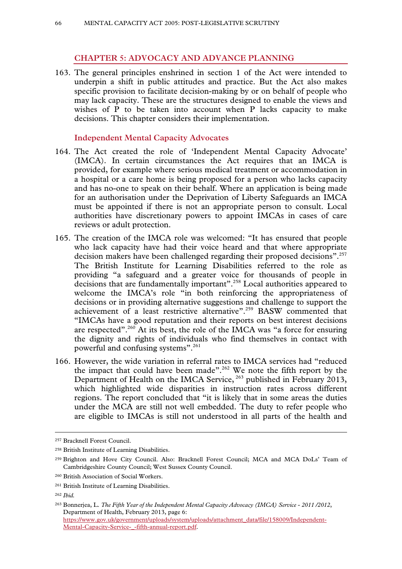### **CHAPTER 5: ADVOCACY AND ADVANCE PLANNING**

163. The general principles enshrined in section 1 of the Act were intended to underpin a shift in public attitudes and practice. But the Act also makes specific provision to facilitate decision-making by or on behalf of people who may lack capacity. These are the structures designed to enable the views and wishes of  $P$  to be taken into account when  $P$  lacks capacity to make decisions. This chapter considers their implementation.

#### **Independent Mental Capacity Advocates**

- 164. The Act created the role of 'Independent Mental Capacity Advocate' (IMCA). In certain circumstances the Act requires that an IMCA is provided, for example where serious medical treatment or accommodation in a hospital or a care home is being proposed for a person who lacks capacity and has no-one to speak on their behalf. Where an application is being made for an authorisation under the Deprivation of Liberty Safeguards an IMCA must be appointed if there is not an appropriate person to consult. Local authorities have discretionary powers to appoint IMCAs in cases of care reviews or adult protection.
- 165. The creation of the IMCA role was welcomed: "It has ensured that people who lack capacity have had their voice heard and that where appropriate decision makers have been challenged regarding their proposed decisions".<sup>257</sup> The British Institute for Learning Disabilities referred to the role as providing "a safeguard and a greater voice for thousands of people in decisions that are fundamentally important".<sup>258</sup> Local authorities appeared to welcome the IMCA's role "in both reinforcing the appropriateness of decisions or in providing alternative suggestions and challenge to support the achievement of a least restrictive alternative".<sup>259</sup> BASW commented that "IMCAs have a good reputation and their reports on best interest decisions are respected".<sup>260</sup> At its best, the role of the IMCA was "a force for ensuring the dignity and rights of individuals who find themselves in contact with powerful and confusing systems".261
- 166. However, the wide variation in referral rates to IMCA services had "reduced the impact that could have been made".<sup>262</sup> We note the fifth report by the Department of Health on the IMCA Service, <sup>263</sup> published in February 2013, which highlighted wide disparities in instruction rates across different regions. The report concluded that "it is likely that in some areas the duties under the MCA are still not well embedded. The duty to refer people who are eligible to IMCAs is still not understood in all parts of the health and

 <sup>257</sup> Bracknell Forest Council.

<sup>258</sup> British Institute of Learning Disabilities.

<sup>259</sup> Brighton and Hove City Council. Also: Bracknell Forest Council; MCA and MCA DoLs' Team of Cambridgeshire County Council; West Sussex County Council.

<sup>260</sup> British Association of Social Workers.

<sup>261</sup> British Institute of Learning Disabilities.

<sup>262</sup> *Ibid.*

<sup>263</sup> Bonnerjea, L. *The Fifth Year of the Independent Mental Capacity Advocacy (IMCA) Service - 2011 /2012*, Department of Health, February 2013, page 6: https://www.gov.uk/government/uploads/system/uploads/attachment\_data/file/158009/Independent-

Mental-Capacity-Service- -fifth-annual-report.pdf.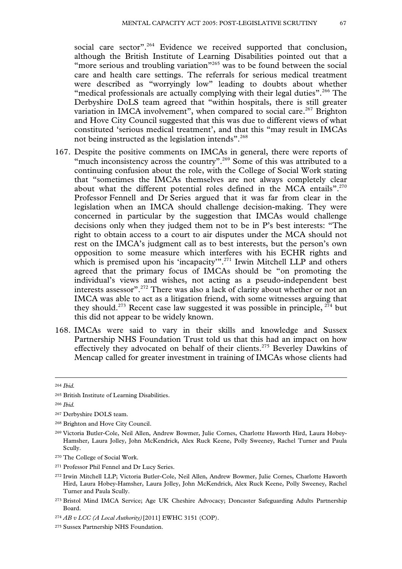social care sector".<sup>264</sup> Evidence we received supported that conclusion, although the British Institute of Learning Disabilities pointed out that a "more serious and troubling variation"<sup>265</sup> was to be found between the social care and health care settings. The referrals for serious medical treatment were described as "worryingly low" leading to doubts about whether "medical professionals are actually complying with their legal duties".<sup>266</sup> The Derbyshire DoLS team agreed that "within hospitals, there is still greater variation in IMCA involvement", when compared to social care.<sup>267</sup> Brighton and Hove City Council suggested that this was due to different views of what constituted 'serious medical treatment', and that this "may result in IMCAs not being instructed as the legislation intends".<sup>268</sup>

- 167. Despite the positive comments on IMCAs in general, there were reports of "much inconsistency across the country".<sup>269</sup> Some of this was attributed to a continuing confusion about the role, with the College of Social Work stating that "sometimes the IMCAs themselves are not always completely clear about what the different potential roles defined in the MCA entails".<sup>270</sup> Professor Fennell and Dr Series argued that it was far from clear in the legislation when an IMCA should challenge decision-making. They were concerned in particular by the suggestion that IMCAs would challenge decisions only when they judged them not to be in P's best interests: "The right to obtain access to a court to air disputes under the MCA should not rest on the IMCA's judgment call as to best interests, but the person's own opposition to some measure which interferes with his ECHR rights and which is premised upon his 'incapacity'".<sup>271</sup> Irwin Mitchell LLP and others agreed that the primary focus of IMCAs should be "on promoting the individual's views and wishes, not acting as a pseudo-independent best interests assessor".<sup>272</sup> There was also a lack of clarity about whether or not an IMCA was able to act as a litigation friend, with some witnesses arguing that they should.<sup>273</sup> Recent case law suggested it was possible in principle,  $274$  but this did not appear to be widely known.
- 168. IMCAs were said to vary in their skills and knowledge and Sussex Partnership NHS Foundation Trust told us that this had an impact on how effectively they advocated on behalf of their clients.275 Beverley Dawkins of Mencap called for greater investment in training of IMCAs whose clients had

- 271 Professor Phil Fennel and Dr Lucy Series.
- 272 Irwin Mitchell LLP; Victoria Butler-Cole, Neil Allen, Andrew Bowmer, Julie Cornes, Charlotte Haworth Hird, Laura Hobey-Hamsher, Laura Jolley, John McKendrick, Alex Ruck Keene, Polly Sweeney, Rachel Turner and Paula Scully.
- 273 Bristol Mind IMCA Service; Age UK Cheshire Advocacy; Doncaster Safeguarding Adults Partnership Board.
- <sup>274</sup> *AB v LCC (A Local Authority)*[2011] EWHC 3151 (COP).

 <sup>264</sup> *Ibid.*

<sup>265</sup> British Institute of Learning Disabilities.

<sup>266</sup> *Ibid.*

<sup>267</sup> Derbyshire DOLS team.

<sup>268</sup> Brighton and Hove City Council.

<sup>269</sup> Victoria Butler-Cole, Neil Allen, Andrew Bowmer, Julie Cornes, Charlotte Haworth Hird, Laura Hobey-Hamsher, Laura Jolley, John McKendrick, Alex Ruck Keene, Polly Sweeney, Rachel Turner and Paula Scully.

<sup>270</sup> The College of Social Work.

<sup>275</sup> Sussex Partnership NHS Foundation.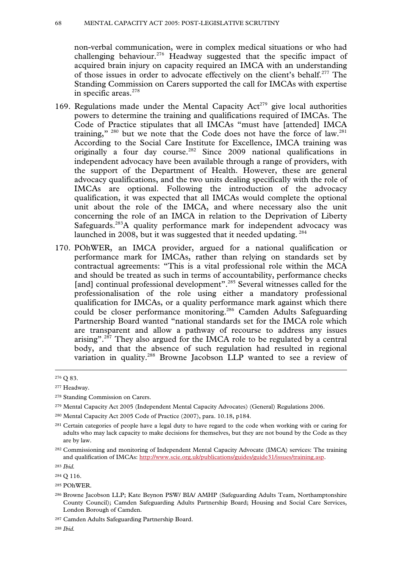non-verbal communication, were in complex medical situations or who had challenging behaviour.<sup>276</sup> Headway suggested that the specific impact of acquired brain injury on capacity required an IMCA with an understanding of those issues in order to advocate effectively on the client's behalf.<sup>277</sup> The Standing Commission on Carers supported the call for IMCAs with expertise in specific areas.<sup>278</sup>

- 169. Regulations made under the Mental Capacity  $Act^{279}$  give local authorities powers to determine the training and qualifications required of IMCAs. The Code of Practice stipulates that all IMCAs "must have [attended] IMCA training,"  $280$  but we note that the Code does not have the force of law. $281$ According to the Social Care Institute for Excellence, IMCA training was originally a four day course.<sup>282</sup> Since 2009 national qualifications in independent advocacy have been available through a range of providers, with the support of the Department of Health. However, these are general advocacy qualifications, and the two units dealing specifically with the role of IMCAs are optional. Following the introduction of the advocacy qualification, it was expected that all IMCAs would complete the optional unit about the role of the IMCA, and where necessary also the unit concerning the role of an IMCA in relation to the Deprivation of Liberty Safeguards.<sup>283</sup>A quality performance mark for independent advocacy was launched in 2008, but it was suggested that it needed updating.<sup>284</sup>
- 170. POhWER, an IMCA provider, argued for a national qualification or performance mark for IMCAs, rather than relying on standards set by contractual agreements: "This is a vital professional role within the MCA and should be treated as such in terms of accountability, performance checks [and] continual professional development".<sup>285</sup> Several witnesses called for the professionalisation of the role using either a mandatory professional qualification for IMCAs, or a quality performance mark against which there could be closer performance monitoring.<sup>286</sup> Camden Adults Safeguarding Partnership Board wanted "national standards set for the IMCA role which are transparent and allow a pathway of recourse to address any issues arising".<sup>287</sup> They also argued for the IMCA role to be regulated by a central body, and that the absence of such regulation had resulted in regional variation in quality.<sup>288</sup> Browne Jacobson LLP wanted to see a review of

<sup>288</sup> *Ibid.*

 <sup>276</sup> Q 83.

<sup>277</sup> Headway.

<sup>278</sup> Standing Commission on Carers.

<sup>279</sup> Mental Capacity Act 2005 (Independent Mental Capacity Advocates) (General) Regulations 2006.

<sup>280</sup> Mental Capacity Act 2005 Code of Practice (2007), para. 10.18, p184.

<sup>281</sup> Certain categories of people have a legal duty to have regard to the code when working with or caring for adults who may lack capacity to make decisions for themselves, but they are not bound by the Code as they are by law.

<sup>282</sup> Commissioning and monitoring of Independent Mental Capacity Advocate (IMCA) services: The training and qualification of IMCAs: http://www.scie.org.uk/publications/guides/guide31/issues/training.asp.

<sup>283</sup> *Ibid.*

<sup>284</sup> Q 116.

<sup>285</sup> POhWER.

<sup>286</sup> Browne Jacobson LLP; Kate Beynon PSW/ BIA/ AMHP (Safeguarding Adults Team, Northamptonshire County Council); Camden Safeguarding Adults Partnership Board; Housing and Social Care Services, London Borough of Camden.

<sup>287</sup> Camden Adults Safeguarding Partnership Board.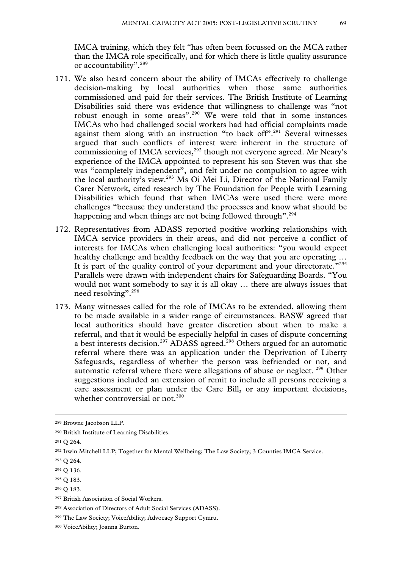IMCA training, which they felt "has often been focussed on the MCA rather than the IMCA role specifically, and for which there is little quality assurance or accountability".<sup>289</sup>

- 171. We also heard concern about the ability of IMCAs effectively to challenge decision-making by local authorities when those same authorities commissioned and paid for their services. The British Institute of Learning Disabilities said there was evidence that willingness to challenge was "not robust enough in some areas".<sup>290</sup> We were told that in some instances IMCAs who had challenged social workers had had official complaints made against them along with an instruction "to back off".<sup>291</sup> Several witnesses argued that such conflicts of interest were inherent in the structure of commissioning of IMCA services, $^{292}$  though not everyone agreed. Mr Neary's experience of the IMCA appointed to represent his son Steven was that she was "completely independent", and felt under no compulsion to agree with the local authority's view.<sup>293</sup> Ms Oi Mei Li, Director of the National Family Carer Network, cited research by The Foundation for People with Learning Disabilities which found that when IMCAs were used there were more challenges "because they understand the processes and know what should be happening and when things are not being followed through".<sup>294</sup>
- 172. Representatives from ADASS reported positive working relationships with IMCA service providers in their areas, and did not perceive a conflict of interests for IMCAs when challenging local authorities: "you would expect healthy challenge and healthy feedback on the way that you are operating … It is part of the quality control of your department and your directorate."<sup>295</sup> Parallels were drawn with independent chairs for Safeguarding Boards. "You would not want somebody to say it is all okay … there are always issues that need resolving".296
- 173. Many witnesses called for the role of IMCAs to be extended, allowing them to be made available in a wider range of circumstances. BASW agreed that local authorities should have greater discretion about when to make a referral, and that it would be especially helpful in cases of dispute concerning a best interests decision.<sup>297</sup> ADASS agreed.<sup>298</sup> Others argued for an automatic referral where there was an application under the Deprivation of Liberty Safeguards, regardless of whether the person was befriended or not, and automatic referral where there were allegations of abuse or neglect. 299 Other suggestions included an extension of remit to include all persons receiving a care assessment or plan under the Care Bill, or any important decisions, whether controversial or not.<sup>300</sup>

 <sup>289</sup> Browne Jacobson LLP.

<sup>290</sup> British Institute of Learning Disabilities.

<sup>291</sup> Q 264.

<sup>292</sup> Irwin Mitchell LLP; Together for Mental Wellbeing; The Law Society; 3 Counties IMCA Service.

<sup>293</sup> Q 264.

<sup>294</sup> Q 136.

<sup>295</sup> Q 183.

<sup>296</sup> Q 183.

<sup>297</sup> British Association of Social Workers.

<sup>298</sup> Association of Directors of Adult Social Services (ADASS).

<sup>299</sup> The Law Society; VoiceAbility; Advocacy Support Cymru.

<sup>300</sup> VoiceAbility; Joanna Burton.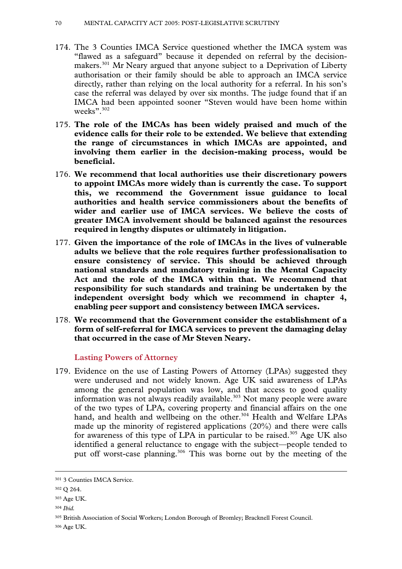- 174. The 3 Counties IMCA Service questioned whether the IMCA system was "flawed as a safeguard" because it depended on referral by the decisionmakers.301 Mr Neary argued that anyone subject to a Deprivation of Liberty authorisation or their family should be able to approach an IMCA service directly, rather than relying on the local authority for a referral. In his son's case the referral was delayed by over six months. The judge found that if an IMCA had been appointed sooner "Steven would have been home within weeks".<sup>302</sup>
- 175. **The role of the IMCAs has been widely praised and much of the evidence calls for their role to be extended. We believe that extending the range of circumstances in which IMCAs are appointed, and involving them earlier in the decision-making process, would be beneficial.**
- 176. **We recommend that local authorities use their discretionary powers to appoint IMCAs more widely than is currently the case. To support this, we recommend the Government issue guidance to local authorities and health service commissioners about the benefits of wider and earlier use of IMCA services. We believe the costs of greater IMCA involvement should be balanced against the resources required in lengthy disputes or ultimately in litigation.**
- 177. **Given the importance of the role of IMCAs in the lives of vulnerable adults we believe that the role requires further professionalisation to ensure consistency of service. This should be achieved through national standards and mandatory training in the Mental Capacity Act and the role of the IMCA within that. We recommend that responsibility for such standards and training be undertaken by the independent oversight body which we recommend in chapter 4, enabling peer support and consistency between IMCA services.**
- 178. **We recommend that the Government consider the establishment of a form of self-referral for IMCA services to prevent the damaging delay that occurred in the case of Mr Steven Neary.**

### **Lasting Powers of Attorney**

179. Evidence on the use of Lasting Powers of Attorney (LPAs) suggested they were underused and not widely known. Age UK said awareness of LPAs among the general population was low, and that access to good quality information was not always readily available.<sup>303</sup> Not many people were aware of the two types of LPA, covering property and financial affairs on the one hand, and health and wellbeing on the other.<sup>304</sup> Health and Welfare LPAs made up the minority of registered applications (20%) and there were calls for awareness of this type of LPA in particular to be raised.<sup>305</sup> Age UK also identified a general reluctance to engage with the subject—people tended to put off worst-case planning.<sup>306</sup> This was borne out by the meeting of the

 <sup>301 3</sup> Counties IMCA Service.

<sup>302</sup> Q 264.

<sup>303</sup> Age UK.

<sup>304</sup> *Ibid.*

<sup>305</sup> British Association of Social Workers; London Borough of Bromley; Bracknell Forest Council.

<sup>306</sup> Age UK.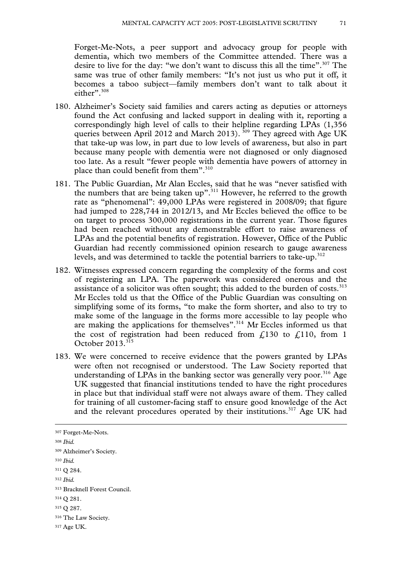Forget-Me-Nots, a peer support and advocacy group for people with dementia, which two members of the Committee attended. There was a desire to live for the day: "we don't want to discuss this all the time".<sup>307</sup> The same was true of other family members: "It's not just us who put it off, it becomes a taboo subject—family members don't want to talk about it either".<sup>308</sup>

- 180. Alzheimer's Society said families and carers acting as deputies or attorneys found the Act confusing and lacked support in dealing with it, reporting a correspondingly high level of calls to their helpline regarding LPAs (1,356 queries between April 2012 and March 2013). <sup>309</sup> They agreed with Age UK that take-up was low, in part due to low levels of awareness, but also in part because many people with dementia were not diagnosed or only diagnosed too late. As a result "fewer people with dementia have powers of attorney in place than could benefit from them".<sup>310</sup>
- 181. The Public Guardian, Mr Alan Eccles, said that he was "never satisfied with the numbers that are being taken up".<sup>311</sup> However, he referred to the growth rate as "phenomenal": 49,000 LPAs were registered in 2008/09; that figure had jumped to 228,744 in 2012/13, and Mr Eccles believed the office to be on target to process 300,000 registrations in the current year. Those figures had been reached without any demonstrable effort to raise awareness of LPAs and the potential benefits of registration. However, Office of the Public Guardian had recently commissioned opinion research to gauge awareness levels, and was determined to tackle the potential barriers to take-up.<sup>312</sup>
- 182. Witnesses expressed concern regarding the complexity of the forms and cost of registering an LPA. The paperwork was considered onerous and the assistance of a solicitor was often sought; this added to the burden of costs.<sup>313</sup> Mr Eccles told us that the Office of the Public Guardian was consulting on simplifying some of its forms, "to make the form shorter, and also to try to make some of the language in the forms more accessible to lay people who are making the applications for themselves".<sup>314</sup> Mr Eccles informed us that the cost of registration had been reduced from  $f<sub>130</sub>$  to  $f<sub>110</sub>$ , from 1 October 2013.<sup>315</sup>
- 183. We were concerned to receive evidence that the powers granted by LPAs were often not recognised or understood. The Law Society reported that understanding of LPAs in the banking sector was generally very poor.<sup>316</sup> Age UK suggested that financial institutions tended to have the right procedures in place but that individual staff were not always aware of them. They called for training of all customer-facing staff to ensure good knowledge of the Act and the relevant procedures operated by their institutions.317 Age UK had

 <sup>307</sup> Forget-Me-Nots.

<sup>308</sup> *Ibid.*

<sup>309</sup> Alzheimer's Society.

<sup>310</sup> *Ibid.*

<sup>311</sup> Q 284.

<sup>312</sup> *Ibid.*

<sup>313</sup> Bracknell Forest Council.

<sup>314</sup> Q 281.

<sup>315</sup> Q 287.

<sup>316</sup> The Law Society.

<sup>317</sup> Age UK.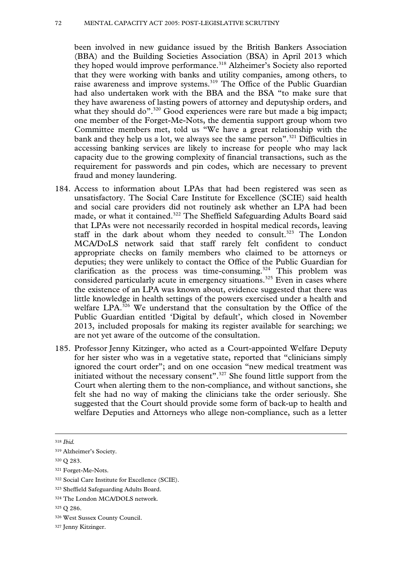#### 72 MENTAL CAPACITY ACT 2005: POST-LEGISLATIVE SCRUTINY

been involved in new guidance issued by the British Bankers Association (BBA) and the Building Societies Association (BSA) in April 2013 which they hoped would improve performance.<sup>318</sup> Alzheimer's Society also reported that they were working with banks and utility companies, among others, to raise awareness and improve systems.<sup>319</sup> The Office of the Public Guardian had also undertaken work with the BBA and the BSA "to make sure that they have awareness of lasting powers of attorney and deputyship orders, and what they should do".<sup>320</sup> Good experiences were rare but made a big impact; one member of the Forget-Me-Nots, the dementia support group whom two Committee members met, told us "We have a great relationship with the bank and they help us a lot, we always see the same person".<sup>321</sup> Difficulties in accessing banking services are likely to increase for people who may lack capacity due to the growing complexity of financial transactions, such as the requirement for passwords and pin codes, which are necessary to prevent fraud and money laundering.

- 184. Access to information about LPAs that had been registered was seen as unsatisfactory. The Social Care Institute for Excellence (SCIE) said health and social care providers did not routinely ask whether an LPA had been made, or what it contained.<sup>322</sup> The Sheffield Safeguarding Adults Board said that LPAs were not necessarily recorded in hospital medical records, leaving staff in the dark about whom they needed to consult.<sup>323</sup> The London MCA/DoLS network said that staff rarely felt confident to conduct appropriate checks on family members who claimed to be attorneys or deputies; they were unlikely to contact the Office of the Public Guardian for clarification as the process was time-consuming.<sup>324</sup> This problem was considered particularly acute in emergency situations.<sup>325</sup> Even in cases where the existence of an LPA was known about, evidence suggested that there was little knowledge in health settings of the powers exercised under a health and welfare LPA.<sup>326</sup> We understand that the consultation by the Office of the Public Guardian entitled 'Digital by default', which closed in November 2013, included proposals for making its register available for searching; we are not yet aware of the outcome of the consultation.
- 185. Professor Jenny Kitzinger, who acted as a Court-appointed Welfare Deputy for her sister who was in a vegetative state, reported that "clinicians simply ignored the court order"; and on one occasion "new medical treatment was initiated without the necessary consent".<sup>327</sup> She found little support from the Court when alerting them to the non-compliance, and without sanctions, she felt she had no way of making the clinicians take the order seriously. She suggested that the Court should provide some form of back-up to health and welfare Deputies and Attorneys who allege non-compliance, such as a letter

318 *Ibid.*

<sup>319</sup> Alzheimer's Society.

<sup>320</sup> Q 283.

<sup>321</sup> Forget-Me-Nots.

<sup>322</sup> Social Care Institute for Excellence (SCIE).

<sup>323</sup> Sheffield Safeguarding Adults Board.

<sup>324</sup> The London MCA/DOLS network.

<sup>325</sup> Q 286.

<sup>326</sup> West Sussex County Council.

<sup>327</sup> Jenny Kitzinger.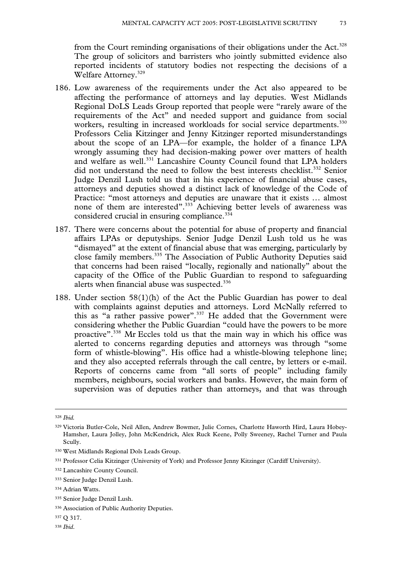from the Court reminding organisations of their obligations under the Act.<sup>328</sup> The group of solicitors and barristers who jointly submitted evidence also reported incidents of statutory bodies not respecting the decisions of a Welfare Attorney.<sup>329</sup>

- 186. Low awareness of the requirements under the Act also appeared to be affecting the performance of attorneys and lay deputies. West Midlands Regional DoLS Leads Group reported that people were "rarely aware of the requirements of the Act" and needed support and guidance from social workers, resulting in increased workloads for social service departments.<sup>330</sup> Professors Celia Kitzinger and Jenny Kitzinger reported misunderstandings about the scope of an LPA—for example, the holder of a finance LPA wrongly assuming they had decision-making power over matters of health and welfare as well.<sup>331</sup> Lancashire County Council found that LPA holders did not understand the need to follow the best interests checklist.<sup>332</sup> Senior Judge Denzil Lush told us that in his experience of financial abuse cases, attorneys and deputies showed a distinct lack of knowledge of the Code of Practice: "most attorneys and deputies are unaware that it exists … almost none of them are interested".<sup>333</sup> Achieving better levels of awareness was considered crucial in ensuring compliance.<sup>334</sup>
- 187. There were concerns about the potential for abuse of property and financial affairs LPAs or deputyships. Senior Judge Denzil Lush told us he was "dismayed" at the extent of financial abuse that was emerging, particularly by close family members.<sup>335</sup> The Association of Public Authority Deputies said that concerns had been raised "locally, regionally and nationally" about the capacity of the Office of the Public Guardian to respond to safeguarding alerts when financial abuse was suspected.<sup>336</sup>
- 188. Under section 58(1)(h) of the Act the Public Guardian has power to deal with complaints against deputies and attorneys. Lord McNally referred to this as "a rather passive power".<sup>337</sup> He added that the Government were considering whether the Public Guardian "could have the powers to be more proactive".338 Mr Eccles told us that the main way in which his office was alerted to concerns regarding deputies and attorneys was through "some form of whistle-blowing". His office had a whistle-blowing telephone line; and they also accepted referrals through the call centre, by letters or e-mail. Reports of concerns came from "all sorts of people" including family members, neighbours, social workers and banks. However, the main form of supervision was of deputies rather than attorneys, and that was through

- 336 Association of Public Authority Deputies.
- 337 Q 317.
- <sup>338</sup> *Ibid*.

 <sup>328</sup> *Ibid.*

<sup>329</sup> Victoria Butler-Cole, Neil Allen, Andrew Bowmer, Julie Cornes, Charlotte Haworth Hird, Laura Hobey-Hamsher, Laura Jolley, John McKendrick, Alex Ruck Keene, Polly Sweeney, Rachel Turner and Paula Scully.

<sup>330</sup> West Midlands Regional Dols Leads Group.

<sup>331</sup> Professor Celia Kitzinger (University of York) and Professor Jenny Kitzinger (Cardiff University).

<sup>332</sup> Lancashire County Council.

<sup>333</sup> Senior Judge Denzil Lush.

<sup>334</sup> Adrian Watts.

<sup>335</sup> Senior Judge Denzil Lush.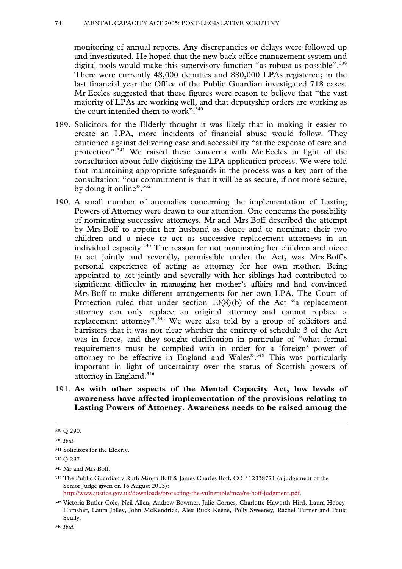monitoring of annual reports. Any discrepancies or delays were followed up and investigated. He hoped that the new back office management system and digital tools would make this supervisory function "as robust as possible".<sup>339</sup> There were currently 48,000 deputies and 880,000 LPAs registered; in the last financial year the Office of the Public Guardian investigated 718 cases. Mr Eccles suggested that those figures were reason to believe that "the vast majority of LPAs are working well, and that deputyship orders are working as the court intended them to work".<sup>340</sup>

- 189. Solicitors for the Elderly thought it was likely that in making it easier to create an LPA, more incidents of financial abuse would follow. They cautioned against delivering ease and accessibility "at the expense of care and protection".341 We raised these concerns with Mr Eccles in light of the consultation about fully digitising the LPA application process. We were told that maintaining appropriate safeguards in the process was a key part of the consultation: "our commitment is that it will be as secure, if not more secure, by doing it online". $342$
- 190. A small number of anomalies concerning the implementation of Lasting Powers of Attorney were drawn to our attention. One concerns the possibility of nominating successive attorneys. Mr and Mrs Boff described the attempt by Mrs Boff to appoint her husband as donee and to nominate their two children and a niece to act as successive replacement attorneys in an individual capacity.<sup> $343$ </sup> The reason for not nominating her children and niece to act jointly and severally, permissible under the Act, was Mrs Boff's personal experience of acting as attorney for her own mother. Being appointed to act jointly and severally with her siblings had contributed to significant difficulty in managing her mother's affairs and had convinced Mrs Boff to make different arrangements for her own LPA. The Court of Protection ruled that under section 10(8)(b) of the Act "a replacement attorney can only replace an original attorney and cannot replace a replacement attorney".<sup>344</sup> We were also told by a group of solicitors and barristers that it was not clear whether the entirety of schedule 3 of the Act was in force, and they sought clarification in particular of "what formal requirements must be complied with in order for a 'foreign' power of attorney to be effective in England and Wales".345 This was particularly important in light of uncertainty over the status of Scottish powers of attorney in England.<sup>346</sup>
- 191. **As with other aspects of the Mental Capacity Act, low levels of awareness have affected implementation of the provisions relating to Lasting Powers of Attorney. Awareness needs to be raised among the**

 <sup>339</sup> Q 290.

<sup>340</sup> *Ibid*.

<sup>341</sup> Solicitors for the Elderly.

<sup>342</sup> Q 287.

<sup>343</sup> Mr and Mrs Boff.

<sup>&</sup>lt;sup>344</sup> The Public Guardian v Ruth Minna Boff & James Charles Boff, COP 12338771 (a judgement of the Senior Judge given on 16 August 2013): http://www.justice.gov.uk/downloads/protecting-the-vulnerable/mca/re-boff-judgment.pdf.

<sup>345</sup> Victoria Butler-Cole, Neil Allen, Andrew Bowmer, Julie Cornes, Charlotte Haworth Hird, Laura Hobey-Hamsher, Laura Jolley, John McKendrick, Alex Ruck Keene, Polly Sweeney, Rachel Turner and Paula Scully.

<sup>346</sup> *Ibid.*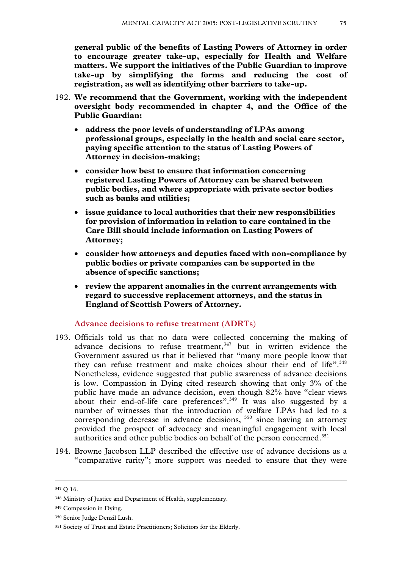**general public of the benefits of Lasting Powers of Attorney in order to encourage greater take-up, especially for Health and Welfare matters. We support the initiatives of the Public Guardian to improve take-up by simplifying the forms and reducing the cost of registration, as well as identifying other barriers to take-up.**

- 192. **We recommend that the Government, working with the independent oversight body recommended in chapter 4, and the Office of the Public Guardian:** 
	- **address the poor levels of understanding of LPAs among professional groups, especially in the health and social care sector, paying specific attention to the status of Lasting Powers of Attorney in decision-making;**
	- **consider how best to ensure that information concerning registered Lasting Powers of Attorney can be shared between public bodies, and where appropriate with private sector bodies such as banks and utilities;**
	- **issue guidance to local authorities that their new responsibilities for provision of information in relation to care contained in the Care Bill should include information on Lasting Powers of Attorney;**
	- **consider how attorneys and deputies faced with non-compliance by public bodies or private companies can be supported in the absence of specific sanctions;**
	- **review the apparent anomalies in the current arrangements with regard to successive replacement attorneys, and the status in England of Scottish Powers of Attorney.**

### **Advance decisions to refuse treatment (ADRTs)**

- 193. Officials told us that no data were collected concerning the making of advance decisions to refuse treatment, $347$  but in written evidence the Government assured us that it believed that "many more people know that they can refuse treatment and make choices about their end of life".<sup>348</sup> Nonetheless, evidence suggested that public awareness of advance decisions is low. Compassion in Dying cited research showing that only 3% of the public have made an advance decision, even though 82% have "clear views about their end-of-life care preferences".<sup>349</sup> It was also suggested by a number of witnesses that the introduction of welfare LPAs had led to a corresponding decrease in advance decisions, <sup>350</sup> since having an attorney provided the prospect of advocacy and meaningful engagement with local authorities and other public bodies on behalf of the person concerned.<sup>351</sup>
- 194. Browne Jacobson LLP described the effective use of advance decisions as a "comparative rarity"; more support was needed to ensure that they were

 <sup>347</sup> Q 16.

<sup>348</sup> Ministry of Justice and Department of Health, supplementary.

<sup>349</sup> Compassion in Dying.

<sup>350</sup> Senior Judge Denzil Lush.

<sup>&</sup>lt;sup>351</sup> Society of Trust and Estate Practitioners; Solicitors for the Elderly.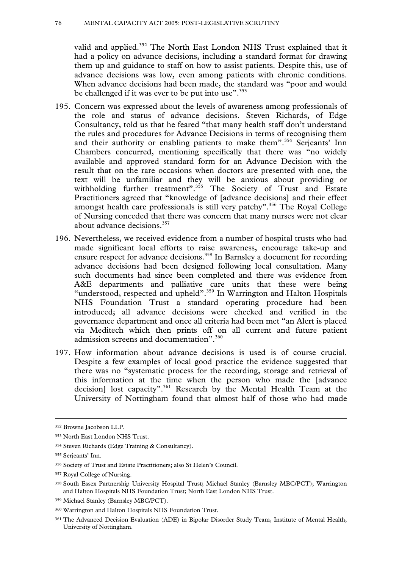#### 76 MENTAL CAPACITY ACT 2005: POST-LEGISLATIVE SCRUTINY

valid and applied.<sup>352</sup> The North East London NHS Trust explained that it had a policy on advance decisions, including a standard format for drawing them up and guidance to staff on how to assist patients. Despite this, use of advance decisions was low, even among patients with chronic conditions. When advance decisions had been made, the standard was "poor and would be challenged if it was ever to be put into use".<sup>353</sup>

- 195. Concern was expressed about the levels of awareness among professionals of the role and status of advance decisions. Steven Richards, of Edge Consultancy, told us that he feared "that many health staff don't understand the rules and procedures for Advance Decisions in terms of recognising them and their authority or enabling patients to make them".<sup>354</sup> Serjeants' Inn Chambers concurred, mentioning specifically that there was "no widely available and approved standard form for an Advance Decision with the result that on the rare occasions when doctors are presented with one, the text will be unfamiliar and they will be anxious about providing or withholding further treatment".<sup>355</sup> The Society of Trust and Estate Practitioners agreed that "knowledge of [advance decisions] and their effect amongst health care professionals is still very patchy".<sup>356</sup> The Royal College of Nursing conceded that there was concern that many nurses were not clear about advance decisions.<sup>357</sup>
- 196. Nevertheless, we received evidence from a number of hospital trusts who had made significant local efforts to raise awareness, encourage take-up and ensure respect for advance decisions.<sup>358</sup> In Barnsley a document for recording advance decisions had been designed following local consultation. Many such documents had since been completed and there was evidence from A&E departments and palliative care units that these were being "understood, respected and upheld".<sup>359</sup> In Warrington and Halton Hospitals NHS Foundation Trust a standard operating procedure had been introduced; all advance decisions were checked and verified in the governance department and once all criteria had been met "an Alert is placed via Meditech which then prints off on all current and future patient admission screens and documentation".<sup>360</sup>
- 197. How information about advance decisions is used is of course crucial. Despite a few examples of local good practice the evidence suggested that there was no "systematic process for the recording, storage and retrieval of this information at the time when the person who made the [advance decision] lost capacity".<sup>361</sup> Research by the Mental Health Team at the University of Nottingham found that almost half of those who had made

 <sup>352</sup> Browne Jacobson LLP.

<sup>353</sup> North East London NHS Trust.

<sup>354</sup> Steven Richards (Edge Training & Consultancy).

<sup>355</sup> Serjeants' Inn.

<sup>356</sup> Society of Trust and Estate Practitioners; also St Helen's Council.

<sup>357</sup> Royal College of Nursing.

<sup>358</sup> South Essex Partnership University Hospital Trust; Michael Stanley (Barnsley MBC/PCT); Warrington and Halton Hospitals NHS Foundation Trust; North East London NHS Trust.

<sup>359</sup> Michael Stanley (Barnsley MBC/PCT).

<sup>360</sup> Warrington and Halton Hospitals NHS Foundation Trust.

<sup>361</sup> The Advanced Decision Evaluation (ADE) in Bipolar Disorder Study Team, Institute of Mental Health, University of Nottingham.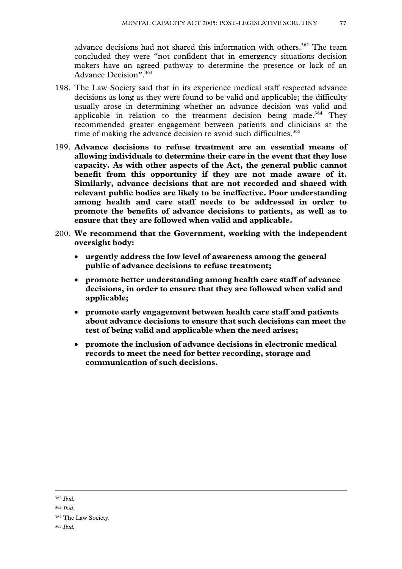advance decisions had not shared this information with others.<sup>362</sup> The team concluded they were "not confident that in emergency situations decision makers have an agreed pathway to determine the presence or lack of an Advance Decision". 363

- 198. The Law Society said that in its experience medical staff respected advance decisions as long as they were found to be valid and applicable; the difficulty usually arose in determining whether an advance decision was valid and applicable in relation to the treatment decision being made.<sup>364</sup> They recommended greater engagement between patients and clinicians at the time of making the advance decision to avoid such difficulties.<sup>365</sup>
- 199. **Advance decisions to refuse treatment are an essential means of allowing individuals to determine their care in the event that they lose capacity. As with other aspects of the Act, the general public cannot benefit from this opportunity if they are not made aware of it. Similarly, advance decisions that are not recorded and shared with relevant public bodies are likely to be ineffective. Poor understanding among health and care staff needs to be addressed in order to promote the benefits of advance decisions to patients, as well as to ensure that they are followed when valid and applicable.**
- 200. **We recommend that the Government, working with the independent oversight body:** 
	- **urgently address the low level of awareness among the general public of advance decisions to refuse treatment;**
	- **promote better understanding among health care staff of advance decisions, in order to ensure that they are followed when valid and applicable;**
	- **promote early engagement between health care staff and patients about advance decisions to ensure that such decisions can meet the test of being valid and applicable when the need arises;**
	- **promote the inclusion of advance decisions in electronic medical records to meet the need for better recording, storage and communication of such decisions.**

 <sup>362</sup> *Ibid.*

<sup>363</sup> *Ibid.*

<sup>364</sup> The Law Society.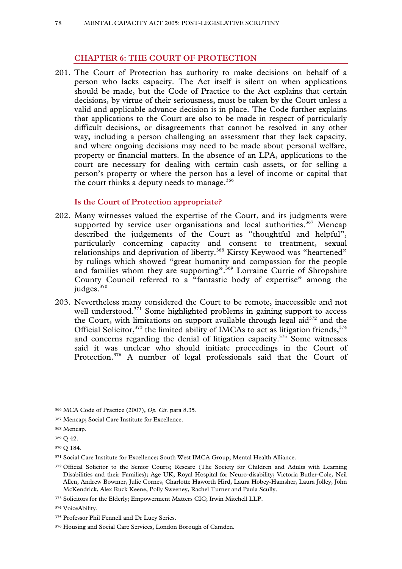### **CHAPTER 6: THE COURT OF PROTECTION**

201. The Court of Protection has authority to make decisions on behalf of a person who lacks capacity. The Act itself is silent on when applications should be made, but the Code of Practice to the Act explains that certain decisions, by virtue of their seriousness, must be taken by the Court unless a valid and applicable advance decision is in place. The Code further explains that applications to the Court are also to be made in respect of particularly difficult decisions, or disagreements that cannot be resolved in any other way, including a person challenging an assessment that they lack capacity, and where ongoing decisions may need to be made about personal welfare, property or financial matters. In the absence of an LPA, applications to the court are necessary for dealing with certain cash assets, or for selling a person's property or where the person has a level of income or capital that the court thinks a deputy needs to manage. $366$ 

#### **Is the Court of Protection appropriate?**

- 202. Many witnesses valued the expertise of the Court, and its judgments were supported by service user organisations and local authorities.<sup>367</sup> Mencap described the judgements of the Court as "thoughtful and helpful", particularly concerning capacity and consent to treatment, sexual relationships and deprivation of liberty.<sup>368</sup> Kirsty Keywood was "heartened" by rulings which showed "great humanity and compassion for the people and families whom they are supporting".<sup>369</sup> Lorraine Currie of Shropshire County Council referred to a "fantastic body of expertise" among the judges.<sup>370</sup>
- 203. Nevertheless many considered the Court to be remote, inaccessible and not well understood.<sup>371</sup> Some highlighted problems in gaining support to access the Court, with limitations on support available through legal aid $372$  and the Official Solicitor,<sup>373</sup> the limited ability of IMCAs to act as litigation friends,<sup>374</sup> and concerns regarding the denial of litigation capacity.<sup>375</sup> Some witnesses said it was unclear who should initiate proceedings in the Court of Protection.<sup>376</sup> A number of legal professionals said that the Court of

 <sup>366</sup> MCA Code of Practice (2007), *Op. Cit.* para 8.35.

<sup>367</sup> Mencap; Social Care Institute for Excellence.

<sup>368</sup> Mencap.

<sup>369</sup> Q 42.

<sup>370</sup> Q 184.

<sup>371</sup> Social Care Institute for Excellence; South West IMCA Group; Mental Health Alliance.

<sup>372</sup> Official Solicitor to the Senior Courts; Rescare (The Society for Children and Adults with Learning Disabilities and their Families); Age UK; Royal Hospital for Neuro-disability; Victoria Butler-Cole, Neil Allen, Andrew Bowmer, Julie Cornes, Charlotte Haworth Hird, Laura Hobey-Hamsher, Laura Jolley, John McKendrick, Alex Ruck Keene, Polly Sweeney, Rachel Turner and Paula Scully.

<sup>373</sup> Solicitors for the Elderly; Empowerment Matters CIC; Irwin Mitchell LLP.

<sup>374</sup> VoiceAbility.

<sup>375</sup> Professor Phil Fennell and Dr Lucy Series.

<sup>376</sup> Housing and Social Care Services, London Borough of Camden.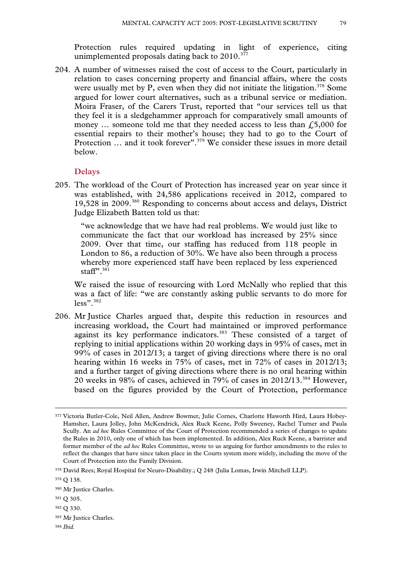Protection rules required updating in light of experience, citing unimplemented proposals dating back to  $2010^{377}$ 

204. A number of witnesses raised the cost of access to the Court, particularly in relation to cases concerning property and financial affairs, where the costs were usually met by P, even when they did not initiate the litigation.<sup>378</sup> Some argued for lower court alternatives, such as a tribunal service or mediation. Moira Fraser, of the Carers Trust, reported that "our services tell us that they feel it is a sledgehammer approach for comparatively small amounts of money ... someone told me that they needed access to less than  $\ell$ , 5,000 for essential repairs to their mother's house; they had to go to the Court of Protection ... and it took forever".<sup>379</sup> We consider these issues in more detail below.

### **Delays**

205. The workload of the Court of Protection has increased year on year since it was established, with 24,586 applications received in 2012, compared to 19,528 in 2009.380 Responding to concerns about access and delays, District Judge Elizabeth Batten told us that:

"we acknowledge that we have had real problems. We would just like to communicate the fact that our workload has increased by 25% since 2009. Over that time, our staffing has reduced from 118 people in London to 86, a reduction of 30%. We have also been through a process whereby more experienced staff have been replaced by less experienced staff" $381$ 

We raised the issue of resourcing with Lord McNally who replied that this was a fact of life: "we are constantly asking public servants to do more for less".<sup>382</sup>

206. Mr Justice Charles argued that, despite this reduction in resources and increasing workload, the Court had maintained or improved performance against its key performance indicators.<sup>383</sup> These consisted of a target of replying to initial applications within 20 working days in 95% of cases, met in 99% of cases in 2012/13; a target of giving directions where there is no oral hearing within 16 weeks in 75% of cases, met in 72% of cases in 2012/13; and a further target of giving directions where there is no oral hearing within 20 weeks in 98% of cases, achieved in 79% of cases in 2012/13.384 However, based on the figures provided by the Court of Protection, performance

382 Q 330.

 <sup>377</sup> Victoria Butler-Cole, Neil Allen, Andrew Bowmer, Julie Cornes, Charlotte Haworth Hird, Laura Hobey-Hamsher, Laura Jolley, John McKendrick, Alex Ruck Keene, Polly Sweeney, Rachel Turner and Paula Scully. An *ad hoc* Rules Committee of the Court of Protection recommended a series of changes to update the Rules in 2010, only one of which has been implemented. In addition, Alex Ruck Keene, a barrister and former member of the *ad hoc* Rules Committee, wrote to us arguing for further amendments to the rules to reflect the changes that have since taken place in the Courts system more widely, including the move of the Court of Protection into the Family Division.

<sup>378</sup> David Rees; Royal Hospital for Neuro-Disability.; Q 248 (Julia Lomas, Irwin Mitchell LLP).

<sup>379</sup> Q 138.

<sup>380</sup> Mr Justice Charles.

<sup>381</sup> Q 305.

<sup>383</sup> Mr Justice Charles.

<sup>384</sup> *Ibid.*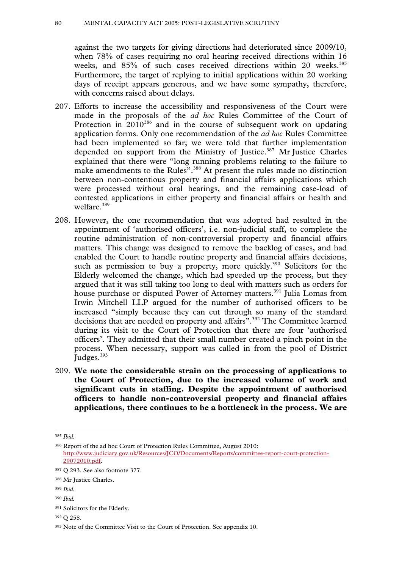against the two targets for giving directions had deteriorated since 2009/10, when 78% of cases requiring no oral hearing received directions within 16 weeks, and 85% of such cases received directions within 20 weeks.<sup>385</sup> Furthermore, the target of replying to initial applications within 20 working days of receipt appears generous, and we have some sympathy, therefore, with concerns raised about delays.

- 207. Efforts to increase the accessibility and responsiveness of the Court were made in the proposals of the *ad hoc* Rules Committee of the Court of Protection in  $2010^{386}$  and in the course of subsequent work on updating application forms. Only one recommendation of the *ad hoc* Rules Committee had been implemented so far; we were told that further implementation depended on support from the Ministry of Justice.<sup>387</sup> Mr Justice Charles explained that there were "long running problems relating to the failure to make amendments to the Rules".<sup>388</sup> At present the rules made no distinction between non-contentious property and financial affairs applications which were processed without oral hearings, and the remaining case-load of contested applications in either property and financial affairs or health and welfare.<sup>389</sup>
- 208. However, the one recommendation that was adopted had resulted in the appointment of 'authorised officers', i.e. non-judicial staff, to complete the routine administration of non-controversial property and financial affairs matters. This change was designed to remove the backlog of cases, and had enabled the Court to handle routine property and financial affairs decisions, such as permission to buy a property, more quickly.<sup>390</sup> Solicitors for the Elderly welcomed the change, which had speeded up the process, but they argued that it was still taking too long to deal with matters such as orders for house purchase or disputed Power of Attorney matters.<sup>391</sup> Julia Lomas from Irwin Mitchell LLP argued for the number of authorised officers to be increased "simply because they can cut through so many of the standard decisions that are needed on property and affairs".<sup>392</sup> The Committee learned during its visit to the Court of Protection that there are four 'authorised officers'. They admitted that their small number created a pinch point in the process. When necessary, support was called in from the pool of District Judges. $393$
- 209. **We note the considerable strain on the processing of applications to the Court of Protection, due to the increased volume of work and significant cuts in staffing. Despite the appointment of authorised officers to handle non-controversial property and financial affairs applications, there continues to be a bottleneck in the process. We are**

 <sup>385</sup> *Ibid.*

<sup>386</sup> Report of the ad hoc Court of Protection Rules Committee, August 2010: http://www.judiciary.gov.uk/Resources/JCO/Documents/Reports/committee-report-court-protection-29072010.pdf.

<sup>387</sup> Q 293. See also footnote 377.

<sup>388</sup> Mr Justice Charles.

<sup>389</sup> *Ibid.*

<sup>390</sup> *Ibid.*

<sup>391</sup> Solicitors for the Elderly.

<sup>392</sup> Q 258.

<sup>393</sup> Note of the Committee Visit to the Court of Protection. See appendix 10.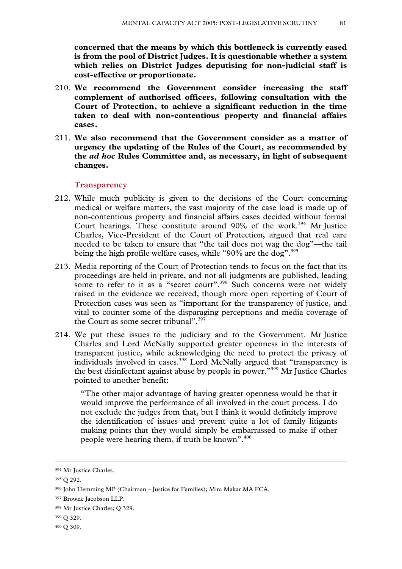**concerned that the means by which this bottleneck is currently eased is from the pool of District Judges. It is questionable whether a system which relies on District Judges deputising for non-judicial staff is cost-effective or proportionate.** 

- 210. **We recommend the Government consider increasing the staff complement of authorised officers, following consultation with the Court of Protection, to achieve a significant reduction in the time taken to deal with non-contentious property and financial affairs cases.**
- 211. **We also recommend that the Government consider as a matter of urgency the updating of the Rules of the Court, as recommended by the** *ad hoc* **Rules Committee and, as necessary, in light of subsequent changes.**

### **Transparency**

- 212. While much publicity is given to the decisions of the Court concerning medical or welfare matters, the vast majority of the case load is made up of non-contentious property and financial affairs cases decided without formal Court hearings. These constitute around 90% of the work.<sup>394</sup> Mr Justice Charles, Vice-President of the Court of Protection, argued that real care needed to be taken to ensure that "the tail does not wag the dog"—the tail being the high profile welfare cases, while "90% are the dog".<sup>395</sup>
- 213. Media reporting of the Court of Protection tends to focus on the fact that its proceedings are held in private, and not all judgments are published, leading some to refer to it as a "secret court".<sup>396</sup> Such concerns were not widely raised in the evidence we received, though more open reporting of Court of Protection cases was seen as "important for the transparency of justice, and vital to counter some of the disparaging perceptions and media coverage of the Court as some secret tribunal".<sup>397</sup>
- 214. We put these issues to the judiciary and to the Government. Mr Justice Charles and Lord McNally supported greater openness in the interests of transparent justice, while acknowledging the need to protect the privacy of individuals involved in cases.<sup>398</sup> Lord McNally argued that "transparency is the best disinfectant against abuse by people in power."399 Mr Justice Charles pointed to another benefit:

"The other major advantage of having greater openness would be that it would improve the performance of all involved in the court process. I do not exclude the judges from that, but I think it would definitely improve the identification of issues and prevent quite a lot of family litigants making points that they would simply be embarrassed to make if other people were hearing them, if truth be known".<sup>400</sup>

 <sup>394</sup> Mr Justice Charles.

<sup>395</sup> Q 292.

<sup>396</sup> John Hemming MP (Chairman – Justice for Families); Mira Makar MA FCA.

<sup>&</sup>lt;sup>397</sup> Browne Jacobson LLP.

<sup>398</sup> Mr Justice Charles; Q 329.

<sup>399</sup> Q 329.

<sup>400</sup> Q 309.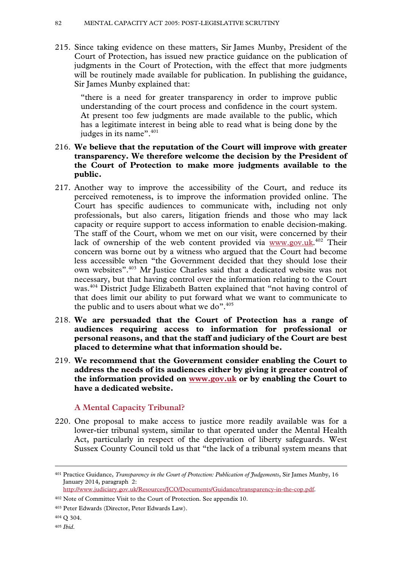215. Since taking evidence on these matters, Sir James Munby, President of the Court of Protection, has issued new practice guidance on the publication of judgments in the Court of Protection, with the effect that more judgments will be routinely made available for publication. In publishing the guidance, Sir James Munby explained that:

"there is a need for greater transparency in order to improve public understanding of the court process and confidence in the court system. At present too few judgments are made available to the public, which has a legitimate interest in being able to read what is being done by the judges in its name".<sup>401</sup>

- 216. **We believe that the reputation of the Court will improve with greater transparency. We therefore welcome the decision by the President of the Court of Protection to make more judgments available to the public.**
- 217. Another way to improve the accessibility of the Court, and reduce its perceived remoteness, is to improve the information provided online. The Court has specific audiences to communicate with, including not only professionals, but also carers, litigation friends and those who may lack capacity or require support to access information to enable decision-making. The staff of the Court, whom we met on our visit, were concerned by their lack of ownership of the web content provided via www.gov.uk.<sup>402</sup> Their concern was borne out by a witness who argued that the Court had become less accessible when "the Government decided that they should lose their own websites".403 Mr Justice Charles said that a dedicated website was not necessary, but that having control over the information relating to the Court was.<sup>404</sup> District Judge Elizabeth Batten explained that "not having control of that does limit our ability to put forward what we want to communicate to the public and to users about what we do". $405$
- 218. **We are persuaded that the Court of Protection has a range of audiences requiring access to information for professional or personal reasons, and that the staff and judiciary of the Court are best placed to determine what that information should be.**
- 219. **We recommend that the Government consider enabling the Court to address the needs of its audiences either by giving it greater control of the information provided on www.gov.uk or by enabling the Court to have a dedicated website.**

### **A Mental Capacity Tribunal?**

220. One proposal to make access to justice more readily available was for a lower-tier tribunal system, similar to that operated under the Mental Health Act, particularly in respect of the deprivation of liberty safeguards. West Sussex County Council told us that "the lack of a tribunal system means that

 <sup>401</sup> Practice Guidance, *Transparency in the Court of Protection: Publication of Judgements*, Sir James Munby, 16 January 2014, paragraph 2:

http://www.judiciary.gov.uk/Resources/JCO/Documents/Guidance/transparency-in-the-cop.pdf.

<sup>402</sup> Note of Committee Visit to the Court of Protection. See appendix 10.

<sup>403</sup> Peter Edwards (Director, Peter Edwards Law).

<sup>404</sup> Q 304.

<sup>405</sup> *Ibid*.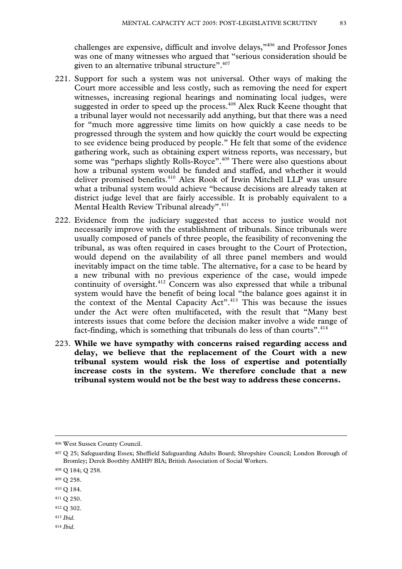challenges are expensive, difficult and involve delays,"406 and Professor Jones was one of many witnesses who argued that "serious consideration should be given to an alternative tribunal structure".<sup>407</sup>

- 221. Support for such a system was not universal. Other ways of making the Court more accessible and less costly, such as removing the need for expert witnesses, increasing regional hearings and nominating local judges, were suggested in order to speed up the process.<sup>408</sup> Alex Ruck Keene thought that a tribunal layer would not necessarily add anything, but that there was a need for "much more aggressive time limits on how quickly a case needs to be progressed through the system and how quickly the court would be expecting to see evidence being produced by people." He felt that some of the evidence gathering work, such as obtaining expert witness reports, was necessary, but some was "perhaps slightly Rolls-Royce".<sup>409</sup> There were also questions about how a tribunal system would be funded and staffed, and whether it would deliver promised benefits.410 Alex Rook of Irwin Mitchell LLP was unsure what a tribunal system would achieve "because decisions are already taken at district judge level that are fairly accessible. It is probably equivalent to a Mental Health Review Tribunal already".<sup>411</sup>
- 222. Evidence from the judiciary suggested that access to justice would not necessarily improve with the establishment of tribunals. Since tribunals were usually composed of panels of three people, the feasibility of reconvening the tribunal, as was often required in cases brought to the Court of Protection, would depend on the availability of all three panel members and would inevitably impact on the time table. The alternative, for a case to be heard by a new tribunal with no previous experience of the case, would impede continuity of oversight.<sup>412</sup> Concern was also expressed that while a tribunal system would have the benefit of being local "the balance goes against it in the context of the Mental Capacity Act".<sup>413</sup> This was because the issues under the Act were often multifaceted, with the result that "Many best interests issues that come before the decision maker involve a wide range of fact-finding, which is something that tribunals do less of than courts".<sup>414</sup>
- 223. **While we have sympathy with concerns raised regarding access and delay, we believe that the replacement of the Court with a new tribunal system would risk the loss of expertise and potentially increase costs in the system. We therefore conclude that a new tribunal system would not be the best way to address these concerns.**

- 410 Q 184.
- 411 Q 250.
- 412 Q 302.
- <sup>413</sup> *Ibid*.
- <sup>414</sup> *Ibid*.

 <sup>406</sup> West Sussex County Council.

<sup>407</sup> Q 25; Safeguarding Essex; Sheffield Safeguarding Adults Board; Shropshire Council; London Borough of Bromley; Derek Boothby AMHP/ BIA; British Association of Social Workers.

<sup>408</sup> Q 184; Q 258.

<sup>409</sup> Q 258.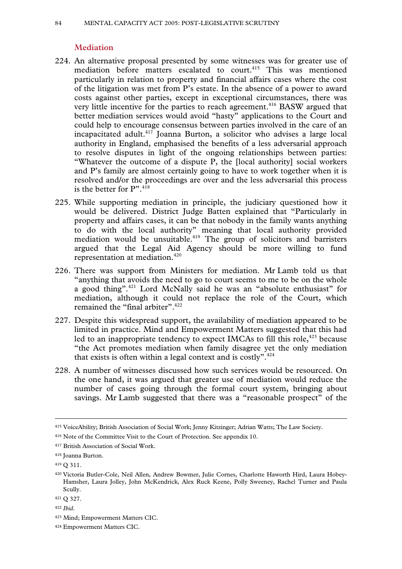# **Mediation**

- 224. An alternative proposal presented by some witnesses was for greater use of mediation before matters escalated to court.<sup>415</sup> This was mentioned particularly in relation to property and financial affairs cases where the cost of the litigation was met from P's estate. In the absence of a power to award costs against other parties, except in exceptional circumstances, there was very little incentive for the parties to reach agreement.<sup>416</sup> BASW argued that better mediation services would avoid "hasty" applications to the Court and could help to encourage consensus between parties involved in the care of an incapacitated adult.417 Joanna Burton, a solicitor who advises a large local authority in England, emphasised the benefits of a less adversarial approach to resolve disputes in light of the ongoing relationships between parties: "Whatever the outcome of a dispute P, the [local authority] social workers and P's family are almost certainly going to have to work together when it is resolved and/or the proceedings are over and the less adversarial this process is the better for  $P^{v, 418}$
- 225. While supporting mediation in principle, the judiciary questioned how it would be delivered. District Judge Batten explained that "Particularly in property and affairs cases, it can be that nobody in the family wants anything to do with the local authority" meaning that local authority provided mediation would be unsuitable.<sup>419</sup> The group of solicitors and barristers argued that the Legal Aid Agency should be more willing to fund representation at mediation.<sup>420</sup>
- 226. There was support from Ministers for mediation. Mr Lamb told us that "anything that avoids the need to go to court seems to me to be on the whole a good thing".421 Lord McNally said he was an "absolute enthusiast" for mediation, although it could not replace the role of the Court, which remained the "final arbiter".<sup>422</sup>
- 227. Despite this widespread support, the availability of mediation appeared to be limited in practice. Mind and Empowerment Matters suggested that this had led to an inappropriate tendency to expect IMCAs to fill this role,  $423$  because "the Act promotes mediation when family disagree yet the only mediation that exists is often within a legal context and is  $costlv<sup>9,424</sup>$
- 228. A number of witnesses discussed how such services would be resourced. On the one hand, it was argued that greater use of mediation would reduce the number of cases going through the formal court system, bringing about savings. Mr Lamb suggested that there was a "reasonable prospect" of the

 <sup>415</sup> VoiceAbility; British Association of Social Work; Jenny Kitzinger; Adrian Watts; The Law Society.

<sup>416</sup> Note of the Committee Visit to the Court of Protection. See appendix 10.

<sup>417</sup> British Association of Social Work.

<sup>418</sup> Joanna Burton.

<sup>419</sup> Q 311.

<sup>420</sup> Victoria Butler-Cole, Neil Allen, Andrew Bowmer, Julie Cornes, Charlotte Haworth Hird, Laura Hobey-Hamsher, Laura Jolley, John McKendrick, Alex Ruck Keene, Polly Sweeney, Rachel Turner and Paula Scully.

<sup>421</sup> Q 327.

<sup>422</sup> *Ibid*.

<sup>423</sup> Mind; Empowerment Matters CIC.

<sup>424</sup> Empowerment Matters CIC.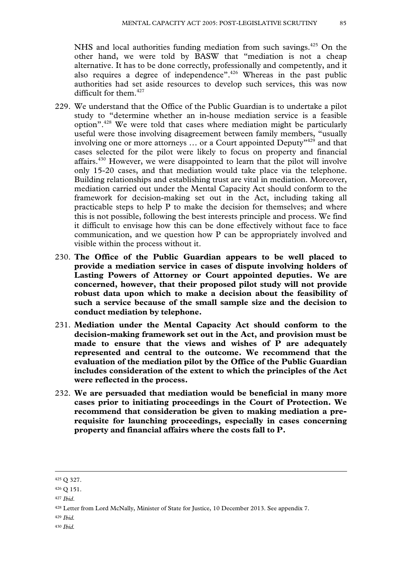NHS and local authorities funding mediation from such savings.<sup>425</sup> On the other hand, we were told by BASW that "mediation is not a cheap alternative. It has to be done correctly, professionally and competently, and it also requires a degree of independence".<sup>426</sup> Whereas in the past public authorities had set aside resources to develop such services, this was now difficult for them.<sup>427</sup>

- 229. We understand that the Office of the Public Guardian is to undertake a pilot study to "determine whether an in-house mediation service is a feasible option".428 We were told that cases where mediation might be particularly useful were those involving disagreement between family members, "usually involving one or more attorneys ... or a Court appointed Deputy<sup>"429</sup> and that cases selected for the pilot were likely to focus on property and financial affairs.430 However, we were disappointed to learn that the pilot will involve only 15-20 cases, and that mediation would take place via the telephone. Building relationships and establishing trust are vital in mediation. Moreover, mediation carried out under the Mental Capacity Act should conform to the framework for decision-making set out in the Act, including taking all practicable steps to help P to make the decision for themselves; and where this is not possible, following the best interests principle and process. We find it difficult to envisage how this can be done effectively without face to face communication, and we question how P can be appropriately involved and visible within the process without it.
- 230. **The Office of the Public Guardian appears to be well placed to provide a mediation service in cases of dispute involving holders of Lasting Powers of Attorney or Court appointed deputies. We are concerned, however, that their proposed pilot study will not provide robust data upon which to make a decision about the feasibility of such a service because of the small sample size and the decision to conduct mediation by telephone.**
- 231. **Mediation under the Mental Capacity Act should conform to the decision-making framework set out in the Act, and provision must be made to ensure that the views and wishes of P are adequately represented and central to the outcome. We recommend that the evaluation of the mediation pilot by the Office of the Public Guardian includes consideration of the extent to which the principles of the Act were reflected in the process.**
- 232. **We are persuaded that mediation would be beneficial in many more cases prior to initiating proceedings in the Court of Protection. We recommend that consideration be given to making mediation a prerequisite for launching proceedings, especially in cases concerning property and financial affairs where the costs fall to P.**

- <sup>429</sup> *Ibid.*
- <sup>430</sup> *Ibid.*

 <sup>425</sup> Q 327.

<sup>426</sup> Q 151.

<sup>427</sup> *Ibid*.

<sup>428</sup> Letter from Lord McNally, Minister of State for Justice, 10 December 2013. See appendix 7.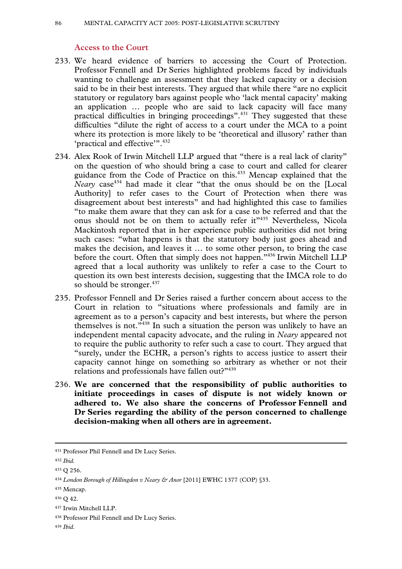# **Access to the Court**

- 233. We heard evidence of barriers to accessing the Court of Protection. Professor Fennell and Dr Series highlighted problems faced by individuals wanting to challenge an assessment that they lacked capacity or a decision said to be in their best interests. They argued that while there "are no explicit statutory or regulatory bars against people who 'lack mental capacity' making an application … people who are said to lack capacity will face many practical difficulties in bringing proceedings".431 They suggested that these difficulties "dilute the right of access to a court under the MCA to a point where its protection is more likely to be 'theoretical and illusory' rather than 'practical and effective'".<sup>432</sup>
- 234. Alex Rook of Irwin Mitchell LLP argued that "there is a real lack of clarity" on the question of who should bring a case to court and called for clearer guidance from the Code of Practice on this.433 Mencap explained that the *Neary* case<sup>434</sup> had made it clear "that the onus should be on the [Local Authority] to refer cases to the Court of Protection when there was disagreement about best interests" and had highlighted this case to families "to make them aware that they can ask for a case to be referred and that the onus should not be on them to actually refer it"<sup>435</sup> Nevertheless, Nicola Mackintosh reported that in her experience public authorities did not bring such cases: "what happens is that the statutory body just goes ahead and makes the decision, and leaves it … to some other person, to bring the case before the court. Often that simply does not happen."436 Irwin Mitchell LLP agreed that a local authority was unlikely to refer a case to the Court to question its own best interests decision, suggesting that the IMCA role to do so should be stronger.<sup>437</sup>
- 235. Professor Fennell and Dr Series raised a further concern about access to the Court in relation to "situations where professionals and family are in agreement as to a person's capacity and best interests, but where the person themselves is not."438 In such a situation the person was unlikely to have an independent mental capacity advocate, and the ruling in *Neary* appeared not to require the public authority to refer such a case to court. They argued that "surely, under the ECHR, a person's rights to access justice to assert their capacity cannot hinge on something so arbitrary as whether or not their relations and professionals have fallen out?"439
- 236. **We are concerned that the responsibility of public authorities to initiate proceedings in cases of dispute is not widely known or adhered to. We also share the concerns of Professor Fennell and Dr Series regarding the ability of the person concerned to challenge decision-making when all others are in agreement.**

 <sup>431</sup> Professor Phil Fennell and Dr Lucy Series.

<sup>432</sup> *Ibid.*

<sup>433</sup> Q 256.

<sup>434</sup> *London Borough of Hillingdon v Neary & Anor* [2011] EWHC 1377 (COP) §33.

<sup>435</sup> Mencap.

<sup>436</sup> Q 42.

<sup>437</sup> Irwin Mitchell LLP.

<sup>438</sup> Professor Phil Fennell and Dr Lucy Series.

<sup>439</sup> *Ibid.*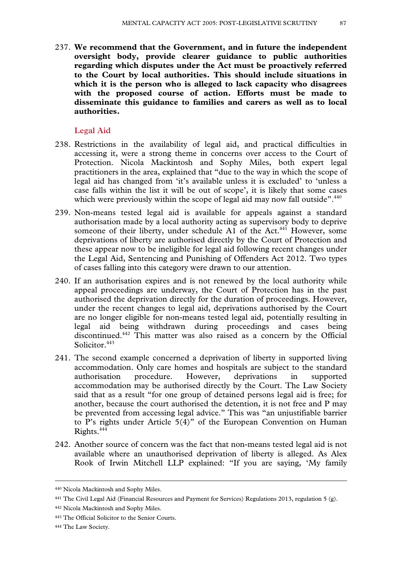237. **We recommend that the Government, and in future the independent oversight body, provide clearer guidance to public authorities regarding which disputes under the Act must be proactively referred to the Court by local authorities. This should include situations in which it is the person who is alleged to lack capacity who disagrees with the proposed course of action. Efforts must be made to disseminate this guidance to families and carers as well as to local authorities.** 

# **Legal Aid**

- 238. Restrictions in the availability of legal aid, and practical difficulties in accessing it, were a strong theme in concerns over access to the Court of Protection. Nicola Mackintosh and Sophy Miles, both expert legal practitioners in the area, explained that "due to the way in which the scope of legal aid has changed from 'it's available unless it is excluded' to 'unless a case falls within the list it will be out of scope', it is likely that some cases which were previously within the scope of legal aid may now fall outside".<sup>440</sup>
- 239. Non-means tested legal aid is available for appeals against a standard authorisation made by a local authority acting as supervisory body to deprive someone of their liberty, under schedule A1 of the Act.<sup>441</sup> However, some deprivations of liberty are authorised directly by the Court of Protection and these appear now to be ineligible for legal aid following recent changes under the Legal Aid, Sentencing and Punishing of Offenders Act 2012. Two types of cases falling into this category were drawn to our attention.
- 240. If an authorisation expires and is not renewed by the local authority while appeal proceedings are underway, the Court of Protection has in the past authorised the deprivation directly for the duration of proceedings. However, under the recent changes to legal aid, deprivations authorised by the Court are no longer eligible for non-means tested legal aid, potentially resulting in legal aid being withdrawn during proceedings and cases being discontinued.442 This matter was also raised as a concern by the Official Solicitor<sup>443</sup>
- 241. The second example concerned a deprivation of liberty in supported living accommodation. Only care homes and hospitals are subject to the standard authorisation procedure. However, deprivations in supported accommodation may be authorised directly by the Court. The Law Society said that as a result "for one group of detained persons legal aid is free; for another, because the court authorised the detention, it is not free and P may be prevented from accessing legal advice." This was "an unjustifiable barrier to P's rights under Article 5(4)" of the European Convention on Human Rights.444
- 242. Another source of concern was the fact that non-means tested legal aid is not available where an unauthorised deprivation of liberty is alleged. As Alex Rook of Irwin Mitchell LLP explained: "If you are saying, 'My family

 <sup>440</sup> Nicola Mackintosh and Sophy Miles.

<sup>&</sup>lt;sup>441</sup> The Civil Legal Aid (Financial Resources and Payment for Services) Regulations 2013, regulation 5 (g).

<sup>442</sup> Nicola Mackintosh and Sophy Miles.

<sup>443</sup> The Official Solicitor to the Senior Courts.

<sup>444</sup> The Law Society.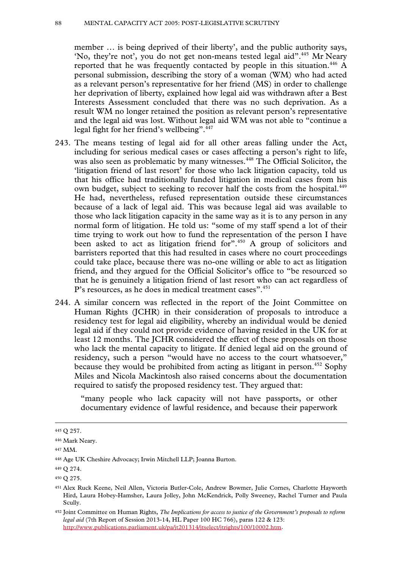#### 88 MENTAL CAPACITY ACT 2005: POST-LEGISLATIVE SCRUTINY

member ... is being deprived of their liberty', and the public authority says, 'No, they're not', you do not get non-means tested legal aid".<sup>445</sup> Mr Neary reported that he was frequently contacted by people in this situation.<sup>446</sup> A personal submission, describing the story of a woman (WM) who had acted as a relevant person's representative for her friend (MS) in order to challenge her deprivation of liberty, explained how legal aid was withdrawn after a Best Interests Assessment concluded that there was no such deprivation. As a result WM no longer retained the position as relevant person's representative and the legal aid was lost. Without legal aid WM was not able to "continue a legal fight for her friend's wellbeing".447

- 243. The means testing of legal aid for all other areas falling under the Act, including for serious medical cases or cases affecting a person's right to life, was also seen as problematic by many witnesses.<sup>448</sup> The Official Solicitor, the 'litigation friend of last resort' for those who lack litigation capacity, told us that his office had traditionally funded litigation in medical cases from his own budget, subject to seeking to recover half the costs from the hospital.<sup>449</sup> He had, nevertheless, refused representation outside these circumstances because of a lack of legal aid. This was because legal aid was available to those who lack litigation capacity in the same way as it is to any person in any normal form of litigation. He told us: "some of my staff spend a lot of their time trying to work out how to fund the representation of the person I have been asked to act as litigation friend for".<sup>450</sup> A group of solicitors and barristers reported that this had resulted in cases where no court proceedings could take place, because there was no-one willing or able to act as litigation friend, and they argued for the Official Solicitor's office to "be resourced so that he is genuinely a litigation friend of last resort who can act regardless of P's resources, as he does in medical treatment cases".<sup>451</sup>
- 244. A similar concern was reflected in the report of the Joint Committee on Human Rights (JCHR) in their consideration of proposals to introduce a residency test for legal aid eligibility, whereby an individual would be denied legal aid if they could not provide evidence of having resided in the UK for at least 12 months. The JCHR considered the effect of these proposals on those who lack the mental capacity to litigate. If denied legal aid on the ground of residency, such a person "would have no access to the court whatsoever," because they would be prohibited from acting as litigant in person.<sup>452</sup> Sophy Miles and Nicola Mackintosh also raised concerns about the documentation required to satisfy the proposed residency test. They argued that:

"many people who lack capacity will not have passports, or other documentary evidence of lawful residence, and because their paperwork

 <sup>445</sup> Q 257.

<sup>446</sup> Mark Neary.

<sup>447</sup> MM.

<sup>448</sup> Age UK Cheshire Advocacy; Irwin Mitchell LLP; Joanna Burton.

<sup>449</sup> Q 274.

<sup>450</sup> Q 275.

<sup>451</sup> Alex Ruck Keene, Neil Allen, Victoria Butler-Cole, Andrew Bowmer, Julie Cornes, Charlotte Hayworth Hird, Laura Hobey-Hamsher, Laura Jolley, John McKendrick, Polly Sweeney, Rachel Turner and Paula Scully.

<sup>452</sup> Joint Committee on Human Rights, *The Implications for access to justice of the Government's proposals to reform legal aid* (7th Report of Session 2013-14, HL Paper 100 HC 766), paras 122 & 123: http://www.publications.parliament.uk/pa/jt201314/jtselect/jtrights/100/10002.htm.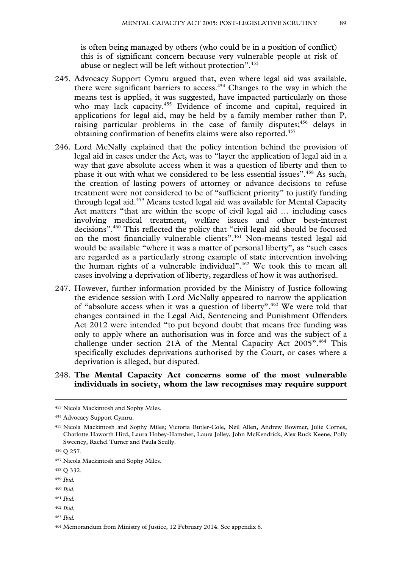is often being managed by others (who could be in a position of conflict) this is of significant concern because very vulnerable people at risk of abuse or neglect will be left without protection".<sup>453</sup>

- 245. Advocacy Support Cymru argued that, even where legal aid was available, there were significant barriers to access.<sup>454</sup> Changes to the way in which the means test is applied, it was suggested, have impacted particularly on those who may lack capacity.<sup>455</sup> Evidence of income and capital, required in applications for legal aid, may be held by a family member rather than P, raising particular problems in the case of family disputes;<sup>456</sup> delays in obtaining confirmation of benefits claims were also reported.<sup>457</sup>
- 246. Lord McNally explained that the policy intention behind the provision of legal aid in cases under the Act, was to "layer the application of legal aid in a way that gave absolute access when it was a question of liberty and then to phase it out with what we considered to be less essential issues".458 As such, the creation of lasting powers of attorney or advance decisions to refuse treatment were not considered to be of "sufficient priority" to justify funding through legal aid.<sup>459</sup> Means tested legal aid was available for Mental Capacity Act matters "that are within the scope of civil legal aid … including cases involving medical treatment, welfare issues and other best-interest decisions".460 This reflected the policy that "civil legal aid should be focused on the most financially vulnerable clients".<sup>461</sup> Non-means tested legal aid would be available "where it was a matter of personal liberty", as "such cases are regarded as a particularly strong example of state intervention involving the human rights of a vulnerable individual".<sup>462</sup> We took this to mean all cases involving a deprivation of liberty, regardless of how it was authorised.
- 247. However, further information provided by the Ministry of Justice following the evidence session with Lord McNally appeared to narrow the application of "absolute access when it was a question of liberty".463 We were told that changes contained in the Legal Aid, Sentencing and Punishment Offenders Act 2012 were intended "to put beyond doubt that means free funding was only to apply where an authorisation was in force and was the subject of a challenge under section 21A of the Mental Capacity Act 2005".<sup>464</sup> This specifically excludes deprivations authorised by the Court, or cases where a deprivation is alleged, but disputed.

# 248. **The Mental Capacity Act concerns some of the most vulnerable individuals in society, whom the law recognises may require support**

- <sup>460</sup> *Ibid.*
- <sup>461</sup> *Ibid.*
- <sup>462</sup> *Ibid.*
- <sup>463</sup> *Ibid.*

 <sup>453</sup> Nicola Mackintosh and Sophy Miles.

<sup>454</sup> Advocacy Support Cymru.

<sup>455</sup> Nicola Mackintosh and Sophy Miles; Victoria Butler-Cole, Neil Allen, Andrew Bowmer, Julie Cornes, Charlotte Haworth Hird, Laura Hobey-Hamsher, Laura Jolley, John McKendrick, Alex Ruck Keene, Polly Sweeney, Rachel Turner and Paula Scully.

<sup>456</sup> Q 257.

<sup>457</sup> Nicola Mackintosh and Sophy Miles.

<sup>458</sup> Q 332.

<sup>459</sup> *Ibid.*

<sup>464</sup> Memorandum from Ministry of Justice, 12 February 2014. See appendix 8.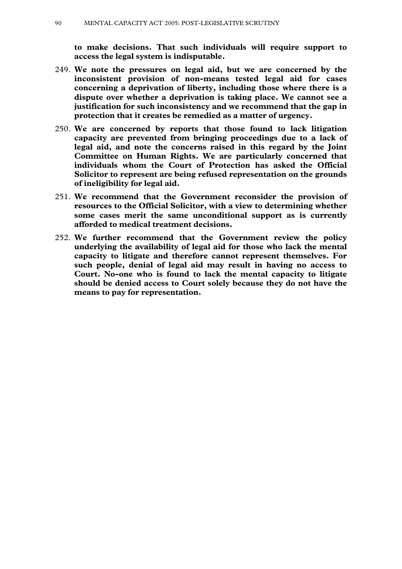**to make decisions. That such individuals will require support to access the legal system is indisputable.** 

- 249. **We note the pressures on legal aid, but we are concerned by the inconsistent provision of non-means tested legal aid for cases concerning a deprivation of liberty, including those where there is a dispute over whether a deprivation is taking place. We cannot see a justification for such inconsistency and we recommend that the gap in protection that it creates be remedied as a matter of urgency.**
- 250. **We are concerned by reports that those found to lack litigation capacity are prevented from bringing proceedings due to a lack of legal aid, and note the concerns raised in this regard by the Joint Committee on Human Rights. We are particularly concerned that individuals whom the Court of Protection has asked the Official Solicitor to represent are being refused representation on the grounds of ineligibility for legal aid.**
- 251. **We recommend that the Government reconsider the provision of resources to the Official Solicitor, with a view to determining whether some cases merit the same unconditional support as is currently afforded to medical treatment decisions.**
- 252. **We further recommend that the Government review the policy underlying the availability of legal aid for those who lack the mental capacity to litigate and therefore cannot represent themselves. For such people, denial of legal aid may result in having no access to Court. No-one who is found to lack the mental capacity to litigate should be denied access to Court solely because they do not have the means to pay for representation.**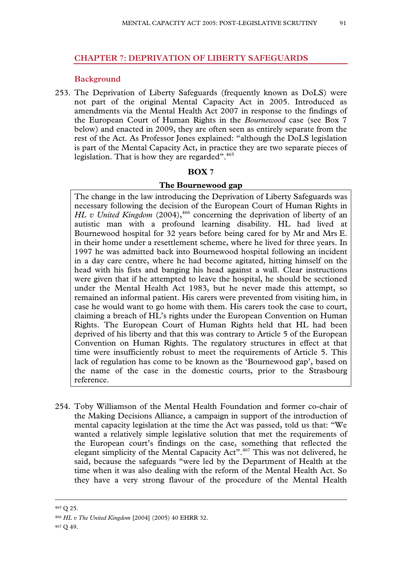### **CHAPTER 7: DEPRIVATION OF LIBERTY SAFEGUARDS**

#### **Background**

253. The Deprivation of Liberty Safeguards (frequently known as DoLS) were not part of the original Mental Capacity Act in 2005. Introduced as amendments via the Mental Health Act 2007 in response to the findings of the European Court of Human Rights in the *Bournewood* case (see Box 7 below) and enacted in 2009, they are often seen as entirely separate from the rest of the Act. As Professor Jones explained: "although the DoLS legislation is part of the Mental Capacity Act, in practice they are two separate pieces of legislation. That is how they are regarded". $465$ 

#### **BOX 7**

#### **The Bournewood gap**

The change in the law introducing the Deprivation of Liberty Safeguards was necessary following the decision of the European Court of Human Rights in *HL v United Kingdom* (2004),<sup>466</sup> concerning the deprivation of liberty of an autistic man with a profound learning disability. HL had lived at Bournewood hospital for 32 years before being cared for by Mr and Mrs E. in their home under a resettlement scheme, where he lived for three years. In 1997 he was admitted back into Bournewood hospital following an incident in a day care centre, where he had become agitated, hitting himself on the head with his fists and banging his head against a wall. Clear instructions were given that if he attempted to leave the hospital, he should be sectioned under the Mental Health Act 1983, but he never made this attempt, so remained an informal patient. His carers were prevented from visiting him, in case he would want to go home with them. His carers took the case to court, claiming a breach of HL's rights under the European Convention on Human Rights. The European Court of Human Rights held that HL had been deprived of his liberty and that this was contrary to Article 5 of the European Convention on Human Rights. The regulatory structures in effect at that time were insufficiently robust to meet the requirements of Article 5. This lack of regulation has come to be known as the 'Bournewood gap', based on the name of the case in the domestic courts, prior to the Strasbourg reference.

254. Toby Williamson of the Mental Health Foundation and former co-chair of the Making Decisions Alliance, a campaign in support of the introduction of mental capacity legislation at the time the Act was passed, told us that: "We wanted a relatively simple legislative solution that met the requirements of the European court's findings on the case, something that reflected the elegant simplicity of the Mental Capacity Act".467 This was not delivered, he said, because the safeguards "were led by the Department of Health at the time when it was also dealing with the reform of the Mental Health Act. So they have a very strong flavour of the procedure of the Mental Health

 <sup>465</sup> Q 25.

<sup>466</sup> *HL v The United Kingdom* [2004] (2005) 40 EHRR 32.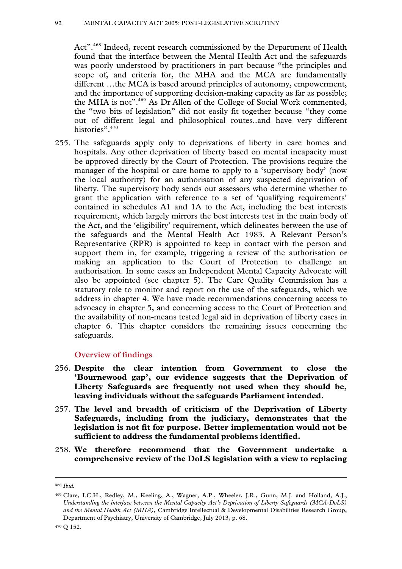#### 92 MENTAL CAPACITY ACT 2005: POST-LEGISLATIVE SCRUTINY

Act".<sup>468</sup> Indeed, recent research commissioned by the Department of Health found that the interface between the Mental Health Act and the safeguards was poorly understood by practitioners in part because "the principles and scope of, and criteria for, the MHA and the MCA are fundamentally different …the MCA is based around principles of autonomy, empowerment, and the importance of supporting decision-making capacity as far as possible; the MHA is not".469 As Dr Allen of the College of Social Work commented, the "two bits of legislation" did not easily fit together because "they come out of different legal and philosophical routes..and have very different histories".  $470$ 

255. The safeguards apply only to deprivations of liberty in care homes and hospitals. Any other deprivation of liberty based on mental incapacity must be approved directly by the Court of Protection. The provisions require the manager of the hospital or care home to apply to a 'supervisory body' (now the local authority) for an authorisation of any suspected deprivation of liberty. The supervisory body sends out assessors who determine whether to grant the application with reference to a set of 'qualifying requirements' contained in schedules A1 and 1A to the Act, including the best interests requirement, which largely mirrors the best interests test in the main body of the Act, and the 'eligibility' requirement, which delineates between the use of the safeguards and the Mental Health Act 1983. A Relevant Person's Representative (RPR) is appointed to keep in contact with the person and support them in, for example, triggering a review of the authorisation or making an application to the Court of Protection to challenge an authorisation. In some cases an Independent Mental Capacity Advocate will also be appointed (see chapter 5). The Care Quality Commission has a statutory role to monitor and report on the use of the safeguards, which we address in chapter 4. We have made recommendations concerning access to advocacy in chapter 5, and concerning access to the Court of Protection and the availability of non-means tested legal aid in deprivation of liberty cases in chapter 6. This chapter considers the remaining issues concerning the safeguards.

# **Overview of findings**

- 256. **Despite the clear intention from Government to close the 'Bournewood gap', our evidence suggests that the Deprivation of Liberty Safeguards are frequently not used when they should be, leaving individuals without the safeguards Parliament intended.**
- 257. **The level and breadth of criticism of the Deprivation of Liberty Safeguards, including from the judiciary, demonstrates that the legislation is not fit for purpose. Better implementation would not be sufficient to address the fundamental problems identified.**
- 258. **We therefore recommend that the Government undertake a comprehensive review of the DoLS legislation with a view to replacing**

 <sup>468</sup> *Ibid.*

<sup>469</sup> Clare, I.C.H., Redley, M., Keeling, A., Wagner, A.P., Wheeler, J.R., Gunn, M.J. and Holland, A.J., *Understanding the interface between the Mental Capacity Act's Deprivation of Liberty Safeguards (MCA-DoLS) and the Mental Health Act (MHA),* Cambridge Intellectual & Developmental Disabilities Research Group, Department of Psychiatry, University of Cambridge, July 2013, p. 68.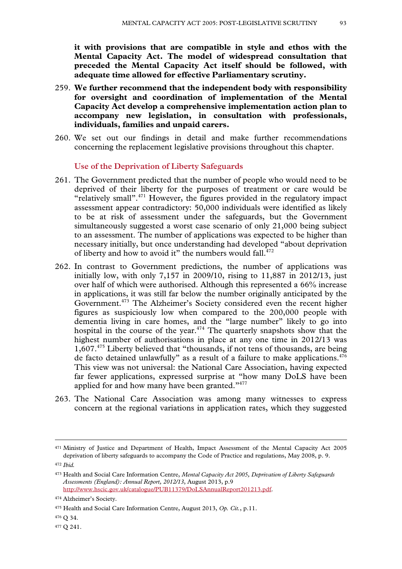**it with provisions that are compatible in style and ethos with the Mental Capacity Act. The model of widespread consultation that preceded the Mental Capacity Act itself should be followed, with adequate time allowed for effective Parliamentary scrutiny.** 

- 259. **We further recommend that the independent body with responsibility for oversight and coordination of implementation of the Mental Capacity Act develop a comprehensive implementation action plan to accompany new legislation, in consultation with professionals, individuals, families and unpaid carers.**
- 260. We set out our findings in detail and make further recommendations concerning the replacement legislative provisions throughout this chapter.

### **Use of the Deprivation of Liberty Safeguards**

- 261. The Government predicted that the number of people who would need to be deprived of their liberty for the purposes of treatment or care would be "relatively small".471 However, the figures provided in the regulatory impact assessment appear contradictory: 50,000 individuals were identified as likely to be at risk of assessment under the safeguards, but the Government simultaneously suggested a worst case scenario of only 21,000 being subject to an assessment. The number of applications was expected to be higher than necessary initially, but once understanding had developed "about deprivation of liberty and how to avoid it" the numbers would fall.<sup>472</sup>
- 262. In contrast to Government predictions, the number of applications was initially low, with only 7,157 in 2009/10, rising to 11,887 in 2012/13, just over half of which were authorised. Although this represented a 66% increase in applications, it was still far below the number originally anticipated by the Government.473 The Alzheimer's Society considered even the recent higher figures as suspiciously low when compared to the 200,000 people with dementia living in care homes, and the "large number" likely to go into hospital in the course of the year.<sup>474</sup> The quarterly snapshots show that the highest number of authorisations in place at any one time in 2012/13 was 1,607.475 Liberty believed that "thousands, if not tens of thousands, are being de facto detained unlawfully" as a result of a failure to make applications.<sup>476</sup> This view was not universal: the National Care Association, having expected far fewer applications, expressed surprise at "how many DoLS have been applied for and how many have been granted."<sup>477</sup>
- 263. The National Care Association was among many witnesses to express concern at the regional variations in application rates, which they suggested

477 Q 241.

 <sup>471</sup> Ministry of Justice and Department of Health, Impact Assessment of the Mental Capacity Act 2005 deprivation of liberty safeguards to accompany the Code of Practice and regulations, May 2008, p. 9.

<sup>472</sup> *Ibid.*

<sup>473</sup> Health and Social Care Information Centre, *Mental Capacity Act 2005, Deprivation of Liberty Safeguards Assessments (England): Annual Report, 2012/13*, August 2013, p.9 http://www.hscic.gov.uk/catalogue/PUB11379/DoLSAnnualReport201213.pdf.

<sup>474</sup> Alzheimer's Society.

<sup>475</sup> Health and Social Care Information Centre, August 2013, *Op. Cit.*, p.11.

<sup>476</sup> Q 34.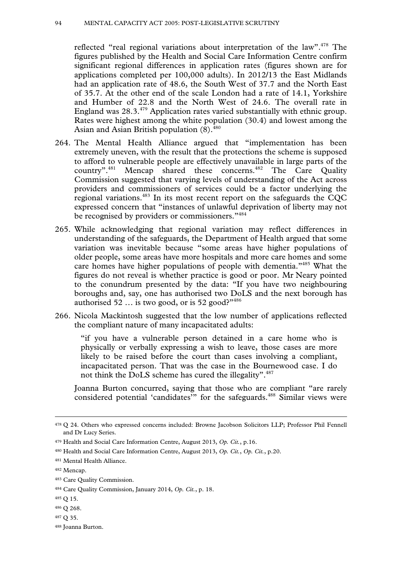#### 94 MENTAL CAPACITY ACT 2005: POST-LEGISLATIVE SCRUTINY

reflected "real regional variations about interpretation of the law".478 The figures published by the Health and Social Care Information Centre confirm significant regional differences in application rates (figures shown are for applications completed per 100,000 adults). In 2012/13 the East Midlands had an application rate of 48.6, the South West of 37.7 and the North East of 35.7. At the other end of the scale London had a rate of 14.1, Yorkshire and Humber of 22.8 and the North West of 24.6. The overall rate in England was 28.3.479 Application rates varied substantially with ethnic group. Rates were highest among the white population (30.4) and lowest among the Asian and Asian British population  $(8)$ .<sup>480</sup>

- 264. The Mental Health Alliance argued that "implementation has been extremely uneven, with the result that the protections the scheme is supposed to afford to vulnerable people are effectively unavailable in large parts of the country".<sup>481</sup> Mencap shared these concerns.<sup>482</sup> The Care Quality Mencap shared these concerns.<sup>482</sup> The Care Quality Commission suggested that varying levels of understanding of the Act across providers and commissioners of services could be a factor underlying the regional variations.483 In its most recent report on the safeguards the CQC expressed concern that "instances of unlawful deprivation of liberty may not be recognised by providers or commissioners."<sup>484</sup>
- 265. While acknowledging that regional variation may reflect differences in understanding of the safeguards, the Department of Health argued that some variation was inevitable because "some areas have higher populations of older people, some areas have more hospitals and more care homes and some care homes have higher populations of people with dementia."485 What the figures do not reveal is whether practice is good or poor. Mr Neary pointed to the conundrum presented by the data: "If you have two neighbouring boroughs and, say, one has authorised two DoLS and the next borough has authorised 52 ... is two good, or is 52 good?" $486$
- 266. Nicola Mackintosh suggested that the low number of applications reflected the compliant nature of many incapacitated adults:

"if you have a vulnerable person detained in a care home who is physically or verbally expressing a wish to leave, those cases are more likely to be raised before the court than cases involving a compliant, incapacitated person. That was the case in the Bournewood case. I do not think the DoLS scheme has cured the illegality".<sup>487</sup>

Joanna Burton concurred, saying that those who are compliant "are rarely considered potential 'candidates'" for the safeguards.<sup>488</sup> Similar views were

 <sup>478</sup> Q 24. Others who expressed concerns included: Browne Jacobson Solicitors LLP; Professor Phil Fennell and Dr Lucy Series.

<sup>479</sup> Health and Social Care Information Centre, August 2013, *Op. Cit.*, p.16.

<sup>480</sup> Health and Social Care Information Centre, August 2013, *Op. Cit.*, *Op. Cit.*, p.20.

<sup>481</sup> Mental Health Alliance.

<sup>482</sup> Mencap.

<sup>483</sup> Care Quality Commission.

<sup>484</sup> Care Quality Commission, January 2014, *Op. Cit.*, p. 18.

<sup>485</sup> Q 15.

<sup>486</sup> Q 268.

<sup>487</sup> Q 35.

<sup>488</sup> Joanna Burton.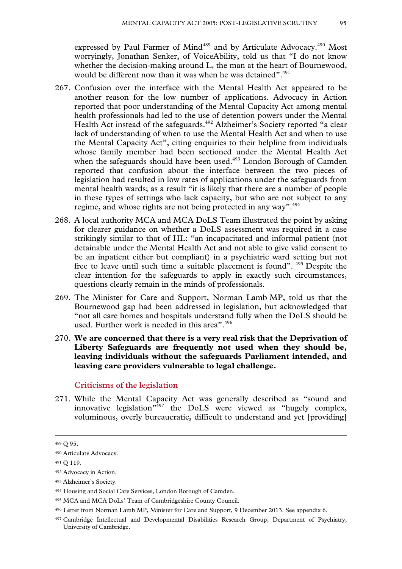expressed by Paul Farmer of Mind<sup>489</sup> and by Articulate Advocacy.<sup>490</sup> Most worryingly, Jonathan Senker, of VoiceAbility, told us that "I do not know whether the decision-making around L, the man at the heart of Bournewood, would be different now than it was when he was detained".<sup>491</sup>

- 267. Confusion over the interface with the Mental Health Act appeared to be another reason for the low number of applications. Advocacy in Action reported that poor understanding of the Mental Capacity Act among mental health professionals had led to the use of detention powers under the Mental Health Act instead of the safeguards.<sup>492</sup> Alzheimer's Society reported "a clear lack of understanding of when to use the Mental Health Act and when to use the Mental Capacity Act", citing enquiries to their helpline from individuals whose family member had been sectioned under the Mental Health Act when the safeguards should have been used.<sup>493</sup> London Borough of Camden reported that confusion about the interface between the two pieces of legislation had resulted in low rates of applications under the safeguards from mental health wards; as a result "it is likely that there are a number of people in these types of settings who lack capacity, but who are not subject to any regime, and whose rights are not being protected in any way".<sup>494</sup>
- 268. A local authority MCA and MCA DoLS Team illustrated the point by asking for clearer guidance on whether a DoLS assessment was required in a case strikingly similar to that of HL: "an incapacitated and informal patient (not detainable under the Mental Health Act and not able to give valid consent to be an inpatient either but compliant) in a psychiatric ward setting but not free to leave until such time a suitable placement is found". 495 Despite the clear intention for the safeguards to apply in exactly such circumstances, questions clearly remain in the minds of professionals.
- 269. The Minister for Care and Support, Norman Lamb MP, told us that the Bournewood gap had been addressed in legislation, but acknowledged that "not all care homes and hospitals understand fully when the DoLS should be used. Further work is needed in this area".<sup>496</sup>
- 270. **We are concerned that there is a very real risk that the Deprivation of Liberty Safeguards are frequently not used when they should be, leaving individuals without the safeguards Parliament intended, and leaving care providers vulnerable to legal challenge.**

#### **Criticisms of the legislation**

271. While the Mental Capacity Act was generally described as "sound and innovative legislation<sup>"497</sup> the DoLS were viewed as "hugely complex, voluminous, overly bureaucratic, difficult to understand and yet [providing]

 <sup>489</sup> Q 95.

<sup>490</sup> Articulate Advocacy.

<sup>491</sup> Q 119.

<sup>492</sup> Advocacy in Action.

<sup>493</sup> Alzheimer's Society.

<sup>494</sup> Housing and Social Care Services, London Borough of Camden.

<sup>495</sup> MCA and MCA DoLs' Team of Cambridgeshire County Council.

<sup>496</sup> Letter from Norman Lamb MP, Minister for Care and Support, 9 December 2013. See appendix 6.

<sup>497</sup> Cambridge Intellectual and Developmental Disabilities Research Group, Department of Psychiatry, University of Cambridge.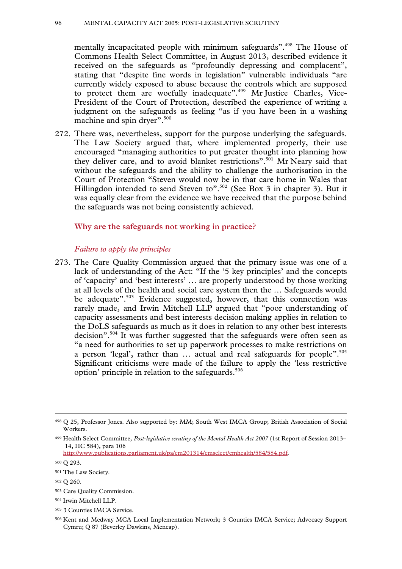#### 96 MENTAL CAPACITY ACT 2005: POST-LEGISLATIVE SCRUTINY

mentally incapacitated people with minimum safeguards".<sup>498</sup> The House of Commons Health Select Committee, in August 2013, described evidence it received on the safeguards as "profoundly depressing and complacent", stating that "despite fine words in legislation" vulnerable individuals "are currently widely exposed to abuse because the controls which are supposed to protect them are woefully inadequate".<sup>499</sup> Mr Justice Charles, Vice-President of the Court of Protection, described the experience of writing a judgment on the safeguards as feeling "as if you have been in a washing machine and spin dryer".<sup>500</sup>

272. There was, nevertheless, support for the purpose underlying the safeguards. The Law Society argued that, where implemented properly, their use encouraged "managing authorities to put greater thought into planning how they deliver care, and to avoid blanket restrictions".<sup>501</sup> Mr Neary said that without the safeguards and the ability to challenge the authorisation in the Court of Protection "Steven would now be in that care home in Wales that Hillingdon intended to send Steven to".<sup>502</sup> (See Box 3 in chapter 3). But it was equally clear from the evidence we have received that the purpose behind the safeguards was not being consistently achieved.

### **Why are the safeguards not working in practice?**

### *Failure to apply the principles*

273. The Care Quality Commission argued that the primary issue was one of a lack of understanding of the Act: "If the '5 key principles' and the concepts of 'capacity' and 'best interests' … are properly understood by those working at all levels of the health and social care system then the … Safeguards would be adequate".<sup>503</sup> Evidence suggested, however, that this connection was rarely made, and Irwin Mitchell LLP argued that "poor understanding of capacity assessments and best interests decision making applies in relation to the DoLS safeguards as much as it does in relation to any other best interests decision".504 It was further suggested that the safeguards were often seen as "a need for authorities to set up paperwork processes to make restrictions on a person 'legal', rather than  $\ldots$  actual and real safeguards for people".<sup>505</sup> Significant criticisms were made of the failure to apply the 'less restrictive option' principle in relation to the safeguards.<sup>506</sup>

http://www.publications.parliament.uk/pa/cm201314/cmselect/cmhealth/584/584.pdf.

- 504 Irwin Mitchell LLP.
- 505 3 Counties IMCA Service.

 <sup>498</sup> Q 25, Professor Jones. Also supported by: MM; South West IMCA Group; British Association of Social Workers.

<sup>499</sup> Health Select Committee, *Post-legislative scrutiny of the Mental Health Act 2007* (1st Report of Session 2013– 14, HC 584), para 106

<sup>500</sup> Q 293.

<sup>501</sup> The Law Society.

<sup>502</sup> Q 260.

<sup>503</sup> Care Quality Commission.

<sup>506</sup> Kent and Medway MCA Local Implementation Network; 3 Counties IMCA Service; Advocacy Support Cymru; Q 87 (Beverley Dawkins, Mencap).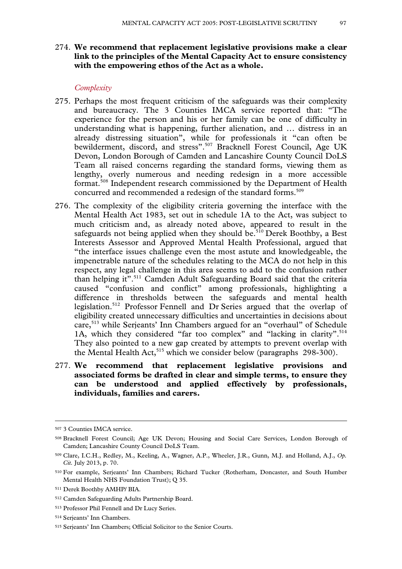# 274. **We recommend that replacement legislative provisions make a clear link to the principles of the Mental Capacity Act to ensure consistency with the empowering ethos of the Act as a whole.**

#### *Complexity*

- 275. Perhaps the most frequent criticism of the safeguards was their complexity and bureaucracy. The 3 Counties IMCA service reported that: "The experience for the person and his or her family can be one of difficulty in understanding what is happening, further alienation, and … distress in an already distressing situation", while for professionals it "can often be bewilderment, discord, and stress".<sup>507</sup> Bracknell Forest Council, Age UK Devon, London Borough of Camden and Lancashire County Council DoLS Team all raised concerns regarding the standard forms, viewing them as lengthy, overly numerous and needing redesign in a more accessible format.508 Independent research commissioned by the Department of Health concurred and recommended a redesign of the standard forms.<sup>509</sup>
- 276. The complexity of the eligibility criteria governing the interface with the Mental Health Act 1983, set out in schedule 1A to the Act, was subject to much criticism and, as already noted above, appeared to result in the safeguards not being applied when they should be.<sup>510</sup> Derek Boothby, a Best Interests Assessor and Approved Mental Health Professional, argued that "the interface issues challenge even the most astute and knowledgeable, the impenetrable nature of the schedules relating to the MCA do not help in this respect, any legal challenge in this area seems to add to the confusion rather than helping it".511 Camden Adult Safeguarding Board said that the criteria caused "confusion and conflict" among professionals, highlighting a difference in thresholds between the safeguards and mental health legislation.512 Professor Fennell and Dr Series argued that the overlap of eligibility created unnecessary difficulties and uncertainties in decisions about care,<sup>513</sup> while Serjeants' Inn Chambers argued for an "overhaul" of Schedule 1A, which they considered "far too complex" and "lacking in clarity".<sup>514</sup> They also pointed to a new gap created by attempts to prevent overlap with the Mental Health Act,<sup>515</sup> which we consider below (paragraphs 298-300).
- 277. **We recommend that replacement legislative provisions and associated forms be drafted in clear and simple terms, to ensure they can be understood and applied effectively by professionals, individuals, families and carers.**

 <sup>507 3</sup> Counties IMCA service.

<sup>508</sup> Bracknell Forest Council; Age UK Devon; Housing and Social Care Services, London Borough of Camden; Lancashire County Council DoLS Team.

<sup>509</sup> Clare, I.C.H., Redley, M., Keeling, A., Wagner, A.P., Wheeler, J.R., Gunn, M.J. and Holland, A.J., *Op. Cit.* July 2013, p. 70.

<sup>510</sup> For example, Serjeants' Inn Chambers; Richard Tucker (Rotherham, Doncaster, and South Humber Mental Health NHS Foundation Trust); Q 35.

<sup>511</sup> Derek Boothby AMHP/ BIA.

<sup>512</sup> Camden Safeguarding Adults Partnership Board.

<sup>513</sup> Professor Phil Fennell and Dr Lucy Series.

<sup>514</sup> Serjeants' Inn Chambers.

<sup>515</sup> Serjeants' Inn Chambers; Official Solicitor to the Senior Courts.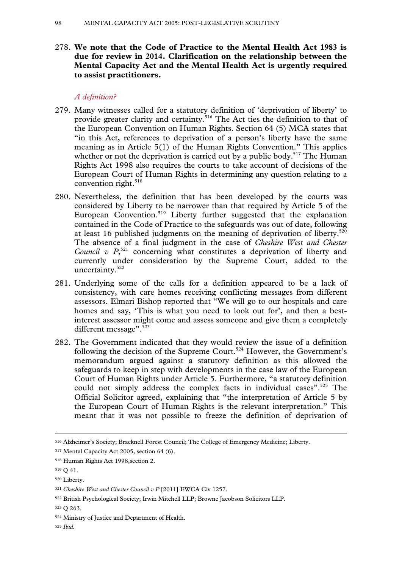278. **We note that the Code of Practice to the Mental Health Act 1983 is due for review in 2014. Clarification on the relationship between the Mental Capacity Act and the Mental Health Act is urgently required to assist practitioners.** 

# *A definition?*

- 279. Many witnesses called for a statutory definition of 'deprivation of liberty' to provide greater clarity and certainty.<sup>516</sup> The Act ties the definition to that of the European Convention on Human Rights. Section 64 (5) MCA states that "in this Act, references to deprivation of a person's liberty have the same meaning as in Article 5(1) of the Human Rights Convention." This applies whether or not the deprivation is carried out by a public body.<sup>517</sup> The Human Rights Act 1998 also requires the courts to take account of decisions of the European Court of Human Rights in determining any question relating to a convention right.<sup>518</sup>
- 280. Nevertheless, the definition that has been developed by the courts was considered by Liberty to be narrower than that required by Article 5 of the European Convention.<sup>519</sup> Liberty further suggested that the explanation contained in the Code of Practice to the safeguards was out of date, following at least 16 published judgments on the meaning of deprivation of liberty.<sup>520</sup> The absence of a final judgment in the case of *Cheshire West and Chester Council v*  $P_2^{521}$  concerning what constitutes a deprivation of liberty and currently under consideration by the Supreme Court, added to the uncertainty.522
- 281. Underlying some of the calls for a definition appeared to be a lack of consistency, with care homes receiving conflicting messages from different assessors. Elmari Bishop reported that "We will go to our hospitals and care homes and say, 'This is what you need to look out for', and then a bestinterest assessor might come and assess someone and give them a completely different message".<sup>523</sup>
- 282. The Government indicated that they would review the issue of a definition following the decision of the Supreme Court.<sup>524</sup> However, the Government's memorandum argued against a statutory definition as this allowed the safeguards to keep in step with developments in the case law of the European Court of Human Rights under Article 5. Furthermore, "a statutory definition could not simply address the complex facts in individual cases".<sup>525</sup> The Official Solicitor agreed, explaining that "the interpretation of Article 5 by the European Court of Human Rights is the relevant interpretation." This meant that it was not possible to freeze the definition of deprivation of

 <sup>516</sup> Alzheimer's Society; Bracknell Forest Council; The College of Emergency Medicine; Liberty.

<sup>517</sup> Mental Capacity Act 2005, section 64 (6).

<sup>518</sup> Human Rights Act 1998,section 2.

<sup>519</sup> Q 41.

<sup>520</sup> Liberty.

<sup>521</sup> *Cheshire West and Chester Council v P* [2011] EWCA Civ 1257.

<sup>522</sup> British Psychological Society; Irwin Mitchell LLP; Browne Jacobson Solicitors LLP.

<sup>523</sup> Q 263.

<sup>524</sup> Ministry of Justice and Department of Health.

<sup>525</sup> *Ibid.*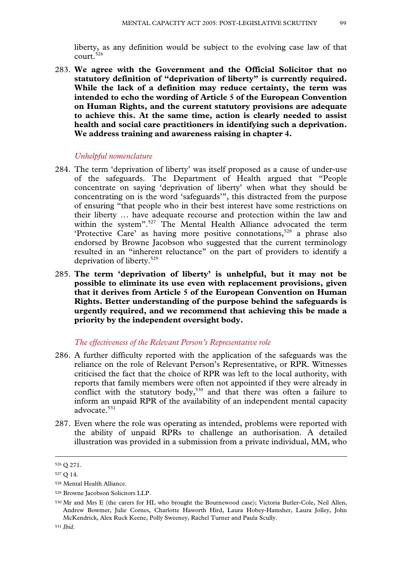liberty, as any definition would be subject to the evolving case law of that court.<sup>526</sup>

283. **We agree with the Government and the Official Solicitor that no statutory definition of "deprivation of liberty" is currently required. While the lack of a definition may reduce certainty, the term was intended to echo the wording of Article 5 of the European Convention on Human Rights, and the current statutory provisions are adequate to achieve this. At the same time, action is clearly needed to assist health and social care practitioners in identifying such a deprivation. We address training and awareness raising in chapter 4.** 

### *Unhelpful nomenclature*

- 284. The term 'deprivation of liberty' was itself proposed as a cause of under-use of the safeguards. The Department of Health argued that "People concentrate on saying 'deprivation of liberty' when what they should be concentrating on is the word 'safeguards'", this distracted from the purpose of ensuring "that people who in their best interest have some restrictions on their liberty … have adequate recourse and protection within the law and within the system".<sup>527</sup> The Mental Health Alliance advocated the term 'Protective Care' as having more positive connotations,<sup>528</sup> a phrase also endorsed by Browne Jacobson who suggested that the current terminology resulted in an "inherent reluctance" on the part of providers to identify a deprivation of liberty.<sup>529</sup>
- 285. **The term 'deprivation of liberty' is unhelpful, but it may not be possible to eliminate its use even with replacement provisions, given that it derives from Article 5 of the European Convention on Human Rights. Better understanding of the purpose behind the safeguards is urgently required, and we recommend that achieving this be made a priority by the independent oversight body.**

#### *The effectiveness of the Relevant Person's Representative role*

- 286. A further difficulty reported with the application of the safeguards was the reliance on the role of Relevant Person's Representative, or RPR. Witnesses criticised the fact that the choice of RPR was left to the local authority, with reports that family members were often not appointed if they were already in conflict with the statutory body,<sup>530</sup> and that there was often a failure to inform an unpaid RPR of the availability of an independent mental capacity advocate.<sup>531</sup>
- 287. Even where the role was operating as intended, problems were reported with the ability of unpaid RPRs to challenge an authorisation. A detailed illustration was provided in a submission from a private individual, MM, who

 <sup>526</sup> Q 271.

<sup>527</sup> Q 14.

<sup>528</sup> Mental Health Alliance.

<sup>529</sup> Browne Jacobson Solicitors LLP.

<sup>530</sup> Mr and Mrs E (the carers for HL who brought the Bournewood case); Victoria Butler-Cole, Neil Allen, Andrew Bowmer, Julie Cornes, Charlotte Haworth Hird, Laura Hobey-Hamsher, Laura Jolley, John McKendrick, Alex Ruck Keene, Polly Sweeney, Rachel Turner and Paula Scully.

<sup>531</sup> *Ibid*.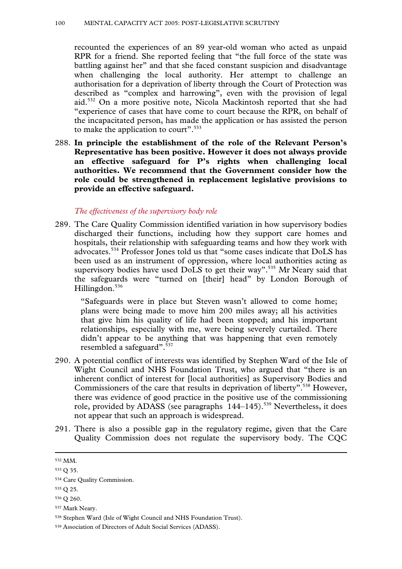recounted the experiences of an 89 year-old woman who acted as unpaid RPR for a friend. She reported feeling that "the full force of the state was battling against her" and that she faced constant suspicion and disadvantage when challenging the local authority. Her attempt to challenge an authorisation for a deprivation of liberty through the Court of Protection was described as "complex and harrowing", even with the provision of legal aid.532 On a more positive note, Nicola Mackintosh reported that she had "experience of cases that have come to court because the RPR, on behalf of the incapacitated person, has made the application or has assisted the person to make the application to court".<sup>533</sup>

288. **In principle the establishment of the role of the Relevant Person's Representative has been positive. However it does not always provide an effective safeguard for P's rights when challenging local authorities. We recommend that the Government consider how the role could be strengthened in replacement legislative provisions to provide an effective safeguard.** 

# *The effectiveness of the supervisory body role*

289. The Care Quality Commission identified variation in how supervisory bodies discharged their functions, including how they support care homes and hospitals, their relationship with safeguarding teams and how they work with advocates.534 Professor Jones told us that "some cases indicate that DoLS has been used as an instrument of oppression, where local authorities acting as supervisory bodies have used  $D<sub>o</sub>LS$  to get their way".<sup>535</sup> Mr Neary said that the safeguards were "turned on [their] head" by London Borough of Hillingdon.<sup>536</sup>

"Safeguards were in place but Steven wasn't allowed to come home; plans were being made to move him 200 miles away; all his activities that give him his quality of life had been stopped; and his important relationships, especially with me, were being severely curtailed. There didn't appear to be anything that was happening that even remotely resembled a safeguard".<sup>537</sup>

- 290. A potential conflict of interests was identified by Stephen Ward of the Isle of Wight Council and NHS Foundation Trust, who argued that "there is an inherent conflict of interest for [local authorities] as Supervisory Bodies and Commissioners of the care that results in deprivation of liberty".<sup>538</sup> However, there was evidence of good practice in the positive use of the commissioning role, provided by ADASS (see paragraphs  $144-145$ ).<sup>539</sup> Nevertheless, it does not appear that such an approach is widespread.
- 291. There is also a possible gap in the regulatory regime, given that the Care Quality Commission does not regulate the supervisory body. The CQC

 <sup>532</sup> MM.

<sup>533</sup> Q 35.

<sup>534</sup> Care Quality Commission.

<sup>535</sup> Q 25.

<sup>536</sup> Q 260.

<sup>537</sup> Mark Neary.

<sup>538</sup> Stephen Ward (Isle of Wight Council and NHS Foundation Trust).

<sup>539</sup> Association of Directors of Adult Social Services (ADASS).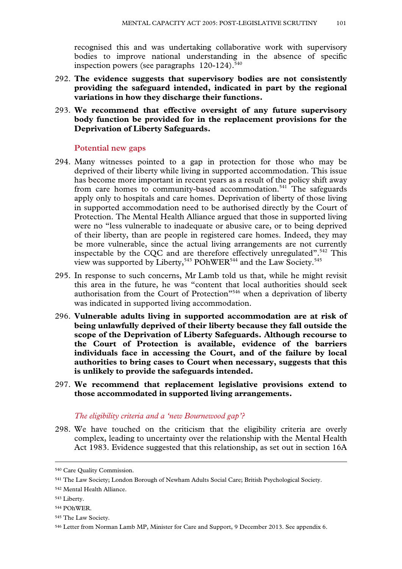recognised this and was undertaking collaborative work with supervisory bodies to improve national understanding in the absence of specific inspection powers (see paragraphs 120-124).<sup>540</sup>

- 292. **The evidence suggests that supervisory bodies are not consistently providing the safeguard intended, indicated in part by the regional variations in how they discharge their functions.**
- 293. **We recommend that effective oversight of any future supervisory body function be provided for in the replacement provisions for the Deprivation of Liberty Safeguards.**

#### **Potential new gaps**

- 294. Many witnesses pointed to a gap in protection for those who may be deprived of their liberty while living in supported accommodation. This issue has become more important in recent years as a result of the policy shift away from care homes to community-based accommodation.<sup>541</sup> The safeguards apply only to hospitals and care homes. Deprivation of liberty of those living in supported accommodation need to be authorised directly by the Court of Protection. The Mental Health Alliance argued that those in supported living were no "less vulnerable to inadequate or abusive care, or to being deprived of their liberty, than are people in registered care homes. Indeed, they may be more vulnerable, since the actual living arrangements are not currently inspectable by the CQC and are therefore effectively unregulated".<sup>542</sup> This view was supported by Liberty,<sup>543</sup> POhWER<sup>544</sup> and the Law Society.<sup>545</sup>
- 295. In response to such concerns, Mr Lamb told us that, while he might revisit this area in the future, he was "content that local authorities should seek authorisation from the Court of Protection"546 when a deprivation of liberty was indicated in supported living accommodation.
- 296. **Vulnerable adults living in supported accommodation are at risk of being unlawfully deprived of their liberty because they fall outside the scope of the Deprivation of Liberty Safeguards. Although recourse to the Court of Protection is available, evidence of the barriers individuals face in accessing the Court, and of the failure by local authorities to bring cases to Court when necessary, suggests that this is unlikely to provide the safeguards intended.**
- 297. **We recommend that replacement legislative provisions extend to those accommodated in supported living arrangements.**

#### *The eligibility criteria and a 'new Bournewood gap'?*

298. We have touched on the criticism that the eligibility criteria are overly complex, leading to uncertainty over the relationship with the Mental Health Act 1983. Evidence suggested that this relationship, as set out in section 16A

 <sup>540</sup> Care Quality Commission.

<sup>541</sup> The Law Society; London Borough of Newham Adults Social Care; British Psychological Society.

<sup>542</sup> Mental Health Alliance.

<sup>543</sup> Liberty.

<sup>544</sup> POhWER.

<sup>545</sup> The Law Society.

<sup>546</sup> Letter from Norman Lamb MP, Minister for Care and Support, 9 December 2013. See appendix 6.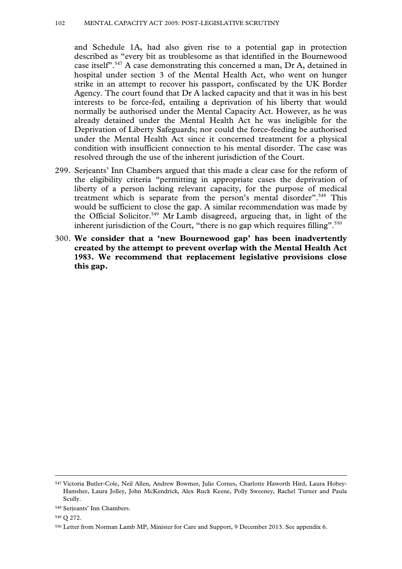and Schedule 1A, had also given rise to a potential gap in protection described as "every bit as troublesome as that identified in the Bournewood case itself".547 A case demonstrating this concerned a man, Dr A, detained in hospital under section 3 of the Mental Health Act, who went on hunger strike in an attempt to recover his passport, confiscated by the UK Border Agency. The court found that Dr A lacked capacity and that it was in his best interests to be force-fed, entailing a deprivation of his liberty that would normally be authorised under the Mental Capacity Act. However, as he was already detained under the Mental Health Act he was ineligible for the Deprivation of Liberty Safeguards; nor could the force-feeding be authorised under the Mental Health Act since it concerned treatment for a physical condition with insufficient connection to his mental disorder. The case was resolved through the use of the inherent jurisdiction of the Court.

- 299. Serjeants' Inn Chambers argued that this made a clear case for the reform of the eligibility criteria "permitting in appropriate cases the deprivation of liberty of a person lacking relevant capacity, for the purpose of medical treatment which is separate from the person's mental disorder".<sup>548</sup> This would be sufficient to close the gap. A similar recommendation was made by the Official Solicitor.<sup>549</sup> Mr Lamb disagreed, argueing that, in light of the inherent jurisdiction of the Court, "there is no gap which requires filling".<sup>550</sup>
- 300. **We consider that a 'new Bournewood gap' has been inadvertently created by the attempt to prevent overlap with the Mental Health Act 1983. We recommend that replacement legislative provisions close this gap.**

 <sup>547</sup> Victoria Butler-Cole, Neil Allen, Andrew Bowmer, Julie Cornes, Charlotte Haworth Hird, Laura Hobey-Hamsher, Laura Jolley, John McKendrick, Alex Ruck Keene, Polly Sweeney, Rachel Turner and Paula Scully.

<sup>548</sup> Serjeants' Inn Chambers.

<sup>549</sup> Q 272.

<sup>550</sup> Letter from Norman Lamb MP, Minister for Care and Support, 9 December 2013. See appendix 6.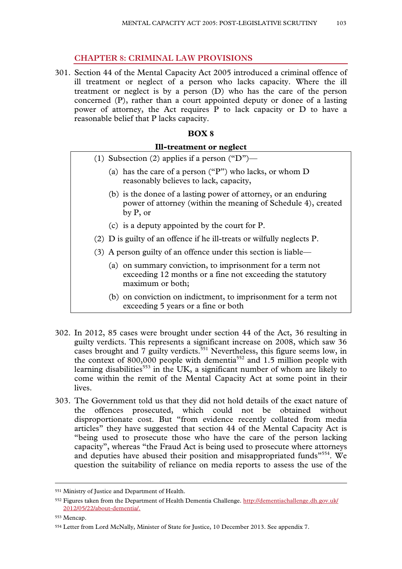# **CHAPTER 8: CRIMINAL LAW PROVISIONS**

301. Section 44 of the Mental Capacity Act 2005 introduced a criminal offence of ill treatment or neglect of a person who lacks capacity. Where the ill treatment or neglect is by a person (D) who has the care of the person concerned (P), rather than a court appointed deputy or donee of a lasting power of attorney, the Act requires P to lack capacity or D to have a reasonable belief that P lacks capacity.

# **BOX 8**

### **Ill-treatment or neglect**

|  | (1) Subsection (2) applies if a person $("D")$ —                                                                                             |
|--|----------------------------------------------------------------------------------------------------------------------------------------------|
|  | (a) has the care of a person ("P") who lacks, or whom D<br>reasonably believes to lack, capacity,                                            |
|  | (b) is the donee of a lasting power of attorney, or an enduring<br>power of attorney (within the meaning of Schedule 4), created<br>by P, or |
|  | (c) is a deputy appointed by the court for P.                                                                                                |
|  | $(2)$ D is guilty of an offence if he ill-treats or wilfully neglects P.                                                                     |
|  | $(3)$ A person guilty of an offence under this section is liable—                                                                            |
|  | (a) on summary conviction, to imprisonment for a term not<br>exceeding 12 months or a fine not exceeding the statutory<br>maximum or both;   |
|  |                                                                                                                                              |

- (b) on conviction on indictment, to imprisonment for a term not exceeding 5 years or a fine or both
- 302. In 2012, 85 cases were brought under section 44 of the Act, 36 resulting in guilty verdicts. This represents a significant increase on 2008, which saw 36 cases brought and 7 guilty verdicts.<sup>551</sup> Nevertheless, this figure seems low, in the context of 800,000 people with dementia<sup>552</sup> and 1.5 million people with learning disabilities<sup> $553$ </sup> in the UK, a significant number of whom are likely to come within the remit of the Mental Capacity Act at some point in their lives.
- 303. The Government told us that they did not hold details of the exact nature of the offences prosecuted, which could not be obtained without disproportionate cost. But "from evidence recently collated from media articles" they have suggested that section 44 of the Mental Capacity Act is "being used to prosecute those who have the care of the person lacking capacity", whereas "the Fraud Act is being used to prosecute where attorneys and deputies have abused their position and misappropriated funds"554. We question the suitability of reliance on media reports to assess the use of the

 <sup>551</sup> Ministry of Justice and Department of Health.

<sup>552</sup> Figures taken from the Department of Health Dementia Challenge. http://dementiachallenge.dh.gov.uk/ 2012/05/22/about-dementia/.

<sup>553</sup> Mencap.

<sup>554</sup> Letter from Lord McNally, Minister of State for Justice, 10 December 2013. See appendix 7.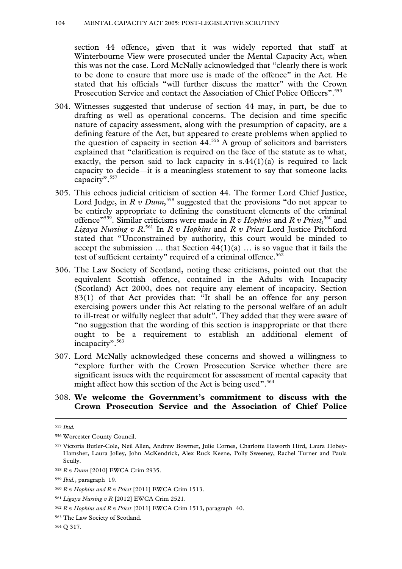section 44 offence, given that it was widely reported that staff at Winterbourne View were prosecuted under the Mental Capacity Act, when this was not the case. Lord McNally acknowledged that "clearly there is work to be done to ensure that more use is made of the offence" in the Act. He stated that his officials "will further discuss the matter" with the Crown Prosecution Service and contact the Association of Chief Police Officers".<sup>555</sup>

- 304. Witnesses suggested that underuse of section 44 may, in part, be due to drafting as well as operational concerns. The decision and time specific nature of capacity assessment, along with the presumption of capacity, are a defining feature of the Act, but appeared to create problems when applied to the question of capacity in section 44.<sup>556</sup> A group of solicitors and barristers explained that "clarification is required on the face of the statute as to what, exactly, the person said to lack capacity in  $s.44(1)(a)$  is required to lack capacity to decide—it is a meaningless statement to say that someone lacks capacity".557
- 305. This echoes judicial criticism of section 44. The former Lord Chief Justice, Lord Judge, in *R v Dunn*,<sup>558</sup> suggested that the provisions "do not appear to be entirely appropriate to defining the constituent elements of the criminal offence"559. Similar criticisms were made in *R v Hopkins* and *R v Priest*, 560 and *Ligaya Nursing v R*. 561 In *R v Hopkins* and *R v Priest* Lord Justice Pitchford stated that "Unconstrained by authority, this court would be minded to accept the submission  $\ldots$  that Section 44(1)(a)  $\ldots$  is so vague that it fails the test of sufficient certainty" required of a criminal offence.<sup>562</sup>
- 306. The Law Society of Scotland, noting these criticisms, pointed out that the equivalent Scottish offence, contained in the Adults with Incapacity (Scotland) Act 2000, does not require any element of incapacity. Section 83(1) of that Act provides that: "It shall be an offence for any person exercising powers under this Act relating to the personal welfare of an adult to ill-treat or wilfully neglect that adult". They added that they were aware of "no suggestion that the wording of this section is inappropriate or that there ought to be a requirement to establish an additional element of incapacity".<sup>563</sup>
- 307. Lord McNally acknowledged these concerns and showed a willingness to "explore further with the Crown Prosecution Service whether there are significant issues with the requirement for assessment of mental capacity that might affect how this section of the Act is being used".<sup>564</sup>

# 308. **We welcome the Government's commitment to discuss with the Crown Prosecution Service and the Association of Chief Police**

 <sup>555</sup> *Ibid.*

<sup>556</sup> Worcester County Council.

<sup>557</sup> Victoria Butler-Cole, Neil Allen, Andrew Bowmer, Julie Cornes, Charlotte Haworth Hird, Laura Hobey-Hamsher, Laura Jolley, John McKendrick, Alex Ruck Keene, Polly Sweeney, Rachel Turner and Paula Scully.

<sup>558</sup> *R v Dunn* [2010] EWCA Crim 2935.

<sup>559</sup> *Ibid.*, paragraph 19.

<sup>560</sup> *R v Hopkins and R v Priest* [2011] EWCA Crim 1513.

<sup>561</sup> *Ligaya Nursing v R* [2012] EWCA Crim 2521.

<sup>562</sup> *R v Hopkins and R v Priest* [2011] EWCA Crim 1513, paragraph 40.

<sup>563</sup> The Law Society of Scotland.

<sup>564</sup> Q 317.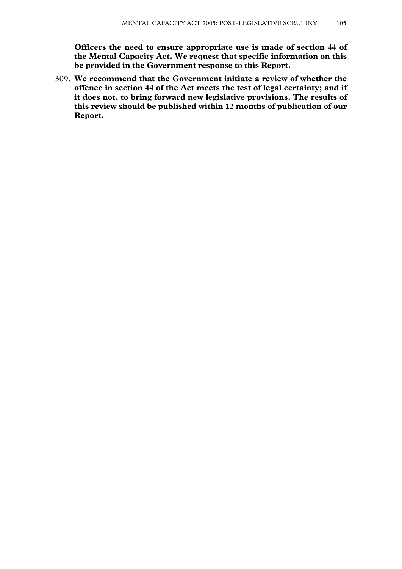**Officers the need to ensure appropriate use is made of section 44 of the Mental Capacity Act. We request that specific information on this be provided in the Government response to this Report.** 

309. **We recommend that the Government initiate a review of whether the offence in section 44 of the Act meets the test of legal certainty; and if it does not, to bring forward new legislative provisions. The results of this review should be published within 12 months of publication of our Report.**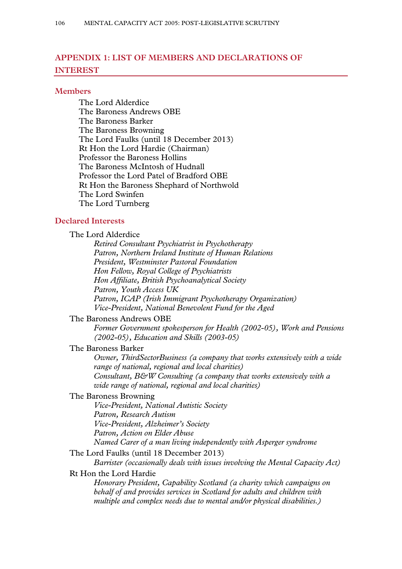# **APPENDIX 1: LIST OF MEMBERS AND DECLARATIONS OF INTEREST**

### **Members**

The Lord Alderdice The Baroness Andrews OBE The Baroness Barker The Baroness Browning The Lord Faulks (until 18 December 2013) Rt Hon the Lord Hardie (Chairman) Professor the Baroness Hollins The Baroness McIntosh of Hudnall Professor the Lord Patel of Bradford OBE Rt Hon the Baroness Shephard of Northwold The Lord Swinfen The Lord Turnberg

# **Declared Interests**

The Lord Alderdice

*Retired Consultant Psychiatrist in Psychotherapy Patron, Northern Ireland Institute of Human Relations President, Westminster Pastoral Foundation Hon Fellow, Royal College of Psychiatrists Hon Affiliate, British Psychoanalytical Society Patron, Youth Access UK Patron, ICAP (Irish Immigrant Psychotherapy Organization) Vice-President, National Benevolent Fund for the Aged* 

### The Baroness Andrews OBE

*Former Government spokesperson for Health (2002-05), Work and Pensions (2002-05), Education and Skills (2003-05)* 

# The Baroness Barker

*Owner, ThirdSectorBusiness (a company that works extensively with a wide range of national, regional and local charities) Consultant, B&W Consulting (a company that works extensively with a wide range of national, regional and local charities)* 

### The Baroness Browning

*Vice-President, National Autistic Society Patron, Research Autism Vice-President, Alzheimer's Society Patron, Action on Elder Abuse Named Carer of a man living independently with Asperger syndrome* 

The Lord Faulks (until 18 December 2013)

*Barrister (occasionally deals with issues involving the Mental Capacity Act)* 

# Rt Hon the Lord Hardie

*Honorary President, Capability Scotland (a charity which campaigns on behalf of and provides services in Scotland for adults and children with multiple and complex needs due to mental and/or physical disabilities.)*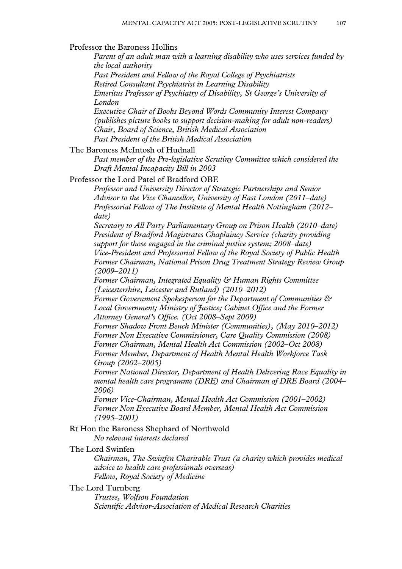Professor the Baroness Hollins

*Parent of an adult man with a learning disability who uses services funded by the local authority* 

*Past President and Fellow of the Royal College of Psychiatrists Retired Consultant Psychiatrist in Learning Disability Emeritus Professor of Psychiatry of Disability, St George's University of London* 

*Executive Chair of Books Beyond Words Community Interest Company (publishes picture books to support decision-making for adult non-readers) Chair, Board of Science, British Medical Association Past President of the British Medical Association* 

The Baroness McIntosh of Hudnall

Past member of the Pre-legislative Scrutiny Committee which considered the *Draft Mental Incapacity Bill in 2003* 

Professor the Lord Patel of Bradford OBE

*Professor and University Director of Strategic Partnerships and Senior Advisor to the Vice Chancellor, University of East London (2011–date) Professorial Fellow of The Institute of Mental Health Nottingham (2012– date)* 

*Secretary to All Party Parliamentary Group on Prison Health (2010–date) President of Bradford Magistrates Chaplaincy Service (charity providing support for those engaged in the criminal justice system; 2008–date) Vice-President and Professorial Fellow of the Royal Society of Public Health Former Chairman, National Prison Drug Treatment Strategy Review Group (2009–2011)* 

*Former Chairman, Integrated Equality & Human Rights Committee (Leicestershire, Leicester and Rutland) (2010–2012)* 

*Former Government Spokesperson for the Department of Communities & Local Government; Ministry of Justice; Cabinet Office and the Former Attorney General's Office. (Oct 2008–Sept 2009)* 

*Former Shadow Front Bench Minister (Communities), (May 2010–2012) Former Non Executive Commissioner, Care Quality Commission (2008) Former Chairman, Mental Health Act Commission (2002–Oct 2008) Former Member, Department of Health Mental Health Workforce Task Group (2002–2005)* 

*Former National Director, Department of Health Delivering Race Equality in mental health care programme (DRE) and Chairman of DRE Board (2004– 2006)* 

*Former Vice-Chairman, Mental Health Act Commission (2001–2002) Former Non Executive Board Member, Mental Health Act Commission (1995–2001)* 

Rt Hon the Baroness Shephard of Northwold *No relevant interests declared* 

### The Lord Swinfen

*Chairman, The Swinfen Charitable Trust (a charity which provides medical advice to health care professionals overseas) Fellow, Royal Society of Medicine* 

# The Lord Turnberg

*Trustee, Wolfson Foundation Scientific Advisor-Association of Medical Research Charities*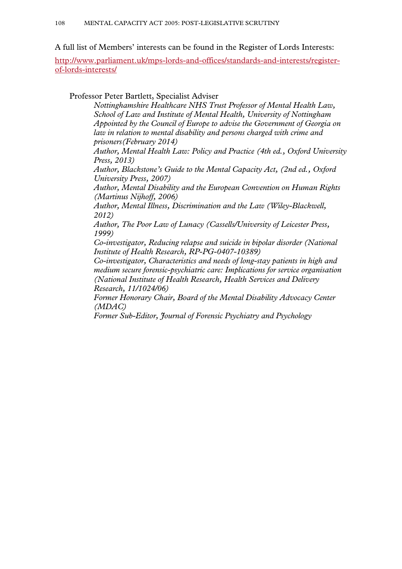A full list of Members' interests can be found in the Register of Lords Interests:

http://www.parliament.uk/mps-lords-and-offices/standards-and-interests/registerof-lords-interests/

Professor Peter Bartlett, Specialist Adviser

*Nottinghamshire Healthcare NHS Trust Professor of Mental Health Law, School of Law and Institute of Mental Health, University of Nottingham Appointed by the Council of Europe to advise the Government of Georgia on law in relation to mental disability and persons charged with crime and prisoners(February 2014)* 

*Author, Mental Health Law: Policy and Practice (4th ed., Oxford University Press, 2013)* 

*Author, Blackstone's Guide to the Mental Capacity Act, (2nd ed., Oxford University Press, 2007)* 

*Author, Mental Disability and the European Convention on Human Rights (Martinus Nijhoff, 2006)* 

*Author, Mental Illness, Discrimination and the Law (Wiley-Blackwell, 2012)* 

*Author, The Poor Law of Lunacy (Cassells/University of Leicester Press, 1999)* 

*Co-investigator, Reducing relapse and suicide in bipolar disorder (National Institute of Health Research, RP-PG-0407-10389)* 

*Co-investigator, Characteristics and needs of long-stay patients in high and medium secure forensic-psychiatric care: Implications for service organisation (National Institute of Health Research, Health Services and Delivery Research, 11/1024/06)* 

*Former Honorary Chair, Board of the Mental Disability Advocacy Center (MDAC)* 

*Former Sub-Editor, Journal of Forensic Psychiatry and Psychology*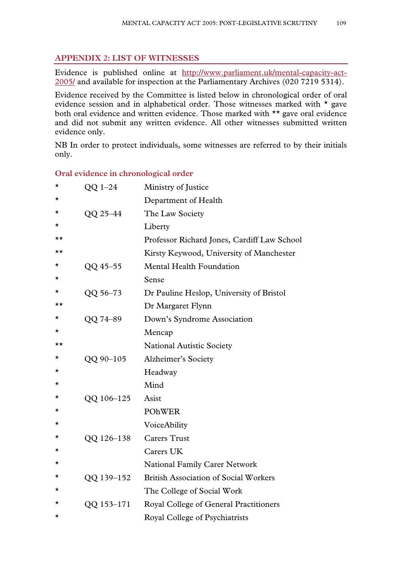# **APPENDIX 2: LIST OF WITNESSES**

Evidence is published online at http://www.parliament.uk/mental-capacity-act-2005/ and available for inspection at the Parliamentary Archives (020 7219 5314).

Evidence received by the Committee is listed below in chronological order of oral evidence session and in alphabetical order. Those witnesses marked with  $\star$  gave both oral evidence and written evidence. Those marked with \*\* gave oral evidence and did not submit any written evidence. All other witnesses submitted written evidence only.

NB In order to protect individuals, some witnesses are referred to by their initials only.

## **Oral evidence in chronological order**

| $^\star$ | QQ 1-24    | Ministry of Justice                          |
|----------|------------|----------------------------------------------|
| *        |            | Department of Health                         |
| *        | QQ 25-44   | The Law Society                              |
| $^\star$ |            | Liberty                                      |
| ★★       |            | Professor Richard Jones, Cardiff Law School  |
| ★★       |            | Kirsty Keywood, University of Manchester     |
| $^\star$ | QQ 45-55   | <b>Mental Health Foundation</b>              |
| $^\star$ |            | Sense                                        |
| $^\star$ | QQ 56-73   | Dr Pauline Heslop, University of Bristol     |
| ★★       |            | Dr Margaret Flynn                            |
| $^\star$ | QQ 74-89   | Down's Syndrome Association                  |
| $^\star$ |            | Mencap                                       |
| ★★       |            | <b>National Autistic Society</b>             |
| $^\star$ | QQ 90-105  | Alzheimer's Society                          |
| $^\star$ |            | Headway                                      |
| $^\star$ |            | Mind                                         |
| $^\star$ | QQ 106-125 | Asist                                        |
| $^\star$ |            | POhWER                                       |
| $^\star$ |            | VoiceAbility                                 |
| $^\star$ | QQ 126-138 | <b>Carers Trust</b>                          |
| $^\star$ |            | Carers UK                                    |
| *        |            | <b>National Family Carer Network</b>         |
| $^\star$ | QQ 139-152 | <b>British Association of Social Workers</b> |
| $^\star$ |            | The College of Social Work                   |
| $^\star$ | QQ 153-171 | Royal College of General Practitioners       |
| $^\star$ |            | Royal College of Psychiatrists               |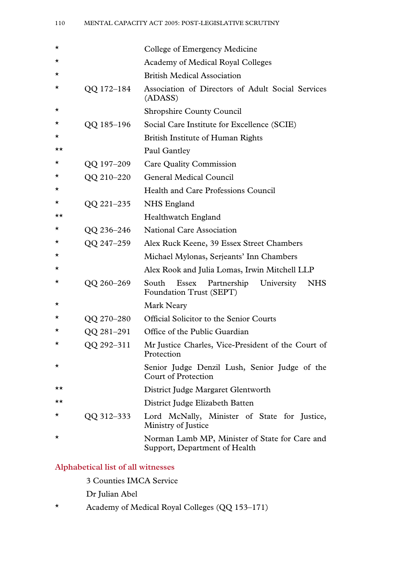| $^\star$ |            | College of Emergency Medicine                                                     |
|----------|------------|-----------------------------------------------------------------------------------|
| $^\star$ |            | Academy of Medical Royal Colleges                                                 |
| ★        |            | <b>British Medical Association</b>                                                |
| *        | QQ 172-184 | Association of Directors of Adult Social Services<br>(ADASS)                      |
| $^\star$ |            | <b>Shropshire County Council</b>                                                  |
| $^\star$ | QQ 185-196 | Social Care Institute for Excellence (SCIE)                                       |
| ★        |            | British Institute of Human Rights                                                 |
| ★★       |            | Paul Gantley                                                                      |
| ★        | QQ 197-209 | <b>Care Quality Commission</b>                                                    |
| *        | QQ 210-220 | <b>General Medical Council</b>                                                    |
| *        |            | <b>Health and Care Professions Council</b>                                        |
| $^\star$ | QQ 221-235 | NHS England                                                                       |
| ★★       |            | <b>Healthwatch England</b>                                                        |
| $^\star$ | QQ 236-246 | <b>National Care Association</b>                                                  |
| *        | QQ 247-259 | Alex Ruck Keene, 39 Essex Street Chambers                                         |
| *        |            | Michael Mylonas, Serjeants' Inn Chambers                                          |
| ★        |            | Alex Rook and Julia Lomas, Irwin Mitchell LLP                                     |
| *        | QQ 260-269 | Partnership University<br>South<br>Essex<br><b>NHS</b><br>Foundation Trust (SEPT) |
| $^\star$ |            | Mark Neary                                                                        |
| ★        | QQ 270-280 | <b>Official Solicitor to the Senior Courts</b>                                    |
| *        | QQ 281-291 | Office of the Public Guardian                                                     |
|          | QQ 292–311 | Mr Justice Charles, Vice-President of the Court of<br>Protection                  |
| $^\star$ |            | Senior Judge Denzil Lush, Senior Judge of the<br><b>Court of Protection</b>       |
| ★★       |            | District Judge Margaret Glentworth                                                |
| ★★       |            | District Judge Elizabeth Batten                                                   |
| ★        | QQ 312-333 | Lord McNally, Minister of State for Justice,<br>Ministry of Justice               |
| $\star$  |            | Norman Lamb MP, Minister of State for Care and<br>Support, Department of Health   |

# **Alphabetical list of all witnesses**

- 3 Counties IMCA Service
- Dr Julian Abel
- \* Academy of Medical Royal Colleges (QQ 153–171)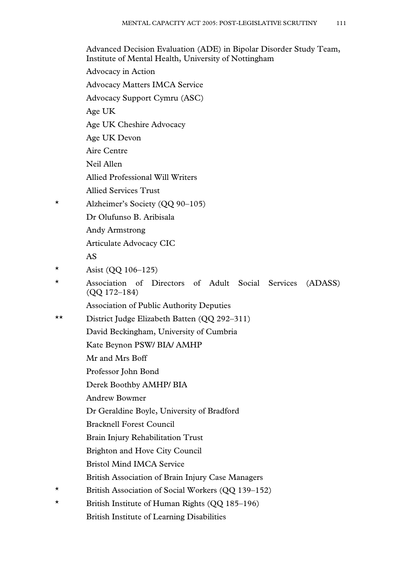|          | Advanced Decision Evaluation (ADE) in Bipolar Disorder Study Team,<br>Institute of Mental Health, University of Nottingham |  |  |  |  |
|----------|----------------------------------------------------------------------------------------------------------------------------|--|--|--|--|
|          | Advocacy in Action                                                                                                         |  |  |  |  |
|          | <b>Advocacy Matters IMCA Service</b>                                                                                       |  |  |  |  |
|          | Advocacy Support Cymru (ASC)                                                                                               |  |  |  |  |
|          | Age UK                                                                                                                     |  |  |  |  |
|          | Age UK Cheshire Advocacy                                                                                                   |  |  |  |  |
|          | Age UK Devon                                                                                                               |  |  |  |  |
|          | Aire Centre                                                                                                                |  |  |  |  |
|          | Neil Allen                                                                                                                 |  |  |  |  |
|          | <b>Allied Professional Will Writers</b>                                                                                    |  |  |  |  |
|          | <b>Allied Services Trust</b>                                                                                               |  |  |  |  |
| $^\star$ | Alzheimer's Society (QQ 90-105)                                                                                            |  |  |  |  |
|          | Dr Olufunso B. Aribisala                                                                                                   |  |  |  |  |
|          | Andy Armstrong                                                                                                             |  |  |  |  |
|          | <b>Articulate Advocacy CIC</b>                                                                                             |  |  |  |  |
|          | <b>AS</b>                                                                                                                  |  |  |  |  |
| *        | Asist (QQ 106-125)                                                                                                         |  |  |  |  |
| *        | Association of Directors of Adult Social Services (ADASS)<br>$(QQ 172 - 184)$                                              |  |  |  |  |
|          | <b>Association of Public Authority Deputies</b>                                                                            |  |  |  |  |
| ★★       | District Judge Elizabeth Batten (QQ 292-311)                                                                               |  |  |  |  |
|          | David Beckingham, University of Cumbria                                                                                    |  |  |  |  |
|          | Kate Beynon PSW/ BIA/ AMHP                                                                                                 |  |  |  |  |
|          | Mr and Mrs Boff                                                                                                            |  |  |  |  |
|          | Professor John Bond                                                                                                        |  |  |  |  |
|          | Derek Boothby AMHP/ BIA                                                                                                    |  |  |  |  |
|          | <b>Andrew Bowmer</b>                                                                                                       |  |  |  |  |
|          | Dr Geraldine Boyle, University of Bradford                                                                                 |  |  |  |  |
|          | <b>Bracknell Forest Council</b>                                                                                            |  |  |  |  |
|          | Brain Injury Rehabilitation Trust                                                                                          |  |  |  |  |
|          | Brighton and Hove City Council                                                                                             |  |  |  |  |
|          | <b>Bristol Mind IMCA Service</b>                                                                                           |  |  |  |  |
|          | British Association of Brain Injury Case Managers                                                                          |  |  |  |  |
| *        | British Association of Social Workers (QQ 139-152)                                                                         |  |  |  |  |
| *        | British Institute of Human Rights (QQ 185–196)                                                                             |  |  |  |  |
|          | British Institute of Learning Disabilities                                                                                 |  |  |  |  |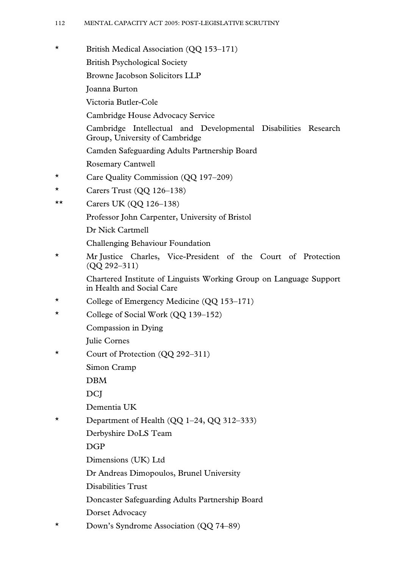- \* British Medical Association (QQ 153–171)
	- British Psychological Society
	- Browne Jacobson Solicitors LLP
	- Joanna Burton
	- Victoria Butler-Cole
	- Cambridge House Advocacy Service
	- Cambridge Intellectual and Developmental Disabilities Research Group, University of Cambridge
	- Camden Safeguarding Adults Partnership Board
	- Rosemary Cantwell
- \* Care Quality Commission (QQ 197–209)
- \* Carers Trust (QQ 126–138)
- \*\* Carers UK  $(QQ 126-138)$ 
	- Professor John Carpenter, University of Bristol
	- Dr Nick Cartmell
	- Challenging Behaviour Foundation
- \* Mr Justice Charles, Vice-President of the Court of Protection (QQ 292–311)
	- Chartered Institute of Linguists Working Group on Language Support in Health and Social Care
- \* College of Emergency Medicine (QQ 153–171)
- \* College of Social Work (QQ 139–152)
	- Compassion in Dying
	- Julie Cornes
- \* Court of Protection (QQ 292–311)
	- Simon Cramp
		- DBM
		- DCJ
		- Dementia UK
- \* Department of Health (QQ 1–24, QQ 312–333)
	- Derbyshire DoLS Team
		- DGP
		- Dimensions (UK) Ltd
		- Dr Andreas Dimopoulos, Brunel University
		- Disabilities Trust
		- Doncaster Safeguarding Adults Partnership Board
		- Dorset Advocacy
- \* Down's Syndrome Association (QQ 74–89)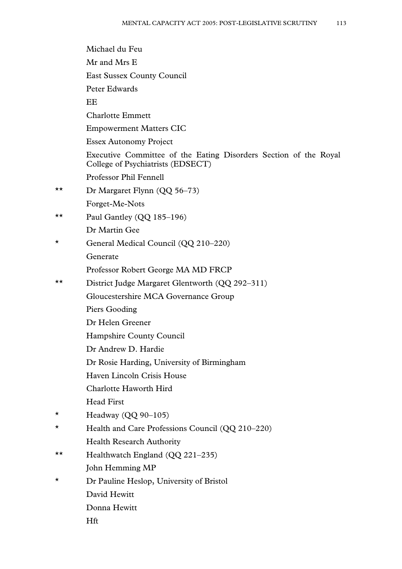|    | Michael du Feu                                                                                        |
|----|-------------------------------------------------------------------------------------------------------|
|    | Mr and Mrs E                                                                                          |
|    | <b>East Sussex County Council</b>                                                                     |
|    | Peter Edwards                                                                                         |
|    | EE                                                                                                    |
|    | <b>Charlotte Emmett</b>                                                                               |
|    | <b>Empowerment Matters CIC</b>                                                                        |
|    | <b>Essex Autonomy Project</b>                                                                         |
|    | Executive Committee of the Eating Disorders Section of the Royal<br>College of Psychiatrists (EDSECT) |
|    | <b>Professor Phil Fennell</b>                                                                         |
| ★★ | Dr Margaret Flynn (QQ 56–73)                                                                          |
|    | Forget-Me-Nots                                                                                        |
| ★★ | Paul Gantley (QQ 185-196)                                                                             |
|    | Dr Martin Gee                                                                                         |
| *  | General Medical Council (QQ 210-220)                                                                  |
|    | Generate                                                                                              |
|    | Professor Robert George MA MD FRCP                                                                    |
| ★★ | District Judge Margaret Glentworth (QQ 292-311)                                                       |
|    | Gloucestershire MCA Governance Group                                                                  |
|    | Piers Gooding                                                                                         |
|    | Dr Helen Greener                                                                                      |
|    | Hampshire County Council                                                                              |
|    | Dr Andrew D. Hardie                                                                                   |
|    | Dr Rosie Harding, University of Birmingham                                                            |
|    | Haven Lincoln Crisis House                                                                            |
|    | Charlotte Haworth Hird                                                                                |
|    | <b>Head First</b>                                                                                     |
| *  | Headway $(QQ 90-105)$                                                                                 |
| *  | Health and Care Professions Council (QQ 210-220)                                                      |
|    | <b>Health Research Authority</b>                                                                      |
| ★★ | Healthwatch England (QQ 221-235)                                                                      |
|    | John Hemming MP                                                                                       |
| *  | Dr Pauline Heslop, University of Bristol                                                              |
|    | David Hewitt                                                                                          |
|    | Donna Hewitt                                                                                          |
|    | Hft                                                                                                   |
|    |                                                                                                       |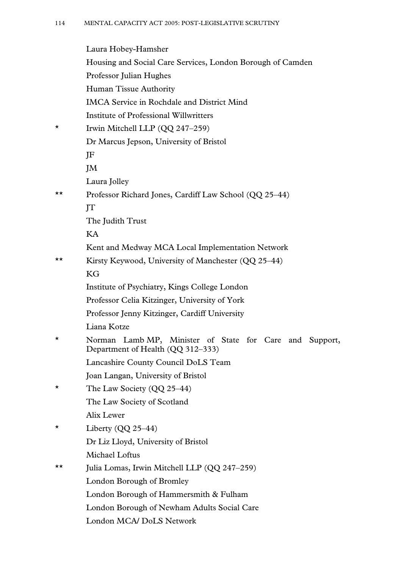|          | Laura Hobey-Hamsher                                                                          |
|----------|----------------------------------------------------------------------------------------------|
|          | Housing and Social Care Services, London Borough of Camden                                   |
|          | Professor Julian Hughes                                                                      |
|          | Human Tissue Authority                                                                       |
|          | <b>IMCA Service in Rochdale and District Mind</b>                                            |
|          | <b>Institute of Professional Willwritters</b>                                                |
| $\star$  | Irwin Mitchell LLP (QQ 247-259)                                                              |
|          | Dr Marcus Jepson, University of Bristol                                                      |
|          | JF                                                                                           |
|          | JM                                                                                           |
|          | Laura Jolley                                                                                 |
| ★★       | Professor Richard Jones, Cardiff Law School (QQ 25–44)                                       |
|          | JT                                                                                           |
|          | The Judith Trust                                                                             |
|          | KA                                                                                           |
|          | Kent and Medway MCA Local Implementation Network                                             |
| ★★       | Kirsty Keywood, University of Manchester (QQ 25–44)                                          |
|          | <b>KG</b>                                                                                    |
|          | Institute of Psychiatry, Kings College London                                                |
|          | Professor Celia Kitzinger, University of York                                                |
|          | Professor Jenny Kitzinger, Cardiff University                                                |
|          | Liana Kotze                                                                                  |
| $^\star$ | Norman Lamb MP, Minister of State for Care and Support,<br>Department of Health (QQ 312-333) |
|          | Lancashire County Council DoLS Team                                                          |
|          | Joan Langan, University of Bristol                                                           |
| $^\star$ | The Law Society (QQ 25-44)                                                                   |
|          | The Law Society of Scotland                                                                  |
|          | Alix Lewer                                                                                   |
| $^\star$ | Liberty $(QQ 25-44)$                                                                         |
|          | Dr Liz Lloyd, University of Bristol                                                          |
|          | Michael Loftus                                                                               |
| ★★       | Julia Lomas, Irwin Mitchell LLP (QQ 247-259)                                                 |
|          | London Borough of Bromley                                                                    |
|          | London Borough of Hammersmith & Fulham                                                       |
|          | London Borough of Newham Adults Social Care                                                  |
|          | London MCA/ DoLS Network                                                                     |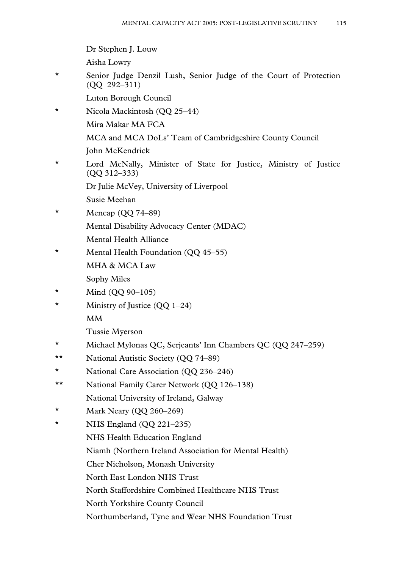Dr Stephen J. Louw

Aisha Lowry

- \* Senior Judge Denzil Lush, Senior Judge of the Court of Protection (QQ 292–311)
	- Luton Borough Council
- \* Nicola Mackintosh (QQ 25–44)
	- Mira Makar MA FCA
		- MCA and MCA DoLs' Team of Cambridgeshire County Council
	- John McKendrick
- \* Lord McNally, Minister of State for Justice, Ministry of Justice (QQ 312–333)

Dr Julie McVey, University of Liverpool

Susie Meehan

 $\star$  Mencap (QQ 74–89)

Mental Disability Advocacy Center (MDAC)

Mental Health Alliance

- \* Mental Health Foundation (QQ 45–55) MHA & MCA Law
	- Sophy Miles
- \* Mind (QQ 90–105)
- \* Ministry of Justice  $(QQ 1-24)$

MM

Tussie Myerson

- \* Michael Mylonas QC, Serjeants' Inn Chambers QC (QQ 247–259)
- \*\* National Autistic Society (QQ 74–89)
- \* National Care Association (QQ 236–246)
- \*\* National Family Carer Network (QQ 126–138)
	- National University of Ireland, Galway
- $\star$  Mark Neary (QQ 260–269)
- $\star$  NHS England (QQ 221–235)
	- NHS Health Education England

Niamh (Northern Ireland Association for Mental Health)

Cher Nicholson, Monash University

North East London NHS Trust

North Staffordshire Combined Healthcare NHS Trust

North Yorkshire County Council

Northumberland, Tyne and Wear NHS Foundation Trust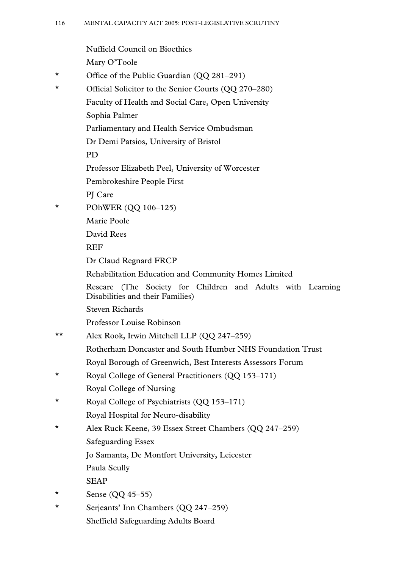Nuffield Council on Bioethics Mary O'Toole

- \* Office of the Public Guardian (QQ 281–291)
- \* Official Solicitor to the Senior Courts (QQ 270–280)
	- Faculty of Health and Social Care, Open University
		- Sophia Palmer

Parliamentary and Health Service Ombudsman

Dr Demi Patsios, University of Bristol

PD

Professor Elizabeth Peel, University of Worcester

Pembrokeshire People First

PJ Care

\* POhWER (QQ 106–125)

Marie Poole

David Rees

REF

Dr Claud Regnard FRCP

Rehabilitation Education and Community Homes Limited

 Rescare (The Society for Children and Adults with Learning Disabilities and their Families)

Steven Richards

Professor Louise Robinson

\*\* Alex Rook, Irwin Mitchell LLP (QQ 247–259)

Rotherham Doncaster and South Humber NHS Foundation Trust

Royal Borough of Greenwich, Best Interests Assessors Forum

- \* Royal College of General Practitioners (QQ 153–171)
	- Royal College of Nursing
- \* Royal College of Psychiatrists (QQ 153–171)
	- Royal Hospital for Neuro-disability
- \* Alex Ruck Keene, 39 Essex Street Chambers (QQ 247–259)
	- Safeguarding Essex

Jo Samanta, De Montfort University, Leicester

Paula Scully

SEAP

- \* Sense  $(QQ 45-55)$
- \* Serjeants' Inn Chambers (QQ 247–259) Sheffield Safeguarding Adults Board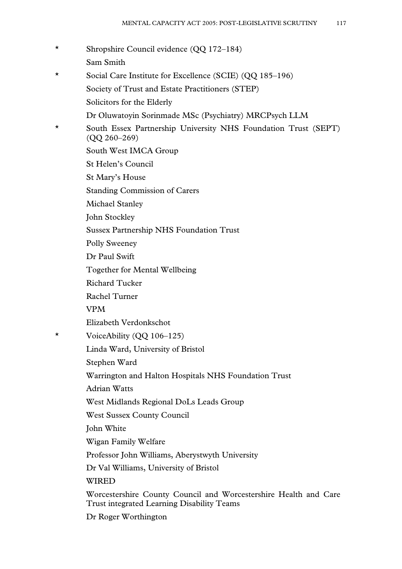- \* Shropshire Council evidence (QQ 172–184) Sam Smith
- \* Social Care Institute for Excellence (SCIE) (QQ 185–196) Society of Trust and Estate Practitioners (STEP) Solicitors for the Elderly

Dr Oluwatoyin Sorinmade MSc (Psychiatry) MRCPsych LLM

\* South Essex Partnership University NHS Foundation Trust (SEPT) (QQ 260–269)

South West IMCA Group

St Helen's Council

St Mary's House

Standing Commission of Carers

Michael Stanley

John Stockley

Sussex Partnership NHS Foundation Trust

Polly Sweeney

Dr Paul Swift

Together for Mental Wellbeing

Richard Tucker

Rachel Turner

VPM

Elizabeth Verdonkschot

\* VoiceAbility (QQ 106–125)

Linda Ward, University of Bristol

Stephen Ward

Warrington and Halton Hospitals NHS Foundation Trust

Adrian Watts

West Midlands Regional DoLs Leads Group

West Sussex County Council

John White

Wigan Family Welfare

Professor John Williams, Aberystwyth University

Dr Val Williams, University of Bristol

WIRED

 Worcestershire County Council and Worcestershire Health and Care Trust integrated Learning Disability Teams

Dr Roger Worthington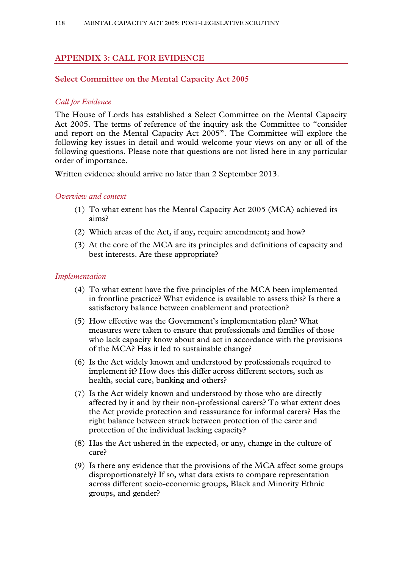# **APPENDIX 3: CALL FOR EVIDENCE**

### **Select Committee on the Mental Capacity Act 2005**

### *Call for Evidence*

The House of Lords has established a Select Committee on the Mental Capacity Act 2005. The terms of reference of the inquiry ask the Committee to "consider and report on the Mental Capacity Act 2005". The Committee will explore the following key issues in detail and would welcome your views on any or all of the following questions. Please note that questions are not listed here in any particular order of importance.

Written evidence should arrive no later than 2 September 2013.

### *Overview and context*

- (1) To what extent has the Mental Capacity Act 2005 (MCA) achieved its aims?
- (2) Which areas of the Act, if any, require amendment; and how?
- (3) At the core of the MCA are its principles and definitions of capacity and best interests. Are these appropriate?

### *Implementation*

- (4) To what extent have the five principles of the MCA been implemented in frontline practice? What evidence is available to assess this? Is there a satisfactory balance between enablement and protection?
- (5) How effective was the Government's implementation plan? What measures were taken to ensure that professionals and families of those who lack capacity know about and act in accordance with the provisions of the MCA? Has it led to sustainable change?
- (6) Is the Act widely known and understood by professionals required to implement it? How does this differ across different sectors, such as health, social care, banking and others?
- (7) Is the Act widely known and understood by those who are directly affected by it and by their non-professional carers? To what extent does the Act provide protection and reassurance for informal carers? Has the right balance between struck between protection of the carer and protection of the individual lacking capacity?
- (8) Has the Act ushered in the expected, or any, change in the culture of care?
- (9) Is there any evidence that the provisions of the MCA affect some groups disproportionately? If so, what data exists to compare representation across different socio-economic groups, Black and Minority Ethnic groups, and gender?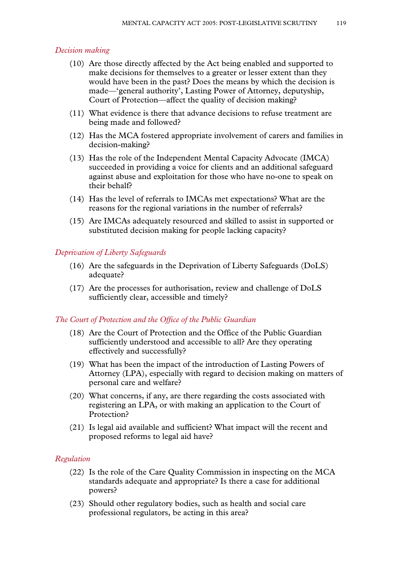#### *Decision making*

- (10) Are those directly affected by the Act being enabled and supported to make decisions for themselves to a greater or lesser extent than they would have been in the past? Does the means by which the decision is made—'general authority', Lasting Power of Attorney, deputyship, Court of Protection—affect the quality of decision making?
- (11) What evidence is there that advance decisions to refuse treatment are being made and followed?
- (12) Has the MCA fostered appropriate involvement of carers and families in decision-making?
- (13) Has the role of the Independent Mental Capacity Advocate (IMCA) succeeded in providing a voice for clients and an additional safeguard against abuse and exploitation for those who have no-one to speak on their behalf?
- (14) Has the level of referrals to IMCAs met expectations? What are the reasons for the regional variations in the number of referrals?
- (15) Are IMCAs adequately resourced and skilled to assist in supported or substituted decision making for people lacking capacity?

#### *Deprivation of Liberty Safeguards*

- (16) Are the safeguards in the Deprivation of Liberty Safeguards (DoLS) adequate?
- (17) Are the processes for authorisation, review and challenge of DoLS sufficiently clear, accessible and timely?

### *The Court of Protection and the Office of the Public Guardian*

- (18) Are the Court of Protection and the Office of the Public Guardian sufficiently understood and accessible to all? Are they operating effectively and successfully?
- (19) What has been the impact of the introduction of Lasting Powers of Attorney (LPA), especially with regard to decision making on matters of personal care and welfare?
- (20) What concerns, if any, are there regarding the costs associated with registering an LPA, or with making an application to the Court of Protection?
- (21) Is legal aid available and sufficient? What impact will the recent and proposed reforms to legal aid have?

#### *Regulation*

- (22) Is the role of the Care Quality Commission in inspecting on the MCA standards adequate and appropriate? Is there a case for additional powers?
- (23) Should other regulatory bodies, such as health and social care professional regulators, be acting in this area?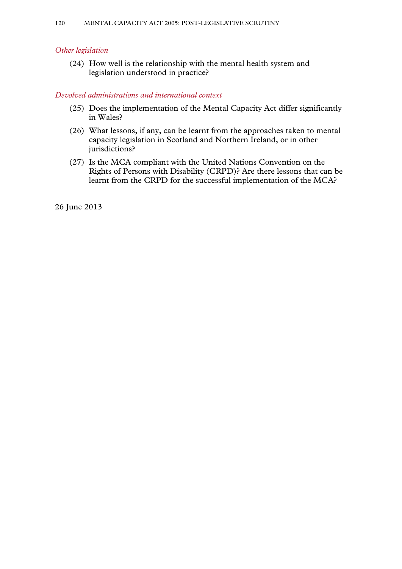## *Other legislation*

(24) How well is the relationship with the mental health system and legislation understood in practice?

## *Devolved administrations and international context*

- (25) Does the implementation of the Mental Capacity Act differ significantly in Wales?
- (26) What lessons, if any, can be learnt from the approaches taken to mental capacity legislation in Scotland and Northern Ireland, or in other jurisdictions?
- (27) Is the MCA compliant with the United Nations Convention on the Rights of Persons with Disability (CRPD)? Are there lessons that can be learnt from the CRPD for the successful implementation of the MCA?

26 June 2013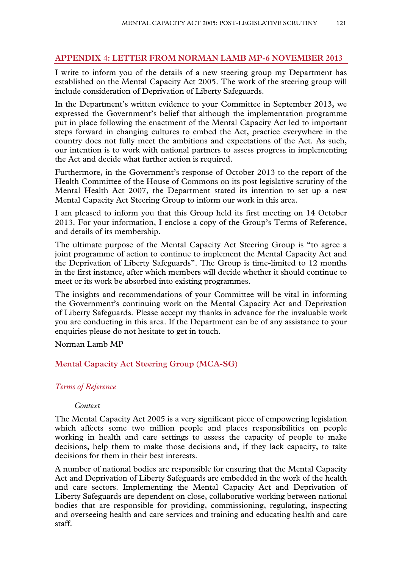## **APPENDIX 4: LETTER FROM NORMAN LAMB MP-6 NOVEMBER 2013**

I write to inform you of the details of a new steering group my Department has established on the Mental Capacity Act 2005. The work of the steering group will include consideration of Deprivation of Liberty Safeguards.

In the Department's written evidence to your Committee in September 2013, we expressed the Government's belief that although the implementation programme put in place following the enactment of the Mental Capacity Act led to important steps forward in changing cultures to embed the Act, practice everywhere in the country does not fully meet the ambitions and expectations of the Act. As such, our intention is to work with national partners to assess progress in implementing the Act and decide what further action is required.

Furthermore, in the Government's response of October 2013 to the report of the Health Committee of the House of Commons on its post legislative scrutiny of the Mental Health Act 2007, the Department stated its intention to set up a new Mental Capacity Act Steering Group to inform our work in this area.

I am pleased to inform you that this Group held its first meeting on 14 October 2013. For your information, I enclose a copy of the Group's Terms of Reference, and details of its membership.

The ultimate purpose of the Mental Capacity Act Steering Group is "to agree a joint programme of action to continue to implement the Mental Capacity Act and the Deprivation of Liberty Safeguards". The Group is time-limited to 12 months in the first instance, after which members will decide whether it should continue to meet or its work be absorbed into existing programmes.

The insights and recommendations of your Committee will be vital in informing the Government's continuing work on the Mental Capacity Act and Deprivation of Liberty Safeguards. Please accept my thanks in advance for the invaluable work you are conducting in this area. If the Department can be of any assistance to your enquiries please do not hesitate to get in touch.

Norman Lamb MP

# **Mental Capacity Act Steering Group (MCA-SG)**

### *Terms of Reference*

#### *Context*

The Mental Capacity Act 2005 is a very significant piece of empowering legislation which affects some two million people and places responsibilities on people working in health and care settings to assess the capacity of people to make decisions, help them to make those decisions and, if they lack capacity, to take decisions for them in their best interests.

A number of national bodies are responsible for ensuring that the Mental Capacity Act and Deprivation of Liberty Safeguards are embedded in the work of the health and care sectors. Implementing the Mental Capacity Act and Deprivation of Liberty Safeguards are dependent on close, collaborative working between national bodies that are responsible for providing, commissioning, regulating, inspecting and overseeing health and care services and training and educating health and care staff.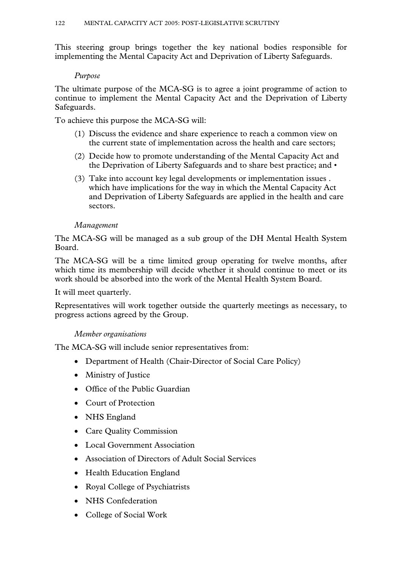This steering group brings together the key national bodies responsible for implementing the Mental Capacity Act and Deprivation of Liberty Safeguards.

# *Purpose*

The ultimate purpose of the MCA-SG is to agree a joint programme of action to continue to implement the Mental Capacity Act and the Deprivation of Liberty Safeguards.

To achieve this purpose the MCA-SG will:

- (1) Discuss the evidence and share experience to reach a common view on the current state of implementation across the health and care sectors;
- (2) Decide how to promote understanding of the Mental Capacity Act and the Deprivation of Liberty Safeguards and to share best practice; and •
- (3) Take into account key legal developments or implementation issues . which have implications for the way in which the Mental Capacity Act and Deprivation of Liberty Safeguards are applied in the health and care sectors.

# *Management*

The MCA-SG will be managed as a sub group of the DH Mental Health System Board.

The MCA-SG will be a time limited group operating for twelve months, after which time its membership will decide whether it should continue to meet or its work should be absorbed into the work of the Mental Health System Board.

It will meet quarterly.

Representatives will work together outside the quarterly meetings as necessary, to progress actions agreed by the Group.

# *Member organisations*

The MCA-SG will include senior representatives from:

- Department of Health (Chair-Director of Social Care Policy)
- Ministry of Justice
- Office of the Public Guardian
- Court of Protection
- NHS England
- Care Quality Commission
- Local Government Association
- Association of Directors of Adult Social Services
- Health Education England
- Royal College of Psychiatrists
- NHS Confederation
- College of Social Work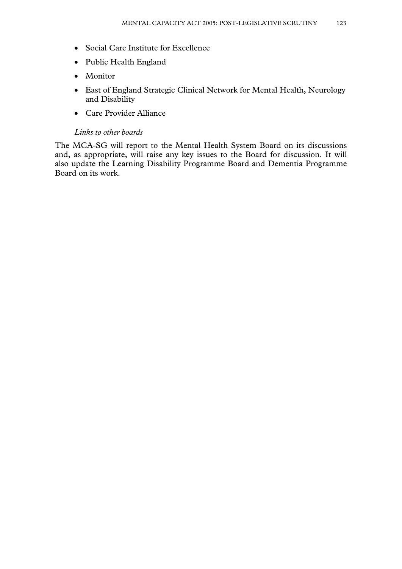- Social Care Institute for Excellence
- Public Health England
- Monitor
- East of England Strategic Clinical Network for Mental Health, Neurology and Disability
- Care Provider Alliance

### *Links to other boards*

The MCA-SG will report to the Mental Health System Board on its discussions and, as appropriate, will raise any key issues to the Board for discussion. It will also update the Learning Disability Programme Board and Dementia Programme Board on its work.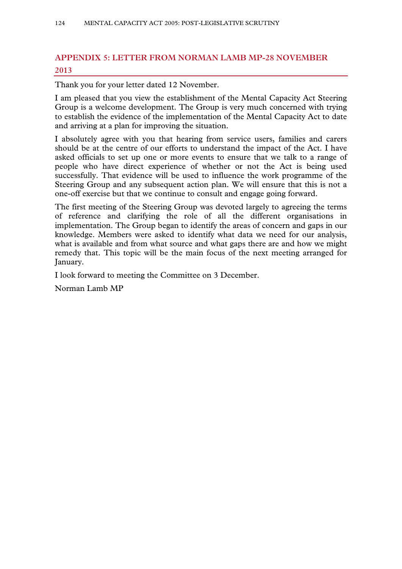# **APPENDIX 5: LETTER FROM NORMAN LAMB MP-28 NOVEMBER 2013**

Thank you for your letter dated 12 November.

I am pleased that you view the establishment of the Mental Capacity Act Steering Group is a welcome development. The Group is very much concerned with trying to establish the evidence of the implementation of the Mental Capacity Act to date and arriving at a plan for improving the situation.

I absolutely agree with you that hearing from service users, families and carers should be at the centre of our efforts to understand the impact of the Act. I have asked officials to set up one or more events to ensure that we talk to a range of people who have direct experience of whether or not the Act is being used successfully. That evidence will be used to influence the work programme of the Steering Group and any subsequent action plan. We will ensure that this is not a one-off exercise but that we continue to consult and engage going forward.

The first meeting of the Steering Group was devoted largely to agreeing the terms of reference and clarifying the role of all the different organisations in implementation. The Group began to identify the areas of concern and gaps in our knowledge. Members were asked to identify what data we need for our analysis, what is available and from what source and what gaps there are and how we might remedy that. This topic will be the main focus of the next meeting arranged for January.

I look forward to meeting the Committee on 3 December.

Norman Lamb MP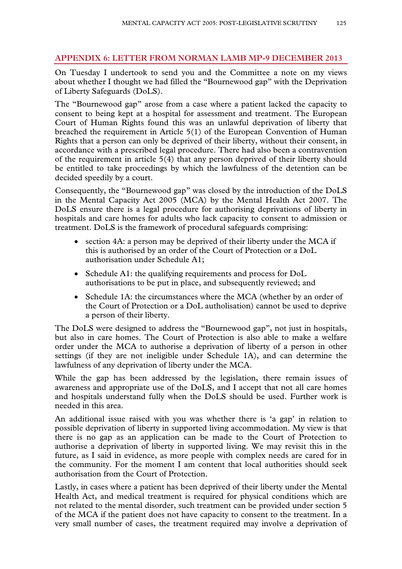## **APPENDIX 6: LETTER FROM NORMAN LAMB MP-9 DECEMBER 2013**

On Tuesday I undertook to send you and the Committee a note on my views about whether I thought we had filled the "Bournewood gap" with the Deprivation of Liberty Safeguards (DoLS).

The "Bournewood gap" arose from a case where a patient lacked the capacity to consent to being kept at a hospital for assessment and treatment. The European Court of Human Rights found this was an unlawful deprivation of liberty that breached the requirement in Article 5(1) of the European Convention of Human Rights that a person can only be deprived of their liberty, without their consent, in accordance with a prescribed legal procedure. There had also been a contravention of the requirement in article 5(4) that any person deprived of their liberty should be entitled to take proceedings by which the lawfulness of the detention can be decided speedily by a court.

Consequently, the "Bournewood gap" was closed by the introduction of the DoLS in the Mental Capacity Act 2005 (MCA) by the Mental Health Act 2007. The DoLS ensure there is a legal procedure for authorising deprivations of liberty in hospitals and care homes for adults who lack capacity to consent to admission or treatment. DoLS is the framework of procedural safeguards comprising:

- section 4A: a person may be deprived of their liberty under the MCA if this is authorised by an order of the Court of Protection or a DoL authorisation under Schedule A1;
- Schedule A1: the qualifying requirements and process for DoL authorisations to be put in place, and subsequently reviewed; and
- Schedule 1A: the circumstances where the MCA (whether by an order of the Court of Protection or a DoL autholisation) cannot be used to deprive a person of their liberty.

The DoLS were designed to address the "Bournewood gap", not just in hospitals, but also in care homes. The Court of Protection is also able to make a welfare order under the MCA to authorise a deprivation of liberty of a person in other settings (if they are not ineligible under Schedule 1A), and can determine the lawfulness of any deprivation of liberty under the MCA.

While the gap has been addressed by the legislation, there remain issues of awareness and appropriate use of the DoLS, and I accept that not all care homes and hospitals understand fully when the DoLS should be used. Further work is needed in this area.

An additional issue raised with you was whether there is 'a gap' in relation to possible deprivation of liberty in supported living accommodation. My view is that there is no gap as an application can be made to the Court of Protection to authorise a deprivation of liberty in supported living. We may revisit this in the future, as I said in evidence, as more people with complex needs are cared for in the community. For the moment I am content that local authorities should seek authorisation from the Court of Protection.

Lastly, in cases where a patient has been deprived of their liberty under the Mental Health Act, and medical treatment is required for physical conditions which are not related to the mental disorder, such treatment can be provided under section 5 of the MCA if the patient does not have capacity to consent to the treatment. In a very small number of cases, the treatment required may involve a deprivation of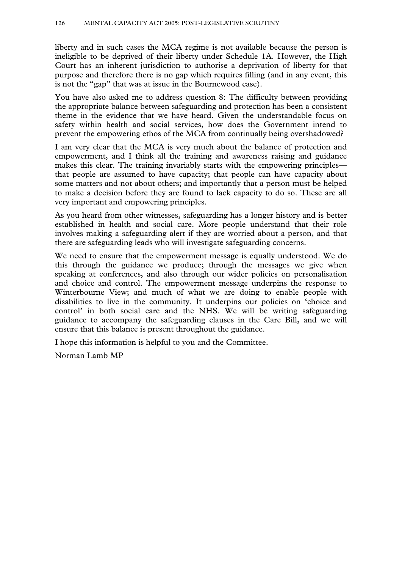liberty and in such cases the MCA regime is not available because the person is ineligible to be deprived of their liberty under Schedule 1A. However, the High Court has an inherent jurisdiction to authorise a deprivation of liberty for that purpose and therefore there is no gap which requires filling (and in any event, this is not the "gap" that was at issue in the Bournewood case).

You have also asked me to address question 8: The difficulty between providing the appropriate balance between safeguarding and protection has been a consistent theme in the evidence that we have heard. Given the understandable focus on safety within health and social services, how does the Government intend to prevent the empowering ethos of the MCA from continually being overshadowed?

I am very clear that the MCA is very much about the balance of protection and empowerment, and I think all the training and awareness raising and guidance makes this clear. The training invariably starts with the empowering principles that people are assumed to have capacity; that people can have capacity about some matters and not about others; and importantly that a person must be helped to make a decision before they are found to lack capacity to do so. These are all very important and empowering principles.

As you heard from other witnesses, safeguarding has a longer history and is better established in health and social care. More people understand that their role involves making a safeguarding alert if they are worried about a person, and that there are safeguarding leads who will investigate safeguarding concerns.

We need to ensure that the empowerment message is equally understood. We do this through the guidance we produce; through the messages we give when speaking at conferences, and also through our wider policies on personalisation and choice and control. The empowerment message underpins the response to Winterbourne View; and much of what we are doing to enable people with disabilities to live in the community. It underpins our policies on 'choice and control' in both social care and the NHS. We will be writing safeguarding guidance to accompany the safeguarding clauses in the Care Bill, and we will ensure that this balance is present throughout the guidance.

I hope this information is helpful to you and the Committee.

Norman Lamb MP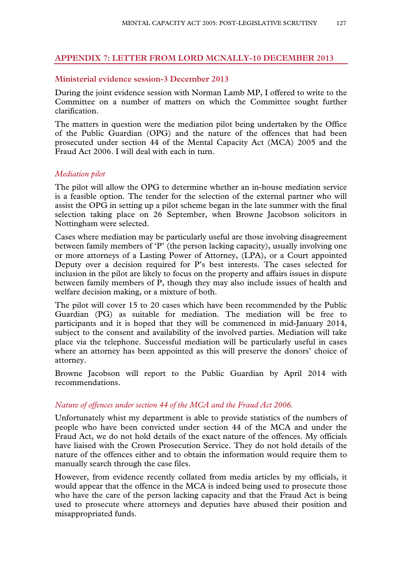# **APPENDIX 7: LETTER FROM LORD MCNALLY-10 DECEMBER 2013**

### **Ministerial evidence session-3 December 2013**

During the joint evidence session with Norman Lamb MP, I offered to write to the Committee on a number of matters on which the Committee sought further clarification.

The matters in question were the mediation pilot being undertaken by the Office of the Public Guardian (OPG) and the nature of the offences that had been prosecuted under section 44 of the Mental Capacity Act (MCA) 2005 and the Fraud Act 2006. I will deal with each in turn.

### *Mediation pilot*

The pilot will allow the OPG to determine whether an in-house mediation service is a feasible option. The tender for the selection of the external partner who will assist the OPG in setting up a pilot scheme began in the late summer with the final selection taking place on 26 September, when Browne Jacobson solicitors in Nottingham were selected.

Cases where mediation may be particularly useful are those involving disagreement between family members of 'P' (the person lacking capacity), usually involving one or more attorneys of a Lasting Power of Attorney, (LPA), or a Court appointed Deputy over a decision required for P's best interests. The cases selected for inclusion in the pilot are likely to focus on the property and affairs issues in dispute between family members of P, though they may also include issues of health and welfare decision making, or a mixture of both.

The pilot will cover 15 to 20 cases which have been recommended by the Public Guardian (PG) as suitable for mediation. The mediation will be free to participants and it is hoped that they will be commenced in mid-January 2014, subject to the consent and availability of the involved parties. Mediation will take place via the telephone. Successful mediation will be particularly useful in cases where an attorney has been appointed as this will preserve the donors' choice of attorney.

Browne Jacobson will report to the Public Guardian by April 2014 with recommendations.

# *Nature of offences under section 44 of the MCA and the Fraud Act 2006.*

Unfortunately whist my department is able to provide statistics of the numbers of people who have been convicted under section 44 of the MCA and under the Fraud Act, we do not hold details of the exact nature of the offences. My officials have liaised with the Crown Prosecution Service. They do not hold details of the nature of the offences either and to obtain the information would require them to manually search through the case files.

However, from evidence recently collated from media articles by my officials, it would appear that the offence in the MCA is indeed being used to prosecute those who have the care of the person lacking capacity and that the Fraud Act is being used to prosecute where attorneys and deputies have abused their position and misappropriated funds.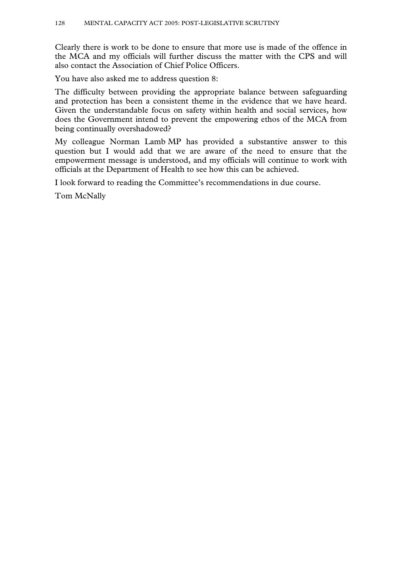Clearly there is work to be done to ensure that more use is made of the offence in the MCA and my officials will further discuss the matter with the CPS and will also contact the Association of Chief Police Officers.

You have also asked me to address question 8:

The difficulty between providing the appropriate balance between safeguarding and protection has been a consistent theme in the evidence that we have heard. Given the understandable focus on safety within health and social services, how does the Government intend to prevent the empowering ethos of the MCA from being continually overshadowed?

My colleague Norman Lamb MP has provided a substantive answer to this question but I would add that we are aware of the need to ensure that the empowerment message is understood, and my officials will continue to work with officials at the Department of Health to see how this can be achieved.

I look forward to reading the Committee's recommendations in due course.

Tom McNally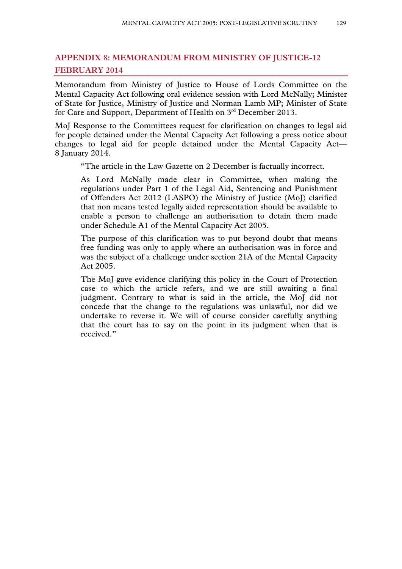# **APPENDIX 8: MEMORANDUM FROM MINISTRY OF JUSTICE-12 FEBRUARY 2014**

Memorandum from Ministry of Justice to House of Lords Committee on the Mental Capacity Act following oral evidence session with Lord McNally; Minister of State for Justice, Ministry of Justice and Norman Lamb MP; Minister of State for Care and Support, Department of Health on 3rd December 2013.

MoJ Response to the Committees request for clarification on changes to legal aid for people detained under the Mental Capacity Act following a press notice about changes to legal aid for people detained under the Mental Capacity Act— 8 January 2014.

"The article in the Law Gazette on 2 December is factually incorrect.

As Lord McNally made clear in Committee, when making the regulations under Part 1 of the Legal Aid, Sentencing and Punishment of Offenders Act 2012 (LASPO) the Ministry of Justice (MoJ) clarified that non means tested legally aided representation should be available to enable a person to challenge an authorisation to detain them made under Schedule A1 of the Mental Capacity Act 2005.

The purpose of this clarification was to put beyond doubt that means free funding was only to apply where an authorisation was in force and was the subject of a challenge under section 21A of the Mental Capacity Act 2005.

The MoJ gave evidence clarifying this policy in the Court of Protection case to which the article refers, and we are still awaiting a final judgment. Contrary to what is said in the article, the MoJ did not concede that the change to the regulations was unlawful, nor did we undertake to reverse it. We will of course consider carefully anything that the court has to say on the point in its judgment when that is received."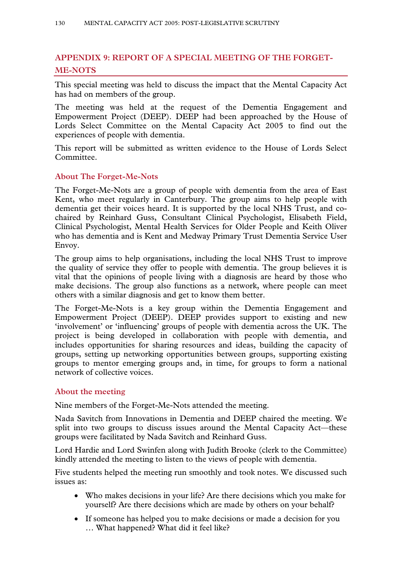# **APPENDIX 9: REPORT OF A SPECIAL MEETING OF THE FORGET-ME-NOTS**

This special meeting was held to discuss the impact that the Mental Capacity Act has had on members of the group.

The meeting was held at the request of the Dementia Engagement and Empowerment Project (DEEP). DEEP had been approached by the House of Lords Select Committee on the Mental Capacity Act 2005 to find out the experiences of people with dementia.

This report will be submitted as written evidence to the House of Lords Select Committee.

# **About The Forget-Me-Nots**

The Forget-Me-Nots are a group of people with dementia from the area of East Kent, who meet regularly in Canterbury. The group aims to help people with dementia get their voices heard. It is supported by the local NHS Trust, and cochaired by Reinhard Guss, Consultant Clinical Psychologist, Elisabeth Field, Clinical Psychologist, Mental Health Services for Older People and Keith Oliver who has dementia and is Kent and Medway Primary Trust Dementia Service User Envoy.

The group aims to help organisations, including the local NHS Trust to improve the quality of service they offer to people with dementia. The group believes it is vital that the opinions of people living with a diagnosis are heard by those who make decisions. The group also functions as a network, where people can meet others with a similar diagnosis and get to know them better.

The Forget-Me-Nots is a key group within the Dementia Engagement and Empowerment Project (DEEP). DEEP provides support to existing and new 'involvement' or 'influencing' groups of people with dementia across the UK. The project is being developed in collaboration with people with dementia, and includes opportunities for sharing resources and ideas, building the capacity of groups, setting up networking opportunities between groups, supporting existing groups to mentor emerging groups and, in time, for groups to form a national network of collective voices.

### **About the meeting**

Nine members of the Forget-Me-Nots attended the meeting.

Nada Savitch from Innovations in Dementia and DEEP chaired the meeting. We split into two groups to discuss issues around the Mental Capacity Act—these groups were facilitated by Nada Savitch and Reinhard Guss.

Lord Hardie and Lord Swinfen along with Judith Brooke (clerk to the Committee) kindly attended the meeting to listen to the views of people with dementia.

Five students helped the meeting run smoothly and took notes. We discussed such issues as:

- Who makes decisions in your life? Are there decisions which you make for yourself? Are there decisions which are made by others on your behalf?
- If someone has helped you to make decisions or made a decision for you … What happened? What did it feel like?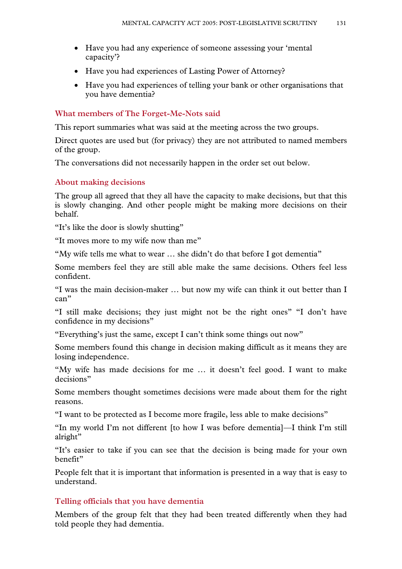- Have you had any experience of someone assessing your 'mental capacity'?
- Have you had experiences of Lasting Power of Attorney?
- Have you had experiences of telling your bank or other organisations that you have dementia?

# **What members of The Forget-Me-Nots said**

This report summaries what was said at the meeting across the two groups.

Direct quotes are used but (for privacy) they are not attributed to named members of the group.

The conversations did not necessarily happen in the order set out below.

# **About making decisions**

The group all agreed that they all have the capacity to make decisions, but that this is slowly changing. And other people might be making more decisions on their behalf.

"It's like the door is slowly shutting"

"It moves more to my wife now than me"

"My wife tells me what to wear … she didn't do that before I got dementia"

Some members feel they are still able make the same decisions. Others feel less confident.

"I was the main decision-maker … but now my wife can think it out better than I can"

"I still make decisions; they just might not be the right ones" "I don't have confidence in my decisions"

"Everything's just the same, except I can't think some things out now"

Some members found this change in decision making difficult as it means they are losing independence.

"My wife has made decisions for me … it doesn't feel good. I want to make decisions"

Some members thought sometimes decisions were made about them for the right reasons.

"I want to be protected as I become more fragile, less able to make decisions"

"In my world I'm not different [to how I was before dementia]—I think I'm still alright"

"It's easier to take if you can see that the decision is being made for your own benefit"

People felt that it is important that information is presented in a way that is easy to understand.

# **Telling officials that you have dementia**

Members of the group felt that they had been treated differently when they had told people they had dementia.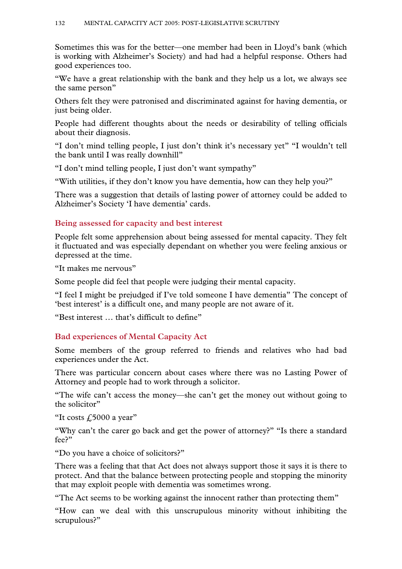Sometimes this was for the better—one member had been in Lloyd's bank (which is working with Alzheimer's Society) and had had a helpful response. Others had good experiences too.

"We have a great relationship with the bank and they help us a lot, we always see the same person"

Others felt they were patronised and discriminated against for having dementia, or just being older.

People had different thoughts about the needs or desirability of telling officials about their diagnosis.

"I don't mind telling people, I just don't think it's necessary yet" "I wouldn't tell the bank until I was really downhill"

"I don't mind telling people, I just don't want sympathy"

"With utilities, if they don't know you have dementia, how can they help you?"

There was a suggestion that details of lasting power of attorney could be added to Alzheimer's Society 'I have dementia' cards.

# **Being assessed for capacity and best interest**

People felt some apprehension about being assessed for mental capacity. They felt it fluctuated and was especially dependant on whether you were feeling anxious or depressed at the time.

"It makes me nervous"

Some people did feel that people were judging their mental capacity.

"I feel I might be prejudged if I've told someone I have dementia" The concept of 'best interest' is a difficult one, and many people are not aware of it.

"Best interest … that's difficult to define"

# **Bad experiences of Mental Capacity Act**

Some members of the group referred to friends and relatives who had bad experiences under the Act.

There was particular concern about cases where there was no Lasting Power of Attorney and people had to work through a solicitor.

"The wife can't access the money—she can't get the money out without going to the solicitor"

"It costs  $\epsilon$ ,5000 a year"

"Why can't the carer go back and get the power of attorney?" "Is there a standard fee?"

"Do you have a choice of solicitors?"

There was a feeling that that Act does not always support those it says it is there to protect. And that the balance between protecting people and stopping the minority that may exploit people with dementia was sometimes wrong.

"The Act seems to be working against the innocent rather than protecting them"

"How can we deal with this unscrupulous minority without inhibiting the scrupulous?"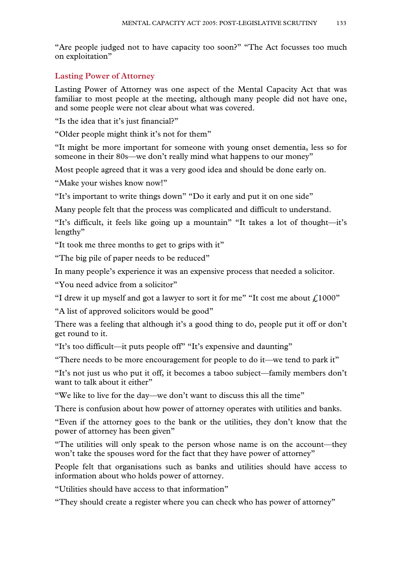"Are people judged not to have capacity too soon?" "The Act focusses too much on exploitation"

**Lasting Power of Attorney** 

Lasting Power of Attorney was one aspect of the Mental Capacity Act that was familiar to most people at the meeting, although many people did not have one, and some people were not clear about what was covered.

"Is the idea that it's just financial?"

"Older people might think it's not for them"

"It might be more important for someone with young onset dementia, less so for someone in their 80s—we don't really mind what happens to our money"

Most people agreed that it was a very good idea and should be done early on.

"Make your wishes know now!"

"It's important to write things down" "Do it early and put it on one side"

Many people felt that the process was complicated and difficult to understand.

"It's difficult, it feels like going up a mountain" "It takes a lot of thought—it's lengthy"

"It took me three months to get to grips with it"

"The big pile of paper needs to be reduced"

In many people's experience it was an expensive process that needed a solicitor.

"You need advice from a solicitor"

"I drew it up myself and got a lawyer to sort it for me" "It cost me about  $\text{\textsterling}1000$ "

"A list of approved solicitors would be good"

There was a feeling that although it's a good thing to do, people put it off or don't get round to it.

"It's too difficult—it puts people off" "It's expensive and daunting"

"There needs to be more encouragement for people to do it—we tend to park it"

"It's not just us who put it off, it becomes a taboo subject—family members don't want to talk about it either"

"We like to live for the day—we don't want to discuss this all the time"

There is confusion about how power of attorney operates with utilities and banks.

"Even if the attorney goes to the bank or the utilities, they don't know that the power of attorney has been given"

"The utilities will only speak to the person whose name is on the account—they won't take the spouses word for the fact that they have power of attorney"

People felt that organisations such as banks and utilities should have access to information about who holds power of attorney.

"Utilities should have access to that information"

"They should create a register where you can check who has power of attorney"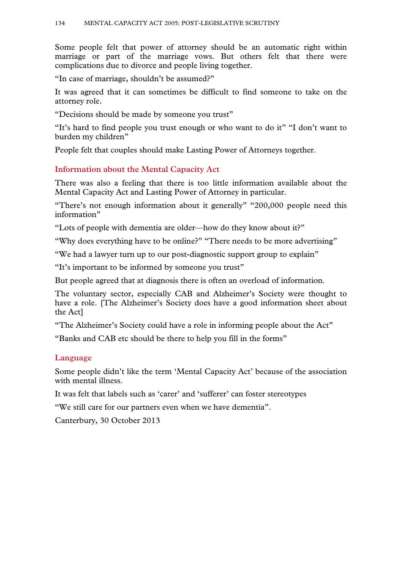Some people felt that power of attorney should be an automatic right within marriage or part of the marriage vows. But others felt that there were complications due to divorce and people living together.

"In case of marriage, shouldn't be assumed?"

It was agreed that it can sometimes be difficult to find someone to take on the attorney role.

"Decisions should be made by someone you trust"

"It's hard to find people you trust enough or who want to do it" "I don't want to burden my children"

People felt that couples should make Lasting Power of Attorneys together.

# **Information about the Mental Capacity Act**

There was also a feeling that there is too little information available about the Mental Capacity Act and Lasting Power of Attorney in particular.

"There's not enough information about it generally" "200,000 people need this information"

"Lots of people with dementia are older—how do they know about it?"

"Why does everything have to be online?" "There needs to be more advertising"

"We had a lawyer turn up to our post-diagnostic support group to explain"

"It's important to be informed by someone you trust"

But people agreed that at diagnosis there is often an overload of information.

The voluntary sector, especially CAB and Alzheimer's Society were thought to have a role. [The Alzheimer's Society does have a good information sheet about the Act]

"The Alzheimer's Society could have a role in informing people about the Act"

"Banks and CAB etc should be there to help you fill in the forms"

# **Language**

Some people didn't like the term 'Mental Capacity Act' because of the association with mental illness.

It was felt that labels such as 'carer' and 'sufferer' can foster stereotypes

"We still care for our partners even when we have dementia".

Canterbury, 30 October 2013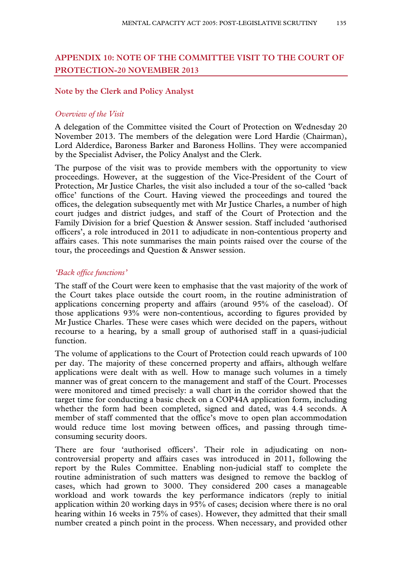# **APPENDIX 10: NOTE OF THE COMMITTEE VISIT TO THE COURT OF PROTECTION-20 NOVEMBER 2013**

### **Note by the Clerk and Policy Analyst**

### *Overview of the Visit*

A delegation of the Committee visited the Court of Protection on Wednesday 20 November 2013. The members of the delegation were Lord Hardie (Chairman), Lord Alderdice, Baroness Barker and Baroness Hollins. They were accompanied by the Specialist Adviser, the Policy Analyst and the Clerk.

The purpose of the visit was to provide members with the opportunity to view proceedings. However, at the suggestion of the Vice-President of the Court of Protection, Mr Justice Charles, the visit also included a tour of the so-called 'back office' functions of the Court. Having viewed the proceedings and toured the offices, the delegation subsequently met with Mr Justice Charles, a number of high court judges and district judges, and staff of the Court of Protection and the Family Division for a brief Question & Answer session. Staff included 'authorised officers', a role introduced in 2011 to adjudicate in non-contentious property and affairs cases. This note summarises the main points raised over the course of the tour, the proceedings and Question & Answer session.

#### *'Back office functions'*

The staff of the Court were keen to emphasise that the vast majority of the work of the Court takes place outside the court room, in the routine administration of applications concerning property and affairs (around 95% of the caseload). Of those applications 93% were non-contentious, according to figures provided by Mr Justice Charles. These were cases which were decided on the papers, without recourse to a hearing, by a small group of authorised staff in a quasi-judicial function.

The volume of applications to the Court of Protection could reach upwards of 100 per day. The majority of these concerned property and affairs, although welfare applications were dealt with as well. How to manage such volumes in a timely manner was of great concern to the management and staff of the Court. Processes were monitored and timed precisely: a wall chart in the corridor showed that the target time for conducting a basic check on a COP44A application form, including whether the form had been completed, signed and dated, was 4.4 seconds. A member of staff commented that the office's move to open plan accommodation would reduce time lost moving between offices, and passing through timeconsuming security doors.

There are four 'authorised officers'. Their role in adjudicating on noncontroversial property and affairs cases was introduced in 2011, following the report by the Rules Committee. Enabling non-judicial staff to complete the routine administration of such matters was designed to remove the backlog of cases, which had grown to 3000. They considered 200 cases a manageable workload and work towards the key performance indicators (reply to initial application within 20 working days in 95% of cases; decision where there is no oral hearing within 16 weeks in 75% of cases). However, they admitted that their small number created a pinch point in the process. When necessary, and provided other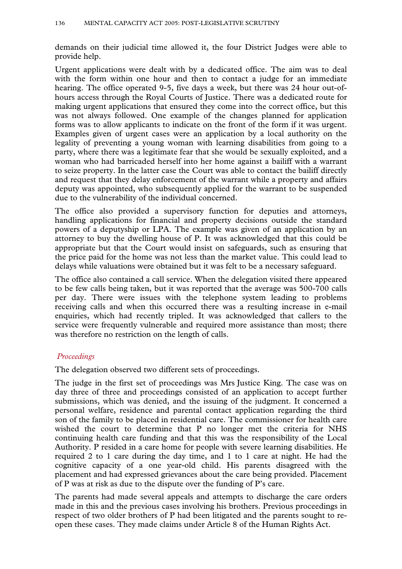demands on their judicial time allowed it, the four District Judges were able to provide help.

Urgent applications were dealt with by a dedicated office. The aim was to deal with the form within one hour and then to contact a judge for an immediate hearing. The office operated 9-5, five days a week, but there was 24 hour out-ofhours access through the Royal Courts of Justice. There was a dedicated route for making urgent applications that ensured they come into the correct office, but this was not always followed. One example of the changes planned for application forms was to allow applicants to indicate on the front of the form if it was urgent. Examples given of urgent cases were an application by a local authority on the legality of preventing a young woman with learning disabilities from going to a party, where there was a legitimate fear that she would be sexually exploited, and a woman who had barricaded herself into her home against a bailiff with a warrant to seize property. In the latter case the Court was able to contact the bailiff directly and request that they delay enforcement of the warrant while a property and affairs deputy was appointed, who subsequently applied for the warrant to be suspended due to the vulnerability of the individual concerned.

The office also provided a supervisory function for deputies and attorneys, handling applications for financial and property decisions outside the standard powers of a deputyship or LPA. The example was given of an application by an attorney to buy the dwelling house of P. It was acknowledged that this could be appropriate but that the Court would insist on safeguards, such as ensuring that the price paid for the home was not less than the market value. This could lead to delays while valuations were obtained but it was felt to be a necessary safeguard.

The office also contained a call service. When the delegation visited there appeared to be few calls being taken, but it was reported that the average was 500-700 calls per day. There were issues with the telephone system leading to problems receiving calls and when this occurred there was a resulting increase in e-mail enquiries, which had recently tripled. It was acknowledged that callers to the service were frequently vulnerable and required more assistance than most; there was therefore no restriction on the length of calls.

# *Proceedings*

The delegation observed two different sets of proceedings.

The judge in the first set of proceedings was Mrs Justice King. The case was on day three of three and proceedings consisted of an application to accept further submissions, which was denied, and the issuing of the judgment. It concerned a personal welfare, residence and parental contact application regarding the third son of the family to be placed in residential care. The commissioner for health care wished the court to determine that P no longer met the criteria for NHS continuing health care funding and that this was the responsibility of the Local Authority. P resided in a care home for people with severe learning disabilities. He required 2 to 1 care during the day time, and 1 to 1 care at night. He had the cognitive capacity of a one year-old child. His parents disagreed with the placement and had expressed grievances about the care being provided. Placement of P was at risk as due to the dispute over the funding of P's care.

The parents had made several appeals and attempts to discharge the care orders made in this and the previous cases involving his brothers. Previous proceedings in respect of two older brothers of P had been litigated and the parents sought to reopen these cases. They made claims under Article 8 of the Human Rights Act.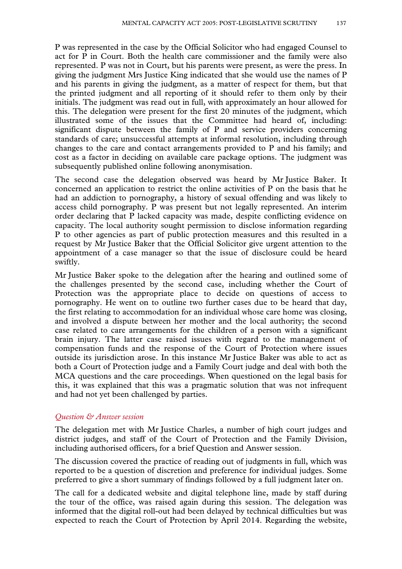P was represented in the case by the Official Solicitor who had engaged Counsel to act for P in Court. Both the health care commissioner and the family were also represented. P was not in Court, but his parents were present, as were the press. In giving the judgment Mrs Justice King indicated that she would use the names of P and his parents in giving the judgment, as a matter of respect for them, but that the printed judgment and all reporting of it should refer to them only by their initials. The judgment was read out in full, with approximately an hour allowed for this. The delegation were present for the first 20 minutes of the judgment, which illustrated some of the issues that the Committee had heard of, including: significant dispute between the family of P and service providers concerning standards of care; unsuccessful attempts at informal resolution, including through changes to the care and contact arrangements provided to P and his family; and cost as a factor in deciding on available care package options. The judgment was subsequently published online following anonymisation.

The second case the delegation observed was heard by Mr Justice Baker. It concerned an application to restrict the online activities of P on the basis that he had an addiction to pornography, a history of sexual offending and was likely to access child pornography. P was present but not legally represented. An interim order declaring that P lacked capacity was made, despite conflicting evidence on capacity. The local authority sought permission to disclose information regarding P to other agencies as part of public protection measures and this resulted in a request by Mr Justice Baker that the Official Solicitor give urgent attention to the appointment of a case manager so that the issue of disclosure could be heard swiftly.

Mr Justice Baker spoke to the delegation after the hearing and outlined some of the challenges presented by the second case, including whether the Court of Protection was the appropriate place to decide on questions of access to pornography. He went on to outline two further cases due to be heard that day, the first relating to accommodation for an individual whose care home was closing, and involved a dispute between her mother and the local authority; the second case related to care arrangements for the children of a person with a significant brain injury. The latter case raised issues with regard to the management of compensation funds and the response of the Court of Protection where issues outside its jurisdiction arose. In this instance Mr Justice Baker was able to act as both a Court of Protection judge and a Family Court judge and deal with both the MCA questions and the care proceedings. When questioned on the legal basis for this, it was explained that this was a pragmatic solution that was not infrequent and had not yet been challenged by parties.

### *Question & Answer session*

The delegation met with Mr Justice Charles, a number of high court judges and district judges, and staff of the Court of Protection and the Family Division, including authorised officers, for a brief Question and Answer session.

The discussion covered the practice of reading out of judgments in full, which was reported to be a question of discretion and preference for individual judges. Some preferred to give a short summary of findings followed by a full judgment later on.

The call for a dedicated website and digital telephone line, made by staff during the tour of the office, was raised again during this session. The delegation was informed that the digital roll-out had been delayed by technical difficulties but was expected to reach the Court of Protection by April 2014. Regarding the website,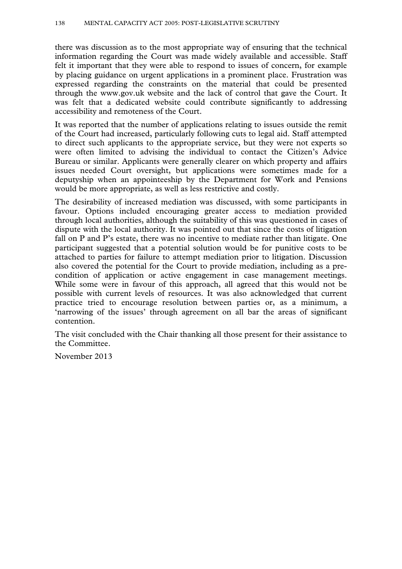there was discussion as to the most appropriate way of ensuring that the technical information regarding the Court was made widely available and accessible. Staff felt it important that they were able to respond to issues of concern, for example by placing guidance on urgent applications in a prominent place. Frustration was expressed regarding the constraints on the material that could be presented through the www.gov.uk website and the lack of control that gave the Court. It was felt that a dedicated website could contribute significantly to addressing accessibility and remoteness of the Court.

It was reported that the number of applications relating to issues outside the remit of the Court had increased, particularly following cuts to legal aid. Staff attempted to direct such applicants to the appropriate service, but they were not experts so were often limited to advising the individual to contact the Citizen's Advice Bureau or similar. Applicants were generally clearer on which property and affairs issues needed Court oversight, but applications were sometimes made for a deputyship when an appointeeship by the Department for Work and Pensions would be more appropriate, as well as less restrictive and costly.

The desirability of increased mediation was discussed, with some participants in favour. Options included encouraging greater access to mediation provided through local authorities, although the suitability of this was questioned in cases of dispute with the local authority. It was pointed out that since the costs of litigation fall on P and P's estate, there was no incentive to mediate rather than litigate. One participant suggested that a potential solution would be for punitive costs to be attached to parties for failure to attempt mediation prior to litigation. Discussion also covered the potential for the Court to provide mediation, including as a precondition of application or active engagement in case management meetings. While some were in favour of this approach, all agreed that this would not be possible with current levels of resources. It was also acknowledged that current practice tried to encourage resolution between parties or, as a minimum, a 'narrowing of the issues' through agreement on all bar the areas of significant contention.

The visit concluded with the Chair thanking all those present for their assistance to the Committee.

November 2013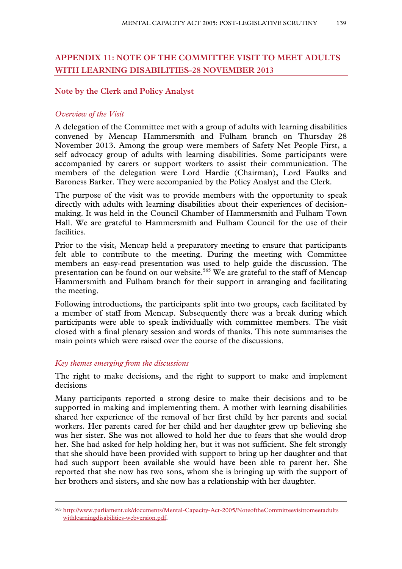# **APPENDIX 11: NOTE OF THE COMMITTEE VISIT TO MEET ADULTS WITH LEARNING DISABILITIES-28 NOVEMBER 2013**

# **Note by the Clerk and Policy Analyst**

# *Overview of the Visit*

A delegation of the Committee met with a group of adults with learning disabilities convened by Mencap Hammersmith and Fulham branch on Thursday 28 November 2013. Among the group were members of Safety Net People First, a self advocacy group of adults with learning disabilities. Some participants were accompanied by carers or support workers to assist their communication. The members of the delegation were Lord Hardie (Chairman), Lord Faulks and Baroness Barker. They were accompanied by the Policy Analyst and the Clerk.

The purpose of the visit was to provide members with the opportunity to speak directly with adults with learning disabilities about their experiences of decisionmaking. It was held in the Council Chamber of Hammersmith and Fulham Town Hall. We are grateful to Hammersmith and Fulham Council for the use of their facilities.

Prior to the visit, Mencap held a preparatory meeting to ensure that participants felt able to contribute to the meeting. During the meeting with Committee members an easy-read presentation was used to help guide the discussion. The presentation can be found on our website.565 We are grateful to the staff of Mencap Hammersmith and Fulham branch for their support in arranging and facilitating the meeting.

Following introductions, the participants split into two groups, each facilitated by a member of staff from Mencap. Subsequently there was a break during which participants were able to speak individually with committee members. The visit closed with a final plenary session and words of thanks. This note summarises the main points which were raised over the course of the discussions.

# *Key themes emerging from the discussions*

The right to make decisions, and the right to support to make and implement decisions

Many participants reported a strong desire to make their decisions and to be supported in making and implementing them. A mother with learning disabilities shared her experience of the removal of her first child by her parents and social workers. Her parents cared for her child and her daughter grew up believing she was her sister. She was not allowed to hold her due to fears that she would drop her. She had asked for help holding her, but it was not sufficient. She felt strongly that she should have been provided with support to bring up her daughter and that had such support been available she would have been able to parent her. She reported that she now has two sons, whom she is bringing up with the support of her brothers and sisters, and she now has a relationship with her daughter.

 <sup>565</sup> http://www.parliament.uk/documents/Mental-Capacity-Act-2005/NoteoftheCommitteevisittomeetadults withlearningdisabilities-webversion.pdf.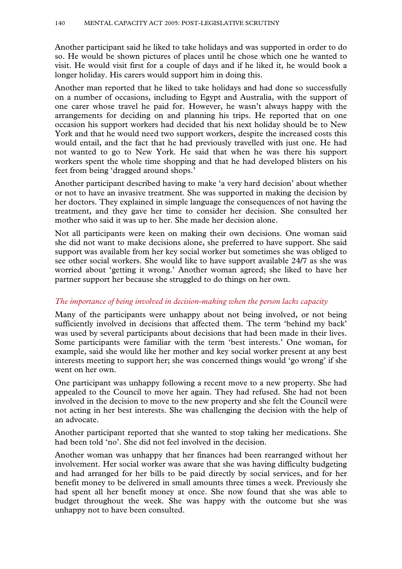Another participant said he liked to take holidays and was supported in order to do so. He would be shown pictures of places until he chose which one he wanted to visit. He would visit first for a couple of days and if he liked it, he would book a longer holiday. His carers would support him in doing this.

Another man reported that he liked to take holidays and had done so successfully on a number of occasions, including to Egypt and Australia, with the support of one carer whose travel he paid for. However, he wasn't always happy with the arrangements for deciding on and planning his trips. He reported that on one occasion his support workers had decided that his next holiday should be to New York and that he would need two support workers, despite the increased costs this would entail, and the fact that he had previously travelled with just one. He had not wanted to go to New York. He said that when he was there his support workers spent the whole time shopping and that he had developed blisters on his feet from being 'dragged around shops.'

Another participant described having to make 'a very hard decision' about whether or not to have an invasive treatment. She was supported in making the decision by her doctors. They explained in simple language the consequences of not having the treatment, and they gave her time to consider her decision. She consulted her mother who said it was up to her. She made her decision alone.

Not all participants were keen on making their own decisions. One woman said she did not want to make decisions alone, she preferred to have support. She said support was available from her key social worker but sometimes she was obliged to see other social workers. She would like to have support available 24/7 as she was worried about 'getting it wrong.' Another woman agreed; she liked to have her partner support her because she struggled to do things on her own.

### *The importance of being involved in decision-making when the person lacks capacity*

Many of the participants were unhappy about not being involved, or not being sufficiently involved in decisions that affected them. The term 'behind my back' was used by several participants about decisions that had been made in their lives. Some participants were familiar with the term 'best interests.' One woman, for example, said she would like her mother and key social worker present at any best interests meeting to support her; she was concerned things would 'go wrong' if she went on her own.

One participant was unhappy following a recent move to a new property. She had appealed to the Council to move her again. They had refused. She had not been involved in the decision to move to the new property and she felt the Council were not acting in her best interests. She was challenging the decision with the help of an advocate.

Another participant reported that she wanted to stop taking her medications. She had been told 'no'. She did not feel involved in the decision.

Another woman was unhappy that her finances had been rearranged without her involvement. Her social worker was aware that she was having difficulty budgeting and had arranged for her bills to be paid directly by social services, and for her benefit money to be delivered in small amounts three times a week. Previously she had spent all her benefit money at once. She now found that she was able to budget throughout the week. She was happy with the outcome but she was unhappy not to have been consulted.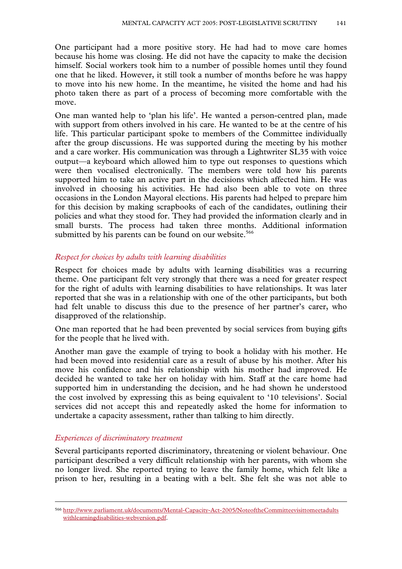One participant had a more positive story. He had had to move care homes because his home was closing. He did not have the capacity to make the decision himself. Social workers took him to a number of possible homes until they found one that he liked. However, it still took a number of months before he was happy to move into his new home. In the meantime, he visited the home and had his photo taken there as part of a process of becoming more comfortable with the move.

One man wanted help to 'plan his life'. He wanted a person-centred plan, made with support from others involved in his care. He wanted to be at the centre of his life. This particular participant spoke to members of the Committee individually after the group discussions. He was supported during the meeting by his mother and a care worker. His communication was through a Lightwriter SL35 with voice output—a keyboard which allowed him to type out responses to questions which were then vocalised electronically. The members were told how his parents supported him to take an active part in the decisions which affected him. He was involved in choosing his activities. He had also been able to vote on three occasions in the London Mayoral elections. His parents had helped to prepare him for this decision by making scrapbooks of each of the candidates, outlining their policies and what they stood for. They had provided the information clearly and in small bursts. The process had taken three months. Additional information submitted by his parents can be found on our website.<sup>566</sup>

# *Respect for choices by adults with learning disabilities*

Respect for choices made by adults with learning disabilities was a recurring theme. One participant felt very strongly that there was a need for greater respect for the right of adults with learning disabilities to have relationships. It was later reported that she was in a relationship with one of the other participants, but both had felt unable to discuss this due to the presence of her partner's carer, who disapproved of the relationship.

One man reported that he had been prevented by social services from buying gifts for the people that he lived with.

Another man gave the example of trying to book a holiday with his mother. He had been moved into residential care as a result of abuse by his mother. After his move his confidence and his relationship with his mother had improved. He decided he wanted to take her on holiday with him. Staff at the care home had supported him in understanding the decision, and he had shown he understood the cost involved by expressing this as being equivalent to '10 televisions'. Social services did not accept this and repeatedly asked the home for information to undertake a capacity assessment, rather than talking to him directly.

### *Experiences of discriminatory treatment*

Several participants reported discriminatory, threatening or violent behaviour. One participant described a very difficult relationship with her parents, with whom she no longer lived. She reported trying to leave the family home, which felt like a prison to her, resulting in a beating with a belt. She felt she was not able to

 <sup>566</sup> http://www.parliament.uk/documents/Mental-Capacity-Act-2005/NoteoftheCommitteevisittomeetadults withlearningdisabilities-webversion.pdf.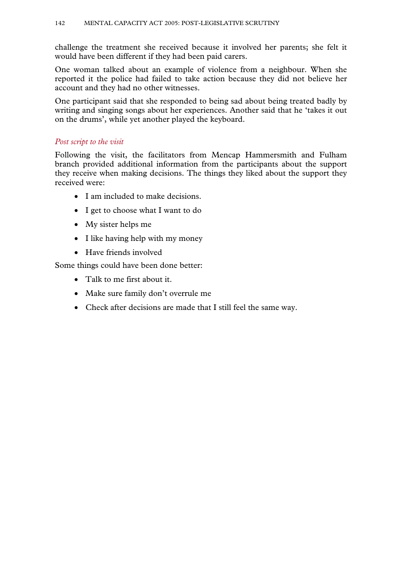challenge the treatment she received because it involved her parents; she felt it would have been different if they had been paid carers.

One woman talked about an example of violence from a neighbour. When she reported it the police had failed to take action because they did not believe her account and they had no other witnesses.

One participant said that she responded to being sad about being treated badly by writing and singing songs about her experiences. Another said that he 'takes it out on the drums', while yet another played the keyboard.

# *Post script to the visit*

Following the visit, the facilitators from Mencap Hammersmith and Fulham branch provided additional information from the participants about the support they receive when making decisions. The things they liked about the support they received were:

- I am included to make decisions.
- I get to choose what I want to do
- My sister helps me
- I like having help with my money
- Have friends involved

Some things could have been done better:

- Talk to me first about it.
- Make sure family don't overrule me
- Check after decisions are made that I still feel the same way.